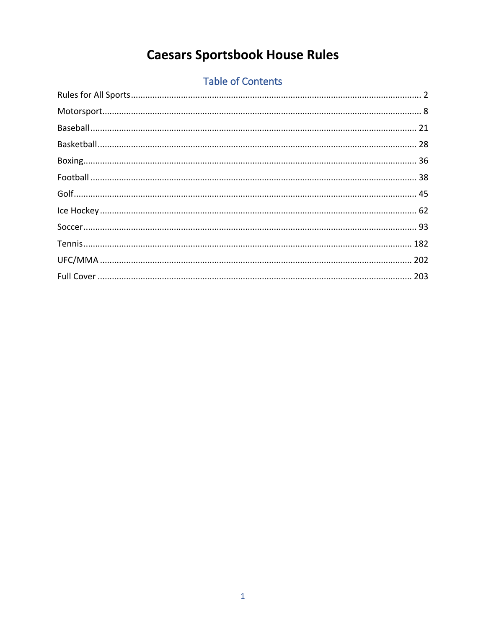# **Caesars Sportsbook House Rules**

# **Table of Contents**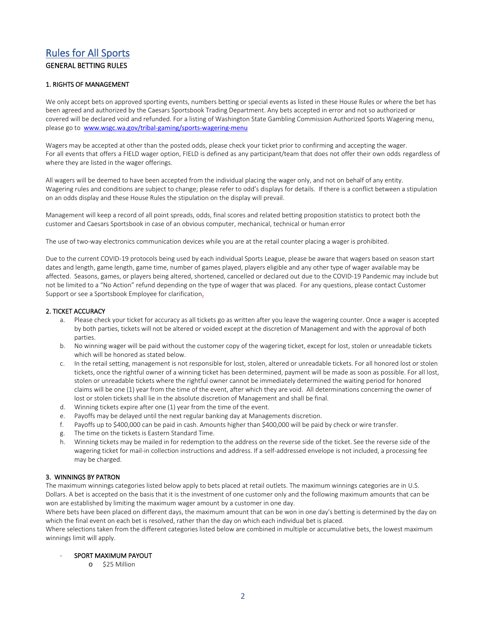# <span id="page-1-0"></span>Rules for All Sports GENERAL BETTING RULES

# 1. RIGHTS OF MANAGEMENT

We only accept bets on approved sporting events, numbers betting or special events as listed in these House Rules or where the bet has been agreed and authorized by the Caesars Sportsbook Trading Department. Any bets accepted in error and not so authorized or covered will be declared void and refunded. For a listing of Washington State Gambling Commission Authorized Sports Wagering menu, please go to [www.wsgc.wa.gov/tribal-gaming/sports-wagering-menu](http://www.wsgc.wa.gov/tribal-gaming/sports-wagering-menu)

Wagers may be accepted at other than the posted odds, please check your ticket prior to confirming and accepting the wager. For all events that offers a FIELD wager option, FIELD is defined as any participant/team that does not offer their own odds regardless of where they are listed in the wager offerings.

All wagers will be deemed to have been accepted from the individual placing the wager only, and not on behalf of any entity. Wagering rules and conditions are subject to change; please refer to odd's displays for details. If there is a conflict between a stipulation on an odds display and these House Rules the stipulation on the display will prevail.

Management will keep a record of all point spreads, odds, final scores and related betting proposition statistics to protect both the customer and Caesars Sportsbook in case of an obvious computer, mechanical, technical or human error

The use of two-way electronics communication devices while you are at the retail counter placing a wager is prohibited.

Due to the current COVID-19 protocols being used by each individual Sports League, please be aware that wagers based on season start dates and length, game length, game time, number of games played, players eligible and any other type of wager available may be affected. Seasons, games, or players being altered, shortened, cancelled or declared out due to the COVID-19 Pandemic may include but not be limited to a "No Action" refund depending on the type of wager that was placed. For any questions, please contact Customer Support or see a Sportsbook Employee for clarification.

# 2. TICKET ACCURACY

- a. Please check your ticket for accuracy as all tickets go as written after you leave the wagering counter. Once a wager is accepted by both parties, tickets will not be altered or voided except at the discretion of Management and with the approval of both parties.
- b. No winning wager will be paid without the customer copy of the wagering ticket, except for lost, stolen or unreadable tickets which will be honored as stated below.
- c. In the retail setting, management is not responsible for lost, stolen, altered or unreadable tickets. For all honored lost or stolen tickets, once the rightful owner of a winning ticket has been determined, payment will be made as soon as possible. For all lost, stolen or unreadable tickets where the rightful owner cannot be immediately determined the waiting period for honored claims will be one (1) year from the time of the event, after which they are void. All determinations concerning the owner of lost or stolen tickets shall lie in the absolute discretion of Management and shall be final.
- d. Winning tickets expire after one (1) year from the time of the event.
- e. Payoffs may be delayed until the next regular banking day at Managements discretion.
- f. Payoffs up to \$400,000 can be paid in cash. Amounts higher than \$400,000 will be paid by check or wire transfer.
- g. The time on the tickets is Eastern Standard Time.
- h. Winning tickets may be mailed in for redemption to the address on the reverse side of the ticket. See the reverse side of the wagering ticket for mail-in collection instructions and address. If a self-addressed envelope is not included, a processing fee may be charged.

# 3. WINNINGS BY PATRON

The maximum winnings categories listed below apply to bets placed at retail outlets. The maximum winnings categories are in U.S. Dollars. A bet is accepted on the basis that it is the investment of one customer only and the following maximum amounts that can be won are established by limiting the maximum wager amount by a customer in one day.

Where bets have been placed on different days, the maximum amount that can be won in one day's betting is determined by the day on which the final event on each bet is resolved, rather than the day on which each individual bet is placed.

Where selections taken from the different categories listed below are combined in multiple or accumulative bets, the lowest maximum winnings limit will apply.

#### SPORT MAXIMUM PAYOUT

o \$25 Million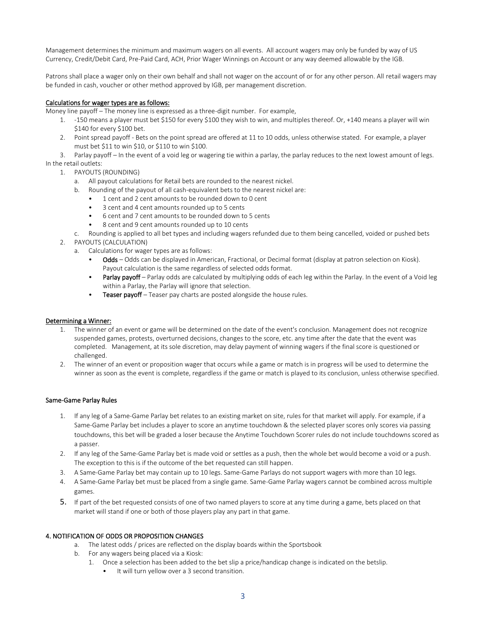Management determines the minimum and maximum wagers on all events. All account wagers may only be funded by way of US Currency, Credit/Debit Card, Pre-Paid Card, ACH, Prior Wager Winnings on Account or any way deemed allowable by the IGB.

Patrons shall place a wager only on their own behalf and shall not wager on the account of or for any other person. All retail wagers may be funded in cash, voucher or other method approved by IGB, per management discretion.

# Calculations for wager types are as follows:

Money line payoff – The money line is expressed as a three-digit number. For example,

- 1. -150 means a player must bet \$150 for every \$100 they wish to win, and multiples thereof. Or, +140 means a player will win \$140 for every \$100 bet.
- 2. Point spread payoff Bets on the point spread are offered at 11 to 10 odds, unless otherwise stated. For example, a player must bet \$11 to win \$10, or \$110 to win \$100.

3. Parlay payoff – In the event of a void leg or wagering tie within a parlay, the parlay reduces to the next lowest amount of legs. In the retail outlets:

- 1. PAYOUTS (ROUNDING)
	- a. All payout calculations for Retail bets are rounded to the nearest nickel.
	- b. Rounding of the payout of all cash-equivalent bets to the nearest nickel are:
		- 1 cent and 2 cent amounts to be rounded down to 0 cent
		- 3 cent and 4 cent amounts rounded up to 5 cents
		- 6 cent and 7 cent amounts to be rounded down to 5 cents
		- 8 cent and 9 cent amounts rounded up to 10 cents
	- c. Rounding is applied to all bet types and including wagers refunded due to them being cancelled, voided or pushed bets
- 2. PAYOUTS (CALCULATION)
	- a. Calculations for wager types are as follows:
		- Odds Odds can be displayed in American, Fractional, or Decimal format (display at patron selection on Kiosk). Payout calculation is the same regardless of selected odds format.
		- Parlay payoff Parlay odds are calculated by multiplying odds of each leg within the Parlay. In the event of a Void leg within a Parlay, the Parlay will ignore that selection.
		- Teaser payoff Teaser pay charts are posted alongside the house rules.

# Determining a Winner:

- 1. The winner of an event or game will be determined on the date of the event's conclusion. Management does not recognize suspended games, protests, overturned decisions, changes to the score, etc. any time after the date that the event was completed. Management, at its sole discretion, may delay payment of winning wagers if the final score is questioned or challenged.
- 2. The winner of an event or proposition wager that occurs while a game or match is in progress will be used to determine the winner as soon as the event is complete, regardless if the game or match is played to its conclusion, unless otherwise specified.

# Same-Game Parlay Rules

- 1. If any leg of a Same-Game Parlay bet relates to an existing market on site, rules for that market will apply. For example, if a Same-Game Parlay bet includes a player to score an anytime touchdown & the selected player scores only scores via passing touchdowns, this bet will be graded a loser because the Anytime Touchdown Scorer rules do not include touchdowns scored as a passer.
- 2. If any leg of the Same-Game Parlay bet is made void or settles as a push, then the whole bet would become a void or a push. The exception to this is if the outcome of the bet requested can still happen.
- 3. A Same-Game Parlay bet may contain up to 10 legs. Same-Game Parlays do not support wagers with more than 10 legs.
- 4. A Same-Game Parlay bet must be placed from a single game. Same-Game Parlay wagers cannot be combined across multiple games.
- 5. If part of the bet requested consists of one of two named players to score at any time during a game, bets placed on that market will stand if one or both of those players play any part in that game.

# 4. NOTIFICATION OF ODDS OR PROPOSITION CHANGES

- a. The latest odds / prices are reflected on the display boards within the Sportsbook
- b. For any wagers being placed via a Kiosk:
	- 1. Once a selection has been added to the bet slip a price/handicap change is indicated on the betslip.
		- It will turn yellow over a 3 second transition.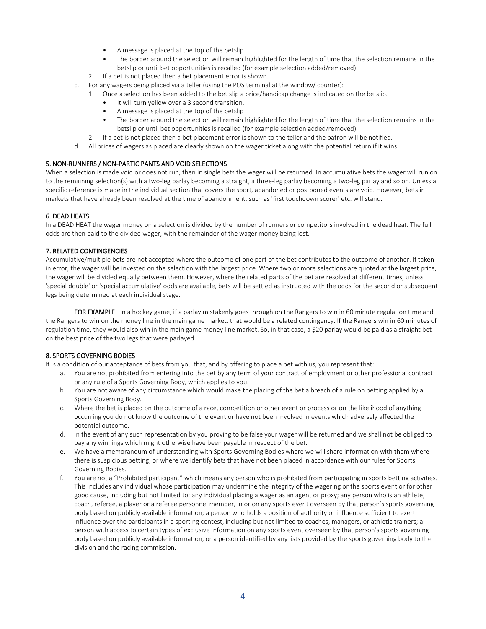- A message is placed at the top of the betslip
- The border around the selection will remain highlighted for the length of time that the selection remains in the betslip or until bet opportunities is recalled (for example selection added/removed)
- 2. If a bet is not placed then a bet placement error is shown.
- c. For any wagers being placed via a teller (using the POS terminal at the window/ counter):
	- 1. Once a selection has been added to the bet slip a price/handicap change is indicated on the betslip.
		- It will turn yellow over a 3 second transition.
		- A message is placed at the top of the betslip
		- The border around the selection will remain highlighted for the length of time that the selection remains in the betslip or until bet opportunities is recalled (for example selection added/removed)
	- 2. If a bet is not placed then a bet placement error is shown to the teller and the patron will be notified.
- d. All prices of wagers as placed are clearly shown on the wager ticket along with the potential return if it wins.

# 5. NON-RUNNERS / NON-PARTICIPANTS AND VOID SELECTIONS

When a selection is made void or does not run, then in single bets the wager will be returned. In accumulative bets the wager will run on to the remaining selection(s) with a two-leg parlay becoming a straight, a three-leg parlay becoming a two-leg parlay and so on. Unless a specific reference is made in the individual section that covers the sport, abandoned or postponed events are void. However, bets in markets that have already been resolved at the time of abandonment, such as 'first touchdown scorer' etc. will stand.

# 6. DEAD HEATS

In a DEAD HEAT the wager money on a selection is divided by the number of runners or competitors involved in the dead heat. The full odds are then paid to the divided wager, with the remainder of the wager money being lost.

# 7. RELATED CONTINGENCIES

Accumulative/multiple bets are not accepted where the outcome of one part of the bet contributes to the outcome of another. If taken in error, the wager will be invested on the selection with the largest price. Where two or more selections are quoted at the largest price, the wager will be divided equally between them. However, where the related parts of the bet are resolved at different times, unless 'special double' or 'special accumulative' odds are available, bets will be settled as instructed with the odds for the second or subsequent legs being determined at each individual stage.

FOR EXAMPLE: In a hockey game, if a parlay mistakenly goes through on the Rangers to win in 60 minute regulation time and the Rangers to win on the money line in the main game market, that would be a related contingency. If the Rangers win in 60 minutes of regulation time, they would also win in the main game money line market. So, in that case, a \$20 parlay would be paid as a straight bet on the best price of the two legs that were parlayed.

# 8. SPORTS GOVERNING BODIES

It is a condition of our acceptance of bets from you that, and by offering to place a bet with us, you represent that:

- a. You are not prohibited from entering into the bet by any term of your contract of employment or other professional contract or any rule of a Sports Governing Body, which applies to you.
- b. You are not aware of any circumstance which would make the placing of the bet a breach of a rule on betting applied by a Sports Governing Body.
- c. Where the bet is placed on the outcome of a race, competition or other event or process or on the likelihood of anything occurring you do not know the outcome of the event or have not been involved in events which adversely affected the potential outcome.
- d. In the event of any such representation by you proving to be false your wager will be returned and we shall not be obliged to pay any winnings which might otherwise have been payable in respect of the bet.
- e. We have a memorandum of understanding with Sports Governing Bodies where we will share information with them where there is suspicious betting, or where we identify bets that have not been placed in accordance with our rules for Sports Governing Bodies.
- f. You are not a "Prohibited participant" which means any person who is prohibited from participating in sports betting activities. This includes any individual whose participation may undermine the integrity of the wagering or the sports event or for other good cause, including but not limited to: any individual placing a wager as an agent or proxy; any person who is an athlete, coach, referee, a player or a referee personnel member, in or on any sports event overseen by that person's sports governing body based on publicly available information; a person who holds a position of authority or influence sufficient to exert influence over the participants in a sporting contest, including but not limited to coaches, managers, or athletic trainers; a person with access to certain types of exclusive information on any sports event overseen by that person's sports governing body based on publicly available information, or a person identified by any lists provided by the sports governing body to the division and the racing commission.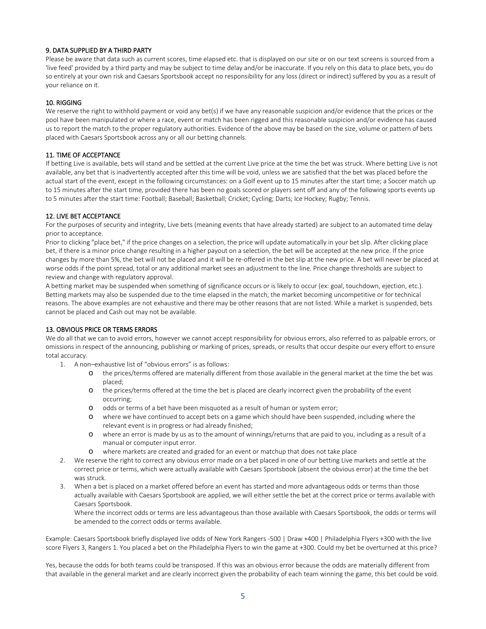# 9. DATA SUPPLIED BY A THIRD PARTY

Please be aware that data such as current scores, time elapsed etc. that is displayed on our site or on our text screens is sourced from a 'live feed' provided by a third party and may be subject to time delay and/or be inaccurate. If you rely on this data to place bets, you do so entirely at your own risk and Caesars Sportsbook accept no responsibility for any loss (direct or indirect) suffered by you as a result of your reliance on it.

# 10. RIGGING

We reserve the right to withhold payment or void any bet(s) if we have any reasonable suspicion and/or evidence that the prices or the pool have been manipulated or where a race, event or match has been rigged and this reasonable suspicion and/or evidence has caused us to report the match to the proper regulatory authorities. Evidence of the above may be based on the size, volume or pattern of bets placed with Caesars Sportsbook across any or all our betting channels.

# 11. TIME OF ACCEPTANCE

If betting Live is available, bets will stand and be settled at the current Live price at the time the bet was struck. Where betting Live is not available, any bet that is inadvertently accepted after this time will be void, unless we are satisfied that the bet was placed before the actual start of the event, except in the following circumstances: on a Golf event up to 15 minutes after the start time; a Soccer match up to 15 minutes after the start time, provided there has been no goals scored or players sent off and any of the following sports events up to 5 minutes after the start time: Football; Baseball; Basketball; Cricket; Cycling; Darts; Ice Hockey; Rugby; Tennis.

# 12. LIVE BET ACCEPTANCE

For the purposes of security and integrity, Live bets (meaning events that have already started) are subject to an automated time delay prior to acceptance.

Prior to clicking "place bet," if the price changes on a selection, the price will update automatically in your bet slip. After clicking place bet, if there is a minor price change resulting in a higher payout on a selection, the bet will be accepted at the new price. If the price changes by more than 5%, the bet will not be placed and it will be re-offered in the bet slip at the new price. A bet will never be placed at worse odds if the point spread, total or any additional market sees an adjustment to the line. Price change thresholds are subject to review and change with regulatory approval.

A betting market may be suspended when something of significance occurs or is likely to occur (ex: goal, touchdown, ejection, etc.). Betting markets may also be suspended due to the time elapsed in the match, the market becoming uncompetitive or for technical reasons. The above examples are not exhaustive and there may be other reasons that are not listed. While a market is suspended, bets cannot be placed and Cash out may not be available.

# 13. OBVIOUS PRICE OR TERMS ERRORS

We do all that we can to avoid errors, however we cannot accept responsibility for obvious errors, also referred to as palpable errors, or omissions in respect of the announcing, publishing or marking of prices, spreads, or results that occur despite our every effort to ensure total accuracy.

- 1. A non–exhaustive list of "obvious errors" is as follows:
	- o the prices/terms offered are materially different from those available in the general market at the time the bet was placed;
	- o the prices/terms offered at the time the bet is placed are clearly incorrect given the probability of the event occurring;
	- o odds or terms of a bet have been misquoted as a result of human or system error;
	- o where we have continued to accept bets on a game which should have been suspended, including where the relevant event is in progress or had already finished;
	- o where an error is made by us as to the amount of winnings/returns that are paid to you, including as a result of a manual or computer input error.
	- o where markets are created and graded for an event or matchup that does not take place
- 2. We reserve the right to correct any obvious error made on a bet placed in one of our betting Live markets and settle at the correct price or terms, which were actually available with Caesars Sportsbook (absent the obvious error) at the time the bet was struck.
- 3. When a bet is placed on a market offered before an event has started and more advantageous odds or terms than those actually available with Caesars Sportsbook are applied, we will either settle the bet at the correct price or terms available with Caesars Sportsbook.

Where the incorrect odds or terms are less advantageous than those available with Caesars Sportsbook, the odds or terms will be amended to the correct odds or terms available.

Example: Caesars Sportsbook briefly displayed live odds of New York Rangers -500 | Draw +400 | Philadelphia Flyers +300 with the live score Flyers 3, Rangers 1. You placed a bet on the Philadelphia Flyers to win the game at +300. Could my bet be overturned at this price?

Yes, because the odds for both teams could be transposed. If this was an obvious error because the odds are materially different from that available in the general market and are clearly incorrect given the probability of each team winning the game, this bet could be void.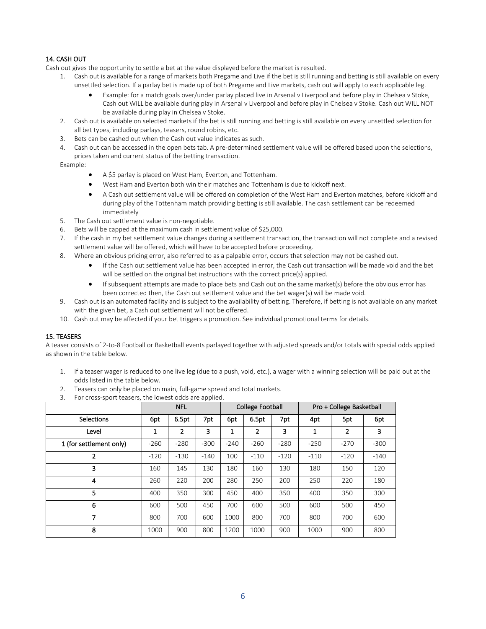# 14. CASH OUT

Cash out gives the opportunity to settle a bet at the value displayed before the market is resulted.

- 1. Cash out is available for a range of markets both Pregame and Live if the bet is still running and betting is still available on every unsettled selection. If a parlay bet is made up of both Pregame and Live markets, cash out will apply to each applicable leg.
	- Example: for a match goals over/under parlay placed live in Arsenal v Liverpool and before play in Chelsea v Stoke, Cash out WILL be available during play in Arsenal v Liverpool and before play in Chelsea v Stoke. Cash out WILL NOT be available during play in Chelsea v Stoke.
- 2. Cash out is available on selected markets if the bet is still running and betting is still available on every unsettled selection for all bet types, including parlays, teasers, round robins, etc.
- 3. Bets can be cashed out when the Cash out value indicates as such.
- 4. Cash out can be accessed in the open bets tab. A pre-determined settlement value will be offered based upon the selections, prices taken and current status of the betting transaction.

Example:

- A \$5 parlay is placed on West Ham, Everton, and Tottenham.
- West Ham and Everton both win their matches and Tottenham is due to kickoff next.
- A Cash out settlement value will be offered on completion of the West Ham and Everton matches, before kickoff and during play of the Tottenham match providing betting is still available. The cash settlement can be redeemed immediately
- 5. The Cash out settlement value is non-negotiable.
- 6. Bets will be capped at the maximum cash in settlement value of \$25,000.
- 7. If the cash in my bet settlement value changes during a settlement transaction, the transaction will not complete and a revised settlement value will be offered, which will have to be accepted before proceeding.
- 8. Where an obvious pricing error, also referred to as a palpable error, occurs that selection may not be cashed out.
	- If the Cash out settlement value has been accepted in error, the Cash out transaction will be made void and the bet will be settled on the original bet instructions with the correct price(s) applied.
	- If subsequent attempts are made to place bets and Cash out on the same market(s) before the obvious error has been corrected then, the Cash out settlement value and the bet wager(s) will be made void.
- 9. Cash out is an automated facility and is subject to the availability of betting. Therefore, if betting is not available on any market with the given bet, a Cash out settlement will not be offered.
- 10. Cash out may be affected if your bet triggers a promotion. See individual promotional terms for details.

# 15. TEASERS

A teaser consists of 2-to-8 Football or Basketball events parlayed together with adjusted spreads and/or totals with special odds applied as shown in the table below.

- 1. If a teaser wager is reduced to one live leg (due to a push, void, etc.), a wager with a winning selection will be paid out at the odds listed in the table below.
- 2. Teasers can only be placed on main, full-game spread and total markets.
- 3. For cross-sport teasers, the lowest odds are applied.

|                         | <b>NFL</b> |        |        | <b>College Football</b> |        |        | Pro + College Basketball |                |        |
|-------------------------|------------|--------|--------|-------------------------|--------|--------|--------------------------|----------------|--------|
| <b>Selections</b>       | 6pt        | 6.5pt  | 7pt    | 6pt                     | 6.5pt  | 7pt    | 4pt                      | 5pt            | 6pt    |
| Level                   | 1          | 2      | 3      |                         | 2      | 3      | 1                        | $\overline{2}$ | 3      |
| 1 (for settlement only) | $-260$     | $-280$ | $-300$ | $-240$                  | $-260$ | $-280$ | $-250$                   | $-270$         | $-300$ |
| 2                       | $-120$     | $-130$ | $-140$ | 100                     | $-110$ | $-120$ | $-110$                   | $-120$         | $-140$ |
| 3                       | 160        | 145    | 130    | 180                     | 160    | 130    | 180                      | 150            | 120    |
| 4                       | 260        | 220    | 200    | 280                     | 250    | 200    | 250                      | 220            | 180    |
| 5                       | 400        | 350    | 300    | 450                     | 400    | 350    | 400                      | 350            | 300    |
| 6                       | 600        | 500    | 450    | 700                     | 600    | 500    | 600                      | 500            | 450    |
| 7                       | 800        | 700    | 600    | 1000                    | 800    | 700    | 800                      | 700            | 600    |
| 8                       | 1000       | 900    | 800    | 1200                    | 1000   | 900    | 1000                     | 900            | 800    |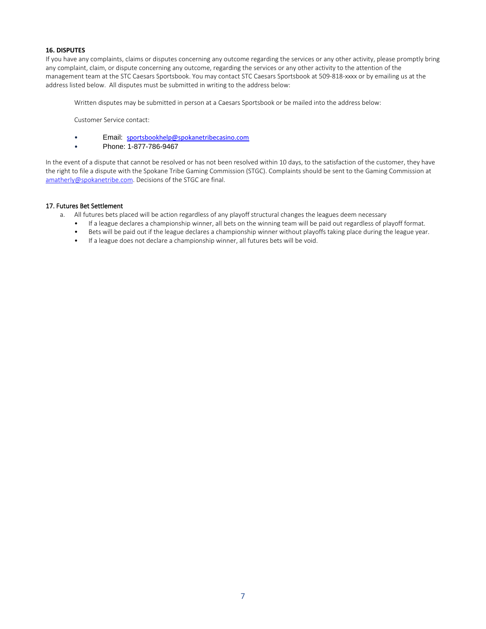#### **16. DISPUTES**

If you have any complaints, claims or disputes concerning any outcome regarding the services or any other activity, please promptly bring any complaint, claim, or dispute concerning any outcome, regarding the services or any other activity to the attention of the management team at the STC Caesars Sportsbook. You may contact STC Caesars Sportsbook at 509-818-xxxx or by emailing us at the address listed below. All disputes must be submitted in writing to the address below:

Written disputes may be submitted in person at a Caesars Sportsbook or be mailed into the address below:

Customer Service contact:

- Email: [sportsbookhelp@spokanetribecasino.com](mailto:sportsbookhelp@spokanetribecasino.com)
- Phone: 1-877-786-9467

In the event of a dispute that cannot be resolved or has not been resolved within 10 days, to the satisfaction of the customer, they have the right to file a dispute with the Spokane Tribe Gaming Commission (STGC). Complaints should be sent to the Gaming Commission at [amatherly@spokanetribe.com.](mailto:amatherly@spokanetribe.com) Decisions of the STGC are final.

#### 17. Futures Bet Settlement

- a. All futures bets placed will be action regardless of any playoff structural changes the leagues deem necessary
	- If a league declares a championship winner, all bets on the winning team will be paid out regardless of playoff format.
	- Bets will be paid out if the league declares a championship winner without playoffs taking place during the league year.
	- If a league does not declare a championship winner, all futures bets will be void.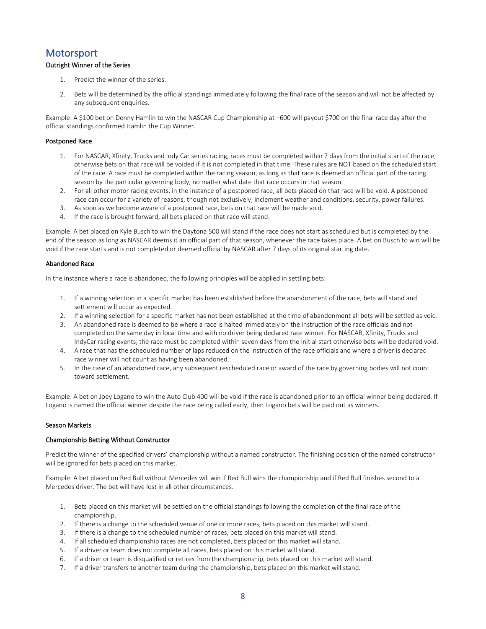# <span id="page-7-0"></span>**Motorsport**

# Outright Winner of the Series

- 1. Predict the winner of the series.
- 2. Bets will be determined by the official standings immediately following the final race of the season and will not be affected by any subsequent enquiries.

Example: A \$100 bet on Denny Hamlin to win the NASCAR Cup Championship at +600 will payout \$700 on the final race day after the official standings confirmed Hamlin the Cup Winner.

#### Postponed Race

- 1. For NASCAR, Xfinity, Trucks and Indy Car series racing, races must be completed within 7 days from the initial start of the race, otherwise bets on that race will be voided if it is not completed in that time. These rules are NOT based on the scheduled start of the race. A race must be completed within the racing season, as long as that race is deemed an official part of the racing season by the particular governing body, no matter what date that race occurs in that season.
- 2. For all other motor racing events, in the instance of a postponed race, all bets placed on that race will be void. A postponed race can occur for a variety of reasons, though not exclusively; inclement weather and conditions, security, power failures.
- 3. As soon as we become aware of a postponed race, bets on that race will be made void.
- 4. If the race is brought forward, all bets placed on that race will stand.

Example: A bet placed on Kyle Busch to win the Daytona 500 will stand if the race does not start as scheduled but is completed by the end of the season as long as NASCAR deems it an official part of that season, whenever the race takes place. A bet on Busch to win will be void if the race starts and is not completed or deemed official by NASCAR after 7 days of its original starting date.

#### Abandoned Race

In the instance where a race is abandoned, the following principles will be applied in settling bets:

- 1. If a winning selection in a specific market has been established before the abandonment of the race, bets will stand and settlement will occur as expected.
- 2. If a winning selection for a specific market has not been established at the time of abandonment all bets will be settled as void.
- 3. An abandoned race is deemed to be where a race is halted immediately on the instruction of the race officials and not completed on the same day in local time and with no driver being declared race winner. For NASCAR, Xfinity, Trucks and IndyCar racing events, the race must be completed within seven days from the initial start otherwise bets will be declared void.
- 4. A race that has the scheduled number of laps reduced on the instruction of the race officials and where a driver is declared race winner will not count as having been abandoned.
- 5. In the case of an abandoned race, any subsequent rescheduled race or award of the race by governing bodies will not count toward settlement.

Example: A bet on Joey Logano to win the Auto Club 400 will be void if the race is abandoned prior to an official winner being declared. If Logano is named the official winner despite the race being called early, then Logano bets will be paid out as winners.

#### Season Markets

#### Championship Betting Without Constructor

Predict the winner of the specified drivers' championship without a named constructor. The finishing position of the named constructor will be ignored for bets placed on this market.

Example: A bet placed on Red Bull without Mercedes will win if Red Bull wins the championship and if Red Bull finishes second to a Mercedes driver. The bet will have lost in all other circumstances.

- 1. Bets placed on this market will be settled on the official standings following the completion of the final race of the championship.
- 2. If there is a change to the scheduled venue of one or more races, bets placed on this market will stand.
- 3. If there is a change to the scheduled number of races, bets placed on this market will stand.
- 4. If all scheduled championship races are not completed, bets placed on this market will stand.
- 5. If a driver or team does not complete all races, bets placed on this market will stand.
- 6. If a driver or team is disqualified or retires from the championship, bets placed on this market will stand.
- 7. If a driver transfers to another team during the championship, bets placed on this market will stand.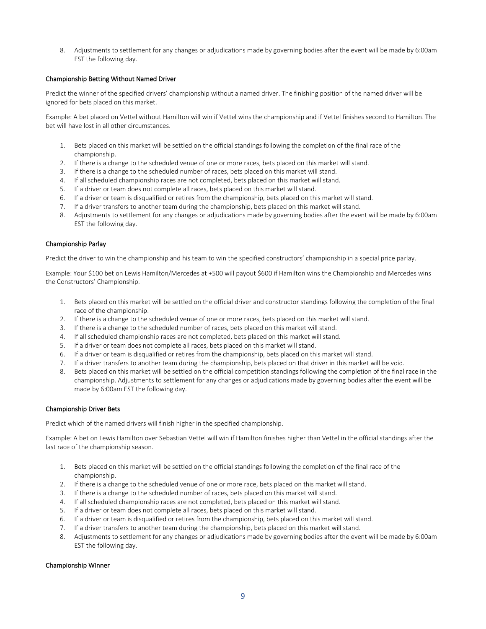8. Adjustments to settlement for any changes or adjudications made by governing bodies after the event will be made by 6:00am EST the following day.

#### Championship Betting Without Named Driver

Predict the winner of the specified drivers' championship without a named driver. The finishing position of the named driver will be ignored for bets placed on this market.

Example: A bet placed on Vettel without Hamilton will win if Vettel wins the championship and if Vettel finishes second to Hamilton. The bet will have lost in all other circumstances.

- 1. Bets placed on this market will be settled on the official standings following the completion of the final race of the championship.
- 2. If there is a change to the scheduled venue of one or more races, bets placed on this market will stand.
- 3. If there is a change to the scheduled number of races, bets placed on this market will stand.
- 4. If all scheduled championship races are not completed, bets placed on this market will stand.
- 5. If a driver or team does not complete all races, bets placed on this market will stand.
- 6. If a driver or team is disqualified or retires from the championship, bets placed on this market will stand.
- 7. If a driver transfers to another team during the championship, bets placed on this market will stand.
- 8. Adjustments to settlement for any changes or adjudications made by governing bodies after the event will be made by 6:00am EST the following day.

#### Championship Parlay

Predict the driver to win the championship and his team to win the specified constructors' championship in a special price parlay.

Example: Your \$100 bet on Lewis Hamilton/Mercedes at +500 will payout \$600 if Hamilton wins the Championship and Mercedes wins the Constructors' Championship.

- 1. Bets placed on this market will be settled on the official driver and constructor standings following the completion of the final race of the championship.
- 2. If there is a change to the scheduled venue of one or more races, bets placed on this market will stand.
- 3. If there is a change to the scheduled number of races, bets placed on this market will stand.
- 4. If all scheduled championship races are not completed, bets placed on this market will stand.
- 5. If a driver or team does not complete all races, bets placed on this market will stand.
- 6. If a driver or team is disqualified or retires from the championship, bets placed on this market will stand.
- 7. If a driver transfers to another team during the championship, bets placed on that driver in this market will be void.
- 8. Bets placed on this market will be settled on the official competition standings following the completion of the final race in the championship. Adjustments to settlement for any changes or adjudications made by governing bodies after the event will be made by 6:00am EST the following day.

#### Championship Driver Bets

Predict which of the named drivers will finish higher in the specified championship.

Example: A bet on Lewis Hamilton over Sebastian Vettel will win if Hamilton finishes higher than Vettel in the official standings after the last race of the championship season.

- 1. Bets placed on this market will be settled on the official standings following the completion of the final race of the championship.
- 2. If there is a change to the scheduled venue of one or more race, bets placed on this market will stand.
- 3. If there is a change to the scheduled number of races, bets placed on this market will stand.
- 4. If all scheduled championship races are not completed, bets placed on this market will stand.
- 5. If a driver or team does not complete all races, bets placed on this market will stand.
- 6. If a driver or team is disqualified or retires from the championship, bets placed on this market will stand.
- 7. If a driver transfers to another team during the championship, bets placed on this market will stand.
- 8. Adjustments to settlement for any changes or adjudications made by governing bodies after the event will be made by 6:00am EST the following day.

#### Championship Winner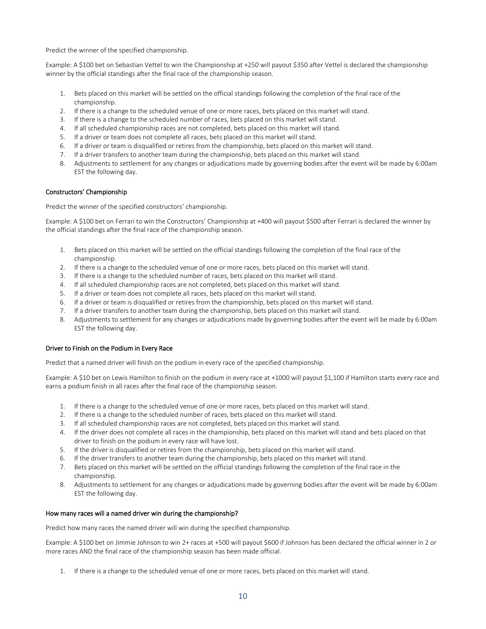Predict the winner of the specified championship.

Example: A \$100 bet on Sebastian Vettel to win the Championship at +250 will payout \$350 after Vettel is declared the championship winner by the official standings after the final race of the championship season.

- 1. Bets placed on this market will be settled on the official standings following the completion of the final race of the championship.
- 2. If there is a change to the scheduled venue of one or more races, bets placed on this market will stand.
- 3. If there is a change to the scheduled number of races, bets placed on this market will stand.
- 4. If all scheduled championship races are not completed, bets placed on this market will stand.
- 5. If a driver or team does not complete all races, bets placed on this market will stand.
- 6. If a driver or team is disqualified or retires from the championship, bets placed on this market will stand.
- 7. If a driver transfers to another team during the championship, bets placed on this market will stand.
- 8. Adjustments to settlement for any changes or adjudications made by governing bodies after the event will be made by 6:00am EST the following day.

#### Constructors' Championship

Predict the winner of the specified constructors' championship.

Example: A \$100 bet on Ferrari to win the Constructors' Championship at +400 will payout \$500 after Ferrari is declared the winner by the official standings after the final race of the championship season.

- 1. Bets placed on this market will be settled on the official standings following the completion of the final race of the championship.
- 2. If there is a change to the scheduled venue of one or more races, bets placed on this market will stand.
- 3. If there is a change to the scheduled number of races, bets placed on this market will stand.
- 4. If all scheduled championship races are not completed, bets placed on this market will stand.
- 5. If a driver or team does not complete all races, bets placed on this market will stand.
- 6. If a driver or team is disqualified or retires from the championship, bets placed on this market will stand.
- 7. If a driver transfers to another team during the championship, bets placed on this market will stand.
- 8. Adjustments to settlement for any changes or adjudications made by governing bodies after the event will be made by 6:00am EST the following day.

#### Driver to Finish on the Podium in Every Race

Predict that a named driver will finish on the podium in every race of the specified championship.

Example: A \$10 bet on Lewis Hamilton to finish on the podium in every race at +1000 will payout \$1,100 if Hamilton starts every race and earns a podium finish in all races after the final race of the championship season.

- 1. If there is a change to the scheduled venue of one or more races, bets placed on this market will stand.
- 2. If there is a change to the scheduled number of races, bets placed on this market will stand.
- 3. If all scheduled championship races are not completed, bets placed on this market will stand.
- 4. If the driver does not complete all races in the championship, bets placed on this market will stand and bets placed on that driver to finish on the podium in every race will have lost.
- 5. If the driver is disqualified or retires from the championship, bets placed on this market will stand.
- 6. If the driver transfers to another team during the championship, bets placed on this market will stand.
- 7. Bets placed on this market will be settled on the official standings following the completion of the final race in the championship.
- 8. Adjustments to settlement for any changes or adjudications made by governing bodies after the event will be made by 6:00am EST the following day.

#### How many races will a named driver win during the championship?

Predict how many races the named driver will win during the specified championship.

Example: A \$100 bet on Jimmie Johnson to win 2+ races at +500 will payout \$600 if Johnson has been declared the official winner in 2 or more races AND the final race of the championship season has been made official.

1. If there is a change to the scheduled venue of one or more races, bets placed on this market will stand.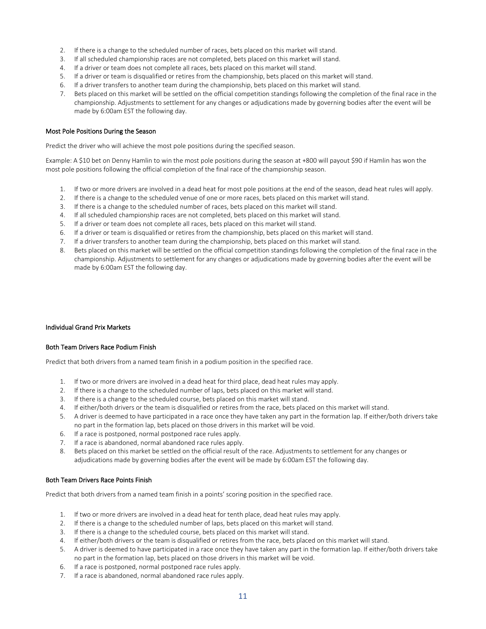- 2. If there is a change to the scheduled number of races, bets placed on this market will stand.
- 3. If all scheduled championship races are not completed, bets placed on this market will stand.
- 4. If a driver or team does not complete all races, bets placed on this market will stand.
- 5. If a driver or team is disqualified or retires from the championship, bets placed on this market will stand.
- 6. If a driver transfers to another team during the championship, bets placed on this market will stand.
- 7. Bets placed on this market will be settled on the official competition standings following the completion of the final race in the championship. Adjustments to settlement for any changes or adjudications made by governing bodies after the event will be made by 6:00am EST the following day.

#### Most Pole Positions During the Season

Predict the driver who will achieve the most pole positions during the specified season.

Example: A \$10 bet on Denny Hamlin to win the most pole positions during the season at +800 will payout \$90 if Hamlin has won the most pole positions following the official completion of the final race of the championship season.

- 1. If two or more drivers are involved in a dead heat for most pole positions at the end of the season, dead heat rules will apply.
- 2. If there is a change to the scheduled venue of one or more races, bets placed on this market will stand.
- 3. If there is a change to the scheduled number of races, bets placed on this market will stand.
- 4. If all scheduled championship races are not completed, bets placed on this market will stand.
- 5. If a driver or team does not complete all races, bets placed on this market will stand.
- 6. If a driver or team is disqualified or retires from the championship, bets placed on this market will stand.
- 7. If a driver transfers to another team during the championship, bets placed on this market will stand.
- 8. Bets placed on this market will be settled on the official competition standings following the completion of the final race in the championship. Adjustments to settlement for any changes or adjudications made by governing bodies after the event will be made by 6:00am EST the following day.

#### Individual Grand Prix Markets

#### Both Team Drivers Race Podium Finish

Predict that both drivers from a named team finish in a podium position in the specified race.

- 1. If two or more drivers are involved in a dead heat for third place, dead heat rules may apply.
- 2. If there is a change to the scheduled number of laps, bets placed on this market will stand.
- 3. If there is a change to the scheduled course, bets placed on this market will stand.
- 4. If either/both drivers or the team is disqualified or retires from the race, bets placed on this market will stand.
- 5. A driver is deemed to have participated in a race once they have taken any part in the formation lap. If either/both drivers take no part in the formation lap, bets placed on those drivers in this market will be void.
- 6. If a race is postponed, normal postponed race rules apply.
- 7. If a race is abandoned, normal abandoned race rules apply.
- 8. Bets placed on this market be settled on the official result of the race. Adjustments to settlement for any changes or adjudications made by governing bodies after the event will be made by 6:00am EST the following day.

#### Both Team Drivers Race Points Finish

Predict that both drivers from a named team finish in a points' scoring position in the specified race.

- 1. If two or more drivers are involved in a dead heat for tenth place, dead heat rules may apply.
- 2. If there is a change to the scheduled number of laps, bets placed on this market will stand.
- 3. If there is a change to the scheduled course, bets placed on this market will stand.
- 4. If either/both drivers or the team is disqualified or retires from the race, bets placed on this market will stand.
- 5. A driver is deemed to have participated in a race once they have taken any part in the formation lap. If either/both drivers take no part in the formation lap, bets placed on those drivers in this market will be void.
- 6. If a race is postponed, normal postponed race rules apply.
- 7. If a race is abandoned, normal abandoned race rules apply.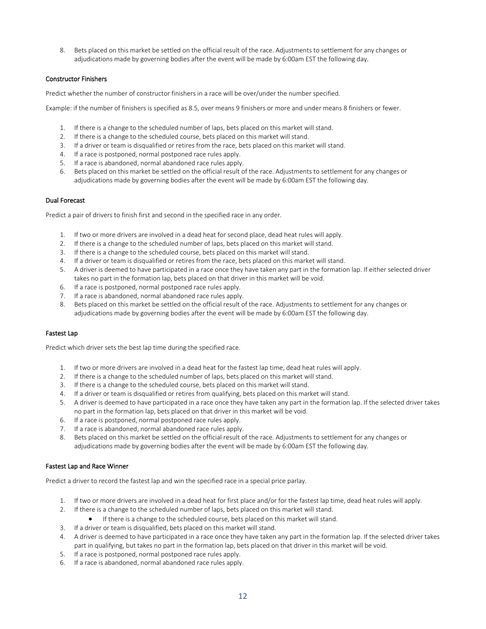8. Bets placed on this market be settled on the official result of the race. Adjustments to settlement for any changes or adjudications made by governing bodies after the event will be made by 6:00am EST the following day.

# Constructor Finishers

Predict whether the number of constructor finishers in a race will be over/under the number specified.

Example: if the number of finishers is specified as 8.5, over means 9 finishers or more and under means 8 finishers or fewer.

- 1. If there is a change to the scheduled number of laps, bets placed on this market will stand.
- 2. If there is a change to the scheduled course, bets placed on this market will stand.
- 3. If a driver or team is disqualified or retires from the race, bets placed on this market will stand.
- 4. If a race is postponed, normal postponed race rules apply.
- 5. If a race is abandoned, normal abandoned race rules apply.
- 6. Bets placed on this market be settled on the official result of the race. Adjustments to settlement for any changes or adjudications made by governing bodies after the event will be made by 6:00am EST the following day.

#### Dual Forecast

Predict a pair of drivers to finish first and second in the specified race in any order.

- 1. If two or more drivers are involved in a dead heat for second place, dead heat rules will apply.
- 2. If there is a change to the scheduled number of laps, bets placed on this market will stand.
- 3. If there is a change to the scheduled course, bets placed on this market will stand.
- 4. If a driver or team is disqualified or retires from the race, bets placed on this market will stand.
- 5. A driver is deemed to have participated in a race once they have taken any part in the formation lap. If either selected driver takes no part in the formation lap, bets placed on that driver in this market will be void.
- 6. If a race is postponed, normal postponed race rules apply.
- 7. If a race is abandoned, normal abandoned race rules apply.
- 8. Bets placed on this market be settled on the official result of the race. Adjustments to settlement for any changes or adjudications made by governing bodies after the event will be made by 6:00am EST the following day.

# Fastest Lap

Predict which driver sets the best lap time during the specified race.

- 1. If two or more drivers are involved in a dead heat for the fastest lap time, dead heat rules will apply.
- 2. If there is a change to the scheduled number of laps, bets placed on this market will stand.
- 3. If there is a change to the scheduled course, bets placed on this market will stand.
- 4. If a driver or team is disqualified or retires from qualifying, bets placed on this market will stand.
- 5. A driver is deemed to have participated in a race once they have taken any part in the formation lap. If the selected driver takes no part in the formation lap, bets placed on that driver in this market will be void.
- 6. If a race is postponed, normal postponed race rules apply.
- 7. If a race is abandoned, normal abandoned race rules apply.
- 8. Bets placed on this market be settled on the official result of the race. Adjustments to settlement for any changes or adjudications made by governing bodies after the event will be made by 6:00am EST the following day.

#### Fastest Lap and Race Winner

Predict a driver to record the fastest lap and win the specified race in a special price parlay.

- 1. If two or more drivers are involved in a dead heat for first place and/or for the fastest lap time, dead heat rules will apply.
- 2. If there is a change to the scheduled number of laps, bets placed on this market will stand.
	- If there is a change to the scheduled course, bets placed on this market will stand.
- 3. If a driver or team is disqualified, bets placed on this market will stand.
- 4. A driver is deemed to have participated in a race once they have taken any part in the formation lap. If the selected driver takes part in qualifying, but takes no part in the formation lap, bets placed on that driver in this market will be void.
- 5. If a race is postponed, normal postponed race rules apply.
- 6. If a race is abandoned, normal abandoned race rules apply.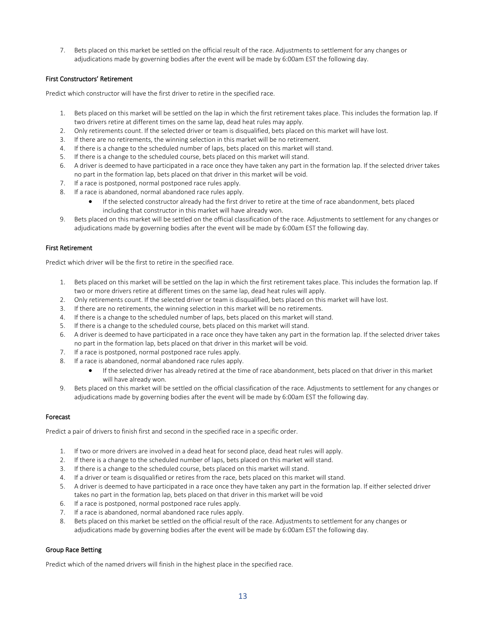7. Bets placed on this market be settled on the official result of the race. Adjustments to settlement for any changes or adjudications made by governing bodies after the event will be made by 6:00am EST the following day.

# First Constructors' Retirement

Predict which constructor will have the first driver to retire in the specified race.

- 1. Bets placed on this market will be settled on the lap in which the first retirement takes place. This includes the formation lap. If two drivers retire at different times on the same lap, dead heat rules may apply.
- 2. Only retirements count. If the selected driver or team is disqualified, bets placed on this market will have lost.
- 3. If there are no retirements, the winning selection in this market will be no retirement.
- 4. If there is a change to the scheduled number of laps, bets placed on this market will stand.
- 5. If there is a change to the scheduled course, bets placed on this market will stand.
- 6. A driver is deemed to have participated in a race once they have taken any part in the formation lap. If the selected driver takes no part in the formation lap, bets placed on that driver in this market will be void.
- 7. If a race is postponed, normal postponed race rules apply.
- 8. If a race is abandoned, normal abandoned race rules apply.
	- If the selected constructor already had the first driver to retire at the time of race abandonment, bets placed including that constructor in this market will have already won.
- 9. Bets placed on this market will be settled on the official classification of the race. Adjustments to settlement for any changes or adjudications made by governing bodies after the event will be made by 6:00am EST the following day.

# First Retirement

Predict which driver will be the first to retire in the specified race.

- 1. Bets placed on this market will be settled on the lap in which the first retirement takes place. This includes the formation lap. If two or more drivers retire at different times on the same lap, dead heat rules will apply.
- 2. Only retirements count. If the selected driver or team is disqualified, bets placed on this market will have lost.
- 3. If there are no retirements, the winning selection in this market will be no retirements.
- 4. If there is a change to the scheduled number of laps, bets placed on this market will stand.
- 5. If there is a change to the scheduled course, bets placed on this market will stand.
- 6. A driver is deemed to have participated in a race once they have taken any part in the formation lap. If the selected driver takes no part in the formation lap, bets placed on that driver in this market will be void.
- 7. If a race is postponed, normal postponed race rules apply.
- 8. If a race is abandoned, normal abandoned race rules apply.
	- If the selected driver has already retired at the time of race abandonment, bets placed on that driver in this market will have already won.
- 9. Bets placed on this market will be settled on the official classification of the race. Adjustments to settlement for any changes or adjudications made by governing bodies after the event will be made by 6:00am EST the following day.

# Forecast

Predict a pair of drivers to finish first and second in the specified race in a specific order.

- 1. If two or more drivers are involved in a dead heat for second place, dead heat rules will apply.
- 2. If there is a change to the scheduled number of laps, bets placed on this market will stand.
- 3. If there is a change to the scheduled course, bets placed on this market will stand.
- 4. If a driver or team is disqualified or retires from the race, bets placed on this market will stand.
- 5. A driver is deemed to have participated in a race once they have taken any part in the formation lap. If either selected driver takes no part in the formation lap, bets placed on that driver in this market will be void
- 6. If a race is postponed, normal postponed race rules apply.
- 7. If a race is abandoned, normal abandoned race rules apply.
- 8. Bets placed on this market be settled on the official result of the race. Adjustments to settlement for any changes or adjudications made by governing bodies after the event will be made by 6:00am EST the following day.

# Group Race Betting

Predict which of the named drivers will finish in the highest place in the specified race.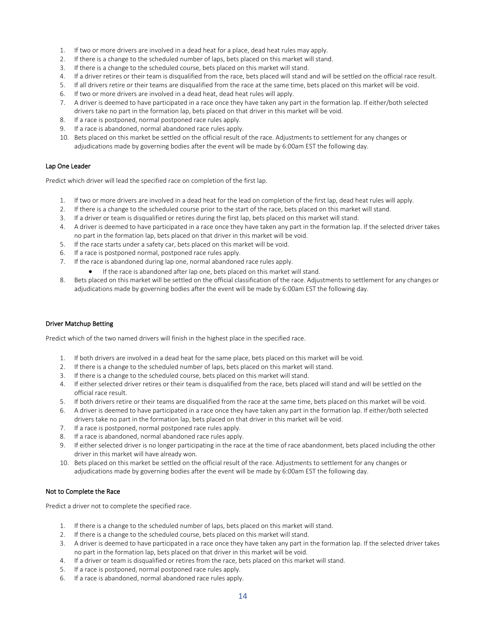- 1. If two or more drivers are involved in a dead heat for a place, dead heat rules may apply.
- 2. If there is a change to the scheduled number of laps, bets placed on this market will stand.
- 3. If there is a change to the scheduled course, bets placed on this market will stand.
- 4. If a driver retires or their team is disqualified from the race, bets placed will stand and will be settled on the official race result.
- 5. If all drivers retire or their teams are disqualified from the race at the same time, bets placed on this market will be void.
- 6. If two or more drivers are involved in a dead heat, dead heat rules will apply.
- 7. A driver is deemed to have participated in a race once they have taken any part in the formation lap. If either/both selected drivers take no part in the formation lap, bets placed on that driver in this market will be void.
- 8. If a race is postponed, normal postponed race rules apply.
- 9. If a race is abandoned, normal abandoned race rules apply.
- 10. Bets placed on this market be settled on the official result of the race. Adjustments to settlement for any changes or adjudications made by governing bodies after the event will be made by 6:00am EST the following day.

#### Lap One Leader

Predict which driver will lead the specified race on completion of the first lap.

- 1. If two or more drivers are involved in a dead heat for the lead on completion of the first lap, dead heat rules will apply.
- 2. If there is a change to the scheduled course prior to the start of the race, bets placed on this market will stand.
- 3. If a driver or team is disqualified or retires during the first lap, bets placed on this market will stand.
- 4. A driver is deemed to have participated in a race once they have taken any part in the formation lap. If the selected driver takes no part in the formation lap, bets placed on that driver in this market will be void.
- 5. If the race starts under a safety car, bets placed on this market will be void.
- 6. If a race is postponed normal, postponed race rules apply.
- 7. If the race is abandoned during lap one, normal abandoned race rules apply.
	- If the race is abandoned after lap one, bets placed on this market will stand.
- 8. Bets placed on this market will be settled on the official classification of the race. Adjustments to settlement for any changes or adjudications made by governing bodies after the event will be made by 6:00am EST the following day.

#### Driver Matchup Betting

Predict which of the two named drivers will finish in the highest place in the specified race.

- 1. If both drivers are involved in a dead heat for the same place, bets placed on this market will be void.
- 2. If there is a change to the scheduled number of laps, bets placed on this market will stand.
- 3. If there is a change to the scheduled course, bets placed on this market will stand.
- 4. If either selected driver retires or their team is disqualified from the race, bets placed will stand and will be settled on the official race result.
- 5. If both drivers retire or their teams are disqualified from the race at the same time, bets placed on this market will be void.
- 6. A driver is deemed to have participated in a race once they have taken any part in the formation lap. If either/both selected drivers take no part in the formation lap, bets placed on that driver in this market will be void.
- 7. If a race is postponed, normal postponed race rules apply.
- 8. If a race is abandoned, normal abandoned race rules apply.
- 9. If either selected driver is no longer participating in the race at the time of race abandonment, bets placed including the other driver in this market will have already won.
- 10. Bets placed on this market be settled on the official result of the race. Adjustments to settlement for any changes or adjudications made by governing bodies after the event will be made by 6:00am EST the following day.

#### Not to Complete the Race

Predict a driver not to complete the specified race.

- 1. If there is a change to the scheduled number of laps, bets placed on this market will stand.
- 2. If there is a change to the scheduled course, bets placed on this market will stand.
- 3. A driver is deemed to have participated in a race once they have taken any part in the formation lap. If the selected driver takes no part in the formation lap, bets placed on that driver in this market will be void.
- 4. If a driver or team is disqualified or retires from the race, bets placed on this market will stand.
- 5. If a race is postponed, normal postponed race rules apply.
- 6. If a race is abandoned, normal abandoned race rules apply.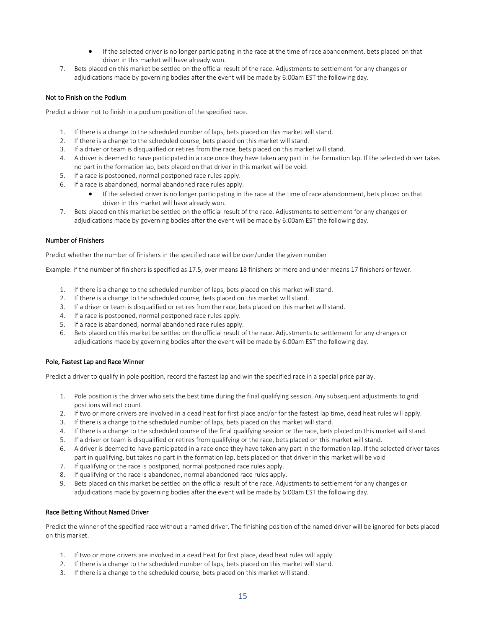- If the selected driver is no longer participating in the race at the time of race abandonment, bets placed on that driver in this market will have already won.
- 7. Bets placed on this market be settled on the official result of the race. Adjustments to settlement for any changes or adjudications made by governing bodies after the event will be made by 6:00am EST the following day.

# Not to Finish on the Podium

Predict a driver not to finish in a podium position of the specified race.

- 1. If there is a change to the scheduled number of laps, bets placed on this market will stand.
- 2. If there is a change to the scheduled course, bets placed on this market will stand.
- 3. If a driver or team is disqualified or retires from the race, bets placed on this market will stand.
- 4. A driver is deemed to have participated in a race once they have taken any part in the formation lap. If the selected driver takes no part in the formation lap, bets placed on that driver in this market will be void.
- 5. If a race is postponed, normal postponed race rules apply.
- 6. If a race is abandoned, normal abandoned race rules apply.
	- If the selected driver is no longer participating in the race at the time of race abandonment, bets placed on that driver in this market will have already won.
- 7. Bets placed on this market be settled on the official result of the race. Adjustments to settlement for any changes or adjudications made by governing bodies after the event will be made by 6:00am EST the following day.

# Number of Finishers

Predict whether the number of finishers in the specified race will be over/under the given number

Example: if the number of finishers is specified as 17.5, over means 18 finishers or more and under means 17 finishers or fewer.

- 1. If there is a change to the scheduled number of laps, bets placed on this market will stand.
- 2. If there is a change to the scheduled course, bets placed on this market will stand.
- 3. If a driver or team is disqualified or retires from the race, bets placed on this market will stand.
- 4. If a race is postponed, normal postponed race rules apply.
- 5. If a race is abandoned, normal abandoned race rules apply.
- 6. Bets placed on this market be settled on the official result of the race. Adjustments to settlement for any changes or adjudications made by governing bodies after the event will be made by 6:00am EST the following day.

#### Pole, Fastest Lap and Race Winner

Predict a driver to qualify in pole position, record the fastest lap and win the specified race in a special price parlay.

- 1. Pole position is the driver who sets the best time during the final qualifying session. Any subsequent adjustments to grid positions will not count.
- 2. If two or more drivers are involved in a dead heat for first place and/or for the fastest lap time, dead heat rules will apply.
- 3. If there is a change to the scheduled number of laps, bets placed on this market will stand.
- 4. If there is a change to the scheduled course of the final qualifying session or the race, bets placed on this market will stand.
- 5. If a driver or team is disqualified or retires from qualifying or the race, bets placed on this market will stand.
- 6. A driver is deemed to have participated in a race once they have taken any part in the formation lap. If the selected driver takes part in qualifying, but takes no part in the formation lap, bets placed on that driver in this market will be void
- 7. If qualifying or the race is postponed, normal postponed race rules apply.
- 8. If qualifying or the race is abandoned, normal abandoned race rules apply.
- 9. Bets placed on this market be settled on the official result of the race. Adjustments to settlement for any changes or adjudications made by governing bodies after the event will be made by 6:00am EST the following day.

### Race Betting Without Named Driver

Predict the winner of the specified race without a named driver. The finishing position of the named driver will be ignored for bets placed on this market.

- 1. If two or more drivers are involved in a dead heat for first place, dead heat rules will apply.
- 2. If there is a change to the scheduled number of laps, bets placed on this market will stand.
- 3. If there is a change to the scheduled course, bets placed on this market will stand.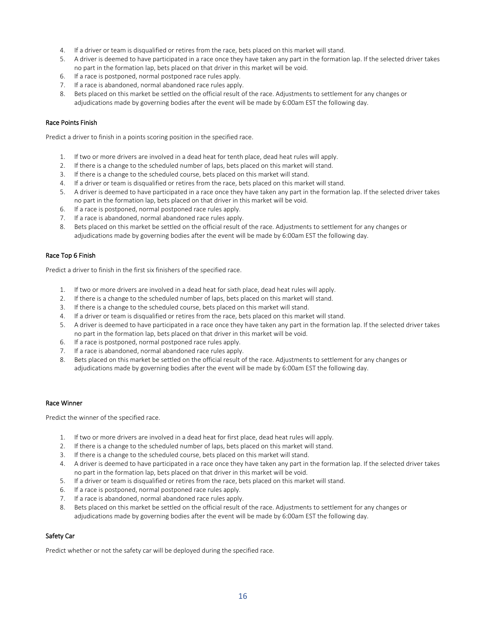- 4. If a driver or team is disqualified or retires from the race, bets placed on this market will stand.
- 5. A driver is deemed to have participated in a race once they have taken any part in the formation lap. If the selected driver takes no part in the formation lap, bets placed on that driver in this market will be void.
- 6. If a race is postponed, normal postponed race rules apply.
- 7. If a race is abandoned, normal abandoned race rules apply.
- 8. Bets placed on this market be settled on the official result of the race. Adjustments to settlement for any changes or adjudications made by governing bodies after the event will be made by 6:00am EST the following day.

# Race Points Finish

Predict a driver to finish in a points scoring position in the specified race.

- 1. If two or more drivers are involved in a dead heat for tenth place, dead heat rules will apply.
- 2. If there is a change to the scheduled number of laps, bets placed on this market will stand.
- 3. If there is a change to the scheduled course, bets placed on this market will stand.
- 4. If a driver or team is disqualified or retires from the race, bets placed on this market will stand.
- 5. A driver is deemed to have participated in a race once they have taken any part in the formation lap. If the selected driver takes no part in the formation lap, bets placed on that driver in this market will be void.
- 6. If a race is postponed, normal postponed race rules apply.
- 7. If a race is abandoned, normal abandoned race rules apply.
- 8. Bets placed on this market be settled on the official result of the race. Adjustments to settlement for any changes or adjudications made by governing bodies after the event will be made by 6:00am EST the following day.

#### Race Top 6 Finish

Predict a driver to finish in the first six finishers of the specified race.

- 1. If two or more drivers are involved in a dead heat for sixth place, dead heat rules will apply.
- 2. If there is a change to the scheduled number of laps, bets placed on this market will stand.
- 3. If there is a change to the scheduled course, bets placed on this market will stand.
- 4. If a driver or team is disqualified or retires from the race, bets placed on this market will stand.
- 5. A driver is deemed to have participated in a race once they have taken any part in the formation lap. If the selected driver takes no part in the formation lap, bets placed on that driver in this market will be void.
- 6. If a race is postponed, normal postponed race rules apply.
- 7. If a race is abandoned, normal abandoned race rules apply.
- 8. Bets placed on this market be settled on the official result of the race. Adjustments to settlement for any changes or adjudications made by governing bodies after the event will be made by 6:00am EST the following day.

#### Race Winner

Predict the winner of the specified race.

- 1. If two or more drivers are involved in a dead heat for first place, dead heat rules will apply.
- 2. If there is a change to the scheduled number of laps, bets placed on this market will stand.
- 3. If there is a change to the scheduled course, bets placed on this market will stand.
- 4. A driver is deemed to have participated in a race once they have taken any part in the formation lap. If the selected driver takes no part in the formation lap, bets placed on that driver in this market will be void.
- 5. If a driver or team is disqualified or retires from the race, bets placed on this market will stand.
- 6. If a race is postponed, normal postponed race rules apply.
- 7. If a race is abandoned, normal abandoned race rules apply.
- 8. Bets placed on this market be settled on the official result of the race. Adjustments to settlement for any changes or adjudications made by governing bodies after the event will be made by 6:00am EST the following day.

#### Safety Car

Predict whether or not the safety car will be deployed during the specified race.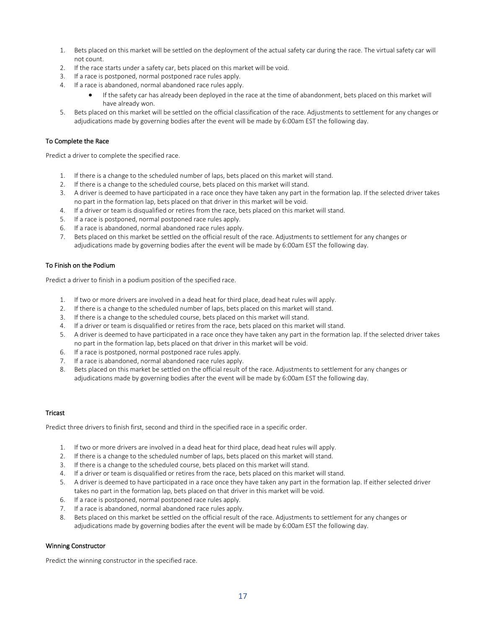- 1. Bets placed on this market will be settled on the deployment of the actual safety car during the race. The virtual safety car will not count.
- 2. If the race starts under a safety car, bets placed on this market will be void.
- 3. If a race is postponed, normal postponed race rules apply.
- 4. If a race is abandoned, normal abandoned race rules apply.
	- If the safety car has already been deployed in the race at the time of abandonment, bets placed on this market will have already won.
- 5. Bets placed on this market will be settled on the official classification of the race. Adjustments to settlement for any changes or adjudications made by governing bodies after the event will be made by 6:00am EST the following day.

### To Complete the Race

Predict a driver to complete the specified race.

- 1. If there is a change to the scheduled number of laps, bets placed on this market will stand.
- 2. If there is a change to the scheduled course, bets placed on this market will stand.
- 3. A driver is deemed to have participated in a race once they have taken any part in the formation lap. If the selected driver takes no part in the formation lap, bets placed on that driver in this market will be void.
- 4. If a driver or team is disqualified or retires from the race, bets placed on this market will stand.
- 5. If a race is postponed, normal postponed race rules apply.
- 6. If a race is abandoned, normal abandoned race rules apply.
- 7. Bets placed on this market be settled on the official result of the race. Adjustments to settlement for any changes or adjudications made by governing bodies after the event will be made by 6:00am EST the following day.

#### To Finish on the Podium

Predict a driver to finish in a podium position of the specified race.

- 1. If two or more drivers are involved in a dead heat for third place, dead heat rules will apply.
- 2. If there is a change to the scheduled number of laps, bets placed on this market will stand.
- 3. If there is a change to the scheduled course, bets placed on this market will stand.
- 4. If a driver or team is disqualified or retires from the race, bets placed on this market will stand.
- 5. A driver is deemed to have participated in a race once they have taken any part in the formation lap. If the selected driver takes no part in the formation lap, bets placed on that driver in this market will be void.
- 6. If a race is postponed, normal postponed race rules apply.
- 7. If a race is abandoned, normal abandoned race rules apply.
- 8. Bets placed on this market be settled on the official result of the race. Adjustments to settlement for any changes or adjudications made by governing bodies after the event will be made by 6:00am EST the following day.

# Tricast

Predict three drivers to finish first, second and third in the specified race in a specific order.

- 1. If two or more drivers are involved in a dead heat for third place, dead heat rules will apply.
- 2. If there is a change to the scheduled number of laps, bets placed on this market will stand.
- 3. If there is a change to the scheduled course, bets placed on this market will stand.
- 4. If a driver or team is disqualified or retires from the race, bets placed on this market will stand.
- 5. A driver is deemed to have participated in a race once they have taken any part in the formation lap. If either selected driver takes no part in the formation lap, bets placed on that driver in this market will be void.
- 6. If a race is postponed, normal postponed race rules apply.
- 7. If a race is abandoned, normal abandoned race rules apply.
- 8. Bets placed on this market be settled on the official result of the race. Adjustments to settlement for any changes or adjudications made by governing bodies after the event will be made by 6:00am EST the following day.

#### Winning Constructor

Predict the winning constructor in the specified race.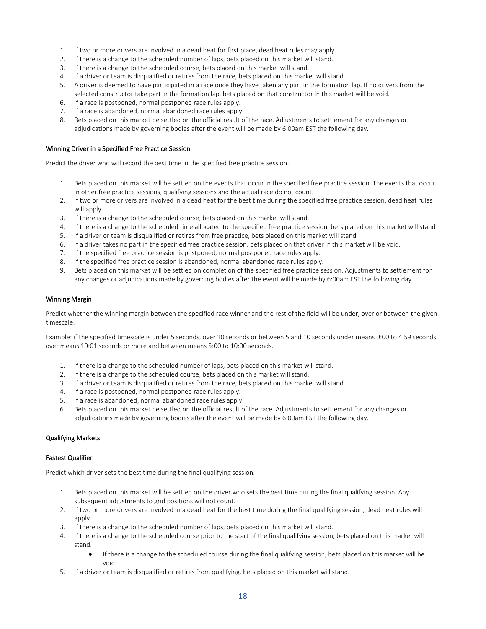- 1. If two or more drivers are involved in a dead heat for first place, dead heat rules may apply.
- 2. If there is a change to the scheduled number of laps, bets placed on this market will stand.
- 3. If there is a change to the scheduled course, bets placed on this market will stand.
- 4. If a driver or team is disqualified or retires from the race, bets placed on this market will stand.
- 5. A driver is deemed to have participated in a race once they have taken any part in the formation lap. If no drivers from the selected constructor take part in the formation lap, bets placed on that constructor in this market will be void.
- 6. If a race is postponed, normal postponed race rules apply.
- 7. If a race is abandoned, normal abandoned race rules apply.
- 8. Bets placed on this market be settled on the official result of the race. Adjustments to settlement for any changes or adjudications made by governing bodies after the event will be made by 6:00am EST the following day.

# Winning Driver in a Specified Free Practice Session

Predict the driver who will record the best time in the specified free practice session.

- 1. Bets placed on this market will be settled on the events that occur in the specified free practice session. The events that occur in other free practice sessions, qualifying sessions and the actual race do not count.
- 2. If two or more drivers are involved in a dead heat for the best time during the specified free practice session, dead heat rules will apply.
- 3. If there is a change to the scheduled course, bets placed on this market will stand.
- 4. If there is a change to the scheduled time allocated to the specified free practice session, bets placed on this market will stand
- 5. If a driver or team is disqualified or retires from free practice, bets placed on this market will stand.
- 6. If a driver takes no part in the specified free practice session, bets placed on that driver in this market will be void.
- 7. If the specified free practice session is postponed, normal postponed race rules apply.
- 8. If the specified free practice session is abandoned, normal abandoned race rules apply.
- 9. Bets placed on this market will be settled on completion of the specified free practice session. Adjustments to settlement for any changes or adjudications made by governing bodies after the event will be made by 6:00am EST the following day.

# Winning Margin

Predict whether the winning margin between the specified race winner and the rest of the field will be under, over or between the given timescale.

Example: if the specified timescale is under 5 seconds, over 10 seconds or between 5 and 10 seconds under means 0:00 to 4:59 seconds, over means 10:01 seconds or more and between means 5:00 to 10:00 seconds.

- 1. If there is a change to the scheduled number of laps, bets placed on this market will stand.
- 2. If there is a change to the scheduled course, bets placed on this market will stand.
- 3. If a driver or team is disqualified or retires from the race, bets placed on this market will stand.
- 4. If a race is postponed, normal postponed race rules apply.
- 5. If a race is abandoned, normal abandoned race rules apply.
- 6. Bets placed on this market be settled on the official result of the race. Adjustments to settlement for any changes or adjudications made by governing bodies after the event will be made by 6:00am EST the following day.

# Qualifying Markets

# Fastest Qualifier

Predict which driver sets the best time during the final qualifying session.

- 1. Bets placed on this market will be settled on the driver who sets the best time during the final qualifying session. Any subsequent adjustments to grid positions will not count.
- 2. If two or more drivers are involved in a dead heat for the best time during the final qualifying session, dead heat rules will apply.
- 3. If there is a change to the scheduled number of laps, bets placed on this market will stand.
- 4. If there is a change to the scheduled course prior to the start of the final qualifying session, bets placed on this market will stand.
	- If there is a change to the scheduled course during the final qualifying session, bets placed on this market will be void.
- 5. If a driver or team is disqualified or retires from qualifying, bets placed on this market will stand.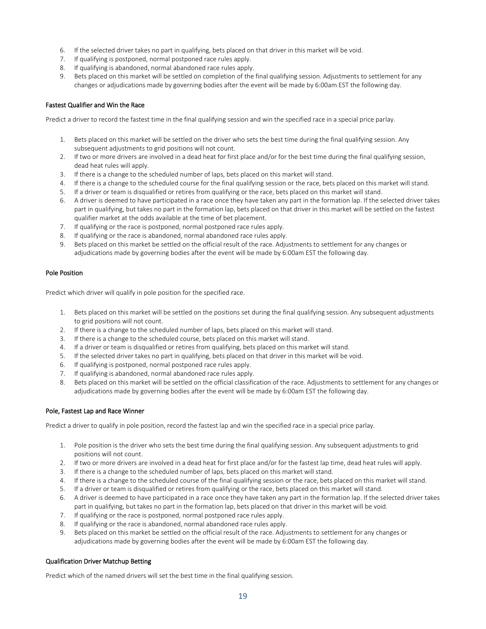- 6. If the selected driver takes no part in qualifying, bets placed on that driver in this market will be void.
- 7. If qualifying is postponed, normal postponed race rules apply.
- 8. If qualifying is abandoned, normal abandoned race rules apply.
- 9. Bets placed on this market will be settled on completion of the final qualifying session. Adjustments to settlement for any changes or adjudications made by governing bodies after the event will be made by 6:00am EST the following day.

# Fastest Qualifier and Win the Race

Predict a driver to record the fastest time in the final qualifying session and win the specified race in a special price parlay.

- 1. Bets placed on this market will be settled on the driver who sets the best time during the final qualifying session. Any subsequent adjustments to grid positions will not count.
- 2. If two or more drivers are involved in a dead heat for first place and/or for the best time during the final qualifying session, dead heat rules will apply.
- 3. If there is a change to the scheduled number of laps, bets placed on this market will stand.
- 4. If there is a change to the scheduled course for the final qualifying session or the race, bets placed on this market will stand.
- 5. If a driver or team is disqualified or retires from qualifying or the race, bets placed on this market will stand.
- 6. A driver is deemed to have participated in a race once they have taken any part in the formation lap. If the selected driver takes part in qualifying, but takes no part in the formation lap, bets placed on that driver in this market will be settled on the fastest qualifier market at the odds available at the time of bet placement.
- 7. If qualifying or the race is postponed, normal postponed race rules apply.
- 8. If qualifying or the race is abandoned, normal abandoned race rules apply.
- 9. Bets placed on this market be settled on the official result of the race. Adjustments to settlement for any changes or adjudications made by governing bodies after the event will be made by 6:00am EST the following day.

# Pole Position

Predict which driver will qualify in pole position for the specified race.

- 1. Bets placed on this market will be settled on the positions set during the final qualifying session. Any subsequent adjustments to grid positions will not count.
- 2. If there is a change to the scheduled number of laps, bets placed on this market will stand.
- 3. If there is a change to the scheduled course, bets placed on this market will stand.
- 4. If a driver or team is disqualified or retires from qualifying, bets placed on this market will stand.
- 5. If the selected driver takes no part in qualifying, bets placed on that driver in this market will be void.
- 6. If qualifying is postponed, normal postponed race rules apply.
- 7. If qualifying is abandoned, normal abandoned race rules apply.
- 8. Bets placed on this market will be settled on the official classification of the race. Adjustments to settlement for any changes or adjudications made by governing bodies after the event will be made by 6:00am EST the following day.

# Pole, Fastest Lap and Race Winner

Predict a driver to qualify in pole position, record the fastest lap and win the specified race in a special price parlay.

- 1. Pole position is the driver who sets the best time during the final qualifying session. Any subsequent adjustments to grid positions will not count.
- 2. If two or more drivers are involved in a dead heat for first place and/or for the fastest lap time, dead heat rules will apply.
- 3. If there is a change to the scheduled number of laps, bets placed on this market will stand.
- 4. If there is a change to the scheduled course of the final qualifying session or the race, bets placed on this market will stand.
- 5. If a driver or team is disqualified or retires from qualifying or the race, bets placed on this market will stand.
- 6. A driver is deemed to have participated in a race once they have taken any part in the formation lap. If the selected driver takes part in qualifying, but takes no part in the formation lap, bets placed on that driver in this market will be void.
- 7. If qualifying or the race is postponed, normal postponed race rules apply.
- 8. If qualifying or the race is abandoned, normal abandoned race rules apply.
- 9. Bets placed on this market be settled on the official result of the race. Adjustments to settlement for any changes or adjudications made by governing bodies after the event will be made by 6:00am EST the following day.

# Qualification Driver Matchup Betting

Predict which of the named drivers will set the best time in the final qualifying session.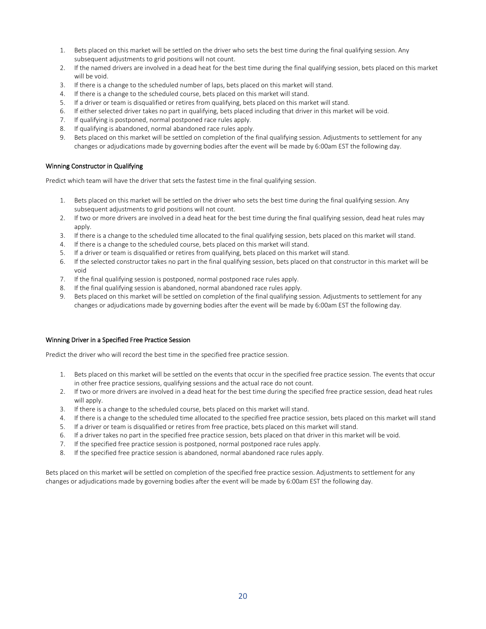- 1. Bets placed on this market will be settled on the driver who sets the best time during the final qualifying session. Any subsequent adjustments to grid positions will not count.
- 2. If the named drivers are involved in a dead heat for the best time during the final qualifying session, bets placed on this market will be void.
- 3. If there is a change to the scheduled number of laps, bets placed on this market will stand.
- 4. If there is a change to the scheduled course, bets placed on this market will stand.
- 5. If a driver or team is disqualified or retires from qualifying, bets placed on this market will stand.
- 6. If either selected driver takes no part in qualifying, bets placed including that driver in this market will be void.
- 7. If qualifying is postponed, normal postponed race rules apply.
- 8. If qualifying is abandoned, normal abandoned race rules apply.
- 9. Bets placed on this market will be settled on completion of the final qualifying session. Adjustments to settlement for any changes or adjudications made by governing bodies after the event will be made by 6:00am EST the following day.

# Winning Constructor in Qualifying

Predict which team will have the driver that sets the fastest time in the final qualifying session.

- 1. Bets placed on this market will be settled on the driver who sets the best time during the final qualifying session. Any subsequent adjustments to grid positions will not count.
- 2. If two or more drivers are involved in a dead heat for the best time during the final qualifying session, dead heat rules may apply.
- 3. If there is a change to the scheduled time allocated to the final qualifying session, bets placed on this market will stand.
- 4. If there is a change to the scheduled course, bets placed on this market will stand.
- 5. If a driver or team is disqualified or retires from qualifying, bets placed on this market will stand.
- 6. If the selected constructor takes no part in the final qualifying session, bets placed on that constructor in this market will be void
- 7. If the final qualifying session is postponed, normal postponed race rules apply.
- 8. If the final qualifying session is abandoned, normal abandoned race rules apply.
- 9. Bets placed on this market will be settled on completion of the final qualifying session. Adjustments to settlement for any changes or adjudications made by governing bodies after the event will be made by 6:00am EST the following day.

#### Winning Driver in a Specified Free Practice Session

Predict the driver who will record the best time in the specified free practice session.

- 1. Bets placed on this market will be settled on the events that occur in the specified free practice session. The events that occur in other free practice sessions, qualifying sessions and the actual race do not count.
- 2. If two or more drivers are involved in a dead heat for the best time during the specified free practice session, dead heat rules will apply.
- 3. If there is a change to the scheduled course, bets placed on this market will stand.
- 4. If there is a change to the scheduled time allocated to the specified free practice session, bets placed on this market will stand
- 5. If a driver or team is disqualified or retires from free practice, bets placed on this market will stand.
- 6. If a driver takes no part in the specified free practice session, bets placed on that driver in this market will be void.
- 7. If the specified free practice session is postponed, normal postponed race rules apply.
- 8. If the specified free practice session is abandoned, normal abandoned race rules apply.

Bets placed on this market will be settled on completion of the specified free practice session. Adjustments to settlement for any changes or adjudications made by governing bodies after the event will be made by 6:00am EST the following day.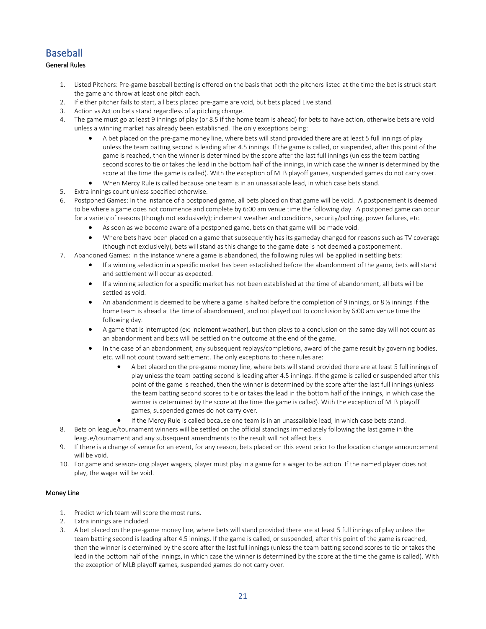# <span id="page-20-0"></span>Baseball

# General Rules

- 1. Listed Pitchers: Pre-game baseball betting is offered on the basis that both the pitchers listed at the time the bet is struck start the game and throw at least one pitch each.
- 2. If either pitcher fails to start, all bets placed pre-game are void, but bets placed Live stand.
- 3. Action vs Action bets stand regardless of a pitching change.
- 4. The game must go at least 9 innings of play (or 8.5 if the home team is ahead) for bets to have action, otherwise bets are void unless a winning market has already been established. The only exceptions being:
	- A bet placed on the pre-game money line, where bets will stand provided there are at least 5 full innings of play unless the team batting second is leading after 4.5 innings. If the game is called, or suspended, after this point of the game is reached, then the winner is determined by the score after the last full innings (unless the team batting second scores to tie or takes the lead in the bottom half of the innings, in which case the winner is determined by the score at the time the game is called). With the exception of MLB playoff games, suspended games do not carry over.
	- When Mercy Rule is called because one team is in an unassailable lead, in which case bets stand.
- 5. Extra innings count unless specified otherwise.
- 6. Postponed Games: In the instance of a postponed game, all bets placed on that game will be void. A postponement is deemed to be where a game does not commence and complete by 6:00 am venue time the following day. A postponed game can occur for a variety of reasons (though not exclusively); inclement weather and conditions, security/policing, power failures, etc.
	- As soon as we become aware of a postponed game, bets on that game will be made void.
	- Where bets have been placed on a game that subsequently has its gameday changed for reasons such as TV coverage (though not exclusively), bets will stand as this change to the game date is not deemed a postponement.
- 7. Abandoned Games: In the instance where a game is abandoned, the following rules will be applied in settling bets:
	- If a winning selection in a specific market has been established before the abandonment of the game, bets will stand and settlement will occur as expected.
	- If a winning selection for a specific market has not been established at the time of abandonment, all bets will be settled as void.
	- An abandonment is deemed to be where a game is halted before the completion of 9 innings, or 8 ½ innings if the home team is ahead at the time of abandonment, and not played out to conclusion by 6:00 am venue time the following day.
	- A game that is interrupted (ex: inclement weather), but then plays to a conclusion on the same day will not count as an abandonment and bets will be settled on the outcome at the end of the game.
	- In the case of an abandonment, any subsequent replays/completions, award of the game result by governing bodies, etc. will not count toward settlement. The only exceptions to these rules are:
		- A bet placed on the pre-game money line, where bets will stand provided there are at least 5 full innings of play unless the team batting second is leading after 4.5 innings. If the game is called or suspended after this point of the game is reached, then the winner is determined by the score after the last full innings (unless the team batting second scores to tie or takes the lead in the bottom half of the innings, in which case the winner is determined by the score at the time the game is called). With the exception of MLB playoff games, suspended games do not carry over.
		- If the Mercy Rule is called because one team is in an unassailable lead, in which case bets stand.
- 8. Bets on league/tournament winners will be settled on the official standings immediately following the last game in the league/tournament and any subsequent amendments to the result will not affect bets.
- 9. If there is a change of venue for an event, for any reason, bets placed on this event prior to the location change announcement will be void.
- 10. For game and season-long player wagers, player must play in a game for a wager to be action. If the named player does not play, the wager will be void.

# Money Line

- 1. Predict which team will score the most runs.
- 2. Extra innings are included.
- 3. A bet placed on the pre-game money line, where bets will stand provided there are at least 5 full innings of play unless the team batting second is leading after 4.5 innings. If the game is called, or suspended, after this point of the game is reached, then the winner is determined by the score after the last full innings (unless the team batting second scores to tie or takes the lead in the bottom half of the innings, in which case the winner is determined by the score at the time the game is called). With the exception of MLB playoff games, suspended games do not carry over.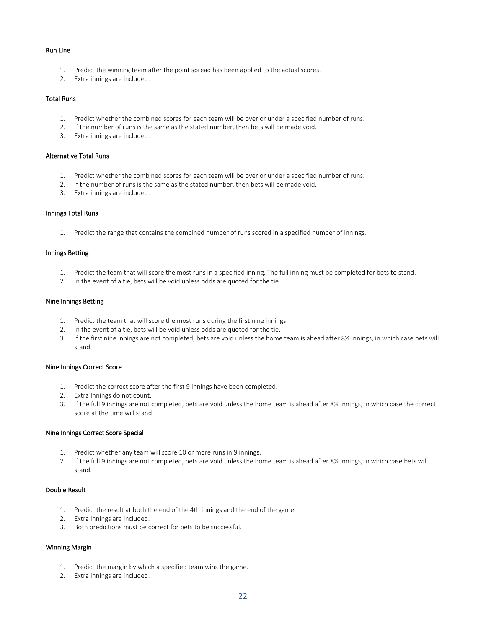#### Run Line

- 1. Predict the winning team after the point spread has been applied to the actual scores.
- 2. Extra innings are included.

### Total Runs

- 1. Predict whether the combined scores for each team will be over or under a specified number of runs.
- 2. If the number of runs is the same as the stated number, then bets will be made void.
- 3. Extra innings are included.

# Alternative Total Runs

- 1. Predict whether the combined scores for each team will be over or under a specified number of runs.
- 2. If the number of runs is the same as the stated number, then bets will be made void.
- 3. Extra innings are included.

#### Innings Total Runs

1. Predict the range that contains the combined number of runs scored in a specified number of innings.

#### Innings Betting

- 1. Predict the team that will score the most runs in a specified inning. The full inning must be completed for bets to stand.
- 2. In the event of a tie, bets will be void unless odds are quoted for the tie.

#### Nine Innings Betting

- 1. Predict the team that will score the most runs during the first nine innings.
- 2. In the event of a tie, bets will be void unless odds are quoted for the tie.
- 3. If the first nine innings are not completed, bets are void unless the home team is ahead after 8½ innings, in which case bets will stand.

#### Nine Innings Correct Score

- 1. Predict the correct score after the first 9 innings have been completed.
- 2. Extra Innings do not count.
- 3. If the full 9 innings are not completed, bets are void unless the home team is ahead after 8½ innings, in which case the correct score at the time will stand.

### Nine Innings Correct Score Special

- 1. Predict whether any team will score 10 or more runs in 9 innings.
- 2. If the full 9 innings are not completed, bets are void unless the home team is ahead after 8½ innings, in which case bets will stand.

# Double Result

- 1. Predict the result at both the end of the 4th innings and the end of the game.
- 2. Extra innings are included.
- 3. Both predictions must be correct for bets to be successful.

# Winning Margin

- 1. Predict the margin by which a specified team wins the game.
- 2. Extra innings are included.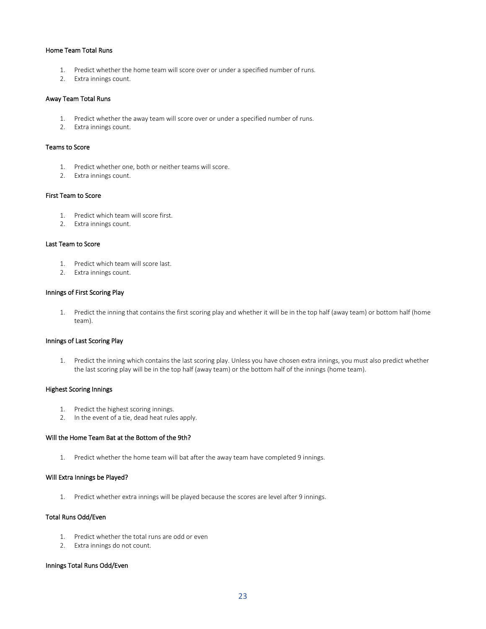#### Home Team Total Runs

- 1. Predict whether the home team will score over or under a specified number of runs.
- 2. Extra innings count.

#### Away Team Total Runs

- 1. Predict whether the away team will score over or under a specified number of runs.
- 2. Extra innings count.

#### Teams to Score

- 1. Predict whether one, both or neither teams will score.
- 2. Extra innings count.

#### First Team to Score

- 1. Predict which team will score first.
- 2. Extra innings count.

#### Last Team to Score

- 1. Predict which team will score last.
- 2. Extra innings count.

# Innings of First Scoring Play

1. Predict the inning that contains the first scoring play and whether it will be in the top half (away team) or bottom half (home team).

#### Innings of Last Scoring Play

1. Predict the inning which contains the last scoring play. Unless you have chosen extra innings, you must also predict whether the last scoring play will be in the top half (away team) or the bottom half of the innings (home team).

# Highest Scoring Innings

- 1. Predict the highest scoring innings.
- 2. In the event of a tie, dead heat rules apply.

# Will the Home Team Bat at the Bottom of the 9th?

1. Predict whether the home team will bat after the away team have completed 9 innings.

#### Will Extra Innings be Played?

1. Predict whether extra innings will be played because the scores are level after 9 innings.

#### Total Runs Odd/Even

- 1. Predict whether the total runs are odd or even
- 2. Extra innings do not count.

#### Innings Total Runs Odd/Even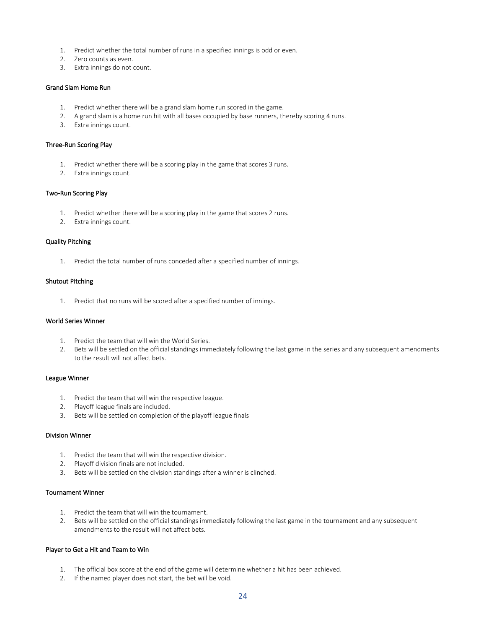- 1. Predict whether the total number of runs in a specified innings is odd or even.
- 2. Zero counts as even.
- 3. Extra innings do not count.

# Grand Slam Home Run

- 1. Predict whether there will be a grand slam home run scored in the game.
- 2. A grand slam is a home run hit with all bases occupied by base runners, thereby scoring 4 runs.
- 3. Extra innings count.

#### Three-Run Scoring Play

- 1. Predict whether there will be a scoring play in the game that scores 3 runs.
- 2. Extra innings count.

#### Two-Run Scoring Play

- 1. Predict whether there will be a scoring play in the game that scores 2 runs.
- 2. Extra innings count.

#### Quality Pitching

1. Predict the total number of runs conceded after a specified number of innings.

#### Shutout Pitching

1. Predict that no runs will be scored after a specified number of innings.

#### World Series Winner

- 1. Predict the team that will win the World Series.
- 2. Bets will be settled on the official standings immediately following the last game in the series and any subsequent amendments to the result will not affect bets.

# League Winner

- 1. Predict the team that will win the respective league.
- 2. Playoff league finals are included.
- 3. Bets will be settled on completion of the playoff league finals

# Division Winner

- 1. Predict the team that will win the respective division.
- 2. Playoff division finals are not included.
- 3. Bets will be settled on the division standings after a winner is clinched.

### Tournament Winner

- 1. Predict the team that will win the tournament.
- 2. Bets will be settled on the official standings immediately following the last game in the tournament and any subsequent amendments to the result will not affect bets.

# Player to Get a Hit and Team to Win

- 1. The official box score at the end of the game will determine whether a hit has been achieved.
- 2. If the named player does not start, the bet will be void.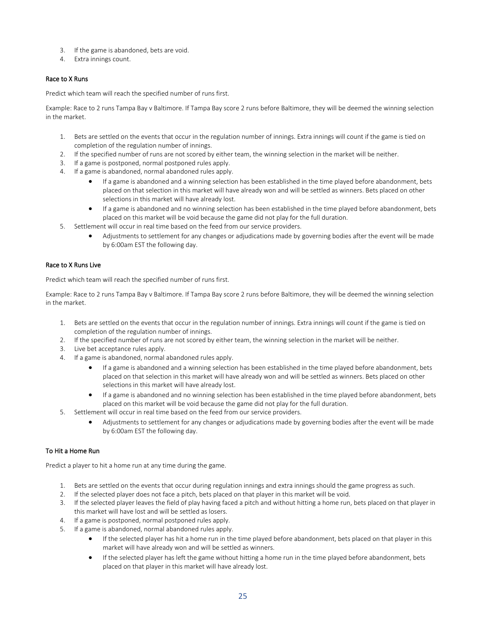- 3. If the game is abandoned, bets are void.
- 4. Extra innings count.

# Race to X Runs

Predict which team will reach the specified number of runs first.

Example: Race to 2 runs Tampa Bay v Baltimore. If Tampa Bay score 2 runs before Baltimore, they will be deemed the winning selection in the market.

- 1. Bets are settled on the events that occur in the regulation number of innings. Extra innings will count if the game is tied on completion of the regulation number of innings.
- 2. If the specified number of runs are not scored by either team, the winning selection in the market will be neither.
- 3. If a game is postponed, normal postponed rules apply.
- 4. If a game is abandoned, normal abandoned rules apply.
	- If a game is abandoned and a winning selection has been established in the time played before abandonment, bets placed on that selection in this market will have already won and will be settled as winners. Bets placed on other selections in this market will have already lost.
	- If a game is abandoned and no winning selection has been established in the time played before abandonment, bets placed on this market will be void because the game did not play for the full duration.
- 5. Settlement will occur in real time based on the feed from our service providers.
	- Adjustments to settlement for any changes or adjudications made by governing bodies after the event will be made by 6:00am EST the following day.

# Race to X Runs Live

Predict which team will reach the specified number of runs first.

Example: Race to 2 runs Tampa Bay v Baltimore. If Tampa Bay score 2 runs before Baltimore, they will be deemed the winning selection in the market.

- 1. Bets are settled on the events that occur in the regulation number of innings. Extra innings will count if the game is tied on completion of the regulation number of innings.
- 2. If the specified number of runs are not scored by either team, the winning selection in the market will be neither.
- 3. Live bet acceptance rules apply.
- 4. If a game is abandoned, normal abandoned rules apply.
	- If a game is abandoned and a winning selection has been established in the time played before abandonment, bets placed on that selection in this market will have already won and will be settled as winners. Bets placed on other selections in this market will have already lost.
	- If a game is abandoned and no winning selection has been established in the time played before abandonment, bets placed on this market will be void because the game did not play for the full duration.
- 5. Settlement will occur in real time based on the feed from our service providers.
	- Adjustments to settlement for any changes or adjudications made by governing bodies after the event will be made by 6:00am EST the following day.

# To Hit a Home Run

Predict a player to hit a home run at any time during the game.

- 1. Bets are settled on the events that occur during regulation innings and extra innings should the game progress as such.
- 2. If the selected player does not face a pitch, bets placed on that player in this market will be void.
- 3. If the selected player leaves the field of play having faced a pitch and without hitting a home run, bets placed on that player in this market will have lost and will be settled as losers.
- 4. If a game is postponed, normal postponed rules apply.
- 5. If a game is abandoned, normal abandoned rules apply.
	- If the selected player has hit a home run in the time played before abandonment, bets placed on that player in this market will have already won and will be settled as winners.
	- If the selected player has left the game without hitting a home run in the time played before abandonment, bets placed on that player in this market will have already lost.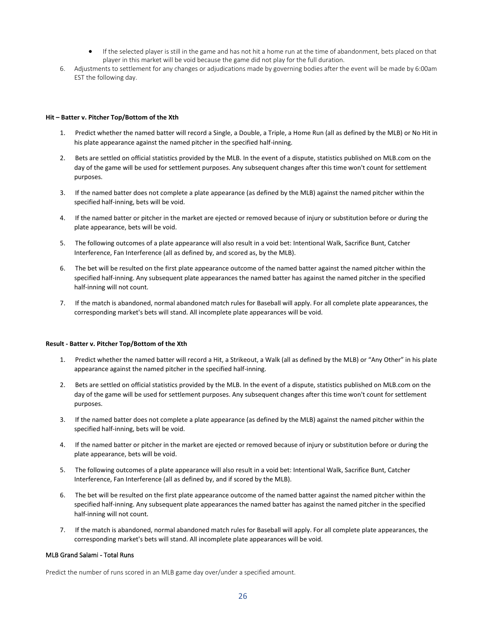- If the selected player is still in the game and has not hit a home run at the time of abandonment, bets placed on that player in this market will be void because the game did not play for the full duration.
- 6. Adjustments to settlement for any changes or adjudications made by governing bodies after the event will be made by 6:00am EST the following day.

#### **Hit – Batter v. Pitcher Top/Bottom of the Xth**

- 1. Predict whether the named batter will record a Single, a Double, a Triple, a Home Run (all as defined by the MLB) or No Hit in his plate appearance against the named pitcher in the specified half-inning.
- 2. Bets are settled on official statistics provided by the MLB. In the event of a dispute, statistics published on MLB.com on the day of the game will be used for settlement purposes. Any subsequent changes after this time won't count for settlement purposes.
- 3. If the named batter does not complete a plate appearance (as defined by the MLB) against the named pitcher within the specified half-inning, bets will be void.
- 4. If the named batter or pitcher in the market are ejected or removed because of injury or substitution before or during the plate appearance, bets will be void.
- 5. The following outcomes of a plate appearance will also result in a void bet: Intentional Walk, Sacrifice Bunt, Catcher Interference, Fan Interference (all as defined by, and scored as, by the MLB).
- 6. The bet will be resulted on the first plate appearance outcome of the named batter against the named pitcher within the specified half-inning. Any subsequent plate appearances the named batter has against the named pitcher in the specified half-inning will not count.
- 7. If the match is abandoned, normal abandoned match rules for Baseball will apply. For all complete plate appearances, the corresponding market's bets will stand. All incomplete plate appearances will be void.

#### **Result - Batter v. Pitcher Top/Bottom of the Xth**

- 1. Predict whether the named batter will record a Hit, a Strikeout, a Walk (all as defined by the MLB) or "Any Other" in his plate appearance against the named pitcher in the specified half-inning.
- 2. Bets are settled on official statistics provided by the MLB. In the event of a dispute, statistics published on MLB.com on the day of the game will be used for settlement purposes. Any subsequent changes after this time won't count for settlement purposes.
- 3. If the named batter does not complete a plate appearance (as defined by the MLB) against the named pitcher within the specified half-inning, bets will be void.
- 4. If the named batter or pitcher in the market are ejected or removed because of injury or substitution before or during the plate appearance, bets will be void.
- 5. The following outcomes of a plate appearance will also result in a void bet: Intentional Walk, Sacrifice Bunt, Catcher Interference, Fan Interference (all as defined by, and if scored by the MLB).
- 6. The bet will be resulted on the first plate appearance outcome of the named batter against the named pitcher within the specified half-inning. Any subsequent plate appearances the named batter has against the named pitcher in the specified half-inning will not count.
- 7. If the match is abandoned, normal abandoned match rules for Baseball will apply. For all complete plate appearances, the corresponding market's bets will stand. All incomplete plate appearances will be void.

# MLB Grand Salami - Total Runs

Predict the number of runs scored in an MLB game day over/under a specified amount.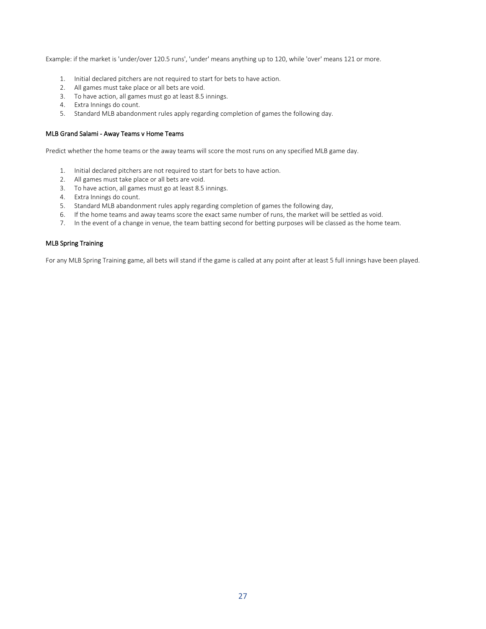Example: if the market is 'under/over 120.5 runs', 'under' means anything up to 120, while 'over' means 121 or more.

- 1. Initial declared pitchers are not required to start for bets to have action.
- 2. All games must take place or all bets are void.
- 3. To have action, all games must go at least 8.5 innings.
- 4. Extra Innings do count.
- 5. Standard MLB abandonment rules apply regarding completion of games the following day.

#### MLB Grand Salami - Away Teams v Home Teams

Predict whether the home teams or the away teams will score the most runs on any specified MLB game day.

- 1. Initial declared pitchers are not required to start for bets to have action.
- 2. All games must take place or all bets are void.
- 3. To have action, all games must go at least 8.5 innings.
- 4. Extra Innings do count.
- 5. Standard MLB abandonment rules apply regarding completion of games the following day,
- 6. If the home teams and away teams score the exact same number of runs, the market will be settled as void.
- 7. In the event of a change in venue, the team batting second for betting purposes will be classed as the home team.

# MLB Spring Training

For any MLB Spring Training game, all bets will stand if the game is called at any point after at least 5 full innings have been played.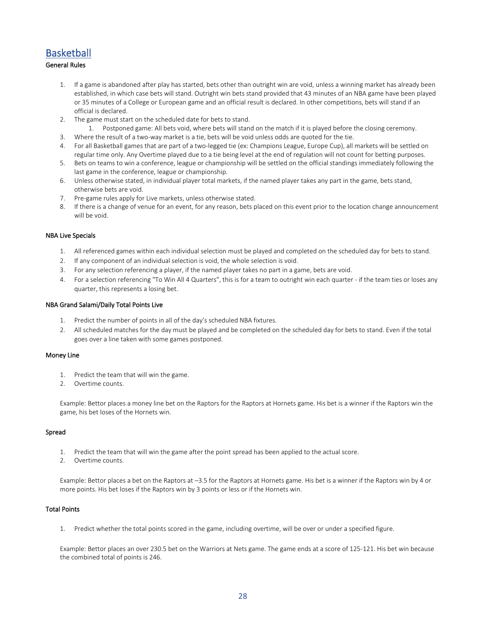# <span id="page-27-0"></span>**Basketball**

# General Rules

- 1. If a game is abandoned after play has started, bets other than outright win are void, unless a winning market has already been established, in which case bets will stand. Outright win bets stand provided that 43 minutes of an NBA game have been played or 35 minutes of a College or European game and an official result is declared. In other competitions, bets will stand if an official is declared.
- 2. The game must start on the scheduled date for bets to stand.
	- 1. Postponed game: All bets void, where bets will stand on the match if it is played before the closing ceremony.
- 3. Where the result of a two-way market is a tie, bets will be void unless odds are quoted for the tie.
- 4. For all Basketball games that are part of a two-legged tie (ex: Champions League, Europe Cup), all markets will be settled on regular time only. Any Overtime played due to a tie being level at the end of regulation will not count for betting purposes.
- 5. Bets on teams to win a conference, league or championship will be settled on the official standings immediately following the last game in the conference, league or championship.
- 6. Unless otherwise stated, in individual player total markets, if the named player takes any part in the game, bets stand, otherwise bets are void.
- 7. Pre-game rules apply for Live markets, unless otherwise stated.
- 8. If there is a change of venue for an event, for any reason, bets placed on this event prior to the location change announcement will be void.

#### NBA Live Specials

- 1. All referenced games within each individual selection must be played and completed on the scheduled day for bets to stand.
- 2. If any component of an individual selection is void, the whole selection is void.
- 3. For any selection referencing a player, if the named player takes no part in a game, bets are void.
- 4. For a selection referencing "To Win All 4 Quarters", this is for a team to outright win each quarter if the team ties or loses any quarter, this represents a losing bet.

#### NBA Grand Salami/Daily Total Points Live

- 1. Predict the number of points in all of the day's scheduled NBA fixtures.
- 2. All scheduled matches for the day must be played and be completed on the scheduled day for bets to stand. Even if the total goes over a line taken with some games postponed.

#### Money Line

- 1. Predict the team that will win the game.
- 2. Overtime counts.

Example: Bettor places a money line bet on the Raptors for the Raptors at Hornets game. His bet is a winner if the Raptors win the game, his bet loses of the Hornets win.

### Spread

- 1. Predict the team that will win the game after the point spread has been applied to the actual score.
- 2. Overtime counts.

Example: Bettor places a bet on the Raptors at –3.5 for the Raptors at Hornets game. His bet is a winner if the Raptors win by 4 or more points. His bet loses if the Raptors win by 3 points or less or if the Hornets win.

# Total Points

1. Predict whether the total points scored in the game, including overtime, will be over or under a specified figure.

Example: Bettor places an over 230.5 bet on the Warriors at Nets game. The game ends at a score of 125-121. His bet win because the combined total of points is 246.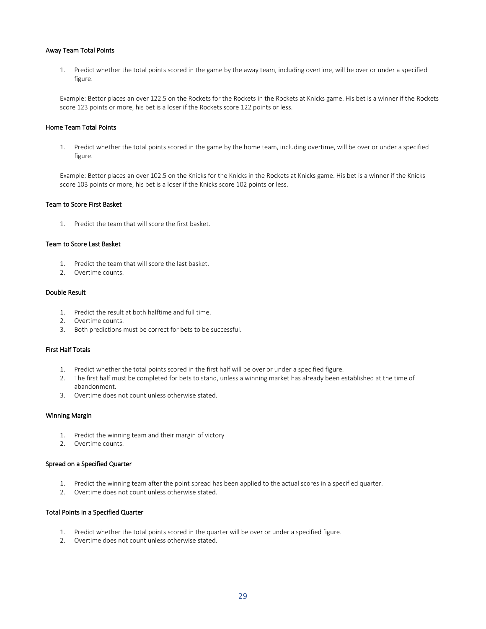#### Away Team Total Points

1. Predict whether the total points scored in the game by the away team, including overtime, will be over or under a specified figure.

Example: Bettor places an over 122.5 on the Rockets for the Rockets in the Rockets at Knicks game. His bet is a winner if the Rockets score 123 points or more, his bet is a loser if the Rockets score 122 points or less.

# Home Team Total Points

1. Predict whether the total points scored in the game by the home team, including overtime, will be over or under a specified figure.

Example: Bettor places an over 102.5 on the Knicks for the Knicks in the Rockets at Knicks game. His bet is a winner if the Knicks score 103 points or more, his bet is a loser if the Knicks score 102 points or less.

#### Team to Score First Basket

1. Predict the team that will score the first basket.

#### Team to Score Last Basket

- 1. Predict the team that will score the last basket.
- 2. Overtime counts.

# Double Result

- 1. Predict the result at both halftime and full time.
- 2. Overtime counts.
- 3. Both predictions must be correct for bets to be successful.

#### First Half Totals

- 1. Predict whether the total points scored in the first half will be over or under a specified figure.
- 2. The first half must be completed for bets to stand, unless a winning market has already been established at the time of abandonment.
- 3. Overtime does not count unless otherwise stated.

#### Winning Margin

- 1. Predict the winning team and their margin of victory
- 2. Overtime counts.

# Spread on a Specified Quarter

- 1. Predict the winning team after the point spread has been applied to the actual scores in a specified quarter.
- 2. Overtime does not count unless otherwise stated.

#### Total Points in a Specified Quarter

- 1. Predict whether the total points scored in the quarter will be over or under a specified figure.
- 2. Overtime does not count unless otherwise stated.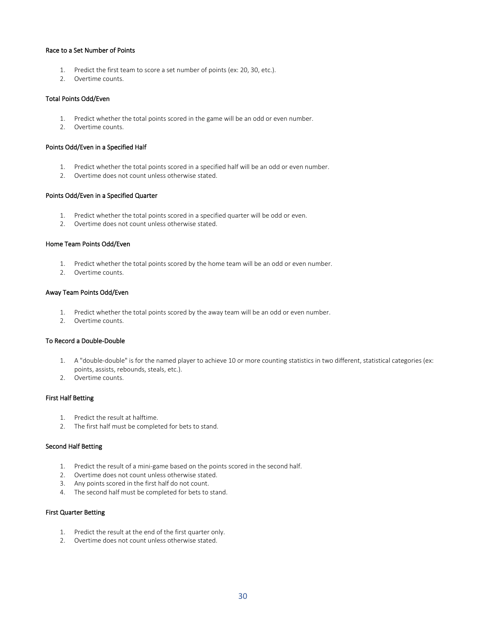#### Race to a Set Number of Points

- 1. Predict the first team to score a set number of points (ex: 20, 30, etc.).
- 2. Overtime counts.

### Total Points Odd/Even

- 1. Predict whether the total points scored in the game will be an odd or even number.
- 2. Overtime counts.

#### Points Odd/Even in a Specified Half

- 1. Predict whether the total points scored in a specified half will be an odd or even number.
- 2. Overtime does not count unless otherwise stated.

#### Points Odd/Even in a Specified Quarter

- 1. Predict whether the total points scored in a specified quarter will be odd or even.
- 2. Overtime does not count unless otherwise stated.

#### Home Team Points Odd/Even

- 1. Predict whether the total points scored by the home team will be an odd or even number.
- 2. Overtime counts.

# Away Team Points Odd/Even

- 1. Predict whether the total points scored by the away team will be an odd or even number.
- 2. Overtime counts.

# To Record a Double-Double

- 1. A "double-double" is for the named player to achieve 10 or more counting statistics in two different, statistical categories (ex: points, assists, rebounds, steals, etc.).
- 2. Overtime counts.

# First Half Betting

- 1. Predict the result at halftime.
- 2. The first half must be completed for bets to stand.

#### Second Half Betting

- 1. Predict the result of a mini-game based on the points scored in the second half.
- 2. Overtime does not count unless otherwise stated.
- 3. Any points scored in the first half do not count.
- 4. The second half must be completed for bets to stand.

#### First Quarter Betting

- 1. Predict the result at the end of the first quarter only.
- 2. Overtime does not count unless otherwise stated.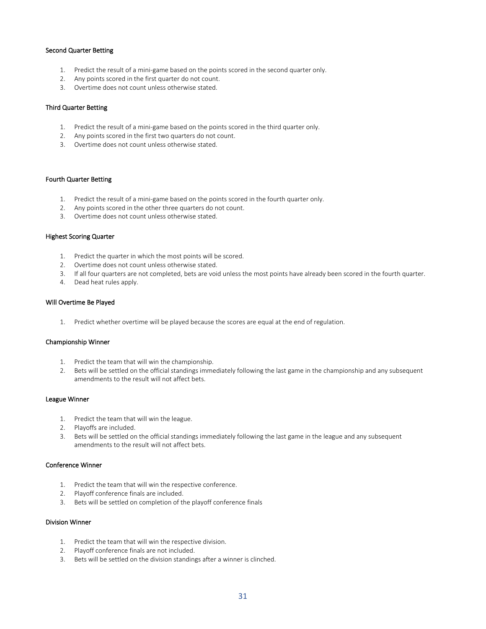#### Second Quarter Betting

- 1. Predict the result of a mini-game based on the points scored in the second quarter only.
- 2. Any points scored in the first quarter do not count.
- 3. Overtime does not count unless otherwise stated.

#### Third Quarter Betting

- 1. Predict the result of a mini-game based on the points scored in the third quarter only.
- 2. Any points scored in the first two quarters do not count.
- 3. Overtime does not count unless otherwise stated.

# Fourth Quarter Betting

- 1. Predict the result of a mini-game based on the points scored in the fourth quarter only.
- 2. Any points scored in the other three quarters do not count.
- 3. Overtime does not count unless otherwise stated.

#### Highest Scoring Quarter

- 1. Predict the quarter in which the most points will be scored.
- 2. Overtime does not count unless otherwise stated.
- 3. If all four quarters are not completed, bets are void unless the most points have already been scored in the fourth quarter.
- 4. Dead heat rules apply.

#### Will Overtime Be Played

1. Predict whether overtime will be played because the scores are equal at the end of regulation.

#### Championship Winner

- 1. Predict the team that will win the championship.
- 2. Bets will be settled on the official standings immediately following the last game in the championship and any subsequent amendments to the result will not affect bets.

#### League Winner

- 1. Predict the team that will win the league.
- 2. Playoffs are included.
- 3. Bets will be settled on the official standings immediately following the last game in the league and any subsequent amendments to the result will not affect bets.

# Conference Winner

- 1. Predict the team that will win the respective conference.
- 2. Playoff conference finals are included.
- 3. Bets will be settled on completion of the playoff conference finals

#### Division Winner

- 1. Predict the team that will win the respective division.
- 2. Playoff conference finals are not included.
- 3. Bets will be settled on the division standings after a winner is clinched.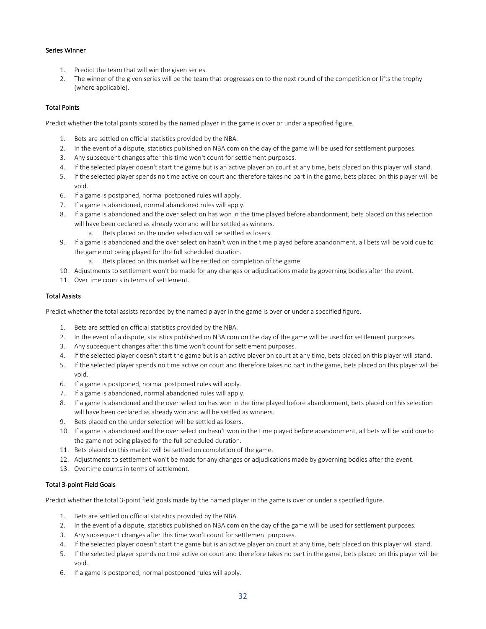# Series Winner

- 1. Predict the team that will win the given series.
- 2. The winner of the given series will be the team that progresses on to the next round of the competition or lifts the trophy (where applicable).

# Total Points

Predict whether the total points scored by the named player in the game is over or under a specified figure.

- 1. Bets are settled on official statistics provided by the NBA.
- 2. In the event of a dispute, statistics published on NBA.com on the day of the game will be used for settlement purposes.
- 3. Any subsequent changes after this time won't count for settlement purposes.
- 4. If the selected player doesn't start the game but is an active player on court at any time, bets placed on this player will stand.
- 5. If the selected player spends no time active on court and therefore takes no part in the game, bets placed on this player will be void.
- 6. If a game is postponed, normal postponed rules will apply.
- 7. If a game is abandoned, normal abandoned rules will apply.
- 8. If a game is abandoned and the over selection has won in the time played before abandonment, bets placed on this selection will have been declared as already won and will be settled as winners.
	- a. Bets placed on the under selection will be settled as losers.
- 9. If a game is abandoned and the over selection hasn't won in the time played before abandonment, all bets will be void due to the game not being played for the full scheduled duration.
	- a. Bets placed on this market will be settled on completion of the game.
- 10. Adjustments to settlement won't be made for any changes or adjudications made by governing bodies after the event.
- 11. Overtime counts in terms of settlement.

# Total Assists

Predict whether the total assists recorded by the named player in the game is over or under a specified figure.

- 1. Bets are settled on official statistics provided by the NBA.
- 2. In the event of a dispute, statistics published on NBA.com on the day of the game will be used for settlement purposes.
- 3. Any subsequent changes after this time won't count for settlement purposes.
- 4. If the selected player doesn't start the game but is an active player on court at any time, bets placed on this player will stand.
- 5. If the selected player spends no time active on court and therefore takes no part in the game, bets placed on this player will be void.
- 6. If a game is postponed, normal postponed rules will apply.
- 7. If a game is abandoned, normal abandoned rules will apply.
- 8. If a game is abandoned and the over selection has won in the time played before abandonment, bets placed on this selection will have been declared as already won and will be settled as winners.
- 9. Bets placed on the under selection will be settled as losers.
- 10. If a game is abandoned and the over selection hasn't won in the time played before abandonment, all bets will be void due to the game not being played for the full scheduled duration.
- 11. Bets placed on this market will be settled on completion of the game.
- 12. Adjustments to settlement won't be made for any changes or adjudications made by governing bodies after the event.
- 13. Overtime counts in terms of settlement.

# Total 3-point Field Goals

Predict whether the total 3-point field goals made by the named player in the game is over or under a specified figure.

- 1. Bets are settled on official statistics provided by the NBA.
- 2. In the event of a dispute, statistics published on NBA.com on the day of the game will be used for settlement purposes.
- 3. Any subsequent changes after this time won't count for settlement purposes.
- 4. If the selected player doesn't start the game but is an active player on court at any time, bets placed on this player will stand.
- 5. If the selected player spends no time active on court and therefore takes no part in the game, bets placed on this player will be void.
- 6. If a game is postponed, normal postponed rules will apply.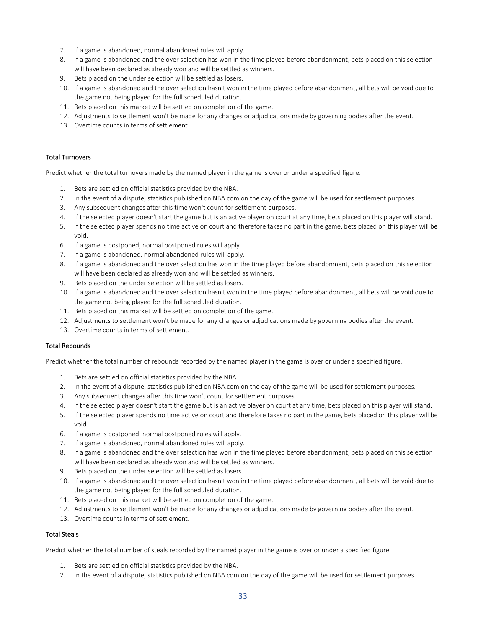- 7. If a game is abandoned, normal abandoned rules will apply.
- 8. If a game is abandoned and the over selection has won in the time played before abandonment, bets placed on this selection will have been declared as already won and will be settled as winners.
- 9. Bets placed on the under selection will be settled as losers.
- 10. If a game is abandoned and the over selection hasn't won in the time played before abandonment, all bets will be void due to the game not being played for the full scheduled duration.
- 11. Bets placed on this market will be settled on completion of the game.
- 12. Adjustments to settlement won't be made for any changes or adjudications made by governing bodies after the event.
- 13. Overtime counts in terms of settlement.

#### Total Turnovers

Predict whether the total turnovers made by the named player in the game is over or under a specified figure.

- 1. Bets are settled on official statistics provided by the NBA.
- 2. In the event of a dispute, statistics published on NBA.com on the day of the game will be used for settlement purposes.
- 3. Any subsequent changes after this time won't count for settlement purposes.
- 4. If the selected player doesn't start the game but is an active player on court at any time, bets placed on this player will stand.
- 5. If the selected player spends no time active on court and therefore takes no part in the game, bets placed on this player will be void.
- 6. If a game is postponed, normal postponed rules will apply.
- 7. If a game is abandoned, normal abandoned rules will apply.
- 8. If a game is abandoned and the over selection has won in the time played before abandonment, bets placed on this selection will have been declared as already won and will be settled as winners.
- 9. Bets placed on the under selection will be settled as losers.
- 10. If a game is abandoned and the over selection hasn't won in the time played before abandonment, all bets will be void due to the game not being played for the full scheduled duration.
- 11. Bets placed on this market will be settled on completion of the game.
- 12. Adjustments to settlement won't be made for any changes or adjudications made by governing bodies after the event.
- 13. Overtime counts in terms of settlement.

# Total Rebounds

Predict whether the total number of rebounds recorded by the named player in the game is over or under a specified figure.

- 1. Bets are settled on official statistics provided by the NBA.
- 2. In the event of a dispute, statistics published on NBA.com on the day of the game will be used for settlement purposes.
- 3. Any subsequent changes after this time won't count for settlement purposes.
- 4. If the selected player doesn't start the game but is an active player on court at any time, bets placed on this player will stand.
- 5. If the selected player spends no time active on court and therefore takes no part in the game, bets placed on this player will be void.
- 6. If a game is postponed, normal postponed rules will apply.
- 7. If a game is abandoned, normal abandoned rules will apply.
- 8. If a game is abandoned and the over selection has won in the time played before abandonment, bets placed on this selection will have been declared as already won and will be settled as winners.
- 9. Bets placed on the under selection will be settled as losers.
- 10. If a game is abandoned and the over selection hasn't won in the time played before abandonment, all bets will be void due to the game not being played for the full scheduled duration.
- 11. Bets placed on this market will be settled on completion of the game.
- 12. Adjustments to settlement won't be made for any changes or adjudications made by governing bodies after the event.
- 13. Overtime counts in terms of settlement.

#### Total Steals

Predict whether the total number of steals recorded by the named player in the game is over or under a specified figure.

- 1. Bets are settled on official statistics provided by the NBA.
- 2. In the event of a dispute, statistics published on NBA.com on the day of the game will be used for settlement purposes.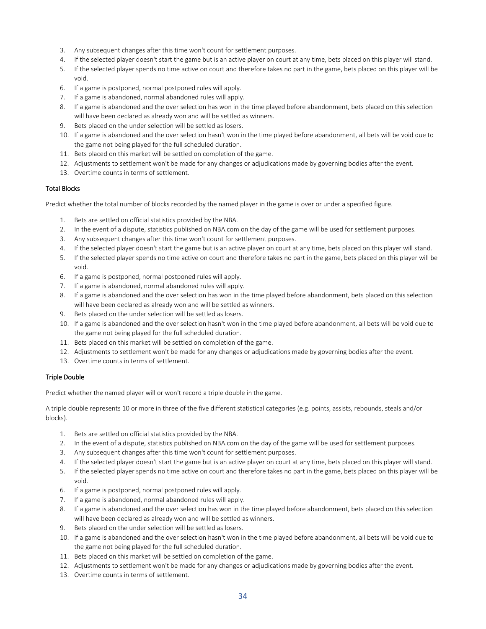- 3. Any subsequent changes after this time won't count for settlement purposes.
- 4. If the selected player doesn't start the game but is an active player on court at any time, bets placed on this player will stand.
- 5. If the selected player spends no time active on court and therefore takes no part in the game, bets placed on this player will be void.
- 6. If a game is postponed, normal postponed rules will apply.
- 7. If a game is abandoned, normal abandoned rules will apply.
- 8. If a game is abandoned and the over selection has won in the time played before abandonment, bets placed on this selection will have been declared as already won and will be settled as winners.
- 9. Bets placed on the under selection will be settled as losers.
- 10. If a game is abandoned and the over selection hasn't won in the time played before abandonment, all bets will be void due to the game not being played for the full scheduled duration.
- 11. Bets placed on this market will be settled on completion of the game.
- 12. Adjustments to settlement won't be made for any changes or adjudications made by governing bodies after the event.
- 13. Overtime counts in terms of settlement.

# Total Blocks

Predict whether the total number of blocks recorded by the named player in the game is over or under a specified figure.

- 1. Bets are settled on official statistics provided by the NBA.
- 2. In the event of a dispute, statistics published on NBA.com on the day of the game will be used for settlement purposes.
- 3. Any subsequent changes after this time won't count for settlement purposes.
- 4. If the selected player doesn't start the game but is an active player on court at any time, bets placed on this player will stand.
- 5. If the selected player spends no time active on court and therefore takes no part in the game, bets placed on this player will be void.
- 6. If a game is postponed, normal postponed rules will apply.
- 7. If a game is abandoned, normal abandoned rules will apply.
- 8. If a game is abandoned and the over selection has won in the time played before abandonment, bets placed on this selection will have been declared as already won and will be settled as winners.
- 9. Bets placed on the under selection will be settled as losers.
- 10. If a game is abandoned and the over selection hasn't won in the time played before abandonment, all bets will be void due to the game not being played for the full scheduled duration.
- 11. Bets placed on this market will be settled on completion of the game.
- 12. Adjustments to settlement won't be made for any changes or adjudications made by governing bodies after the event.
- 13. Overtime counts in terms of settlement.

# Triple Double

Predict whether the named player will or won't record a triple double in the game.

A triple double represents 10 or more in three of the five different statistical categories (e.g. points, assists, rebounds, steals and/or blocks).

- 1. Bets are settled on official statistics provided by the NBA.
- 2. In the event of a dispute, statistics published on NBA.com on the day of the game will be used for settlement purposes.
- 3. Any subsequent changes after this time won't count for settlement purposes.
- 4. If the selected player doesn't start the game but is an active player on court at any time, bets placed on this player will stand.
- 5. If the selected player spends no time active on court and therefore takes no part in the game, bets placed on this player will be void.
- 6. If a game is postponed, normal postponed rules will apply.
- 7. If a game is abandoned, normal abandoned rules will apply.
- 8. If a game is abandoned and the over selection has won in the time played before abandonment, bets placed on this selection will have been declared as already won and will be settled as winners.
- 9. Bets placed on the under selection will be settled as losers.
- 10. If a game is abandoned and the over selection hasn't won in the time played before abandonment, all bets will be void due to the game not being played for the full scheduled duration.
- 11. Bets placed on this market will be settled on completion of the game.
- 12. Adjustments to settlement won't be made for any changes or adjudications made by governing bodies after the event.
- 13. Overtime counts in terms of settlement.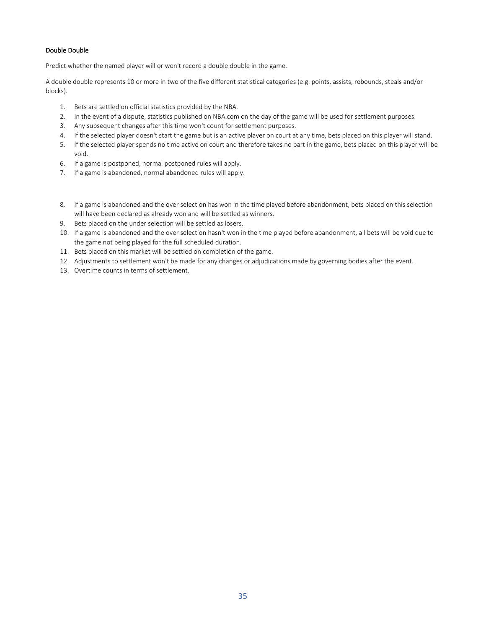# Double Double

Predict whether the named player will or won't record a double double in the game.

A double double represents 10 or more in two of the five different statistical categories (e.g. points, assists, rebounds, steals and/or blocks).

- 1. Bets are settled on official statistics provided by the NBA.
- 2. In the event of a dispute, statistics published on NBA.com on the day of the game will be used for settlement purposes.
- 3. Any subsequent changes after this time won't count for settlement purposes.
- 4. If the selected player doesn't start the game but is an active player on court at any time, bets placed on this player will stand.
- 5. If the selected player spends no time active on court and therefore takes no part in the game, bets placed on this player will be void.
- 6. If a game is postponed, normal postponed rules will apply.
- 7. If a game is abandoned, normal abandoned rules will apply.
- 8. If a game is abandoned and the over selection has won in the time played before abandonment, bets placed on this selection will have been declared as already won and will be settled as winners.
- 9. Bets placed on the under selection will be settled as losers.
- 10. If a game is abandoned and the over selection hasn't won in the time played before abandonment, all bets will be void due to the game not being played for the full scheduled duration.
- 11. Bets placed on this market will be settled on completion of the game.
- 12. Adjustments to settlement won't be made for any changes or adjudications made by governing bodies after the event.
- 13. Overtime counts in terms of settlement.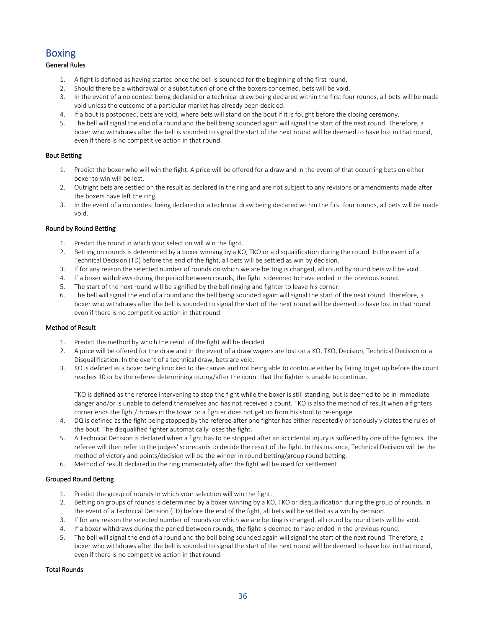# <span id="page-35-0"></span>Boxing

# General Rules

- 1. A fight is defined as having started once the bell is sounded for the beginning of the first round.
- 2. Should there be a withdrawal or a substitution of one of the boxers concerned, bets will be void.
- 3. In the event of a no contest being declared or a technical draw being declared within the first four rounds, all bets will be made void unless the outcome of a particular market has already been decided.
- 4. If a bout is postponed, bets are void, where bets will stand on the bout if it is fought before the closing ceremony.
- 5. The bell will signal the end of a round and the bell being sounded again will signal the start of the next round. Therefore, a boxer who withdraws after the bell is sounded to signal the start of the next round will be deemed to have lost in that round, even if there is no competitive action in that round.

### Bout Betting

- 1. Predict the boxer who will win the fight. A price will be offered for a draw and in the event of that occurring bets on either boxer to win will be lost.
- 2. Outright bets are settled on the result as declared in the ring and are not subject to any revisions or amendments made after the boxers have left the ring.
- 3. In the event of a no contest being declared or a technical draw being declared within the first four rounds, all bets will be made void.

# Round by Round Betting

- 1. Predict the round in which your selection will win the fight.
- 2. Betting on rounds is determined by a boxer winning by a KO, TKO or a disqualification during the round. In the event of a Technical Decision (TD) before the end of the fight, all bets will be settled as win by decision.
- 3. If for any reason the selected number of rounds on which we are betting is changed, all round by round bets will be void.
- 4. If a boxer withdraws during the period between rounds, the fight is deemed to have ended in the previous round.
- 5. The start of the next round will be signified by the bell ringing and fighter to leave his corner.
- 6. The bell will signal the end of a round and the bell being sounded again will signal the start of the next round. Therefore, a boxer who withdraws after the bell is sounded to signal the start of the next round will be deemed to have lost in that round even if there is no competitive action in that round.

#### Method of Result

- 1. Predict the method by which the result of the fight will be decided.
- 2. A price will be offered for the draw and in the event of a draw wagers are lost on a KO, TKO, Decision, Technical Decision or a Disqualification. In the event of a technical draw, bets are void.
- 3. KO is defined as a boxer being knocked to the canvas and not being able to continue either by failing to get up before the count reaches 10 or by the referee determining during/after the count that the fighter is unable to continue.

TKO is defined as the referee intervening to stop the fight while the boxer is still standing, but is deemed to be in immediate danger and/or is unable to defend themselves and has not received a count. TKO is also the method of result when a fighters corner ends the fight/throws in the towel or a fighter does not get up from his stool to re-engage.

- 4. DQ is defined as the fight being stopped by the referee after one fighter has either repeatedly or seriously violates the rules of the bout. The disqualified fighter automatically loses the fight.
- 5. A Technical Decision is declared when a fight has to be stopped after an accidental injury is suffered by one of the fighters. The referee will then refer to the judges' scorecards to decide the result of the fight. In this instance, Technical Decision will be the method of victory and points/decision will be the winner in round betting/group round betting.
- 6. Method of result declared in the ring immediately after the fight will be used for settlement.

# Grouped Round Betting

- 1. Predict the group of rounds in which your selection will win the fight.
- 2. Betting on groups of rounds is determined by a boxer winning by a KO, TKO or disqualification during the group of rounds. In the event of a Technical Decision (TD) before the end of the fight, all bets will be settled as a win by decision.
- 3. If for any reason the selected number of rounds on which we are betting is changed, all round by round bets will be void.
- 4. If a boxer withdraws during the period between rounds, the fight is deemed to have ended in the previous round.
- 5. The bell will signal the end of a round and the bell being sounded again will signal the start of the next round. Therefore, a boxer who withdraws after the bell is sounded to signal the start of the next round will be deemed to have lost in that round, even if there is no competitive action in that round.

# Total Rounds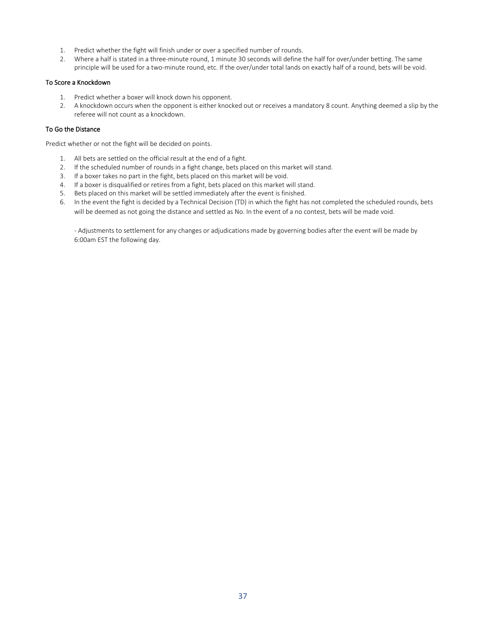- 1. Predict whether the fight will finish under or over a specified number of rounds.
- 2. Where a half is stated in a three-minute round, 1 minute 30 seconds will define the half for over/under betting. The same principle will be used for a two-minute round, etc. If the over/under total lands on exactly half of a round, bets will be void.

### To Score a Knockdown

- 1. Predict whether a boxer will knock down his opponent.
- 2. A knockdown occurs when the opponent is either knocked out or receives a mandatory 8 count. Anything deemed a slip by the referee will not count as a knockdown.

## To Go the Distance

Predict whether or not the fight will be decided on points.

- 1. All bets are settled on the official result at the end of a fight.
- 2. If the scheduled number of rounds in a fight change, bets placed on this market will stand.
- 3. If a boxer takes no part in the fight, bets placed on this market will be void.
- 4. If a boxer is disqualified or retires from a fight, bets placed on this market will stand.
- 5. Bets placed on this market will be settled immediately after the event is finished.
- 6. In the event the fight is decided by a Technical Decision (TD) in which the fight has not completed the scheduled rounds, bets will be deemed as not going the distance and settled as No. In the event of a no contest, bets will be made void.

- Adjustments to settlement for any changes or adjudications made by governing bodies after the event will be made by 6:00am EST the following day.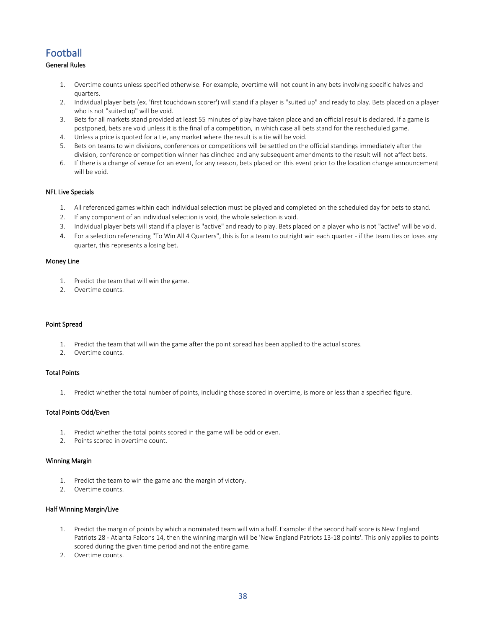# Football

# General Rules

- 1. Overtime counts unless specified otherwise. For example, overtime will not count in any bets involving specific halves and quarters.
- 2. Individual player bets (ex. 'first touchdown scorer') will stand if a player is "suited up" and ready to play. Bets placed on a player who is not "suited up" will be void.
- 3. Bets for all markets stand provided at least 55 minutes of play have taken place and an official result is declared. If a game is postponed, bets are void unless it is the final of a competition, in which case all bets stand for the rescheduled game.
- 4. Unless a price is quoted for a tie, any market where the result is a tie will be void.
- 5. Bets on teams to win divisions, conferences or competitions will be settled on the official standings immediately after the division, conference or competition winner has clinched and any subsequent amendments to the result will not affect bets.
- 6. If there is a change of venue for an event, for any reason, bets placed on this event prior to the location change announcement will be void.

### NFL Live Specials

- 1. All referenced games within each individual selection must be played and completed on the scheduled day for bets to stand.
- 2. If any component of an individual selection is void, the whole selection is void.
- 3. Individual player bets will stand if a player is "active" and ready to play. Bets placed on a player who is not "active" will be void.
- 4. For a selection referencing "To Win All 4 Quarters", this is for a team to outright win each quarter if the team ties or loses any quarter, this represents a losing bet.

#### Money Line

- 1. Predict the team that will win the game.
- 2. Overtime counts.

### Point Spread

- 1. Predict the team that will win the game after the point spread has been applied to the actual scores.
- 2. Overtime counts.

### Total Points

1. Predict whether the total number of points, including those scored in overtime, is more or less than a specified figure.

# Total Points Odd/Even

- 1. Predict whether the total points scored in the game will be odd or even.
- 2. Points scored in overtime count.

#### Winning Margin

- 1. Predict the team to win the game and the margin of victory.
- 2. Overtime counts.

### Half Winning Margin/Live

- 1. Predict the margin of points by which a nominated team will win a half. Example: if the second half score is New England Patriots 28 - Atlanta Falcons 14, then the winning margin will be 'New England Patriots 13-18 points'. This only applies to points scored during the given time period and not the entire game.
- 2. Overtime counts.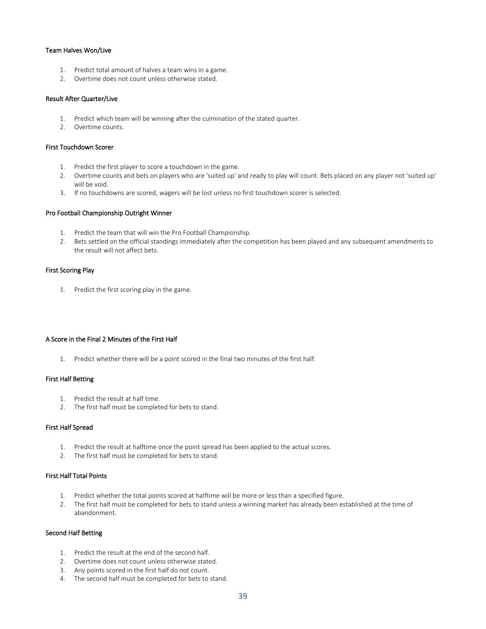### Team Halves Won/Live

- 1. Predict total amount of halves a team wins in a game.
- 2. Overtime does not count unless otherwise stated.

### Result After Quarter/Live

- 1. Predict which team will be winning after the culmination of the stated quarter.
- 2. Overtime counts.

#### First Touchdown Scorer

- 1. Predict the first player to score a touchdown in the game.
- 2. Overtime counts and bets on players who are 'suited up' and ready to play will count. Bets placed on any player not 'suited up' will be void.
- 3. If no touchdowns are scored, wagers will be lost unless no first touchdown scorer is selected.

#### Pro Football Championship Outright Winner

- 1. Predict the team that will win the Pro Football Championship.
- 2. Bets settled on the official standings immediately after the competition has been played and any subsequent amendments to the result will not affect bets.

#### First Scoring Play

1. Predict the first scoring play in the game.

### A Score in the Final 2 Minutes of the First Half

1. Predict whether there will be a point scored in the final two minutes of the first half.

#### First Half Betting

- 1. Predict the result at half time.
- 2. The first half must be completed for bets to stand.

### First Half Spread

- 1. Predict the result at halftime once the point spread has been applied to the actual scores.
- 2. The first half must be completed for bets to stand.

### First Half Total Points

- 1. Predict whether the total points scored at halftime will be more or less than a specified figure.
- 2. The first half must be completed for bets to stand unless a winning market has already been established at the time of abandonment.

### Second Half Betting

- 1. Predict the result at the end of the second half.
- 2. Overtime does not count unless otherwise stated.
- 3. Any points scored in the first half do not count.
- 4. The second half must be completed for bets to stand.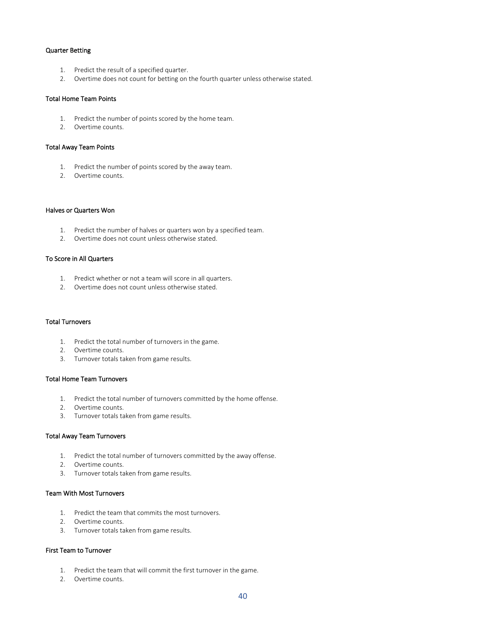### Quarter Betting

- 1. Predict the result of a specified quarter.
- 2. Overtime does not count for betting on the fourth quarter unless otherwise stated.

#### Total Home Team Points

- 1. Predict the number of points scored by the home team.
- 2. Overtime counts.

#### Total Away Team Points

- 1. Predict the number of points scored by the away team.
- 2. Overtime counts.

### Halves or Quarters Won

- 1. Predict the number of halves or quarters won by a specified team.
- 2. Overtime does not count unless otherwise stated.

### To Score in All Quarters

- 1. Predict whether or not a team will score in all quarters.
- 2. Overtime does not count unless otherwise stated.

#### Total Turnovers

- 1. Predict the total number of turnovers in the game.
- 2. Overtime counts.
- 3. Turnover totals taken from game results.

#### Total Home Team Turnovers

- 1. Predict the total number of turnovers committed by the home offense.
- 2. Overtime counts.
- 3. Turnover totals taken from game results.

#### Total Away Team Turnovers

- 1. Predict the total number of turnovers committed by the away offense.
- 2. Overtime counts.
- 3. Turnover totals taken from game results.

### Team With Most Turnovers

- 1. Predict the team that commits the most turnovers.
- 2. Overtime counts.
- 3. Turnover totals taken from game results.

### First Team to Turnover

- 1. Predict the team that will commit the first turnover in the game.
- 2. Overtime counts.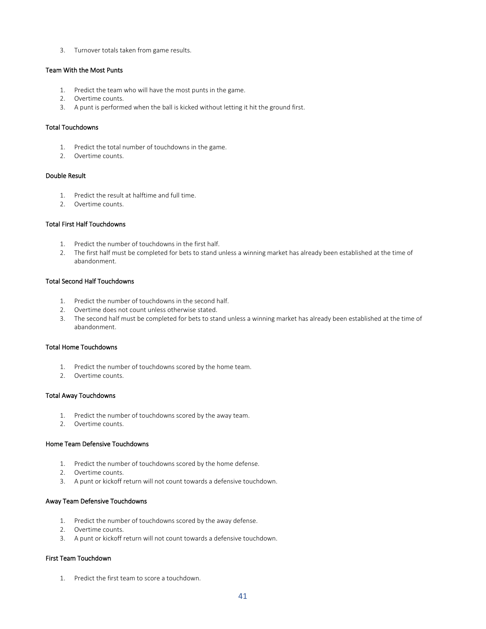3. Turnover totals taken from game results.

### Team With the Most Punts

- 1. Predict the team who will have the most punts in the game.
- 2. Overtime counts.
- 3. A punt is performed when the ball is kicked without letting it hit the ground first.

### Total Touchdowns

- 1. Predict the total number of touchdowns in the game.
- 2. Overtime counts.

# Double Result

- 1. Predict the result at halftime and full time.
- 2. Overtime counts.

#### Total First Half Touchdowns

- 1. Predict the number of touchdowns in the first half.
- 2. The first half must be completed for bets to stand unless a winning market has already been established at the time of abandonment.

### Total Second Half Touchdowns

- 1. Predict the number of touchdowns in the second half.
- 2. Overtime does not count unless otherwise stated.
- 3. The second half must be completed for bets to stand unless a winning market has already been established at the time of abandonment.

### Total Home Touchdowns

- 1. Predict the number of touchdowns scored by the home team.
- 2. Overtime counts.

#### Total Away Touchdowns

- 1. Predict the number of touchdowns scored by the away team.
- 2. Overtime counts.

### Home Team Defensive Touchdowns

- 1. Predict the number of touchdowns scored by the home defense.
- 2. Overtime counts.
- 3. A punt or kickoff return will not count towards a defensive touchdown.

### Away Team Defensive Touchdowns

- 1. Predict the number of touchdowns scored by the away defense.
- 2. Overtime counts.
- 3. A punt or kickoff return will not count towards a defensive touchdown.

### First Team Touchdown

1. Predict the first team to score a touchdown.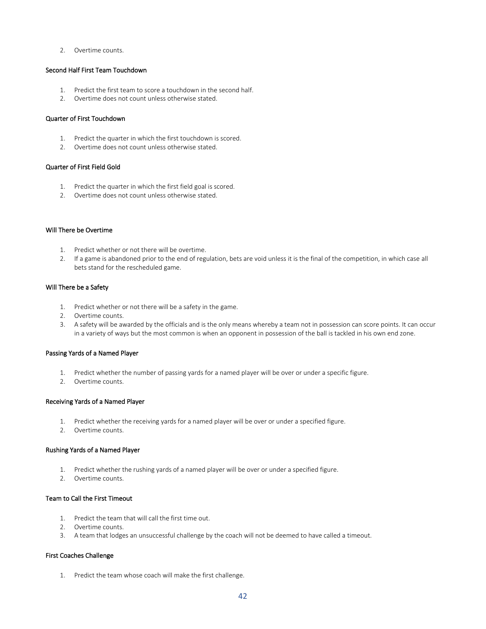2. Overtime counts.

### Second Half First Team Touchdown

- 1. Predict the first team to score a touchdown in the second half.
- 2. Overtime does not count unless otherwise stated.

### Quarter of First Touchdown

- 1. Predict the quarter in which the first touchdown is scored.
- 2. Overtime does not count unless otherwise stated.

### Quarter of First Field Gold

- 1. Predict the quarter in which the first field goal is scored.
- 2. Overtime does not count unless otherwise stated.

#### Will There be Overtime

- 1. Predict whether or not there will be overtime.
- 2. If a game is abandoned prior to the end of regulation, bets are void unless it is the final of the competition, in which case all bets stand for the rescheduled game.

#### Will There be a Safety

- 1. Predict whether or not there will be a safety in the game.
- 2. Overtime counts.
- 3. A safety will be awarded by the officials and is the only means whereby a team not in possession can score points. It can occur in a variety of ways but the most common is when an opponent in possession of the ball is tackled in his own end zone.

### Passing Yards of a Named Player

- 1. Predict whether the number of passing yards for a named player will be over or under a specific figure.
- 2. Overtime counts.

#### Receiving Yards of a Named Player

- 1. Predict whether the receiving yards for a named player will be over or under a specified figure.
- 2. Overtime counts.

### Rushing Yards of a Named Player

- 1. Predict whether the rushing yards of a named player will be over or under a specified figure.
- 2. Overtime counts.

# Team to Call the First Timeout

- 1. Predict the team that will call the first time out.
- 2. Overtime counts.
- 3. A team that lodges an unsuccessful challenge by the coach will not be deemed to have called a timeout.

### First Coaches Challenge

1. Predict the team whose coach will make the first challenge.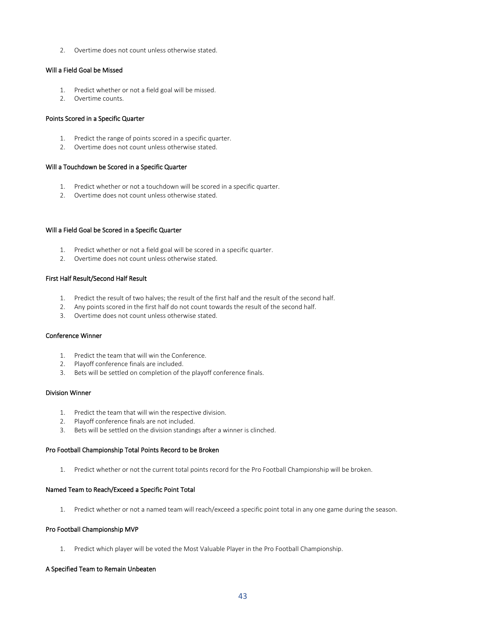2. Overtime does not count unless otherwise stated.

# Will a Field Goal be Missed

- 1. Predict whether or not a field goal will be missed.
- 2. Overtime counts.

#### Points Scored in a Specific Quarter

- 1. Predict the range of points scored in a specific quarter.
- 2. Overtime does not count unless otherwise stated.

#### Will a Touchdown be Scored in a Specific Quarter

- 1. Predict whether or not a touchdown will be scored in a specific quarter.
- 2. Overtime does not count unless otherwise stated.

#### Will a Field Goal be Scored in a Specific Quarter

- 1. Predict whether or not a field goal will be scored in a specific quarter.
- 2. Overtime does not count unless otherwise stated.

# First Half Result/Second Half Result

- 1. Predict the result of two halves; the result of the first half and the result of the second half.
- 2. Any points scored in the first half do not count towards the result of the second half.
- 3. Overtime does not count unless otherwise stated.

### Conference Winner

- 1. Predict the team that will win the Conference.
- 2. Playoff conference finals are included.
- 3. Bets will be settled on completion of the playoff conference finals.

### Division Winner

- 1. Predict the team that will win the respective division.
- 2. Playoff conference finals are not included.
- 3. Bets will be settled on the division standings after a winner is clinched.

### Pro Football Championship Total Points Record to be Broken

1. Predict whether or not the current total points record for the Pro Football Championship will be broken.

#### Named Team to Reach/Exceed a Specific Point Total

1. Predict whether or not a named team will reach/exceed a specific point total in any one game during the season.

### Pro Football Championship MVP

1. Predict which player will be voted the Most Valuable Player in the Pro Football Championship.

### A Specified Team to Remain Unbeaten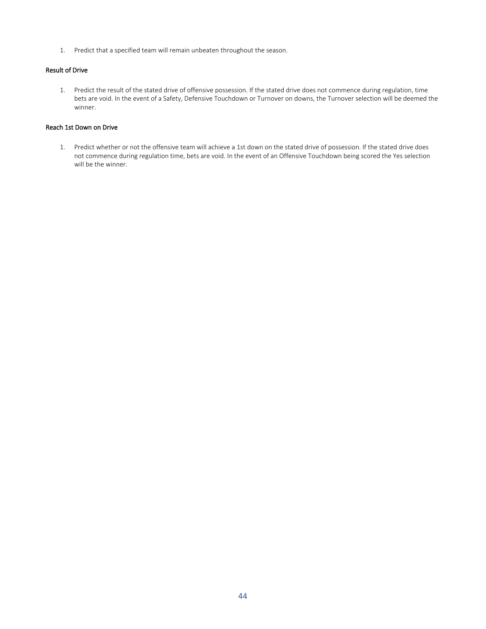1. Predict that a specified team will remain unbeaten throughout the season.

# Result of Drive

1. Predict the result of the stated drive of offensive possession. If the stated drive does not commence during regulation, time bets are void. In the event of a Safety, Defensive Touchdown or Turnover on downs, the Turnover selection will be deemed the winner.

# Reach 1st Down on Drive

1. Predict whether or not the offensive team will achieve a 1st down on the stated drive of possession. If the stated drive does not commence during regulation time, bets are void. In the event of an Offensive Touchdown being scored the Yes selection will be the winner.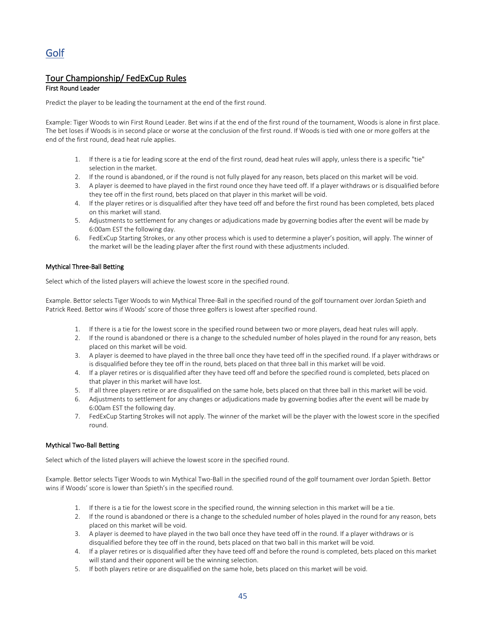# Tour Championship/ FedExCup Rules

# First Round Leader

Predict the player to be leading the tournament at the end of the first round.

Example: Tiger Woods to win First Round Leader. Bet wins if at the end of the first round of the tournament, Woods is alone in first place. The bet loses if Woods is in second place or worse at the conclusion of the first round. If Woods is tied with one or more golfers at the end of the first round, dead heat rule applies.

- 1. If there is a tie for leading score at the end of the first round, dead heat rules will apply, unless there is a specific "tie" selection in the market.
- 2. If the round is abandoned, or if the round is not fully played for any reason, bets placed on this market will be void.
- 3. A player is deemed to have played in the first round once they have teed off. If a player withdraws or is disqualified before they tee off in the first round, bets placed on that player in this market will be void.
- 4. If the player retires or is disqualified after they have teed off and before the first round has been completed, bets placed on this market will stand.
- 5. Adjustments to settlement for any changes or adjudications made by governing bodies after the event will be made by 6:00am EST the following day.
- 6. FedExCup Starting Strokes, or any other process which is used to determine a player's position, will apply. The winner of the market will be the leading player after the first round with these adjustments included.

# Mythical Three-Ball Betting

Select which of the listed players will achieve the lowest score in the specified round.

Example. Bettor selects Tiger Woods to win Mythical Three-Ball in the specified round of the golf tournament over Jordan Spieth and Patrick Reed. Bettor wins if Woods' score of those three golfers is lowest after specified round.

- 1. If there is a tie for the lowest score in the specified round between two or more players, dead heat rules will apply.
- 2. If the round is abandoned or there is a change to the scheduled number of holes played in the round for any reason, bets placed on this market will be void.
- 3. A player is deemed to have played in the three ball once they have teed off in the specified round. If a player withdraws or is disqualified before they tee off in the round, bets placed on that three ball in this market will be void.
- 4. If a player retires or is disqualified after they have teed off and before the specified round is completed, bets placed on that player in this market will have lost.
- 5. If all three players retire or are disqualified on the same hole, bets placed on that three ball in this market will be void.
- 6. Adjustments to settlement for any changes or adjudications made by governing bodies after the event will be made by 6:00am EST the following day.
- 7. FedExCup Starting Strokes will not apply. The winner of the market will be the player with the lowest score in the specified round.

# Mythical Two-Ball Betting

Select which of the listed players will achieve the lowest score in the specified round.

Example. Bettor selects Tiger Woods to win Mythical Two-Ball in the specified round of the golf tournament over Jordan Spieth. Bettor wins if Woods' score is lower than Spieth's in the specified round.

- 1. If there is a tie for the lowest score in the specified round, the winning selection in this market will be a tie.
- 2. If the round is abandoned or there is a change to the scheduled number of holes played in the round for any reason, bets placed on this market will be void.
- 3. A player is deemed to have played in the two ball once they have teed off in the round. If a player withdraws or is disqualified before they tee off in the round, bets placed on that two ball in this market will be void.
- 4. If a player retires or is disqualified after they have teed off and before the round is completed, bets placed on this market will stand and their opponent will be the winning selection.
- 5. If both players retire or are disqualified on the same hole, bets placed on this market will be void.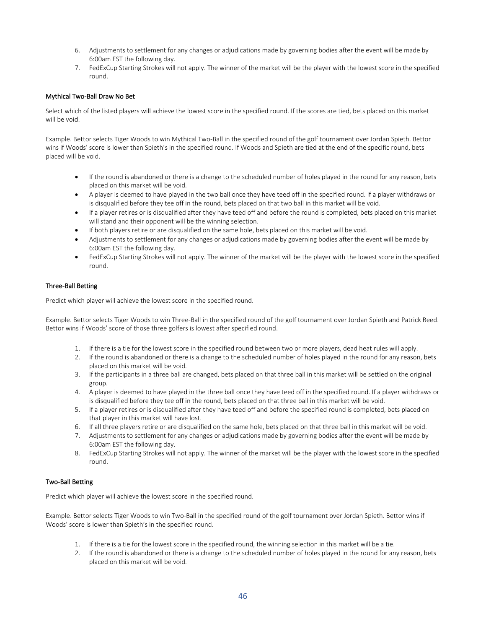- 6. Adjustments to settlement for any changes or adjudications made by governing bodies after the event will be made by 6:00am EST the following day.
- 7. FedExCup Starting Strokes will not apply. The winner of the market will be the player with the lowest score in the specified round.

### Mythical Two-Ball Draw No Bet

Select which of the listed players will achieve the lowest score in the specified round. If the scores are tied, bets placed on this market will be void.

Example. Bettor selects Tiger Woods to win Mythical Two-Ball in the specified round of the golf tournament over Jordan Spieth. Bettor wins if Woods' score is lower than Spieth's in the specified round. If Woods and Spieth are tied at the end of the specific round, bets placed will be void.

- If the round is abandoned or there is a change to the scheduled number of holes played in the round for any reason, bets placed on this market will be void.
- A player is deemed to have played in the two ball once they have teed off in the specified round. If a player withdraws or is disqualified before they tee off in the round, bets placed on that two ball in this market will be void.
- If a player retires or is disqualified after they have teed off and before the round is completed, bets placed on this market will stand and their opponent will be the winning selection.
- If both players retire or are disqualified on the same hole, bets placed on this market will be void.
- Adjustments to settlement for any changes or adjudications made by governing bodies after the event will be made by 6:00am EST the following day.
- FedExCup Starting Strokes will not apply. The winner of the market will be the player with the lowest score in the specified round.

### Three-Ball Betting

Predict which player will achieve the lowest score in the specified round.

Example. Bettor selects Tiger Woods to win Three-Ball in the specified round of the golf tournament over Jordan Spieth and Patrick Reed. Bettor wins if Woods' score of those three golfers is lowest after specified round.

- 1. If there is a tie for the lowest score in the specified round between two or more players, dead heat rules will apply.
- 2. If the round is abandoned or there is a change to the scheduled number of holes played in the round for any reason, bets placed on this market will be void.
- 3. If the participants in a three ball are changed, bets placed on that three ball in this market will be settled on the original group.
- 4. A player is deemed to have played in the three ball once they have teed off in the specified round. If a player withdraws or is disqualified before they tee off in the round, bets placed on that three ball in this market will be void.
- 5. If a player retires or is disqualified after they have teed off and before the specified round is completed, bets placed on that player in this market will have lost.
- 6. If all three players retire or are disqualified on the same hole, bets placed on that three ball in this market will be void.
- 7. Adjustments to settlement for any changes or adjudications made by governing bodies after the event will be made by 6:00am EST the following day.
- 8. FedExCup Starting Strokes will not apply. The winner of the market will be the player with the lowest score in the specified round.

### Two-Ball Betting

Predict which player will achieve the lowest score in the specified round.

Example. Bettor selects Tiger Woods to win Two-Ball in the specified round of the golf tournament over Jordan Spieth. Bettor wins if Woods' score is lower than Spieth's in the specified round.

- 1. If there is a tie for the lowest score in the specified round, the winning selection in this market will be a tie.
- 2. If the round is abandoned or there is a change to the scheduled number of holes played in the round for any reason, bets placed on this market will be void.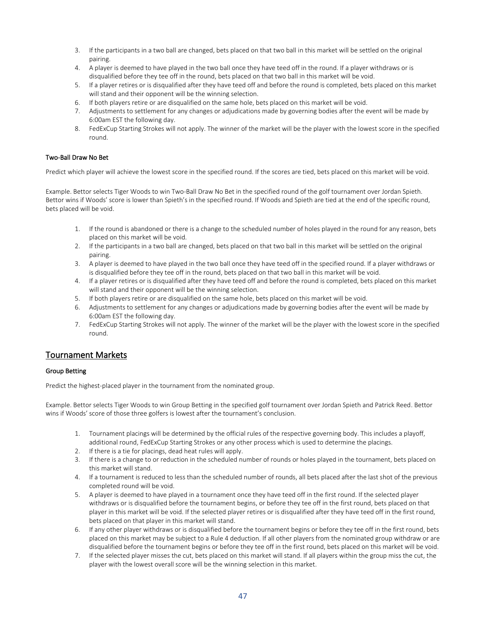- 3. If the participants in a two ball are changed, bets placed on that two ball in this market will be settled on the original pairing.
- 4. A player is deemed to have played in the two ball once they have teed off in the round. If a player withdraws or is disqualified before they tee off in the round, bets placed on that two ball in this market will be void.
- 5. If a player retires or is disqualified after they have teed off and before the round is completed, bets placed on this market will stand and their opponent will be the winning selection.
- 6. If both players retire or are disqualified on the same hole, bets placed on this market will be void.
- 7. Adjustments to settlement for any changes or adjudications made by governing bodies after the event will be made by 6:00am EST the following day.
- 8. FedExCup Starting Strokes will not apply. The winner of the market will be the player with the lowest score in the specified round.

### Two-Ball Draw No Bet

Predict which player will achieve the lowest score in the specified round. If the scores are tied, bets placed on this market will be void.

Example. Bettor selects Tiger Woods to win Two-Ball Draw No Bet in the specified round of the golf tournament over Jordan Spieth. Bettor wins if Woods' score is lower than Spieth's in the specified round. If Woods and Spieth are tied at the end of the specific round, bets placed will be void.

- 1. If the round is abandoned or there is a change to the scheduled number of holes played in the round for any reason, bets placed on this market will be void.
- 2. If the participants in a two ball are changed, bets placed on that two ball in this market will be settled on the original pairing.
- 3. A player is deemed to have played in the two ball once they have teed off in the specified round. If a player withdraws or is disqualified before they tee off in the round, bets placed on that two ball in this market will be void.
- 4. If a player retires or is disqualified after they have teed off and before the round is completed, bets placed on this market will stand and their opponent will be the winning selection.
- 5. If both players retire or are disqualified on the same hole, bets placed on this market will be void.
- 6. Adjustments to settlement for any changes or adjudications made by governing bodies after the event will be made by 6:00am EST the following day.
- 7. FedExCup Starting Strokes will not apply. The winner of the market will be the player with the lowest score in the specified round.

# Tournament Markets

### Group Betting

Predict the highest-placed player in the tournament from the nominated group.

Example. Bettor selects Tiger Woods to win Group Betting in the specified golf tournament over Jordan Spieth and Patrick Reed. Bettor wins if Woods' score of those three golfers is lowest after the tournament's conclusion.

- 1. Tournament placings will be determined by the official rules of the respective governing body. This includes a playoff, additional round, FedExCup Starting Strokes or any other process which is used to determine the placings.
- 2. If there is a tie for placings, dead heat rules will apply.
- 3. If there is a change to or reduction in the scheduled number of rounds or holes played in the tournament, bets placed on this market will stand.
- 4. If a tournament is reduced to less than the scheduled number of rounds, all bets placed after the last shot of the previous completed round will be void.
- 5. A player is deemed to have played in a tournament once they have teed off in the first round. If the selected player withdraws or is disqualified before the tournament begins, or before they tee off in the first round, bets placed on that player in this market will be void. If the selected player retires or is disqualified after they have teed off in the first round, bets placed on that player in this market will stand.
- 6. If any other player withdraws or is disqualified before the tournament begins or before they tee off in the first round, bets placed on this market may be subject to a Rule 4 deduction. If all other players from the nominated group withdraw or are disqualified before the tournament begins or before they tee off in the first round, bets placed on this market will be void.
- 7. If the selected player misses the cut, bets placed on this market will stand. If all players within the group miss the cut, the player with the lowest overall score will be the winning selection in this market.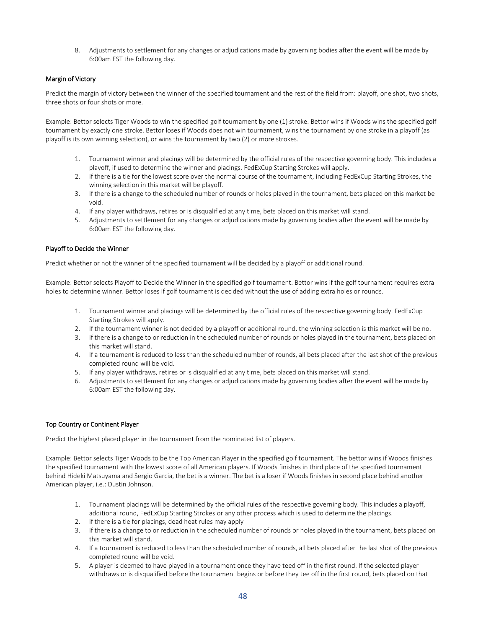8. Adjustments to settlement for any changes or adjudications made by governing bodies after the event will be made by 6:00am EST the following day.

### Margin of Victory

Predict the margin of victory between the winner of the specified tournament and the rest of the field from: playoff, one shot, two shots, three shots or four shots or more.

Example: Bettor selects Tiger Woods to win the specified golf tournament by one (1) stroke. Bettor wins if Woods wins the specified golf tournament by exactly one stroke. Bettor loses if Woods does not win tournament, wins the tournament by one stroke in a playoff (as playoff is its own winning selection), or wins the tournament by two (2) or more strokes.

- 1. Tournament winner and placings will be determined by the official rules of the respective governing body. This includes a playoff, if used to determine the winner and placings. FedExCup Starting Strokes will apply.
- 2. If there is a tie for the lowest score over the normal course of the tournament, including FedExCup Starting Strokes, the winning selection in this market will be playoff.
- 3. If there is a change to the scheduled number of rounds or holes played in the tournament, bets placed on this market be void.
- 4. If any player withdraws, retires or is disqualified at any time, bets placed on this market will stand.
- 5. Adjustments to settlement for any changes or adjudications made by governing bodies after the event will be made by 6:00am EST the following day.

### Playoff to Decide the Winner

Predict whether or not the winner of the specified tournament will be decided by a playoff or additional round.

Example: Bettor selects Playoff to Decide the Winner in the specified golf tournament. Bettor wins if the golf tournament requires extra holes to determine winner. Bettor loses if golf tournament is decided without the use of adding extra holes or rounds.

- 1. Tournament winner and placings will be determined by the official rules of the respective governing body. FedExCup Starting Strokes will apply.
- 2. If the tournament winner is not decided by a playoff or additional round, the winning selection is this market will be no.
- 3. If there is a change to or reduction in the scheduled number of rounds or holes played in the tournament, bets placed on this market will stand.
- 4. If a tournament is reduced to less than the scheduled number of rounds, all bets placed after the last shot of the previous completed round will be void.
- 5. If any player withdraws, retires or is disqualified at any time, bets placed on this market will stand.
- 6. Adjustments to settlement for any changes or adjudications made by governing bodies after the event will be made by 6:00am EST the following day.

### Top Country or Continent Player

Predict the highest placed player in the tournament from the nominated list of players.

Example: Bettor selects Tiger Woods to be the Top American Player in the specified golf tournament. The bettor wins if Woods finishes the specified tournament with the lowest score of all American players. If Woods finishes in third place of the specified tournament behind Hideki Matsuyama and Sergio Garcia, the bet is a winner. The bet is a loser if Woods finishes in second place behind another American player, i.e.: Dustin Johnson.

- 1. Tournament placings will be determined by the official rules of the respective governing body. This includes a playoff, additional round, FedExCup Starting Strokes or any other process which is used to determine the placings.
- 2. If there is a tie for placings, dead heat rules may apply
- 3. If there is a change to or reduction in the scheduled number of rounds or holes played in the tournament, bets placed on this market will stand.
- 4. If a tournament is reduced to less than the scheduled number of rounds, all bets placed after the last shot of the previous completed round will be void.
- 5. A player is deemed to have played in a tournament once they have teed off in the first round. If the selected player withdraws or is disqualified before the tournament begins or before they tee off in the first round, bets placed on that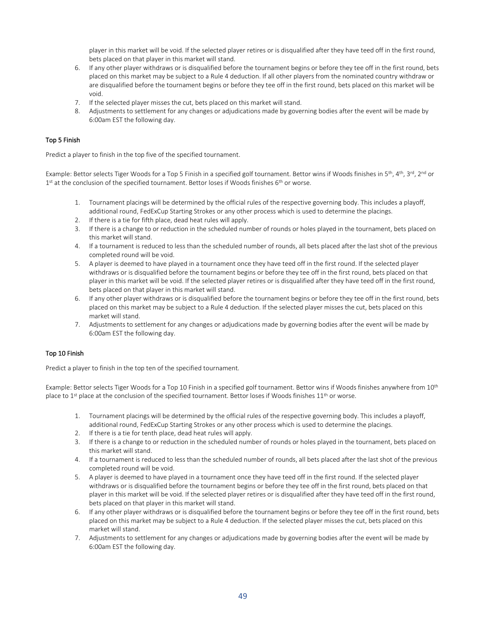player in this market will be void. If the selected player retires or is disqualified after they have teed off in the first round, bets placed on that player in this market will stand.

- 6. If any other player withdraws or is disqualified before the tournament begins or before they tee off in the first round, bets placed on this market may be subject to a Rule 4 deduction. If all other players from the nominated country withdraw or are disqualified before the tournament begins or before they tee off in the first round, bets placed on this market will be void.
- 7. If the selected player misses the cut, bets placed on this market will stand.
- 8. Adjustments to settlement for any changes or adjudications made by governing bodies after the event will be made by 6:00am EST the following day.

# Top 5 Finish

Predict a player to finish in the top five of the specified tournament.

Example: Bettor selects Tiger Woods for a Top 5 Finish in a specified golf tournament. Bettor wins if Woods finishes in 5<sup>th</sup>, 4<sup>th</sup>, 3<sup>rd</sup>, 2<sup>nd</sup> or 1<sup>st</sup> at the conclusion of the specified tournament. Bettor loses if Woods finishes 6<sup>th</sup> or worse.

- 1. Tournament placings will be determined by the official rules of the respective governing body. This includes a playoff, additional round, FedExCup Starting Strokes or any other process which is used to determine the placings.
- 2. If there is a tie for fifth place, dead heat rules will apply.
- 3. If there is a change to or reduction in the scheduled number of rounds or holes played in the tournament, bets placed on this market will stand.
- 4. If a tournament is reduced to less than the scheduled number of rounds, all bets placed after the last shot of the previous completed round will be void.
- 5. A player is deemed to have played in a tournament once they have teed off in the first round. If the selected player withdraws or is disqualified before the tournament begins or before they tee off in the first round, bets placed on that player in this market will be void. If the selected player retires or is disqualified after they have teed off in the first round, bets placed on that player in this market will stand.
- 6. If any other player withdraws or is disqualified before the tournament begins or before they tee off in the first round, bets placed on this market may be subject to a Rule 4 deduction. If the selected player misses the cut, bets placed on this market will stand.
- 7. Adjustments to settlement for any changes or adjudications made by governing bodies after the event will be made by 6:00am EST the following day.

### Top 10 Finish

Predict a player to finish in the top ten of the specified tournament.

Example: Bettor selects Tiger Woods for a Top 10 Finish in a specified golf tournament. Bettor wins if Woods finishes anywhere from 10<sup>th</sup> place to 1<sup>st</sup> place at the conclusion of the specified tournament. Bettor loses if Woods finishes 11<sup>th</sup> or worse.

- 1. Tournament placings will be determined by the official rules of the respective governing body. This includes a playoff, additional round, FedExCup Starting Strokes or any other process which is used to determine the placings.
- 2. If there is a tie for tenth place, dead heat rules will apply.
- 3. If there is a change to or reduction in the scheduled number of rounds or holes played in the tournament, bets placed on this market will stand.
- 4. If a tournament is reduced to less than the scheduled number of rounds, all bets placed after the last shot of the previous completed round will be void.
- 5. A player is deemed to have played in a tournament once they have teed off in the first round. If the selected player withdraws or is disqualified before the tournament begins or before they tee off in the first round, bets placed on that player in this market will be void. If the selected player retires or is disqualified after they have teed off in the first round, bets placed on that player in this market will stand.
- 6. If any other player withdraws or is disqualified before the tournament begins or before they tee off in the first round, bets placed on this market may be subject to a Rule 4 deduction. If the selected player misses the cut, bets placed on this market will stand.
- 7. Adjustments to settlement for any changes or adjudications made by governing bodies after the event will be made by 6:00am EST the following day.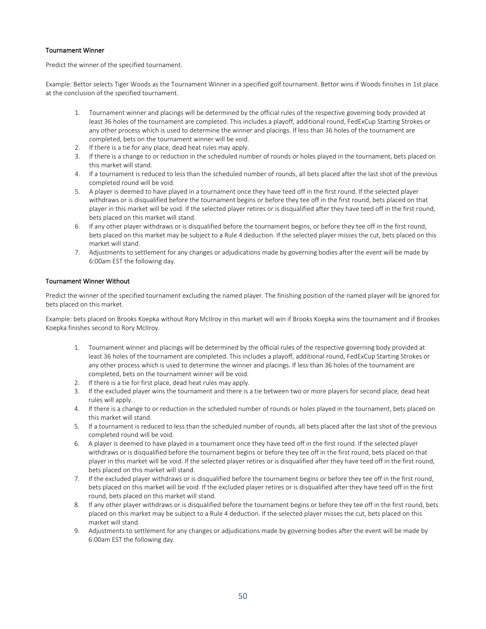### Tournament Winner

Predict the winner of the specified tournament.

Example: Bettor selects Tiger Woods as the Tournament Winner in a specified golf tournament. Bettor wins if Woods finishes in 1st place at the conclusion of the specified tournament.

- 1. Tournament winner and placings will be determined by the official rules of the respective governing body provided at least 36 holes of the tournament are completed. This includes a playoff, additional round, FedExCup Starting Strokes or any other process which is used to determine the winner and placings. If less than 36 holes of the tournament are completed, bets on the tournament winner will be void.
- 2. If there is a tie for any place, dead heat rules may apply.
- 3. If there is a change to or reduction in the scheduled number of rounds or holes played in the tournament, bets placed on this market will stand.
- 4. If a tournament is reduced to less than the scheduled number of rounds, all bets placed after the last shot of the previous completed round will be void.
- 5. A player is deemed to have played in a tournament once they have teed off in the first round. If the selected player withdraws or is disqualified before the tournament begins or before they tee off in the first round, bets placed on that player in this market will be void. If the selected player retires or is disqualified after they have teed off in the first round, bets placed on this market will stand.
- 6. If any other player withdraws or is disqualified before the tournament begins, or before they tee off in the first round, bets placed on this market may be subject to a Rule 4 deduction. If the selected player misses the cut, bets placed on this market will stand.
- 7. Adjustments to settlement for any changes or adjudications made by governing bodies after the event will be made by 6:00am EST the following day.

### Tournament Winner Without

Predict the winner of the specified tournament excluding the named player. The finishing position of the named player will be ignored for bets placed on this market.

Example: bets placed on Brooks Koepka without Rory McIIroy in this market will win if Brooks Koepka wins the tournament and if Brookes Koepka finishes second to Rory McIIroy.

- 1. Tournament winner and placings will be determined by the official rules of the respective governing body provided at least 36 holes of the tournament are completed. This includes a playoff, additional round, FedExCup Starting Strokes or any other process which is used to determine the winner and placings. If less than 36 holes of the tournament are completed, bets on the tournament winner will be void.
- 2. If there is a tie for first place, dead heat rules may apply.
- 3. If the excluded player wins the tournament and there is a tie between two or more players for second place, dead heat rules will apply.
- 4. If there is a change to or reduction in the scheduled number of rounds or holes played in the tournament, bets placed on this market will stand.
- 5. If a tournament is reduced to less than the scheduled number of rounds, all bets placed after the last shot of the previous completed round will be void.
- 6. A player is deemed to have played in a tournament once they have teed off in the first round. If the selected player withdraws or is disqualified before the tournament begins or before they tee off in the first round, bets placed on that player in this market will be void. If the selected player retires or is disqualified after they have teed off in the first round, bets placed on this market will stand.
- 7. If the excluded player withdraws or is disqualified before the tournament begins or before they tee off in the first round, bets placed on this market will be void. If the excluded player retires or is disqualified after they have teed off in the first round, bets placed on this market will stand.
- 8. If any other player withdraws or is disqualified before the tournament begins or before they tee off in the first round, bets placed on this market may be subject to a Rule 4 deduction. If the selected player misses the cut, bets placed on this market will stand.
- 9. Adjustments to settlement for any changes or adjudications made by governing bodies after the event will be made by 6:00am EST the following day.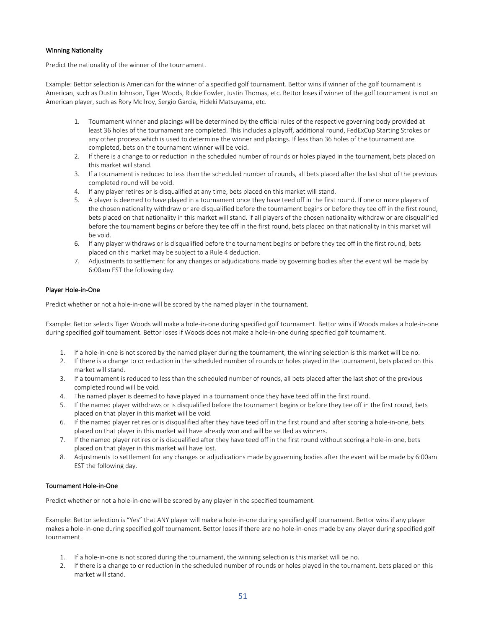### Winning Nationality

Predict the nationality of the winner of the tournament.

Example: Bettor selection is American for the winner of a specified golf tournament. Bettor wins if winner of the golf tournament is American, such as Dustin Johnson, Tiger Woods, Rickie Fowler, Justin Thomas, etc. Bettor loses if winner of the golf tournament is not an American player, such as Rory McIlroy, Sergio Garcia, Hideki Matsuyama, etc.

- 1. Tournament winner and placings will be determined by the official rules of the respective governing body provided at least 36 holes of the tournament are completed. This includes a playoff, additional round, FedExCup Starting Strokes or any other process which is used to determine the winner and placings. If less than 36 holes of the tournament are completed, bets on the tournament winner will be void.
- 2. If there is a change to or reduction in the scheduled number of rounds or holes played in the tournament, bets placed on this market will stand.
- 3. If a tournament is reduced to less than the scheduled number of rounds, all bets placed after the last shot of the previous completed round will be void.
- 4. If any player retires or is disqualified at any time, bets placed on this market will stand.
- 5. A player is deemed to have played in a tournament once they have teed off in the first round. If one or more players of the chosen nationality withdraw or are disqualified before the tournament begins or before they tee off in the first round, bets placed on that nationality in this market will stand. If all players of the chosen nationality withdraw or are disqualified before the tournament begins or before they tee off in the first round, bets placed on that nationality in this market will be void.
- 6. If any player withdraws or is disqualified before the tournament begins or before they tee off in the first round, bets placed on this market may be subject to a Rule 4 deduction.
- 7. Adjustments to settlement for any changes or adjudications made by governing bodies after the event will be made by 6:00am EST the following day.

### Player Hole-in-One

Predict whether or not a hole-in-one will be scored by the named player in the tournament.

Example: Bettor selects Tiger Woods will make a hole-in-one during specified golf tournament. Bettor wins if Woods makes a hole-in-one during specified golf tournament. Bettor loses if Woods does not make a hole-in-one during specified golf tournament.

- 1. If a hole-in-one is not scored by the named player during the tournament, the winning selection is this market will be no.
- 2. If there is a change to or reduction in the scheduled number of rounds or holes played in the tournament, bets placed on this market will stand.
- 3. If a tournament is reduced to less than the scheduled number of rounds, all bets placed after the last shot of the previous completed round will be void.
- 4. The named player is deemed to have played in a tournament once they have teed off in the first round.
- 5. If the named player withdraws or is disqualified before the tournament begins or before they tee off in the first round, bets placed on that player in this market will be void.
- 6. If the named player retires or is disqualified after they have teed off in the first round and after scoring a hole-in-one, bets placed on that player in this market will have already won and will be settled as winners.
- 7. If the named player retires or is disqualified after they have teed off in the first round without scoring a hole-in-one, bets placed on that player in this market will have lost.
- 8. Adjustments to settlement for any changes or adjudications made by governing bodies after the event will be made by 6:00am EST the following day.

### Tournament Hole-in-One

Predict whether or not a hole-in-one will be scored by any player in the specified tournament.

Example: Bettor selection is "Yes" that ANY player will make a hole-in-one during specified golf tournament. Bettor wins if any player makes a hole-in-one during specified golf tournament. Bettor loses if there are no hole-in-ones made by any player during specified golf tournament.

- 1. If a hole-in-one is not scored during the tournament, the winning selection is this market will be no.
- 2. If there is a change to or reduction in the scheduled number of rounds or holes played in the tournament, bets placed on this market will stand.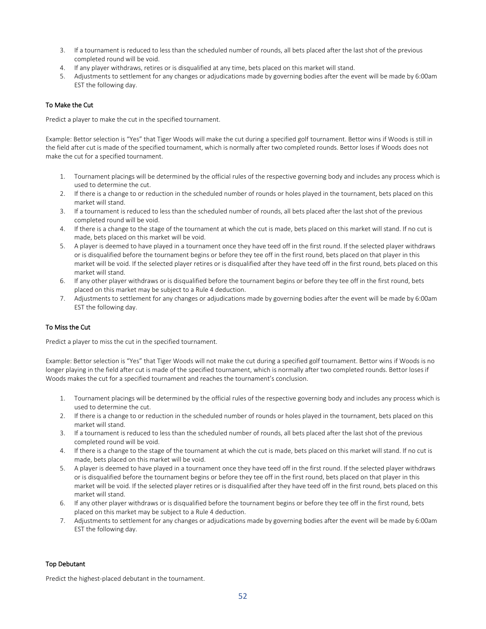- 3. If a tournament is reduced to less than the scheduled number of rounds, all bets placed after the last shot of the previous completed round will be void.
- 4. If any player withdraws, retires or is disqualified at any time, bets placed on this market will stand.
- 5. Adjustments to settlement for any changes or adjudications made by governing bodies after the event will be made by 6:00am EST the following day.

### To Make the Cut

Predict a player to make the cut in the specified tournament.

Example: Bettor selection is "Yes" that Tiger Woods will make the cut during a specified golf tournament. Bettor wins if Woods is still in the field after cut is made of the specified tournament, which is normally after two completed rounds. Bettor loses if Woods does not make the cut for a specified tournament.

- 1. Tournament placings will be determined by the official rules of the respective governing body and includes any process which is used to determine the cut.
- 2. If there is a change to or reduction in the scheduled number of rounds or holes played in the tournament, bets placed on this market will stand.
- 3. If a tournament is reduced to less than the scheduled number of rounds, all bets placed after the last shot of the previous completed round will be void.
- 4. If there is a change to the stage of the tournament at which the cut is made, bets placed on this market will stand. If no cut is made, bets placed on this market will be void.
- 5. A player is deemed to have played in a tournament once they have teed off in the first round. If the selected player withdraws or is disqualified before the tournament begins or before they tee off in the first round, bets placed on that player in this market will be void. If the selected player retires or is disqualified after they have teed off in the first round, bets placed on this market will stand.
- 6. If any other player withdraws or is disqualified before the tournament begins or before they tee off in the first round, bets placed on this market may be subject to a Rule 4 deduction.
- 7. Adjustments to settlement for any changes or adjudications made by governing bodies after the event will be made by 6:00am EST the following day.

### To Miss the Cut

Predict a player to miss the cut in the specified tournament.

Example: Bettor selection is "Yes" that Tiger Woods will not make the cut during a specified golf tournament. Bettor wins if Woods is no longer playing in the field after cut is made of the specified tournament, which is normally after two completed rounds. Bettor loses if Woods makes the cut for a specified tournament and reaches the tournament's conclusion.

- 1. Tournament placings will be determined by the official rules of the respective governing body and includes any process which is used to determine the cut.
- 2. If there is a change to or reduction in the scheduled number of rounds or holes played in the tournament, bets placed on this market will stand.
- 3. If a tournament is reduced to less than the scheduled number of rounds, all bets placed after the last shot of the previous completed round will be void.
- 4. If there is a change to the stage of the tournament at which the cut is made, bets placed on this market will stand. If no cut is made, bets placed on this market will be void.
- 5. A player is deemed to have played in a tournament once they have teed off in the first round. If the selected player withdraws or is disqualified before the tournament begins or before they tee off in the first round, bets placed on that player in this market will be void. If the selected player retires or is disqualified after they have teed off in the first round, bets placed on this market will stand.
- 6. If any other player withdraws or is disqualified before the tournament begins or before they tee off in the first round, bets placed on this market may be subject to a Rule 4 deduction.
- 7. Adjustments to settlement for any changes or adjudications made by governing bodies after the event will be made by 6:00am EST the following day.

#### Top Debutant

Predict the highest-placed debutant in the tournament.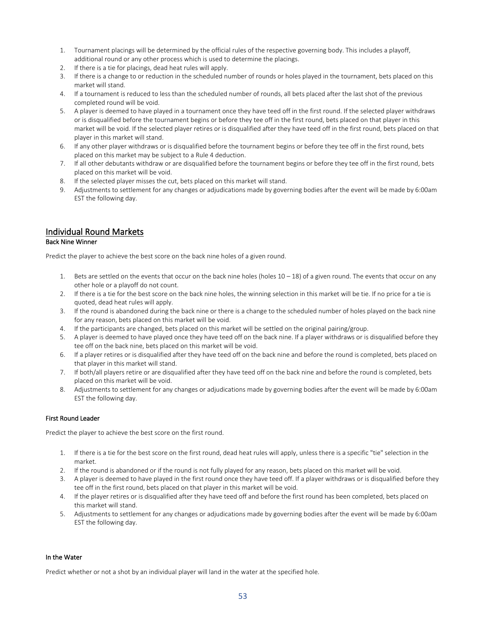- 1. Tournament placings will be determined by the official rules of the respective governing body. This includes a playoff, additional round or any other process which is used to determine the placings.
- 2. If there is a tie for placings, dead heat rules will apply.
- 3. If there is a change to or reduction in the scheduled number of rounds or holes played in the tournament, bets placed on this market will stand.
- 4. If a tournament is reduced to less than the scheduled number of rounds, all bets placed after the last shot of the previous completed round will be void.
- 5. A player is deemed to have played in a tournament once they have teed off in the first round. If the selected player withdraws or is disqualified before the tournament begins or before they tee off in the first round, bets placed on that player in this market will be void. If the selected player retires or is disqualified after they have teed off in the first round, bets placed on that player in this market will stand.
- 6. If any other player withdraws or is disqualified before the tournament begins or before they tee off in the first round, bets placed on this market may be subject to a Rule 4 deduction.
- 7. If all other debutants withdraw or are disqualified before the tournament begins or before they tee off in the first round, bets placed on this market will be void.
- 8. If the selected player misses the cut, bets placed on this market will stand.
- 9. Adjustments to settlement for any changes or adjudications made by governing bodies after the event will be made by 6:00am EST the following day.

# Individual Round Markets

## Back Nine Winner

Predict the player to achieve the best score on the back nine holes of a given round.

- 1. Bets are settled on the events that occur on the back nine holes (holes  $10 18$ ) of a given round. The events that occur on any other hole or a playoff do not count.
- 2. If there is a tie for the best score on the back nine holes, the winning selection in this market will be tie. If no price for a tie is quoted, dead heat rules will apply.
- 3. If the round is abandoned during the back nine or there is a change to the scheduled number of holes played on the back nine for any reason, bets placed on this market will be void.
- 4. If the participants are changed, bets placed on this market will be settled on the original pairing/group.
- 5. A player is deemed to have played once they have teed off on the back nine. If a player withdraws or is disqualified before they tee off on the back nine, bets placed on this market will be void.
- 6. If a player retires or is disqualified after they have teed off on the back nine and before the round is completed, bets placed on that player in this market will stand.
- 7. If both/all players retire or are disqualified after they have teed off on the back nine and before the round is completed, bets placed on this market will be void.
- 8. Adjustments to settlement for any changes or adjudications made by governing bodies after the event will be made by 6:00am EST the following day.

#### First Round Leader

Predict the player to achieve the best score on the first round.

- 1. If there is a tie for the best score on the first round, dead heat rules will apply, unless there is a specific "tie" selection in the market.
- 2. If the round is abandoned or if the round is not fully played for any reason, bets placed on this market will be void.
- 3. A player is deemed to have played in the first round once they have teed off. If a player withdraws or is disqualified before they tee off in the first round, bets placed on that player in this market will be void.
- 4. If the player retires or is disqualified after they have teed off and before the first round has been completed, bets placed on this market will stand.
- 5. Adjustments to settlement for any changes or adjudications made by governing bodies after the event will be made by 6:00am EST the following day.

#### In the Water

Predict whether or not a shot by an individual player will land in the water at the specified hole.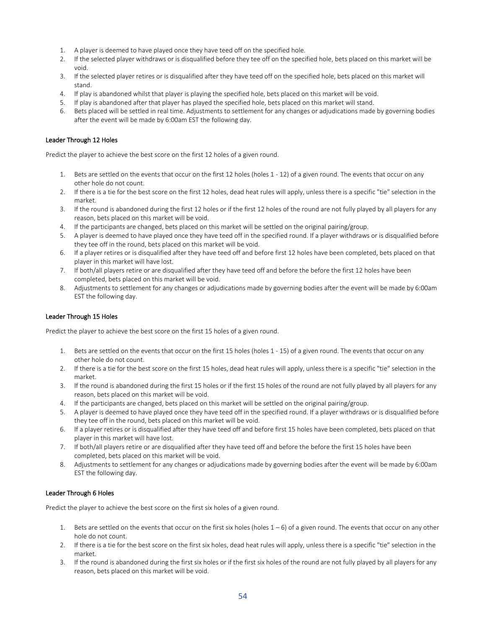- 1. A player is deemed to have played once they have teed off on the specified hole.
- 2. If the selected player withdraws or is disqualified before they tee off on the specified hole, bets placed on this market will be void.
- 3. If the selected player retires or is disqualified after they have teed off on the specified hole, bets placed on this market will stand.
- 4. If play is abandoned whilst that player is playing the specified hole, bets placed on this market will be void.
- 5. If play is abandoned after that player has played the specified hole, bets placed on this market will stand.
- 6. Bets placed will be settled in real time. Adjustments to settlement for any changes or adjudications made by governing bodies after the event will be made by 6:00am EST the following day.

### Leader Through 12 Holes

Predict the player to achieve the best score on the first 12 holes of a given round.

- 1. Bets are settled on the events that occur on the first 12 holes (holes 1 12) of a given round. The events that occur on any other hole do not count.
- 2. If there is a tie for the best score on the first 12 holes, dead heat rules will apply, unless there is a specific "tie" selection in the market.
- 3. If the round is abandoned during the first 12 holes or if the first 12 holes of the round are not fully played by all players for any reason, bets placed on this market will be void.
- 4. If the participants are changed, bets placed on this market will be settled on the original pairing/group.
- 5. A player is deemed to have played once they have teed off in the specified round. If a player withdraws or is disqualified before they tee off in the round, bets placed on this market will be void.
- 6. If a player retires or is disqualified after they have teed off and before first 12 holes have been completed, bets placed on that player in this market will have lost.
- 7. If both/all players retire or are disqualified after they have teed off and before the before the first 12 holes have been completed, bets placed on this market will be void.
- 8. Adjustments to settlement for any changes or adjudications made by governing bodies after the event will be made by 6:00am EST the following day.

### Leader Through 15 Holes

Predict the player to achieve the best score on the first 15 holes of a given round.

- 1. Bets are settled on the events that occur on the first 15 holes (holes 1 15) of a given round. The events that occur on any other hole do not count.
- 2. If there is a tie for the best score on the first 15 holes, dead heat rules will apply, unless there is a specific "tie" selection in the market.
- 3. If the round is abandoned during the first 15 holes or if the first 15 holes of the round are not fully played by all players for any reason, bets placed on this market will be void.
- 4. If the participants are changed, bets placed on this market will be settled on the original pairing/group.
- 5. A player is deemed to have played once they have teed off in the specified round. If a player withdraws or is disqualified before they tee off in the round, bets placed on this market will be void.
- 6. If a player retires or is disqualified after they have teed off and before first 15 holes have been completed, bets placed on that player in this market will have lost.
- 7. If both/all players retire or are disqualified after they have teed off and before the before the first 15 holes have been completed, bets placed on this market will be void.
- 8. Adjustments to settlement for any changes or adjudications made by governing bodies after the event will be made by 6:00am EST the following day.

### Leader Through 6 Holes

Predict the player to achieve the best score on the first six holes of a given round.

- 1. Bets are settled on the events that occur on the first six holes (holes  $1-6$ ) of a given round. The events that occur on any other hole do not count.
- 2. If there is a tie for the best score on the first six holes, dead heat rules will apply, unless there is a specific "tie" selection in the market.
- 3. If the round is abandoned during the first six holes or if the first six holes of the round are not fully played by all players for any reason, bets placed on this market will be void.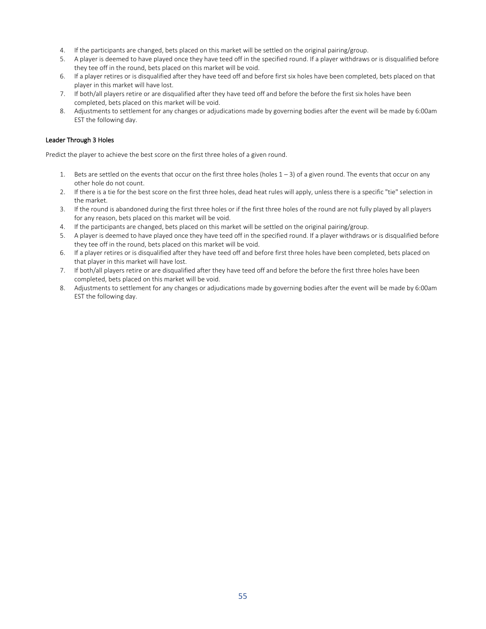- 4. If the participants are changed, bets placed on this market will be settled on the original pairing/group.
- 5. A player is deemed to have played once they have teed off in the specified round. If a player withdraws or is disqualified before they tee off in the round, bets placed on this market will be void.
- 6. If a player retires or is disqualified after they have teed off and before first six holes have been completed, bets placed on that player in this market will have lost.
- 7. If both/all players retire or are disqualified after they have teed off and before the before the first six holes have been completed, bets placed on this market will be void.
- 8. Adjustments to settlement for any changes or adjudications made by governing bodies after the event will be made by 6:00am EST the following day.

### Leader Through 3 Holes

Predict the player to achieve the best score on the first three holes of a given round.

- 1. Bets are settled on the events that occur on the first three holes (holes  $1-3$ ) of a given round. The events that occur on any other hole do not count.
- 2. If there is a tie for the best score on the first three holes, dead heat rules will apply, unless there is a specific "tie" selection in the market.
- 3. If the round is abandoned during the first three holes or if the first three holes of the round are not fully played by all players for any reason, bets placed on this market will be void.
- 4. If the participants are changed, bets placed on this market will be settled on the original pairing/group.
- 5. A player is deemed to have played once they have teed off in the specified round. If a player withdraws or is disqualified before they tee off in the round, bets placed on this market will be void.
- 6. If a player retires or is disqualified after they have teed off and before first three holes have been completed, bets placed on that player in this market will have lost.
- 7. If both/all players retire or are disqualified after they have teed off and before the before the first three holes have been completed, bets placed on this market will be void.
- 8. Adjustments to settlement for any changes or adjudications made by governing bodies after the event will be made by 6:00am EST the following day.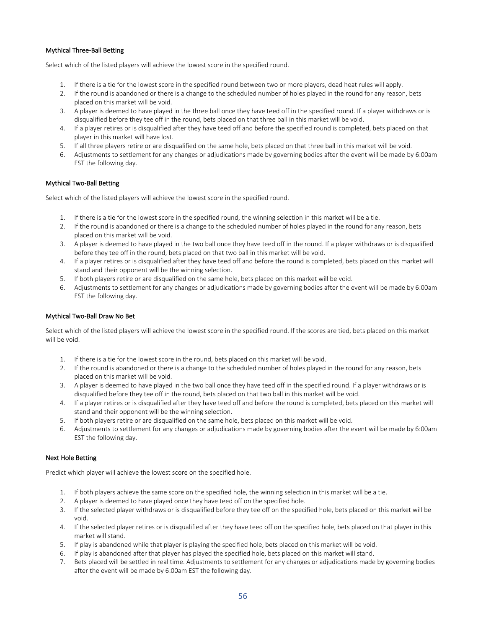# Mythical Three-Ball Betting

Select which of the listed players will achieve the lowest score in the specified round.

- 1. If there is a tie for the lowest score in the specified round between two or more players, dead heat rules will apply.
- 2. If the round is abandoned or there is a change to the scheduled number of holes played in the round for any reason, bets placed on this market will be void.
- 3. A player is deemed to have played in the three ball once they have teed off in the specified round. If a player withdraws or is disqualified before they tee off in the round, bets placed on that three ball in this market will be void.
- 4. If a player retires or is disqualified after they have teed off and before the specified round is completed, bets placed on that player in this market will have lost.
- 5. If all three players retire or are disqualified on the same hole, bets placed on that three ball in this market will be void.
- 6. Adjustments to settlement for any changes or adjudications made by governing bodies after the event will be made by 6:00am EST the following day.

### Mythical Two-Ball Betting

Select which of the listed players will achieve the lowest score in the specified round.

- 1. If there is a tie for the lowest score in the specified round, the winning selection in this market will be a tie.
- 2. If the round is abandoned or there is a change to the scheduled number of holes played in the round for any reason, bets placed on this market will be void.
- 3. A player is deemed to have played in the two ball once they have teed off in the round. If a player withdraws or is disqualified before they tee off in the round, bets placed on that two ball in this market will be void.
- 4. If a player retires or is disqualified after they have teed off and before the round is completed, bets placed on this market will stand and their opponent will be the winning selection.
- 5. If both players retire or are disqualified on the same hole, bets placed on this market will be void.
- 6. Adjustments to settlement for any changes or adjudications made by governing bodies after the event will be made by 6:00am EST the following day.

### Mythical Two-Ball Draw No Bet

Select which of the listed players will achieve the lowest score in the specified round. If the scores are tied, bets placed on this market will be void.

- 1. If there is a tie for the lowest score in the round, bets placed on this market will be void.
- 2. If the round is abandoned or there is a change to the scheduled number of holes played in the round for any reason, bets placed on this market will be void.
- 3. A player is deemed to have played in the two ball once they have teed off in the specified round. If a player withdraws or is disqualified before they tee off in the round, bets placed on that two ball in this market will be void.
- 4. If a player retires or is disqualified after they have teed off and before the round is completed, bets placed on this market will stand and their opponent will be the winning selection.
- 5. If both players retire or are disqualified on the same hole, bets placed on this market will be void.
- 6. Adjustments to settlement for any changes or adjudications made by governing bodies after the event will be made by 6:00am EST the following day.

### Next Hole Betting

Predict which player will achieve the lowest score on the specified hole.

- 1. If both players achieve the same score on the specified hole, the winning selection in this market will be a tie.
- 2. A player is deemed to have played once they have teed off on the specified hole.
- 3. If the selected player withdraws or is disqualified before they tee off on the specified hole, bets placed on this market will be void.
- 4. If the selected player retires or is disqualified after they have teed off on the specified hole, bets placed on that player in this market will stand.
- 5. If play is abandoned while that player is playing the specified hole, bets placed on this market will be void.
- 6. If play is abandoned after that player has played the specified hole, bets placed on this market will stand.
- 7. Bets placed will be settled in real time. Adjustments to settlement for any changes or adjudications made by governing bodies after the event will be made by 6:00am EST the following day.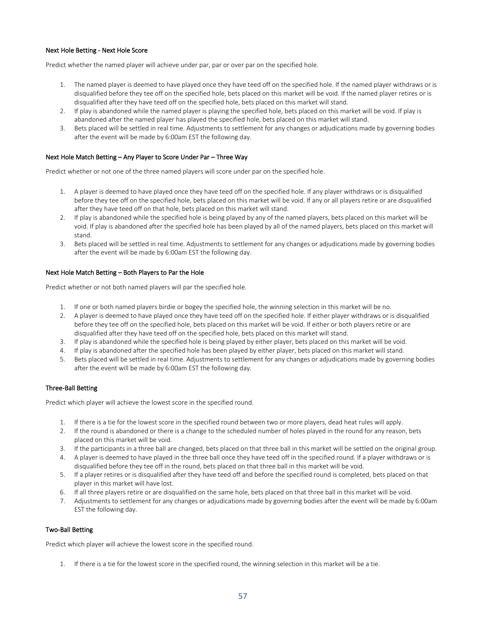### Next Hole Betting - Next Hole Score

Predict whether the named player will achieve under par, par or over par on the specified hole.

- 1. The named player is deemed to have played once they have teed off on the specified hole. If the named player withdraws or is disqualified before they tee off on the specified hole, bets placed on this market will be void. If the named player retires or is disqualified after they have teed off on the specified hole, bets placed on this market will stand.
- 2. If play is abandoned while the named player is playing the specified hole, bets placed on this market will be void. If play is abandoned after the named player has played the specified hole, bets placed on this market will stand.
- 3. Bets placed will be settled in real time. Adjustments to settlement for any changes or adjudications made by governing bodies after the event will be made by 6:00am EST the following day.

#### Next Hole Match Betting – Any Player to Score Under Par – Three Way

Predict whether or not one of the three named players will score under par on the specified hole.

- 1. A player is deemed to have played once they have teed off on the specified hole. If any player withdraws or is disqualified before they tee off on the specified hole, bets placed on this market will be void. If any or all players retire or are disqualified after they have teed off on that hole, bets placed on this market will stand.
- 2. If play is abandoned while the specified hole is being played by any of the named players, bets placed on this market will be void. If play is abandoned after the specified hole has been played by all of the named players, bets placed on this market will stand.
- 3. Bets placed will be settled in real time. Adjustments to settlement for any changes or adjudications made by governing bodies after the event will be made by 6:00am EST the following day.

#### Next Hole Match Betting – Both Players to Par the Hole

Predict whether or not both named players will par the specified hole.

- 1. If one or both named players birdie or bogey the specified hole, the winning selection in this market will be no.
- 2. A player is deemed to have played once they have teed off on the specified hole. If either player withdraws or is disqualified before they tee off on the specified hole, bets placed on this market will be void. If either or both players retire or are disqualified after they have teed off on the specified hole, bets placed on this market will stand.
- 3. If play is abandoned while the specified hole is being played by either player, bets placed on this market will be void.
- 4. If play is abandoned after the specified hole has been played by either player, bets placed on this market will stand.
- 5. Bets placed will be settled in real time. Adjustments to settlement for any changes or adjudications made by governing bodies after the event will be made by 6:00am EST the following day.

#### Three-Ball Betting

Predict which player will achieve the lowest score in the specified round.

- 1. If there is a tie for the lowest score in the specified round between two or more players, dead heat rules will apply.
- 2. If the round is abandoned or there is a change to the scheduled number of holes played in the round for any reason, bets placed on this market will be void.
- 3. If the participants in a three ball are changed, bets placed on that three ball in this market will be settled on the original group.
- 4. A player is deemed to have played in the three ball once they have teed off in the specified round. If a player withdraws or is disqualified before they tee off in the round, bets placed on that three ball in this market will be void.
- 5. If a player retires or is disqualified after they have teed off and before the specified round is completed, bets placed on that player in this market will have lost.
- 6. If all three players retire or are disqualified on the same hole, bets placed on that three ball in this market will be void.
- 7. Adjustments to settlement for any changes or adjudications made by governing bodies after the event will be made by 6:00am EST the following day.

#### Two-Ball Betting

Predict which player will achieve the lowest score in the specified round.

1. If there is a tie for the lowest score in the specified round, the winning selection in this market will be a tie.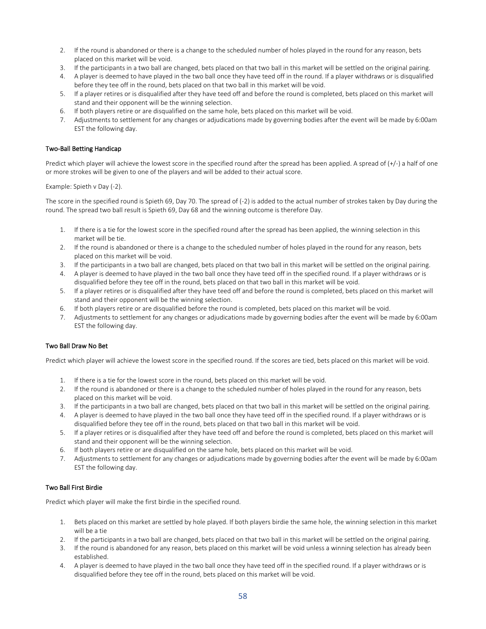- 2. If the round is abandoned or there is a change to the scheduled number of holes played in the round for any reason, bets placed on this market will be void.
- 3. If the participants in a two ball are changed, bets placed on that two ball in this market will be settled on the original pairing.
- 4. A player is deemed to have played in the two ball once they have teed off in the round. If a player withdraws or is disqualified before they tee off in the round, bets placed on that two ball in this market will be void.
- 5. If a player retires or is disqualified after they have teed off and before the round is completed, bets placed on this market will stand and their opponent will be the winning selection.
- 6. If both players retire or are disqualified on the same hole, bets placed on this market will be void.
- 7. Adjustments to settlement for any changes or adjudications made by governing bodies after the event will be made by 6:00am EST the following day.

### Two-Ball Betting Handicap

Predict which player will achieve the lowest score in the specified round after the spread has been applied. A spread of  $(+)$  a half of one or more strokes will be given to one of the players and will be added to their actual score.

Example: Spieth v Day (-2).

The score in the specified round is Spieth 69, Day 70. The spread of (-2) is added to the actual number of strokes taken by Day during the round. The spread two ball result is Spieth 69, Day 68 and the winning outcome is therefore Day.

- 1. If there is a tie for the lowest score in the specified round after the spread has been applied, the winning selection in this market will be tie.
- 2. If the round is abandoned or there is a change to the scheduled number of holes played in the round for any reason, bets placed on this market will be void.
- 3. If the participants in a two ball are changed, bets placed on that two ball in this market will be settled on the original pairing.
- 4. A player is deemed to have played in the two ball once they have teed off in the specified round. If a player withdraws or is disqualified before they tee off in the round, bets placed on that two ball in this market will be void.
- 5. If a player retires or is disqualified after they have teed off and before the round is completed, bets placed on this market will stand and their opponent will be the winning selection.
- 6. If both players retire or are disqualified before the round is completed, bets placed on this market will be void.
- 7. Adjustments to settlement for any changes or adjudications made by governing bodies after the event will be made by 6:00am EST the following day.

### Two Ball Draw No Bet

Predict which player will achieve the lowest score in the specified round. If the scores are tied, bets placed on this market will be void.

- 1. If there is a tie for the lowest score in the round, bets placed on this market will be void.
- 2. If the round is abandoned or there is a change to the scheduled number of holes played in the round for any reason, bets placed on this market will be void.
- 3. If the participants in a two ball are changed, bets placed on that two ball in this market will be settled on the original pairing.
- 4. A player is deemed to have played in the two ball once they have teed off in the specified round. If a player withdraws or is disqualified before they tee off in the round, bets placed on that two ball in this market will be void.
- 5. If a player retires or is disqualified after they have teed off and before the round is completed, bets placed on this market will stand and their opponent will be the winning selection.
- 6. If both players retire or are disqualified on the same hole, bets placed on this market will be void.
- 7. Adjustments to settlement for any changes or adjudications made by governing bodies after the event will be made by 6:00am EST the following day.

# Two Ball First Birdie

Predict which player will make the first birdie in the specified round.

- 1. Bets placed on this market are settled by hole played. If both players birdie the same hole, the winning selection in this market will be a tie
- 2. If the participants in a two ball are changed, bets placed on that two ball in this market will be settled on the original pairing.
- 3. If the round is abandoned for any reason, bets placed on this market will be void unless a winning selection has already been established.
- 4. A player is deemed to have played in the two ball once they have teed off in the specified round. If a player withdraws or is disqualified before they tee off in the round, bets placed on this market will be void.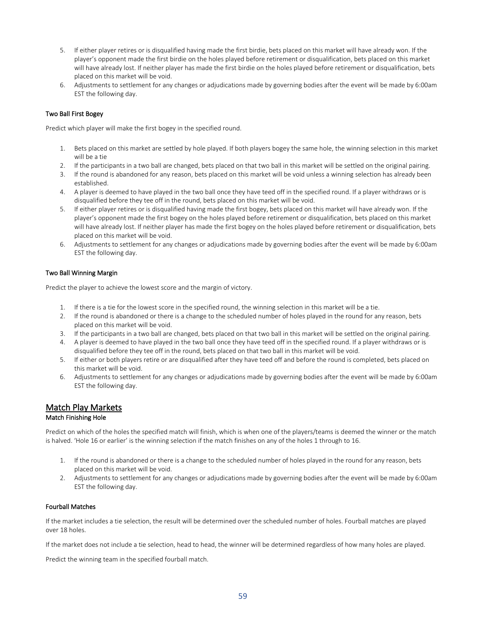- 5. If either player retires or is disqualified having made the first birdie, bets placed on this market will have already won. If the player's opponent made the first birdie on the holes played before retirement or disqualification, bets placed on this market will have already lost. If neither player has made the first birdie on the holes played before retirement or disqualification, bets placed on this market will be void.
- 6. Adjustments to settlement for any changes or adjudications made by governing bodies after the event will be made by 6:00am EST the following day.

### Two Ball First Bogey

Predict which player will make the first bogey in the specified round.

- 1. Bets placed on this market are settled by hole played. If both players bogey the same hole, the winning selection in this market will be a tie
- 2. If the participants in a two ball are changed, bets placed on that two ball in this market will be settled on the original pairing.
- 3. If the round is abandoned for any reason, bets placed on this market will be void unless a winning selection has already been established.
- 4. A player is deemed to have played in the two ball once they have teed off in the specified round. If a player withdraws or is disqualified before they tee off in the round, bets placed on this market will be void.
- 5. If either player retires or is disqualified having made the first bogey, bets placed on this market will have already won. If the player's opponent made the first bogey on the holes played before retirement or disqualification, bets placed on this market will have already lost. If neither player has made the first bogey on the holes played before retirement or disqualification, bets placed on this market will be void.
- 6. Adjustments to settlement for any changes or adjudications made by governing bodies after the event will be made by 6:00am EST the following day.

### Two Ball Winning Margin

Predict the player to achieve the lowest score and the margin of victory.

- 1. If there is a tie for the lowest score in the specified round, the winning selection in this market will be a tie.
- 2. If the round is abandoned or there is a change to the scheduled number of holes played in the round for any reason, bets placed on this market will be void.
- 3. If the participants in a two ball are changed, bets placed on that two ball in this market will be settled on the original pairing.
- 4. A player is deemed to have played in the two ball once they have teed off in the specified round. If a player withdraws or is disqualified before they tee off in the round, bets placed on that two ball in this market will be void.
- 5. If either or both players retire or are disqualified after they have teed off and before the round is completed, bets placed on this market will be void.
- 6. Adjustments to settlement for any changes or adjudications made by governing bodies after the event will be made by 6:00am EST the following day.

# Match Play Markets

### Match Finishing Hole

Predict on which of the holes the specified match will finish, which is when one of the players/teams is deemed the winner or the match is halved. 'Hole 16 or earlier' is the winning selection if the match finishes on any of the holes 1 through to 16.

- 1. If the round is abandoned or there is a change to the scheduled number of holes played in the round for any reason, bets placed on this market will be void.
- 2. Adjustments to settlement for any changes or adjudications made by governing bodies after the event will be made by 6:00am EST the following day.

# Fourball Matches

If the market includes a tie selection, the result will be determined over the scheduled number of holes. Fourball matches are played over 18 holes.

If the market does not include a tie selection, head to head, the winner will be determined regardless of how many holes are played.

Predict the winning team in the specified fourball match.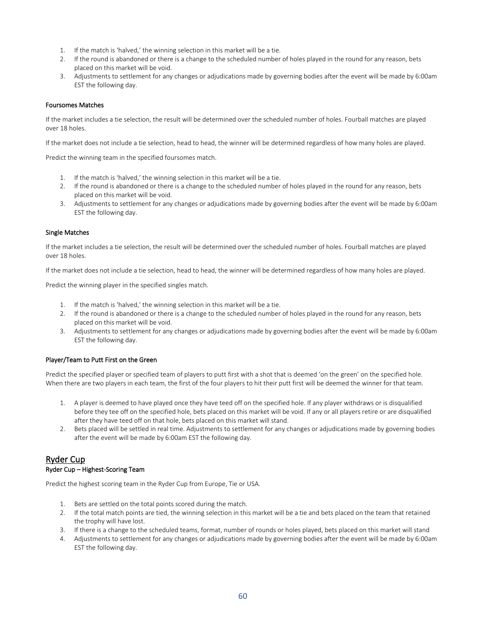- 1. If the match is 'halved,' the winning selection in this market will be a tie.
- 2. If the round is abandoned or there is a change to the scheduled number of holes played in the round for any reason, bets placed on this market will be void.
- 3. Adjustments to settlement for any changes or adjudications made by governing bodies after the event will be made by 6:00am EST the following day.

### Foursomes Matches

If the market includes a tie selection, the result will be determined over the scheduled number of holes. Fourball matches are played over 18 holes.

If the market does not include a tie selection, head to head, the winner will be determined regardless of how many holes are played.

Predict the winning team in the specified foursomes match.

- 1. If the match is 'halved,' the winning selection in this market will be a tie.
- 2. If the round is abandoned or there is a change to the scheduled number of holes played in the round for any reason, bets placed on this market will be void.
- 3. Adjustments to settlement for any changes or adjudications made by governing bodies after the event will be made by 6:00am EST the following day.

### Single Matches

If the market includes a tie selection, the result will be determined over the scheduled number of holes. Fourball matches are played over 18 holes.

If the market does not include a tie selection, head to head, the winner will be determined regardless of how many holes are played.

Predict the winning player in the specified singles match.

- 1. If the match is 'halved,' the winning selection in this market will be a tie.
- 2. If the round is abandoned or there is a change to the scheduled number of holes played in the round for any reason, bets placed on this market will be void.
- 3. Adjustments to settlement for any changes or adjudications made by governing bodies after the event will be made by 6:00am EST the following day.

# Player/Team to Putt First on the Green

Predict the specified player or specified team of players to putt first with a shot that is deemed 'on the green' on the specified hole. When there are two players in each team, the first of the four players to hit their putt first will be deemed the winner for that team.

- 1. A player is deemed to have played once they have teed off on the specified hole. If any player withdraws or is disqualified before they tee off on the specified hole, bets placed on this market will be void. If any or all players retire or are disqualified after they have teed off on that hole, bets placed on this market will stand.
- 2. Bets placed will be settled in real time. Adjustments to settlement for any changes or adjudications made by governing bodies after the event will be made by 6:00am EST the following day.

# Ryder Cup Ryder Cup – Highest-Scoring Team

Predict the highest scoring team in the Ryder Cup from Europe, Tie or USA.

- 1. Bets are settled on the total points scored during the match.
- 2. If the total match points are tied, the winning selection in this market will be a tie and bets placed on the team that retained the trophy will have lost.
- 3. If there is a change to the scheduled teams, format, number of rounds or holes played, bets placed on this market will stand
- 4. Adjustments to settlement for any changes or adjudications made by governing bodies after the event will be made by 6:00am EST the following day.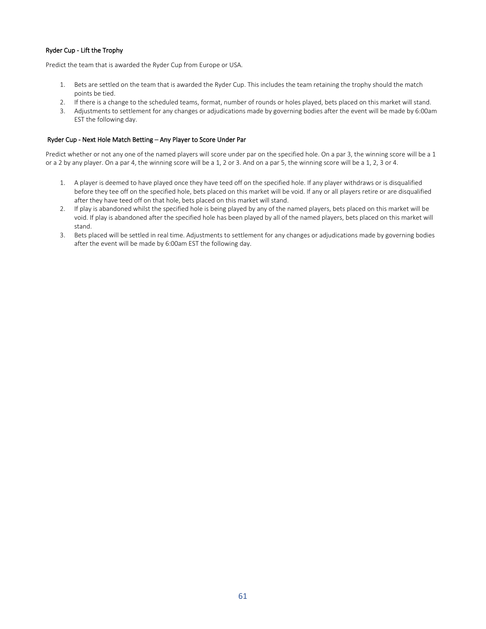### Ryder Cup - Lift the Trophy

Predict the team that is awarded the Ryder Cup from Europe or USA.

- 1. Bets are settled on the team that is awarded the Ryder Cup. This includes the team retaining the trophy should the match points be tied.
- 2. If there is a change to the scheduled teams, format, number of rounds or holes played, bets placed on this market will stand.
- 3. Adjustments to settlement for any changes or adjudications made by governing bodies after the event will be made by 6:00am EST the following day.

## Ryder Cup - Next Hole Match Betting – Any Player to Score Under Par

Predict whether or not any one of the named players will score under par on the specified hole. On a par 3, the winning score will be a 1 or a 2 by any player. On a par 4, the winning score will be a 1, 2 or 3. And on a par 5, the winning score will be a 1, 2, 3 or 4.

- 1. A player is deemed to have played once they have teed off on the specified hole. If any player withdraws or is disqualified before they tee off on the specified hole, bets placed on this market will be void. If any or all players retire or are disqualified after they have teed off on that hole, bets placed on this market will stand.
- 2. If play is abandoned whilst the specified hole is being played by any of the named players, bets placed on this market will be void. If play is abandoned after the specified hole has been played by all of the named players, bets placed on this market will stand.
- 3. Bets placed will be settled in real time. Adjustments to settlement for any changes or adjudications made by governing bodies after the event will be made by 6:00am EST the following day.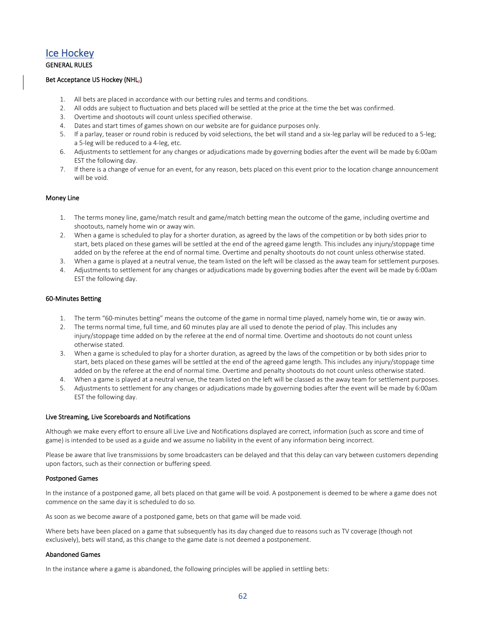# Ice Hockey

### GENERAL RULES

#### Bet Acceptance US Hockey (NHL<sub>7</sub>)

- 1. All bets are placed in accordance with our betting rules and terms and conditions.
- 2. All odds are subject to fluctuation and bets placed will be settled at the price at the time the bet was confirmed.
- 3. Overtime and shootouts will count unless specified otherwise.
- 4. Dates and start times of games shown on our website are for guidance purposes only.
- 5. If a parlay, teaser or round robin is reduced by void selections, the bet will stand and a six-leg parlay will be reduced to a 5-leg; a 5-leg will be reduced to a 4-leg, etc.
- 6. Adjustments to settlement for any changes or adjudications made by governing bodies after the event will be made by 6:00am EST the following day.
- 7. If there is a change of venue for an event, for any reason, bets placed on this event prior to the location change announcement will be void.

#### Money Line

- 1. The terms money line, game/match result and game/match betting mean the outcome of the game, including overtime and shootouts, namely home win or away win.
- 2. When a game is scheduled to play for a shorter duration, as agreed by the laws of the competition or by both sides prior to start, bets placed on these games will be settled at the end of the agreed game length. This includes any injury/stoppage time added on by the referee at the end of normal time. Overtime and penalty shootouts do not count unless otherwise stated.
- 3. When a game is played at a neutral venue, the team listed on the left will be classed as the away team for settlement purposes.
- 4. Adjustments to settlement for any changes or adjudications made by governing bodies after the event will be made by 6:00am EST the following day.

#### 60-Minutes Betting

- 1. The term "60-minutes betting" means the outcome of the game in normal time played, namely home win, tie or away win.
- 2. The terms normal time, full time, and 60 minutes play are all used to denote the period of play. This includes any injury/stoppage time added on by the referee at the end of normal time. Overtime and shootouts do not count unless otherwise stated.
- 3. When a game is scheduled to play for a shorter duration, as agreed by the laws of the competition or by both sides prior to start, bets placed on these games will be settled at the end of the agreed game length. This includes any injury/stoppage time added on by the referee at the end of normal time. Overtime and penalty shootouts do not count unless otherwise stated.
- 4. When a game is played at a neutral venue, the team listed on the left will be classed as the away team for settlement purposes.
- 5. Adjustments to settlement for any changes or adjudications made by governing bodies after the event will be made by 6:00am EST the following day.

#### Live Streaming, Live Scoreboards and Notifications

Although we make every effort to ensure all Live Live and Notifications displayed are correct, information (such as score and time of game) is intended to be used as a guide and we assume no liability in the event of any information being incorrect.

Please be aware that live transmissions by some broadcasters can be delayed and that this delay can vary between customers depending upon factors, such as their connection or buffering speed.

#### Postponed Games

In the instance of a postponed game, all bets placed on that game will be void. A postponement is deemed to be where a game does not commence on the same day it is scheduled to do so.

As soon as we become aware of a postponed game, bets on that game will be made void.

Where bets have been placed on a game that subsequently has its day changed due to reasons such as TV coverage (though not exclusively), bets will stand, as this change to the game date is not deemed a postponement.

### Abandoned Games

In the instance where a game is abandoned, the following principles will be applied in settling bets: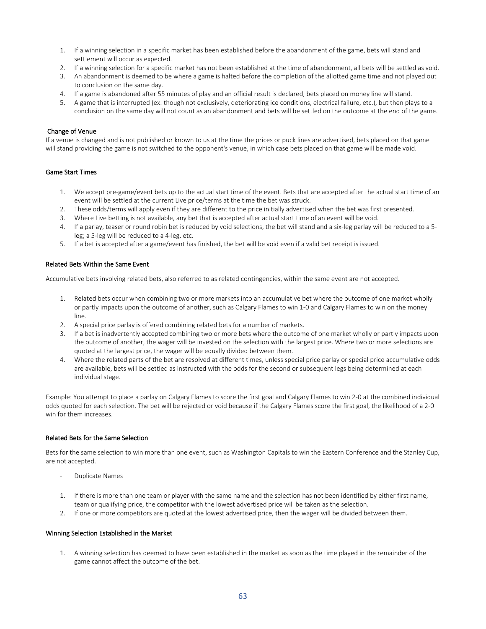- 1. If a winning selection in a specific market has been established before the abandonment of the game, bets will stand and settlement will occur as expected.
- 2. If a winning selection for a specific market has not been established at the time of abandonment, all bets will be settled as void.
- 3. An abandonment is deemed to be where a game is halted before the completion of the allotted game time and not played out to conclusion on the same day.
- 4. If a game is abandoned after 55 minutes of play and an official result is declared, bets placed on money line will stand.
- 5. A game that is interrupted (ex: though not exclusively, deteriorating ice conditions, electrical failure, etc.), but then plays to a conclusion on the same day will not count as an abandonment and bets will be settled on the outcome at the end of the game.

#### Change of Venue

If a venue is changed and is not published or known to us at the time the prices or puck lines are advertised, bets placed on that game will stand providing the game is not switched to the opponent's venue, in which case bets placed on that game will be made void.

#### Game Start Times

- 1. We accept pre-game/event bets up to the actual start time of the event. Bets that are accepted after the actual start time of an event will be settled at the current Live price/terms at the time the bet was struck.
- 2. These odds/terms will apply even if they are different to the price initially advertised when the bet was first presented.
- 3. Where Live betting is not available, any bet that is accepted after actual start time of an event will be void.
- 4. If a parlay, teaser or round robin bet is reduced by void selections, the bet will stand and a six-leg parlay will be reduced to a 5 leg; a 5-leg will be reduced to a 4-leg, etc.
- 5. If a bet is accepted after a game/event has finished, the bet will be void even if a valid bet receipt is issued.

#### Related Bets Within the Same Event

Accumulative bets involving related bets, also referred to as related contingencies, within the same event are not accepted.

- 1. Related bets occur when combining two or more markets into an accumulative bet where the outcome of one market wholly or partly impacts upon the outcome of another, such as Calgary Flames to win 1-0 and Calgary Flames to win on the money line.
- 2. A special price parlay is offered combining related bets for a number of markets.
- 3. If a bet is inadvertently accepted combining two or more bets where the outcome of one market wholly or partly impacts upon the outcome of another, the wager will be invested on the selection with the largest price. Where two or more selections are quoted at the largest price, the wager will be equally divided between them.
- 4. Where the related parts of the bet are resolved at different times, unless special price parlay or special price accumulative odds are available, bets will be settled as instructed with the odds for the second or subsequent legs being determined at each individual stage.

Example: You attempt to place a parlay on Calgary Flames to score the first goal and Calgary Flames to win 2-0 at the combined individual odds quoted for each selection. The bet will be rejected or void because if the Calgary Flames score the first goal, the likelihood of a 2-0 win for them increases.

#### Related Bets for the Same Selection

Bets for the same selection to win more than one event, such as Washington Capitals to win the Eastern Conference and the Stanley Cup, are not accepted.

- Duplicate Names
- 1. If there is more than one team or player with the same name and the selection has not been identified by either first name, team or qualifying price, the competitor with the lowest advertised price will be taken as the selection.
- 2. If one or more competitors are quoted at the lowest advertised price, then the wager will be divided between them.

### Winning Selection Established in the Market

1. A winning selection has deemed to have been established in the market as soon as the time played in the remainder of the game cannot affect the outcome of the bet.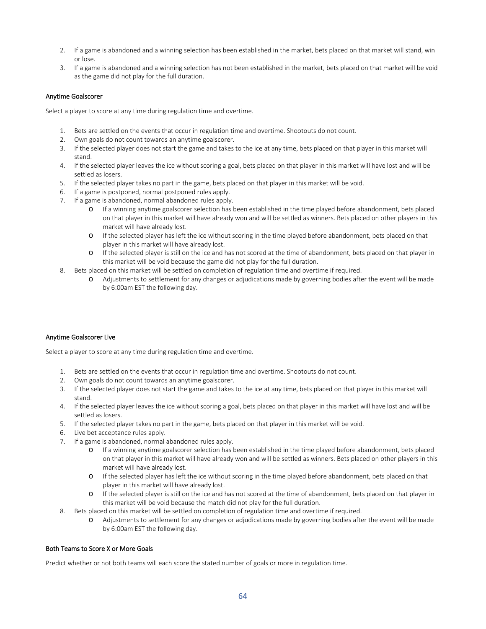- 2. If a game is abandoned and a winning selection has been established in the market, bets placed on that market will stand, win or lose.
- 3. If a game is abandoned and a winning selection has not been established in the market, bets placed on that market will be void as the game did not play for the full duration.

### Anytime Goalscorer

Select a player to score at any time during regulation time and overtime.

- 1. Bets are settled on the events that occur in regulation time and overtime. Shootouts do not count.
- 2. Own goals do not count towards an anytime goalscorer.
- 3. If the selected player does not start the game and takes to the ice at any time, bets placed on that player in this market will stand.
- 4. If the selected player leaves the ice without scoring a goal, bets placed on that player in this market will have lost and will be settled as losers.
- 5. If the selected player takes no part in the game, bets placed on that player in this market will be void.
- 6. If a game is postponed, normal postponed rules apply.
- 7. If a game is abandoned, normal abandoned rules apply.
	- o If a winning anytime goalscorer selection has been established in the time played before abandonment, bets placed on that player in this market will have already won and will be settled as winners. Bets placed on other players in this market will have already lost.
	- o If the selected player has left the ice without scoring in the time played before abandonment, bets placed on that player in this market will have already lost.
	- o If the selected player is still on the ice and has not scored at the time of abandonment, bets placed on that player in this market will be void because the game did not play for the full duration.
- 8. Bets placed on this market will be settled on completion of regulation time and overtime if required.
	- o Adjustments to settlement for any changes or adjudications made by governing bodies after the event will be made by 6:00am EST the following day.

#### Anytime Goalscorer Live

Select a player to score at any time during regulation time and overtime.

- 1. Bets are settled on the events that occur in regulation time and overtime. Shootouts do not count.
- 2. Own goals do not count towards an anytime goalscorer.
- 3. If the selected player does not start the game and takes to the ice at any time, bets placed on that player in this market will stand.
- 4. If the selected player leaves the ice without scoring a goal, bets placed on that player in this market will have lost and will be settled as losers.
- 5. If the selected player takes no part in the game, bets placed on that player in this market will be void.
- 6. Live bet acceptance rules apply.
- 7. If a game is abandoned, normal abandoned rules apply.
	- o If a winning anytime goalscorer selection has been established in the time played before abandonment, bets placed on that player in this market will have already won and will be settled as winners. Bets placed on other players in this market will have already lost.
	- o If the selected player has left the ice without scoring in the time played before abandonment, bets placed on that player in this market will have already lost.
	- o If the selected player is still on the ice and has not scored at the time of abandonment, bets placed on that player in this market will be void because the match did not play for the full duration.
- 8. Bets placed on this market will be settled on completion of regulation time and overtime if required.
	- o Adjustments to settlement for any changes or adjudications made by governing bodies after the event will be made by 6:00am EST the following day.

#### Both Teams to Score X or More Goals

Predict whether or not both teams will each score the stated number of goals or more in regulation time.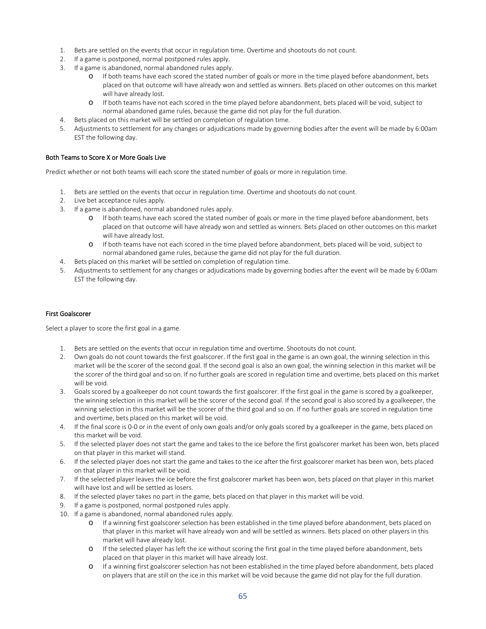- 1. Bets are settled on the events that occur in regulation time. Overtime and shootouts do not count.
- 2. If a game is postponed, normal postponed rules apply.
- 3. If a game is abandoned, normal abandoned rules apply.
	- o If both teams have each scored the stated number of goals or more in the time played before abandonment, bets placed on that outcome will have already won and settled as winners. Bets placed on other outcomes on this market will have already lost.
	- o If both teams have not each scored in the time played before abandonment, bets placed will be void, subject to normal abandoned game rules, because the game did not play for the full duration.
- 4. Bets placed on this market will be settled on completion of regulation time.
- 5. Adjustments to settlement for any changes or adjudications made by governing bodies after the event will be made by 6:00am EST the following day.

#### Both Teams to Score X or More Goals Live

Predict whether or not both teams will each score the stated number of goals or more in regulation time.

- 1. Bets are settled on the events that occur in regulation time. Overtime and shootouts do not count.
- 2. Live bet acceptance rules apply.
- 3. If a game is abandoned, normal abandoned rules apply.
	- o If both teams have each scored the stated number of goals or more in the time played before abandonment, bets placed on that outcome will have already won and settled as winners. Bets placed on other outcomes on this market will have already lost.
	- o If both teams have not each scored in the time played before abandonment, bets placed will be void, subject to normal abandoned game rules, because the game did not play for the full duration.
- 4. Bets placed on this market will be settled on completion of regulation time.
- 5. Adjustments to settlement for any changes or adjudications made by governing bodies after the event will be made by 6:00am EST the following day.

#### First Goalscorer

Select a player to score the first goal in a game.

- 1. Bets are settled on the events that occur in regulation time and overtime. Shootouts do not count.
- 2. Own goals do not count towards the first goalscorer. If the first goal in the game is an own goal, the winning selection in this market will be the scorer of the second goal. If the second goal is also an own goal, the winning selection in this market will be the scorer of the third goal and so on. If no further goals are scored in regulation time and overtime, bets placed on this market will be void.
- 3. Goals scored by a goalkeeper do not count towards the first goalscorer. If the first goal in the game is scored by a goalkeeper, the winning selection in this market will be the scorer of the second goal. If the second goal is also scored by a goalkeeper, the winning selection in this market will be the scorer of the third goal and so on. If no further goals are scored in regulation time and overtime, bets placed on this market will be void.
- 4. If the final score is 0-0 or in the event of only own goals and/or only goals scored by a goalkeeper in the game, bets placed on this market will be void.
- 5. If the selected player does not start the game and takes to the ice before the first goalscorer market has been won, bets placed on that player in this market will stand.
- 6. If the selected player does not start the game and takes to the ice after the first goalscorer market has been won, bets placed on that player in this market will be void.
- 7. If the selected player leaves the ice before the first goalscorer market has been won, bets placed on that player in this market will have lost and will be settled as losers.
- 8. If the selected player takes no part in the game, bets placed on that player in this market will be void.
- 9. If a game is postponed, normal postponed rules apply.
- 10. If a game is abandoned, normal abandoned rules apply.
	- o If a winning first goalscorer selection has been established in the time played before abandonment, bets placed on that player in this market will have already won and will be settled as winners. Bets placed on other players in this market will have already lost.
	- o If the selected player has left the ice without scoring the first goal in the time played before abandonment, bets placed on that player in this market will have already lost.
	- o If a winning first goalscorer selection has not been established in the time played before abandonment, bets placed on players that are still on the ice in this market will be void because the game did not play for the full duration.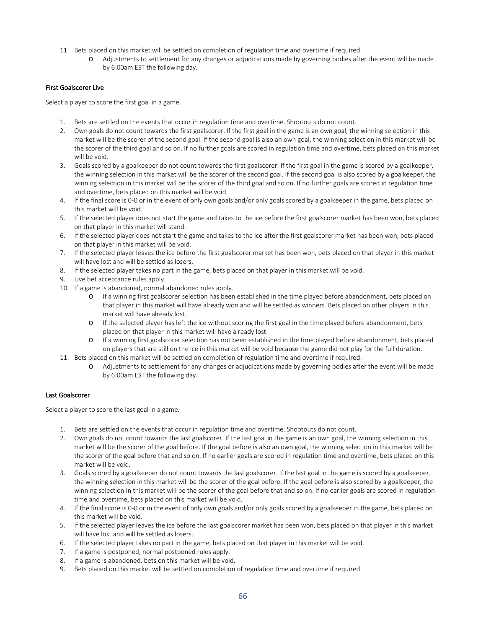- 11. Bets placed on this market will be settled on completion of regulation time and overtime if required.
	- o Adjustments to settlement for any changes or adjudications made by governing bodies after the event will be made by 6:00am EST the following day.

### First Goalscorer Live

Select a player to score the first goal in a game.

- 1. Bets are settled on the events that occur in regulation time and overtime. Shootouts do not count.
- 2. Own goals do not count towards the first goalscorer. If the first goal in the game is an own goal, the winning selection in this market will be the scorer of the second goal. If the second goal is also an own goal, the winning selection in this market will be the scorer of the third goal and so on. If no further goals are scored in regulation time and overtime, bets placed on this market will be void.
- 3. Goals scored by a goalkeeper do not count towards the first goalscorer. If the first goal in the game is scored by a goalkeeper, the winning selection in this market will be the scorer of the second goal. If the second goal is also scored by a goalkeeper, the winning selection in this market will be the scorer of the third goal and so on. If no further goals are scored in regulation time and overtime, bets placed on this market will be void.
- 4. If the final score is 0-0 or in the event of only own goals and/or only goals scored by a goalkeeper in the game, bets placed on this market will be void.
- 5. If the selected player does not start the game and takes to the ice before the first goalscorer market has been won, bets placed on that player in this market will stand.
- 6. If the selected player does not start the game and takes to the ice after the first goalscorer market has been won, bets placed on that player in this market will be void.
- 7. If the selected player leaves the ice before the first goalscorer market has been won, bets placed on that player in this market will have lost and will be settled as losers.
- 8. If the selected player takes no part in the game, bets placed on that player in this market will be void.
- 9. Live bet acceptance rules apply.
- 10. If a game is abandoned, normal abandoned rules apply.
	- o If a winning first goalscorer selection has been established in the time played before abandonment, bets placed on that player in this market will have already won and will be settled as winners. Bets placed on other players in this market will have already lost.
	- o If the selected player has left the ice without scoring the first goal in the time played before abandonment, bets placed on that player in this market will have already lost.
	- o If a winning first goalscorer selection has not been established in the time played before abandonment, bets placed on players that are still on the ice in this market will be void because the game did not play for the full duration.
- 11. Bets placed on this market will be settled on completion of regulation time and overtime if required.
	- o Adjustments to settlement for any changes or adjudications made by governing bodies after the event will be made by 6:00am EST the following day.

#### Last Goalscorer

Select a player to score the last goal in a game.

- 1. Bets are settled on the events that occur in regulation time and overtime. Shootouts do not count.
- 2. Own goals do not count towards the last goalscorer. If the last goal in the game is an own goal, the winning selection in this market will be the scorer of the goal before. If the goal before is also an own goal, the winning selection in this market will be the scorer of the goal before that and so on. If no earlier goals are scored in regulation time and overtime, bets placed on this market will be void.
- 3. Goals scored by a goalkeeper do not count towards the last goalscorer. If the last goal in the game is scored by a goalkeeper, the winning selection in this market will be the scorer of the goal before. If the goal before is also scored by a goalkeeper, the winning selection in this market will be the scorer of the goal before that and so on. If no earlier goals are scored in regulation time and overtime, bets placed on this market will be void.
- 4. If the final score is 0-0 or in the event of only own goals and/or only goals scored by a goalkeeper in the game, bets placed on this market will be void.
- 5. If the selected player leaves the ice before the last goalscorer market has been won, bets placed on that player in this market will have lost and will be settled as losers.
- 6. If the selected player takes no part in the game, bets placed on that player in this market will be void.
- 7. If a game is postponed, normal postponed rules apply.
- 8. If a game is abandoned, bets on this market will be void.
- 9. Bets placed on this market will be settled on completion of regulation time and overtime if required.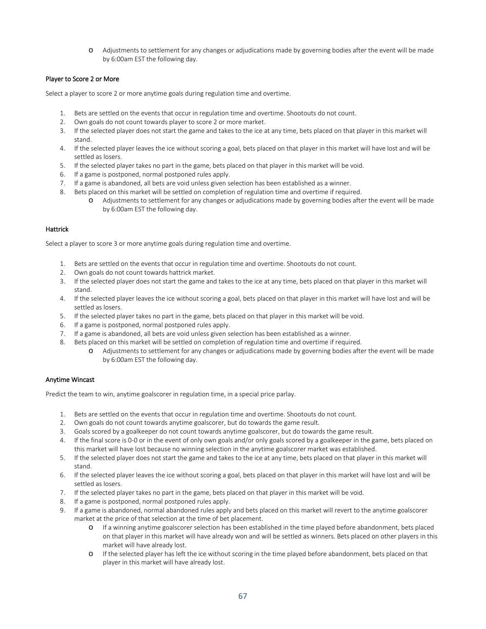o Adjustments to settlement for any changes or adjudications made by governing bodies after the event will be made by 6:00am EST the following day.

# Player to Score 2 or More

Select a player to score 2 or more anytime goals during regulation time and overtime.

- 1. Bets are settled on the events that occur in regulation time and overtime. Shootouts do not count.
- 2. Own goals do not count towards player to score 2 or more market.
- 3. If the selected player does not start the game and takes to the ice at any time, bets placed on that player in this market will stand.
- 4. If the selected player leaves the ice without scoring a goal, bets placed on that player in this market will have lost and will be settled as losers.
- 5. If the selected player takes no part in the game, bets placed on that player in this market will be void.
- 6. If a game is postponed, normal postponed rules apply.
- 7. If a game is abandoned, all bets are void unless given selection has been established as a winner.
- 8. Bets placed on this market will be settled on completion of regulation time and overtime if required.
	- o Adjustments to settlement for any changes or adjudications made by governing bodies after the event will be made by 6:00am EST the following day.

### Hattrick

Select a player to score 3 or more anytime goals during regulation time and overtime.

- 1. Bets are settled on the events that occur in regulation time and overtime. Shootouts do not count.
- 2. Own goals do not count towards hattrick market.
- 3. If the selected player does not start the game and takes to the ice at any time, bets placed on that player in this market will stand.
- 4. If the selected player leaves the ice without scoring a goal, bets placed on that player in this market will have lost and will be settled as losers.
- 5. If the selected player takes no part in the game, bets placed on that player in this market will be void.
- 6. If a game is postponed, normal postponed rules apply.
- 7. If a game is abandoned, all bets are void unless given selection has been established as a winner.
- 8. Bets placed on this market will be settled on completion of regulation time and overtime if required.
	- o Adjustments to settlement for any changes or adjudications made by governing bodies after the event will be made by 6:00am EST the following day.

### Anytime Wincast

Predict the team to win, anytime goalscorer in regulation time, in a special price parlay.

- 1. Bets are settled on the events that occur in regulation time and overtime. Shootouts do not count.
- 2. Own goals do not count towards anytime goalscorer, but do towards the game result.
- 3. Goals scored by a goalkeeper do not count towards anytime goalscorer, but do towards the game result.
- 4. If the final score is 0-0 or in the event of only own goals and/or only goals scored by a goalkeeper in the game, bets placed on this market will have lost because no winning selection in the anytime goalscorer market was established.
- 5. If the selected player does not start the game and takes to the ice at any time, bets placed on that player in this market will stand.
- 6. If the selected player leaves the ice without scoring a goal, bets placed on that player in this market will have lost and will be settled as losers.
- 7. If the selected player takes no part in the game, bets placed on that player in this market will be void.
- 8. If a game is postponed, normal postponed rules apply.
- 9. If a game is abandoned, normal abandoned rules apply and bets placed on this market will revert to the anytime goalscorer market at the price of that selection at the time of bet placement.
	- o If a winning anytime goalscorer selection has been established in the time played before abandonment, bets placed on that player in this market will have already won and will be settled as winners. Bets placed on other players in this market will have already lost.
	- o If the selected player has left the ice without scoring in the time played before abandonment, bets placed on that player in this market will have already lost.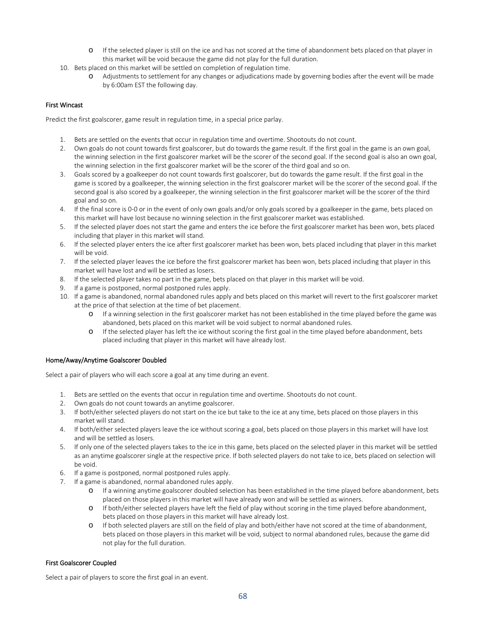- o If the selected player is still on the ice and has not scored at the time of abandonment bets placed on that player in this market will be void because the game did not play for the full duration.
- 10. Bets placed on this market will be settled on completion of regulation time.
	- o Adjustments to settlement for any changes or adjudications made by governing bodies after the event will be made by 6:00am EST the following day.

# First Wincast

Predict the first goalscorer, game result in regulation time, in a special price parlay.

- 1. Bets are settled on the events that occur in regulation time and overtime. Shootouts do not count.
- 2. Own goals do not count towards first goalscorer, but do towards the game result. If the first goal in the game is an own goal, the winning selection in the first goalscorer market will be the scorer of the second goal. If the second goal is also an own goal, the winning selection in the first goalscorer market will be the scorer of the third goal and so on.
- 3. Goals scored by a goalkeeper do not count towards first goalscorer, but do towards the game result. If the first goal in the game is scored by a goalkeeper, the winning selection in the first goalscorer market will be the scorer of the second goal. If the second goal is also scored by a goalkeeper, the winning selection in the first goalscorer market will be the scorer of the third goal and so on.
- 4. If the final score is 0-0 or in the event of only own goals and/or only goals scored by a goalkeeper in the game, bets placed on this market will have lost because no winning selection in the first goalscorer market was established.
- 5. If the selected player does not start the game and enters the ice before the first goalscorer market has been won, bets placed including that player in this market will stand.
- 6. If the selected player enters the ice after first goalscorer market has been won, bets placed including that player in this market will be void.
- 7. If the selected player leaves the ice before the first goalscorer market has been won, bets placed including that player in this market will have lost and will be settled as losers.
- 8. If the selected player takes no part in the game, bets placed on that player in this market will be void.
- 9. If a game is postponed, normal postponed rules apply.
- 10. If a game is abandoned, normal abandoned rules apply and bets placed on this market will revert to the first goalscorer market at the price of that selection at the time of bet placement.
	- o If a winning selection in the first goalscorer market has not been established in the time played before the game was abandoned, bets placed on this market will be void subject to normal abandoned rules.
	- o If the selected player has left the ice without scoring the first goal in the time played before abandonment, bets placed including that player in this market will have already lost.

### Home/Away/Anytime Goalscorer Doubled

Select a pair of players who will each score a goal at any time during an event.

- 1. Bets are settled on the events that occur in regulation time and overtime. Shootouts do not count.
- 2. Own goals do not count towards an anytime goalscorer.
- 3. If both/either selected players do not start on the ice but take to the ice at any time, bets placed on those players in this market will stand.
- 4. If both/either selected players leave the ice without scoring a goal, bets placed on those players in this market will have lost and will be settled as losers.
- 5. If only one of the selected players takes to the ice in this game, bets placed on the selected player in this market will be settled as an anytime goalscorer single at the respective price. If both selected players do not take to ice, bets placed on selection will be void.
- 6. If a game is postponed, normal postponed rules apply.
- 7. If a game is abandoned, normal abandoned rules apply.
	- o If a winning anytime goalscorer doubled selection has been established in the time played before abandonment, bets placed on those players in this market will have already won and will be settled as winners.
	- o If both/either selected players have left the field of play without scoring in the time played before abandonment, bets placed on those players in this market will have already lost.
	- o If both selected players are still on the field of play and both/either have not scored at the time of abandonment, bets placed on those players in this market will be void, subject to normal abandoned rules, because the game did not play for the full duration.

### First Goalscorer Coupled

Select a pair of players to score the first goal in an event.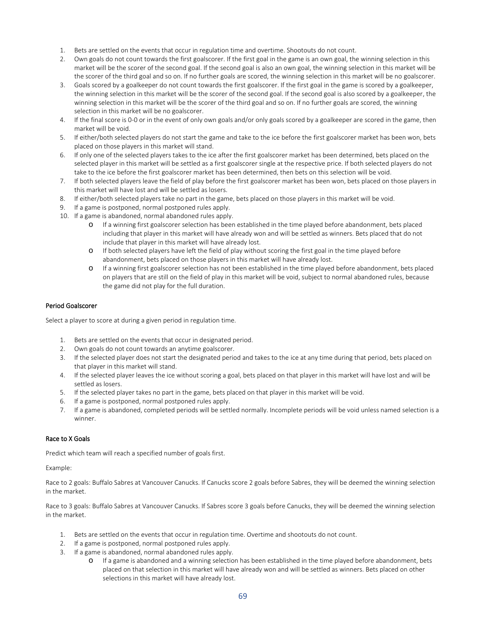- 1. Bets are settled on the events that occur in regulation time and overtime. Shootouts do not count.
- 2. Own goals do not count towards the first goalscorer. If the first goal in the game is an own goal, the winning selection in this market will be the scorer of the second goal. If the second goal is also an own goal, the winning selection in this market will be the scorer of the third goal and so on. If no further goals are scored, the winning selection in this market will be no goalscorer.
- 3. Goals scored by a goalkeeper do not count towards the first goalscorer. If the first goal in the game is scored by a goalkeeper, the winning selection in this market will be the scorer of the second goal. If the second goal is also scored by a goalkeeper, the winning selection in this market will be the scorer of the third goal and so on. If no further goals are scored, the winning selection in this market will be no goalscorer.
- 4. If the final score is 0-0 or in the event of only own goals and/or only goals scored by a goalkeeper are scored in the game, then market will be void.
- 5. If either/both selected players do not start the game and take to the ice before the first goalscorer market has been won, bets placed on those players in this market will stand.
- 6. If only one of the selected players takes to the ice after the first goalscorer market has been determined, bets placed on the selected player in this market will be settled as a first goalscorer single at the respective price. If both selected players do not take to the ice before the first goalscorer market has been determined, then bets on this selection will be void.
- 7. If both selected players leave the field of play before the first goalscorer market has been won, bets placed on those players in this market will have lost and will be settled as losers.
- 8. If either/both selected players take no part in the game, bets placed on those players in this market will be void.
- 9. If a game is postponed, normal postponed rules apply.
- 10. If a game is abandoned, normal abandoned rules apply.
	- o If a winning first goalscorer selection has been established in the time played before abandonment, bets placed including that player in this market will have already won and will be settled as winners. Bets placed that do not include that player in this market will have already lost.
	- o If both selected players have left the field of play without scoring the first goal in the time played before abandonment, bets placed on those players in this market will have already lost.
	- o If a winning first goalscorer selection has not been established in the time played before abandonment, bets placed on players that are still on the field of play in this market will be void, subject to normal abandoned rules, because the game did not play for the full duration.

#### Period Goalscorer

Select a player to score at during a given period in regulation time.

- 1. Bets are settled on the events that occur in designated period.
- 2. Own goals do not count towards an anytime goalscorer.
- 3. If the selected player does not start the designated period and takes to the ice at any time during that period, bets placed on that player in this market will stand.
- 4. If the selected player leaves the ice without scoring a goal, bets placed on that player in this market will have lost and will be settled as losers.
- 5. If the selected player takes no part in the game, bets placed on that player in this market will be void.
- 6. If a game is postponed, normal postponed rules apply.
- 7. If a game is abandoned, completed periods will be settled normally. Incomplete periods will be void unless named selection is a winner.

### Race to X Goals

Predict which team will reach a specified number of goals first.

Example:

Race to 2 goals: Buffalo Sabres at Vancouver Canucks. If Canucks score 2 goals before Sabres, they will be deemed the winning selection in the market.

Race to 3 goals: Buffalo Sabres at Vancouver Canucks. If Sabres score 3 goals before Canucks, they will be deemed the winning selection in the market.

- 1. Bets are settled on the events that occur in regulation time. Overtime and shootouts do not count.
- 2. If a game is postponed, normal postponed rules apply.
- 3. If a game is abandoned, normal abandoned rules apply.
	- o If a game is abandoned and a winning selection has been established in the time played before abandonment, bets placed on that selection in this market will have already won and will be settled as winners. Bets placed on other selections in this market will have already lost.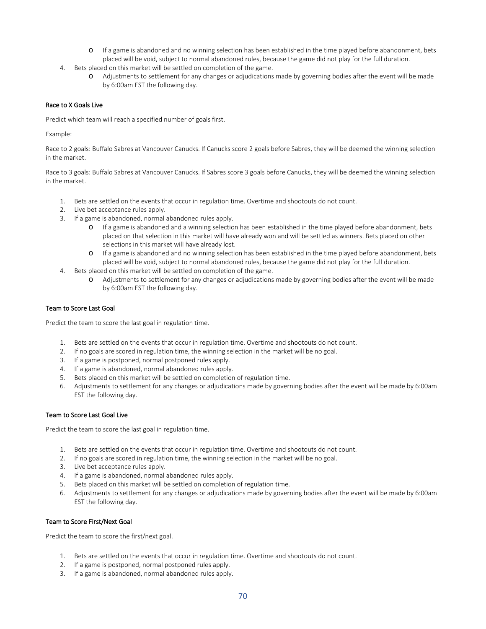- o If a game is abandoned and no winning selection has been established in the time played before abandonment, bets placed will be void, subject to normal abandoned rules, because the game did not play for the full duration.
- 4. Bets placed on this market will be settled on completion of the game.
	- o Adjustments to settlement for any changes or adjudications made by governing bodies after the event will be made by 6:00am EST the following day.

# Race to X Goals Live

Predict which team will reach a specified number of goals first.

Example:

Race to 2 goals: Buffalo Sabres at Vancouver Canucks. If Canucks score 2 goals before Sabres, they will be deemed the winning selection in the market.

Race to 3 goals: Buffalo Sabres at Vancouver Canucks. If Sabres score 3 goals before Canucks, they will be deemed the winning selection in the market.

- 1. Bets are settled on the events that occur in regulation time. Overtime and shootouts do not count.
- 2. Live bet acceptance rules apply.
- 3. If a game is abandoned, normal abandoned rules apply.
	- o If a game is abandoned and a winning selection has been established in the time played before abandonment, bets placed on that selection in this market will have already won and will be settled as winners. Bets placed on other selections in this market will have already lost.
	- o If a game is abandoned and no winning selection has been established in the time played before abandonment, bets placed will be void, subject to normal abandoned rules, because the game did not play for the full duration.
- 4. Bets placed on this market will be settled on completion of the game.
	- o Adjustments to settlement for any changes or adjudications made by governing bodies after the event will be made by 6:00am EST the following day.

### Team to Score Last Goal

Predict the team to score the last goal in regulation time.

- 1. Bets are settled on the events that occur in regulation time. Overtime and shootouts do not count.
- 2. If no goals are scored in regulation time, the winning selection in the market will be no goal.
- 3. If a game is postponed, normal postponed rules apply.
- 4. If a game is abandoned, normal abandoned rules apply.
- 5. Bets placed on this market will be settled on completion of regulation time.
- 6. Adjustments to settlement for any changes or adjudications made by governing bodies after the event will be made by 6:00am EST the following day.

### Team to Score Last Goal Live

Predict the team to score the last goal in regulation time.

- 1. Bets are settled on the events that occur in regulation time. Overtime and shootouts do not count.
- 2. If no goals are scored in regulation time, the winning selection in the market will be no goal.
- 3. Live bet acceptance rules apply.
- 4. If a game is abandoned, normal abandoned rules apply.
- 5. Bets placed on this market will be settled on completion of regulation time.
- 6. Adjustments to settlement for any changes or adjudications made by governing bodies after the event will be made by 6:00am EST the following day.

### Team to Score First/Next Goal

Predict the team to score the first/next goal.

- 1. Bets are settled on the events that occur in regulation time. Overtime and shootouts do not count.
- 2. If a game is postponed, normal postponed rules apply.
- 3. If a game is abandoned, normal abandoned rules apply.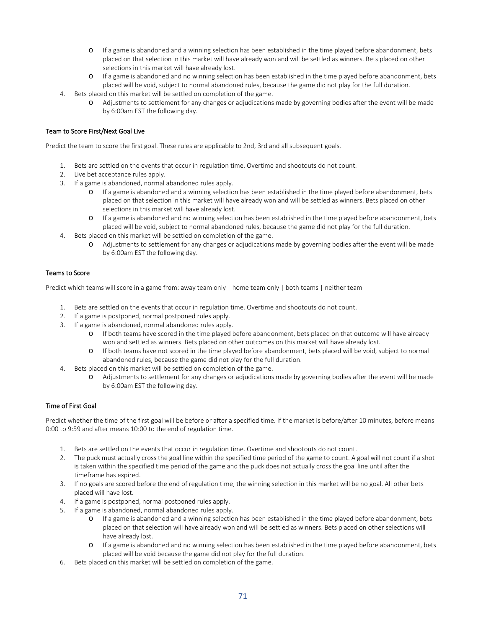- o If a game is abandoned and a winning selection has been established in the time played before abandonment, bets placed on that selection in this market will have already won and will be settled as winners. Bets placed on other selections in this market will have already lost.
- o If a game is abandoned and no winning selection has been established in the time played before abandonment, bets placed will be void, subject to normal abandoned rules, because the game did not play for the full duration.
- 4. Bets placed on this market will be settled on completion of the game.
	- o Adjustments to settlement for any changes or adjudications made by governing bodies after the event will be made by 6:00am EST the following day.

# Team to Score First/Next Goal Live

Predict the team to score the first goal. These rules are applicable to 2nd, 3rd and all subsequent goals.

- 1. Bets are settled on the events that occur in regulation time. Overtime and shootouts do not count.
- 2. Live bet acceptance rules apply.
- 3. If a game is abandoned, normal abandoned rules apply.
	- o If a game is abandoned and a winning selection has been established in the time played before abandonment, bets placed on that selection in this market will have already won and will be settled as winners. Bets placed on other selections in this market will have already lost.
	- o If a game is abandoned and no winning selection has been established in the time played before abandonment, bets placed will be void, subject to normal abandoned rules, because the game did not play for the full duration.
- 4. Bets placed on this market will be settled on completion of the game.
	- o Adjustments to settlement for any changes or adjudications made by governing bodies after the event will be made by 6:00am EST the following day.

### Teams to Score

Predict which teams will score in a game from: away team only | home team only | both teams | neither team

- 1. Bets are settled on the events that occur in regulation time. Overtime and shootouts do not count.
- 2. If a game is postponed, normal postponed rules apply.
- 3. If a game is abandoned, normal abandoned rules apply.
	- o If both teams have scored in the time played before abandonment, bets placed on that outcome will have already won and settled as winners. Bets placed on other outcomes on this market will have already lost.
	- o If both teams have not scored in the time played before abandonment, bets placed will be void, subject to normal abandoned rules, because the game did not play for the full duration.
- 4. Bets placed on this market will be settled on completion of the game.
	- Adjustments to settlement for any changes or adjudications made by governing bodies after the event will be made by 6:00am EST the following day.

# Time of First Goal

Predict whether the time of the first goal will be before or after a specified time. If the market is before/after 10 minutes, before means 0:00 to 9:59 and after means 10:00 to the end of regulation time.

- 1. Bets are settled on the events that occur in regulation time. Overtime and shootouts do not count.
- 2. The puck must actually cross the goal line within the specified time period of the game to count. A goal will not count if a shot is taken within the specified time period of the game and the puck does not actually cross the goal line until after the timeframe has expired.
- 3. If no goals are scored before the end of regulation time, the winning selection in this market will be no goal. All other bets placed will have lost.
- 4. If a game is postponed, normal postponed rules apply.
- 5. If a game is abandoned, normal abandoned rules apply.
	- o If a game is abandoned and a winning selection has been established in the time played before abandonment, bets placed on that selection will have already won and will be settled as winners. Bets placed on other selections will have already lost.
	- o If a game is abandoned and no winning selection has been established in the time played before abandonment, bets placed will be void because the game did not play for the full duration.
- 6. Bets placed on this market will be settled on completion of the game.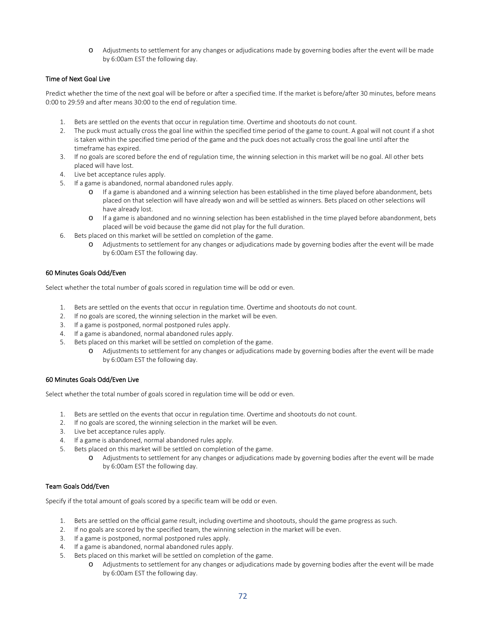o Adjustments to settlement for any changes or adjudications made by governing bodies after the event will be made by 6:00am EST the following day.

# Time of Next Goal Live

Predict whether the time of the next goal will be before or after a specified time. If the market is before/after 30 minutes, before means 0:00 to 29:59 and after means 30:00 to the end of regulation time.

- 1. Bets are settled on the events that occur in regulation time. Overtime and shootouts do not count.
- 2. The puck must actually cross the goal line within the specified time period of the game to count. A goal will not count if a shot is taken within the specified time period of the game and the puck does not actually cross the goal line until after the timeframe has expired.
- 3. If no goals are scored before the end of regulation time, the winning selection in this market will be no goal. All other bets placed will have lost.
- 4. Live bet acceptance rules apply.
- 5. If a game is abandoned, normal abandoned rules apply.
	- o If a game is abandoned and a winning selection has been established in the time played before abandonment, bets placed on that selection will have already won and will be settled as winners. Bets placed on other selections will have already lost.
	- o If a game is abandoned and no winning selection has been established in the time played before abandonment, bets placed will be void because the game did not play for the full duration.
- 6. Bets placed on this market will be settled on completion of the game.
	- o Adjustments to settlement for any changes or adjudications made by governing bodies after the event will be made by 6:00am EST the following day.

#### 60 Minutes Goals Odd/Even

Select whether the total number of goals scored in regulation time will be odd or even.

- 1. Bets are settled on the events that occur in regulation time. Overtime and shootouts do not count.
- 2. If no goals are scored, the winning selection in the market will be even.
- 3. If a game is postponed, normal postponed rules apply.
- 4. If a game is abandoned, normal abandoned rules apply.
- 5. Bets placed on this market will be settled on completion of the game.
	- o Adjustments to settlement for any changes or adjudications made by governing bodies after the event will be made by 6:00am EST the following day.

#### 60 Minutes Goals Odd/Even Live

Select whether the total number of goals scored in regulation time will be odd or even.

- 1. Bets are settled on the events that occur in regulation time. Overtime and shootouts do not count.
- 2. If no goals are scored, the winning selection in the market will be even.
- 3. Live bet acceptance rules apply.
- 4. If a game is abandoned, normal abandoned rules apply.
- 5. Bets placed on this market will be settled on completion of the game.
	- o Adjustments to settlement for any changes or adjudications made by governing bodies after the event will be made by 6:00am EST the following day.

### Team Goals Odd/Even

Specify if the total amount of goals scored by a specific team will be odd or even.

- 1. Bets are settled on the official game result, including overtime and shootouts, should the game progress as such.
- 2. If no goals are scored by the specified team, the winning selection in the market will be even.
- 3. If a game is postponed, normal postponed rules apply.
- 4. If a game is abandoned, normal abandoned rules apply.
- 5. Bets placed on this market will be settled on completion of the game.
	- o Adjustments to settlement for any changes or adjudications made by governing bodies after the event will be made by 6:00am EST the following day.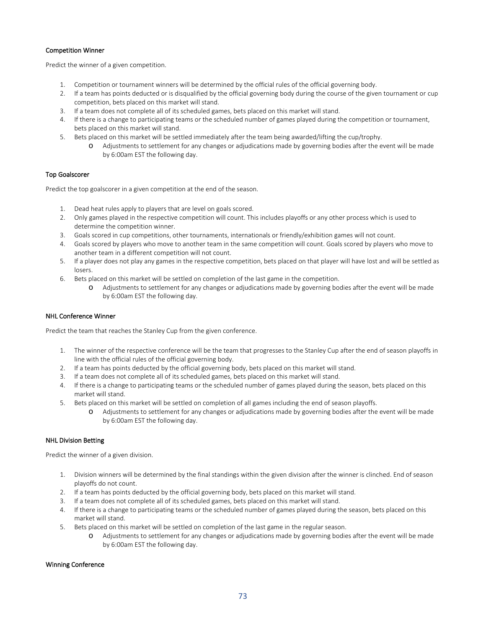## Competition Winner

Predict the winner of a given competition.

- 1. Competition or tournament winners will be determined by the official rules of the official governing body.
- 2. If a team has points deducted or is disqualified by the official governing body during the course of the given tournament or cup competition, bets placed on this market will stand.
- 3. If a team does not complete all of its scheduled games, bets placed on this market will stand.
- 4. If there is a change to participating teams or the scheduled number of games played during the competition or tournament, bets placed on this market will stand.
- 5. Bets placed on this market will be settled immediately after the team being awarded/lifting the cup/trophy.
	- o Adjustments to settlement for any changes or adjudications made by governing bodies after the event will be made by 6:00am EST the following day.

## Top Goalscorer

Predict the top goalscorer in a given competition at the end of the season.

- 1. Dead heat rules apply to players that are level on goals scored.
- 2. Only games played in the respective competition will count. This includes playoffs or any other process which is used to determine the competition winner.
- 3. Goals scored in cup competitions, other tournaments, internationals or friendly/exhibition games will not count.
- 4. Goals scored by players who move to another team in the same competition will count. Goals scored by players who move to another team in a different competition will not count.
- 5. If a player does not play any games in the respective competition, bets placed on that player will have lost and will be settled as losers.
- 6. Bets placed on this market will be settled on completion of the last game in the competition.
	- o Adjustments to settlement for any changes or adjudications made by governing bodies after the event will be made by 6:00am EST the following day.

## NHL Conference Winner

Predict the team that reaches the Stanley Cup from the given conference.

- 1. The winner of the respective conference will be the team that progresses to the Stanley Cup after the end of season playoffs in line with the official rules of the official governing body.
- 2. If a team has points deducted by the official governing body, bets placed on this market will stand.
- 3. If a team does not complete all of its scheduled games, bets placed on this market will stand.
- 4. If there is a change to participating teams or the scheduled number of games played during the season, bets placed on this market will stand.
- 5. Bets placed on this market will be settled on completion of all games including the end of season playoffs.
	- o Adjustments to settlement for any changes or adjudications made by governing bodies after the event will be made by 6:00am EST the following day.

## NHL Division Betting

Predict the winner of a given division.

- 1. Division winners will be determined by the final standings within the given division after the winner is clinched. End of season playoffs do not count.
- 2. If a team has points deducted by the official governing body, bets placed on this market will stand.
- 3. If a team does not complete all of its scheduled games, bets placed on this market will stand.
- 4. If there is a change to participating teams or the scheduled number of games played during the season, bets placed on this market will stand.
- 5. Bets placed on this market will be settled on completion of the last game in the regular season.
	- o Adjustments to settlement for any changes or adjudications made by governing bodies after the event will be made by 6:00am EST the following day.

#### Winning Conference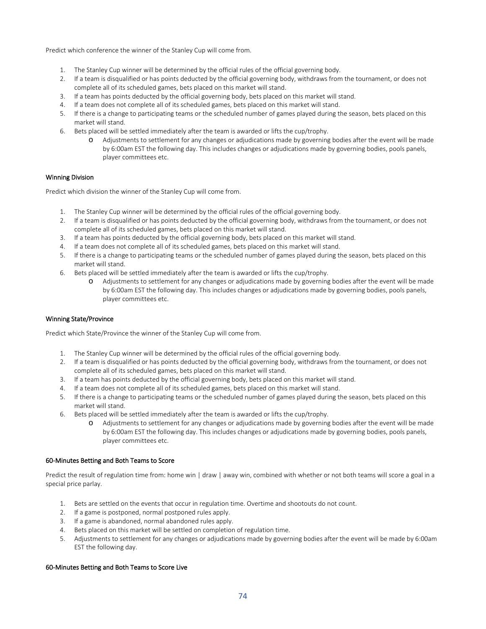Predict which conference the winner of the Stanley Cup will come from.

- 1. The Stanley Cup winner will be determined by the official rules of the official governing body.
- 2. If a team is disqualified or has points deducted by the official governing body, withdraws from the tournament, or does not complete all of its scheduled games, bets placed on this market will stand.
- 3. If a team has points deducted by the official governing body, bets placed on this market will stand.
- 4. If a team does not complete all of its scheduled games, bets placed on this market will stand.
- 5. If there is a change to participating teams or the scheduled number of games played during the season, bets placed on this market will stand.
- 6. Bets placed will be settled immediately after the team is awarded or lifts the cup/trophy.
	- o Adjustments to settlement for any changes or adjudications made by governing bodies after the event will be made by 6:00am EST the following day. This includes changes or adjudications made by governing bodies, pools panels, player committees etc.

## Winning Division

Predict which division the winner of the Stanley Cup will come from.

- 1. The Stanley Cup winner will be determined by the official rules of the official governing body.
- 2. If a team is disqualified or has points deducted by the official governing body, withdraws from the tournament, or does not complete all of its scheduled games, bets placed on this market will stand.
- 3. If a team has points deducted by the official governing body, bets placed on this market will stand.
- 4. If a team does not complete all of its scheduled games, bets placed on this market will stand.
- 5. If there is a change to participating teams or the scheduled number of games played during the season, bets placed on this market will stand.
- 6. Bets placed will be settled immediately after the team is awarded or lifts the cup/trophy.
	- o Adjustments to settlement for any changes or adjudications made by governing bodies after the event will be made by 6:00am EST the following day. This includes changes or adjudications made by governing bodies, pools panels, player committees etc.

## Winning State/Province

Predict which State/Province the winner of the Stanley Cup will come from.

- 1. The Stanley Cup winner will be determined by the official rules of the official governing body.
- 2. If a team is disqualified or has points deducted by the official governing body, withdraws from the tournament, or does not complete all of its scheduled games, bets placed on this market will stand.
- 3. If a team has points deducted by the official governing body, bets placed on this market will stand.
- 4. If a team does not complete all of its scheduled games, bets placed on this market will stand.
- 5. If there is a change to participating teams or the scheduled number of games played during the season, bets placed on this market will stand.
- 6. Bets placed will be settled immediately after the team is awarded or lifts the cup/trophy.
	- Adjustments to settlement for any changes or adjudications made by governing bodies after the event will be made by 6:00am EST the following day. This includes changes or adjudications made by governing bodies, pools panels, player committees etc.

#### 60-Minutes Betting and Both Teams to Score

Predict the result of regulation time from: home win | draw | away win, combined with whether or not both teams will score a goal in a special price parlay.

- 1. Bets are settled on the events that occur in regulation time. Overtime and shootouts do not count.
- 2. If a game is postponed, normal postponed rules apply.
- 3. If a game is abandoned, normal abandoned rules apply.
- 4. Bets placed on this market will be settled on completion of regulation time.
- 5. Adjustments to settlement for any changes or adjudications made by governing bodies after the event will be made by 6:00am EST the following day.

## 60-Minutes Betting and Both Teams to Score Live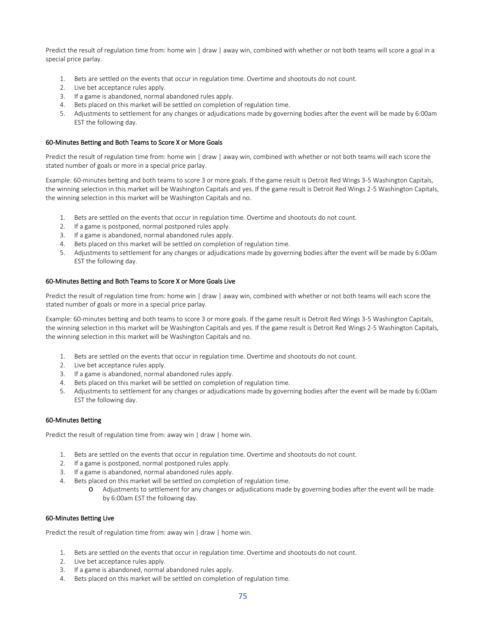Predict the result of regulation time from: home win | draw | away win, combined with whether or not both teams will score a goal in a special price parlay.

- 1. Bets are settled on the events that occur in regulation time. Overtime and shootouts do not count.
- 2. Live bet acceptance rules apply.
- 3. If a game is abandoned, normal abandoned rules apply.
- 4. Bets placed on this market will be settled on completion of regulation time.
- 5. Adjustments to settlement for any changes or adjudications made by governing bodies after the event will be made by 6:00am EST the following day.

#### 60-Minutes Betting and Both Teams to Score X or More Goals

Predict the result of regulation time from: home win | draw | away win, combined with whether or not both teams will each score the stated number of goals or more in a special price parlay.

Example: 60-minutes betting and both teams to score 3 or more goals. If the game result is Detroit Red Wings 3-5 Washington Capitals, the winning selection in this market will be Washington Capitals and yes. If the game result is Detroit Red Wings 2-5 Washington Capitals, the winning selection in this market will be Washington Capitals and no.

- 1. Bets are settled on the events that occur in regulation time. Overtime and shootouts do not count.
- 2. If a game is postponed, normal postponed rules apply.
- 3. If a game is abandoned, normal abandoned rules apply.
- 4. Bets placed on this market will be settled on completion of regulation time.
- 5. Adjustments to settlement for any changes or adjudications made by governing bodies after the event will be made by 6:00am EST the following day.

#### 60-Minutes Betting and Both Teams to Score X or More Goals Live

Predict the result of regulation time from: home win | draw | away win, combined with whether or not both teams will each score the stated number of goals or more in a special price parlay.

Example: 60-minutes betting and both teams to score 3 or more goals. If the game result is Detroit Red Wings 3-5 Washington Capitals, the winning selection in this market will be Washington Capitals and yes. If the game result is Detroit Red Wings 2-5 Washington Capitals, the winning selection in this market will be Washington Capitals and no.

- 1. Bets are settled on the events that occur in regulation time. Overtime and shootouts do not count.
- 2. Live bet acceptance rules apply.
- 3. If a game is abandoned, normal abandoned rules apply.
- 4. Bets placed on this market will be settled on completion of regulation time.
- 5. Adjustments to settlement for any changes or adjudications made by governing bodies after the event will be made by 6:00am EST the following day.

#### 60-Minutes Betting

Predict the result of regulation time from: away win | draw | home win.

- 1. Bets are settled on the events that occur in regulation time. Overtime and shootouts do not count.
- 2. If a game is postponed, normal postponed rules apply.
- 3. If a game is abandoned, normal abandoned rules apply.
- 4. Bets placed on this market will be settled on completion of regulation time.
	- o Adjustments to settlement for any changes or adjudications made by governing bodies after the event will be made by 6:00am EST the following day.

#### 60-Minutes Betting Live

Predict the result of regulation time from: away win | draw | home win.

- 1. Bets are settled on the events that occur in regulation time. Overtime and shootouts do not count.
- 2. Live bet acceptance rules apply.
- 3. If a game is abandoned, normal abandoned rules apply.
- 4. Bets placed on this market will be settled on completion of regulation time.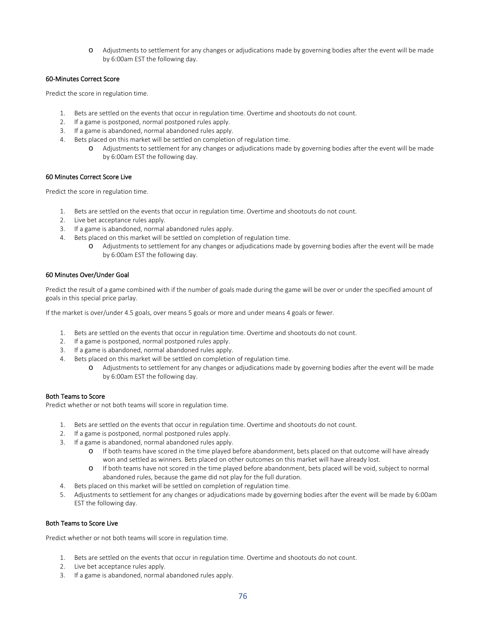Adjustments to settlement for any changes or adjudications made by governing bodies after the event will be made by 6:00am EST the following day.

# 60-Minutes Correct Score

Predict the score in regulation time.

- 1. Bets are settled on the events that occur in regulation time. Overtime and shootouts do not count.
- 2. If a game is postponed, normal postponed rules apply.
- 3. If a game is abandoned, normal abandoned rules apply.
- 4. Bets placed on this market will be settled on completion of regulation time.
	- o Adjustments to settlement for any changes or adjudications made by governing bodies after the event will be made by 6:00am EST the following day.

## 60 Minutes Correct Score Live

Predict the score in regulation time.

- 1. Bets are settled on the events that occur in regulation time. Overtime and shootouts do not count.
- 2. Live bet acceptance rules apply.
- 3. If a game is abandoned, normal abandoned rules apply.
- 4. Bets placed on this market will be settled on completion of regulation time.
	- o Adjustments to settlement for any changes or adjudications made by governing bodies after the event will be made by 6:00am EST the following day.

# 60 Minutes Over/Under Goal

Predict the result of a game combined with if the number of goals made during the game will be over or under the specified amount of goals in this special price parlay.

If the market is over/under 4.5 goals, over means 5 goals or more and under means 4 goals or fewer.

- 1. Bets are settled on the events that occur in regulation time. Overtime and shootouts do not count.
- 2. If a game is postponed, normal postponed rules apply.
- 3. If a game is abandoned, normal abandoned rules apply.
- 4. Bets placed on this market will be settled on completion of regulation time.
	- o Adjustments to settlement for any changes or adjudications made by governing bodies after the event will be made by 6:00am EST the following day.

## Both Teams to Score

Predict whether or not both teams will score in regulation time.

- 1. Bets are settled on the events that occur in regulation time. Overtime and shootouts do not count.
- 2. If a game is postponed, normal postponed rules apply.
- 3. If a game is abandoned, normal abandoned rules apply.
	- o If both teams have scored in the time played before abandonment, bets placed on that outcome will have already won and settled as winners. Bets placed on other outcomes on this market will have already lost.
	- o If both teams have not scored in the time played before abandonment, bets placed will be void, subject to normal abandoned rules, because the game did not play for the full duration.
- 4. Bets placed on this market will be settled on completion of regulation time.
- 5. Adjustments to settlement for any changes or adjudications made by governing bodies after the event will be made by 6:00am EST the following day.

# Both Teams to Score Live

Predict whether or not both teams will score in regulation time.

- 1. Bets are settled on the events that occur in regulation time. Overtime and shootouts do not count.
- 2. Live bet acceptance rules apply.
- 3. If a game is abandoned, normal abandoned rules apply.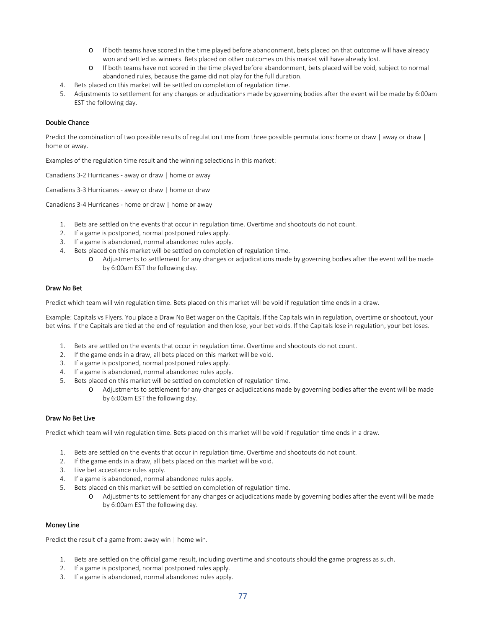- o If both teams have scored in the time played before abandonment, bets placed on that outcome will have already won and settled as winners. Bets placed on other outcomes on this market will have already lost.
- o If both teams have not scored in the time played before abandonment, bets placed will be void, subject to normal abandoned rules, because the game did not play for the full duration.
- 4. Bets placed on this market will be settled on completion of regulation time.
- 5. Adjustments to settlement for any changes or adjudications made by governing bodies after the event will be made by 6:00am EST the following day.

# Double Chance

Predict the combination of two possible results of regulation time from three possible permutations: home or draw | away or draw | home or away.

Examples of the regulation time result and the winning selections in this market:

Canadiens 3-2 Hurricanes - away or draw | home or away

Canadiens 3-3 Hurricanes - away or draw | home or draw

Canadiens 3-4 Hurricanes - home or draw | home or away

- 1. Bets are settled on the events that occur in regulation time. Overtime and shootouts do not count.
- 2. If a game is postponed, normal postponed rules apply.
- 3. If a game is abandoned, normal abandoned rules apply.
- 4. Bets placed on this market will be settled on completion of regulation time.
	- o Adjustments to settlement for any changes or adjudications made by governing bodies after the event will be made by 6:00am EST the following day.

#### Draw No Bet

Predict which team will win regulation time. Bets placed on this market will be void if regulation time ends in a draw.

Example: Capitals vs Flyers. You place a Draw No Bet wager on the Capitals. If the Capitals win in regulation, overtime or shootout, your bet wins. If the Capitals are tied at the end of regulation and then lose, your bet voids. If the Capitals lose in regulation, your bet loses.

- 1. Bets are settled on the events that occur in regulation time. Overtime and shootouts do not count.
- 2. If the game ends in a draw, all bets placed on this market will be void.
- 3. If a game is postponed, normal postponed rules apply.
- 4. If a game is abandoned, normal abandoned rules apply.
- 5. Bets placed on this market will be settled on completion of regulation time.
	- o Adjustments to settlement for any changes or adjudications made by governing bodies after the event will be made by 6:00am EST the following day.

#### Draw No Bet Live

Predict which team will win regulation time. Bets placed on this market will be void if regulation time ends in a draw.

- 1. Bets are settled on the events that occur in regulation time. Overtime and shootouts do not count.
- 2. If the game ends in a draw, all bets placed on this market will be void.
- 3. Live bet acceptance rules apply.
- 4. If a game is abandoned, normal abandoned rules apply.
- 5. Bets placed on this market will be settled on completion of regulation time.
	- o Adjustments to settlement for any changes or adjudications made by governing bodies after the event will be made by 6:00am EST the following day.

## Money Line

Predict the result of a game from: away win | home win.

- 1. Bets are settled on the official game result, including overtime and shootouts should the game progress as such.
- 2. If a game is postponed, normal postponed rules apply.
- 3. If a game is abandoned, normal abandoned rules apply.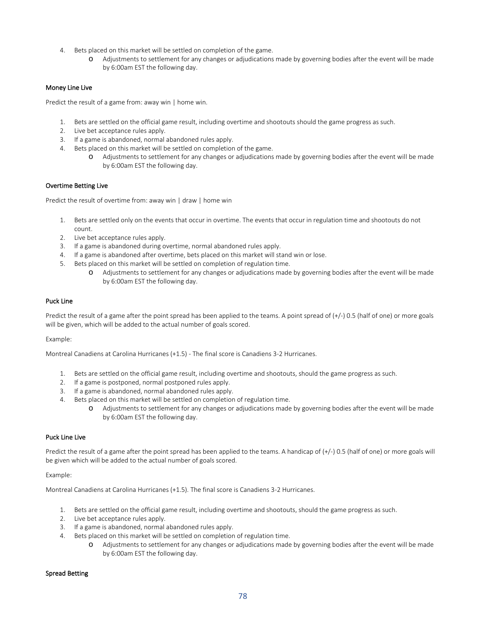- 4. Bets placed on this market will be settled on completion of the game.
	- o Adjustments to settlement for any changes or adjudications made by governing bodies after the event will be made by 6:00am EST the following day.

# Money Line Live

Predict the result of a game from: away win | home win.

- 1. Bets are settled on the official game result, including overtime and shootouts should the game progress as such.
- 2. Live bet acceptance rules apply.
- 3. If a game is abandoned, normal abandoned rules apply.
- 4. Bets placed on this market will be settled on completion of the game.
	- o Adjustments to settlement for any changes or adjudications made by governing bodies after the event will be made by 6:00am EST the following day.

## Overtime Betting Live

Predict the result of overtime from: away win | draw | home win

- 1. Bets are settled only on the events that occur in overtime. The events that occur in regulation time and shootouts do not count.
- 2. Live bet acceptance rules apply.
- 3. If a game is abandoned during overtime, normal abandoned rules apply.
- 4. If a game is abandoned after overtime, bets placed on this market will stand win or lose.
- 5. Bets placed on this market will be settled on completion of regulation time.
	- Adjustments to settlement for any changes or adjudications made by governing bodies after the event will be made by 6:00am EST the following day.

## Puck Line

Predict the result of a game after the point spread has been applied to the teams. A point spread of  $(+/-)$  0.5 (half of one) or more goals will be given, which will be added to the actual number of goals scored.

Example:

Montreal Canadiens at Carolina Hurricanes (+1.5) - The final score is Canadiens 3-2 Hurricanes.

- 1. Bets are settled on the official game result, including overtime and shootouts, should the game progress as such.
- 2. If a game is postponed, normal postponed rules apply.
- 3. If a game is abandoned, normal abandoned rules apply.
- 4. Bets placed on this market will be settled on completion of regulation time.
	- o Adjustments to settlement for any changes or adjudications made by governing bodies after the event will be made by 6:00am EST the following day.

# Puck Line Live

Predict the result of a game after the point spread has been applied to the teams. A handicap of  $(+/-)$  0.5 (half of one) or more goals will be given which will be added to the actual number of goals scored.

#### Example:

Montreal Canadiens at Carolina Hurricanes (+1.5). The final score is Canadiens 3-2 Hurricanes.

- 1. Bets are settled on the official game result, including overtime and shootouts, should the game progress as such.
- 2. Live bet acceptance rules apply.
- 3. If a game is abandoned, normal abandoned rules apply.
- 4. Bets placed on this market will be settled on completion of regulation time.
	- o Adjustments to settlement for any changes or adjudications made by governing bodies after the event will be made by 6:00am EST the following day.

# Spread Betting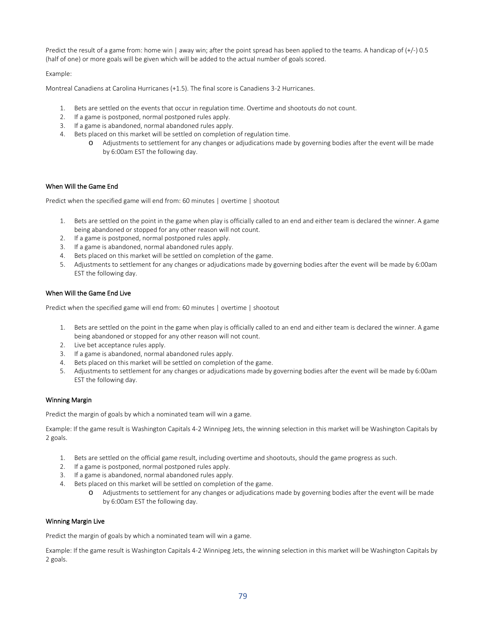Predict the result of a game from: home win | away win; after the point spread has been applied to the teams. A handicap of (+/-) 0.5 (half of one) or more goals will be given which will be added to the actual number of goals scored.

Example:

Montreal Canadiens at Carolina Hurricanes (+1.5). The final score is Canadiens 3-2 Hurricanes.

- 1. Bets are settled on the events that occur in regulation time. Overtime and shootouts do not count.
- 2. If a game is postponed, normal postponed rules apply.
- 3. If a game is abandoned, normal abandoned rules apply.
- 4. Bets placed on this market will be settled on completion of regulation time.
	- o Adjustments to settlement for any changes or adjudications made by governing bodies after the event will be made by 6:00am EST the following day.

## When Will the Game End

Predict when the specified game will end from: 60 minutes | overtime | shootout

- 1. Bets are settled on the point in the game when play is officially called to an end and either team is declared the winner. A game being abandoned or stopped for any other reason will not count.
- 2. If a game is postponed, normal postponed rules apply.
- 3. If a game is abandoned, normal abandoned rules apply.
- 4. Bets placed on this market will be settled on completion of the game.
- 5. Adjustments to settlement for any changes or adjudications made by governing bodies after the event will be made by 6:00am EST the following day.

# When Will the Game End Live

Predict when the specified game will end from: 60 minutes | overtime | shootout

- 1. Bets are settled on the point in the game when play is officially called to an end and either team is declared the winner. A game being abandoned or stopped for any other reason will not count.
- 2. Live bet acceptance rules apply.
- 3. If a game is abandoned, normal abandoned rules apply.
- 4. Bets placed on this market will be settled on completion of the game.
- 5. Adjustments to settlement for any changes or adjudications made by governing bodies after the event will be made by 6:00am EST the following day.

## Winning Margin

Predict the margin of goals by which a nominated team will win a game.

Example: If the game result is Washington Capitals 4-2 Winnipeg Jets, the winning selection in this market will be Washington Capitals by 2 goals.

- 1. Bets are settled on the official game result, including overtime and shootouts, should the game progress as such.
- 2. If a game is postponed, normal postponed rules apply.
- 3. If a game is abandoned, normal abandoned rules apply.
- 4. Bets placed on this market will be settled on completion of the game.
	- o Adjustments to settlement for any changes or adjudications made by governing bodies after the event will be made by 6:00am EST the following day.

## Winning Margin Live

Predict the margin of goals by which a nominated team will win a game.

Example: If the game result is Washington Capitals 4-2 Winnipeg Jets, the winning selection in this market will be Washington Capitals by 2 goals.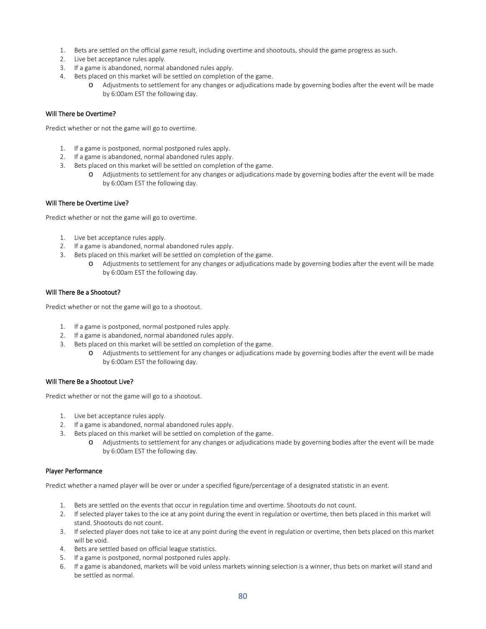- 1. Bets are settled on the official game result, including overtime and shootouts, should the game progress as such.
- 2. Live bet acceptance rules apply.
- 3. If a game is abandoned, normal abandoned rules apply.
- 4. Bets placed on this market will be settled on completion of the game.
	- o Adjustments to settlement for any changes or adjudications made by governing bodies after the event will be made by 6:00am EST the following day.

#### Will There be Overtime?

Predict whether or not the game will go to overtime.

- 1. If a game is postponed, normal postponed rules apply.
- 2. If a game is abandoned, normal abandoned rules apply.
- 3. Bets placed on this market will be settled on completion of the game.
	- o Adjustments to settlement for any changes or adjudications made by governing bodies after the event will be made by 6:00am EST the following day.

#### Will There be Overtime Live?

Predict whether or not the game will go to overtime.

- 1. Live bet acceptance rules apply.
- 2. If a game is abandoned, normal abandoned rules apply.
- 3. Bets placed on this market will be settled on completion of the game.
	- Adjustments to settlement for any changes or adjudications made by governing bodies after the event will be made by 6:00am EST the following day.

## Will There Be a Shootout?

Predict whether or not the game will go to a shootout.

- 1. If a game is postponed, normal postponed rules apply.
- 2. If a game is abandoned, normal abandoned rules apply.
- 3. Bets placed on this market will be settled on completion of the game.
	- o Adjustments to settlement for any changes or adjudications made by governing bodies after the event will be made by 6:00am EST the following day.

#### Will There Be a Shootout Live?

Predict whether or not the game will go to a shootout.

- 1. Live bet acceptance rules apply.
- 2. If a game is abandoned, normal abandoned rules apply.
- 3. Bets placed on this market will be settled on completion of the game.
	- o Adjustments to settlement for any changes or adjudications made by governing bodies after the event will be made by 6:00am EST the following day.

#### Player Performance

Predict whether a named player will be over or under a specified figure/percentage of a designated statistic in an event.

- 1. Bets are settled on the events that occur in regulation time and overtime. Shootouts do not count.
- 2. If selected player takes to the ice at any point during the event in regulation or overtime, then bets placed in this market will stand. Shootouts do not count.
- 3. If selected player does not take to ice at any point during the event in regulation or overtime, then bets placed on this market will be void.
- 4. Bets are settled based on official league statistics.
- 5. If a game is postponed, normal postponed rules apply.
- 6. If a game is abandoned, markets will be void unless markets winning selection is a winner, thus bets on market will stand and be settled as normal.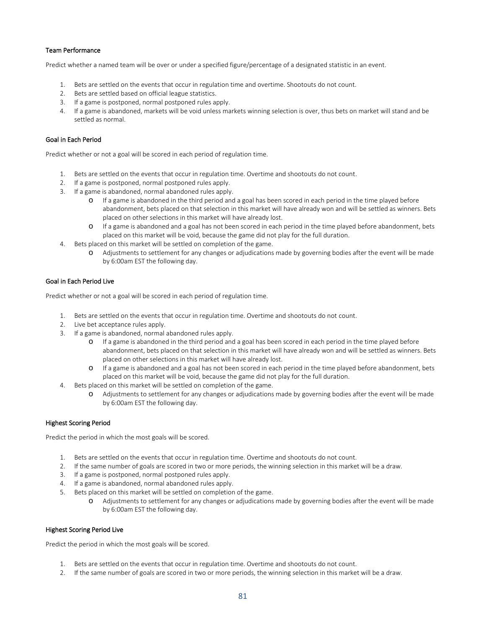# Team Performance

Predict whether a named team will be over or under a specified figure/percentage of a designated statistic in an event.

- 1. Bets are settled on the events that occur in regulation time and overtime. Shootouts do not count.
- 2. Bets are settled based on official league statistics.
- 3. If a game is postponed, normal postponed rules apply.
- 4. If a game is abandoned, markets will be void unless markets winning selection is over, thus bets on market will stand and be settled as normal.

# Goal in Each Period

Predict whether or not a goal will be scored in each period of regulation time.

- 1. Bets are settled on the events that occur in regulation time. Overtime and shootouts do not count.
- 2. If a game is postponed, normal postponed rules apply.
- 3. If a game is abandoned, normal abandoned rules apply.
	- o If a game is abandoned in the third period and a goal has been scored in each period in the time played before abandonment, bets placed on that selection in this market will have already won and will be settled as winners. Bets placed on other selections in this market will have already lost.
	- o If a game is abandoned and a goal has not been scored in each period in the time played before abandonment, bets placed on this market will be void, because the game did not play for the full duration.
- 4. Bets placed on this market will be settled on completion of the game.
	- o Adjustments to settlement for any changes or adjudications made by governing bodies after the event will be made by 6:00am EST the following day.

## Goal in Each Period Live

Predict whether or not a goal will be scored in each period of regulation time.

- 1. Bets are settled on the events that occur in regulation time. Overtime and shootouts do not count.
- 2. Live bet acceptance rules apply.
- 3. If a game is abandoned, normal abandoned rules apply.
	- o If a game is abandoned in the third period and a goal has been scored in each period in the time played before abandonment, bets placed on that selection in this market will have already won and will be settled as winners. Bets placed on other selections in this market will have already lost.
	- o If a game is abandoned and a goal has not been scored in each period in the time played before abandonment, bets placed on this market will be void, because the game did not play for the full duration.
- 4. Bets placed on this market will be settled on completion of the game.
	- o Adjustments to settlement for any changes or adjudications made by governing bodies after the event will be made by 6:00am EST the following day.

## Highest Scoring Period

Predict the period in which the most goals will be scored.

- 1. Bets are settled on the events that occur in regulation time. Overtime and shootouts do not count.
- 2. If the same number of goals are scored in two or more periods, the winning selection in this market will be a draw.
- 3. If a game is postponed, normal postponed rules apply.
- 4. If a game is abandoned, normal abandoned rules apply.
- 5. Bets placed on this market will be settled on completion of the game.
	- o Adjustments to settlement for any changes or adjudications made by governing bodies after the event will be made by 6:00am EST the following day.

## Highest Scoring Period Live

Predict the period in which the most goals will be scored.

- 1. Bets are settled on the events that occur in regulation time. Overtime and shootouts do not count.
- 2. If the same number of goals are scored in two or more periods, the winning selection in this market will be a draw.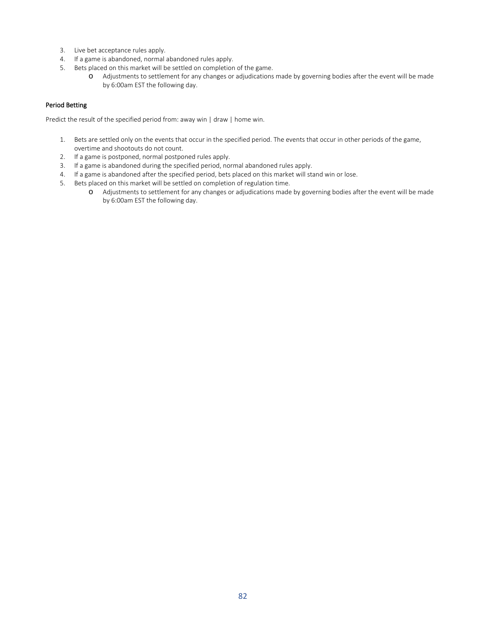- 3. Live bet acceptance rules apply.
- 4. If a game is abandoned, normal abandoned rules apply.
- 5. Bets placed on this market will be settled on completion of the game.
	- o Adjustments to settlement for any changes or adjudications made by governing bodies after the event will be made by 6:00am EST the following day.

# Period Betting

Predict the result of the specified period from: away win | draw | home win.

- 1. Bets are settled only on the events that occur in the specified period. The events that occur in other periods of the game, overtime and shootouts do not count.
- 2. If a game is postponed, normal postponed rules apply.
- 3. If a game is abandoned during the specified period, normal abandoned rules apply.
- 4. If a game is abandoned after the specified period, bets placed on this market will stand win or lose.
- 5. Bets placed on this market will be settled on completion of regulation time.
	- o Adjustments to settlement for any changes or adjudications made by governing bodies after the event will be made by 6:00am EST the following day.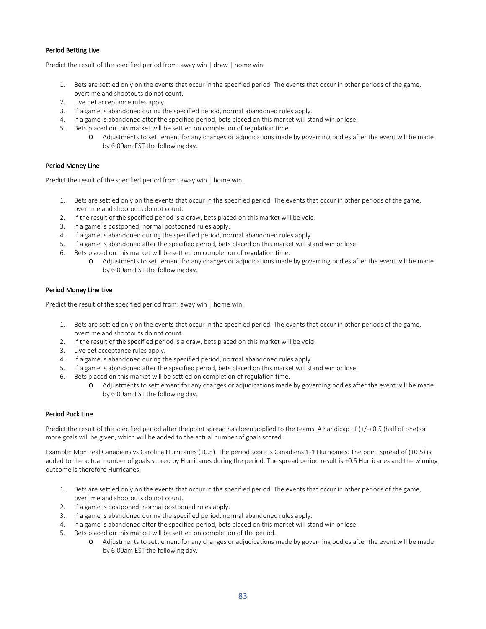# Period Betting Live

Predict the result of the specified period from: away win | draw | home win.

- 1. Bets are settled only on the events that occur in the specified period. The events that occur in other periods of the game, overtime and shootouts do not count.
- 2. Live bet acceptance rules apply.
- 3. If a game is abandoned during the specified period, normal abandoned rules apply.
- 4. If a game is abandoned after the specified period, bets placed on this market will stand win or lose.
- 5. Bets placed on this market will be settled on completion of regulation time.
	- o Adjustments to settlement for any changes or adjudications made by governing bodies after the event will be made by 6:00am EST the following day.

## Period Money Line

Predict the result of the specified period from: away win | home win.

- 1. Bets are settled only on the events that occur in the specified period. The events that occur in other periods of the game, overtime and shootouts do not count.
- 2. If the result of the specified period is a draw, bets placed on this market will be void.
- 3. If a game is postponed, normal postponed rules apply.
- 4. If a game is abandoned during the specified period, normal abandoned rules apply.
- 5. If a game is abandoned after the specified period, bets placed on this market will stand win or lose.
- 6. Bets placed on this market will be settled on completion of regulation time.
	- o Adjustments to settlement for any changes or adjudications made by governing bodies after the event will be made by 6:00am EST the following day.

#### Period Money Line Live

Predict the result of the specified period from: away win | home win.

- 1. Bets are settled only on the events that occur in the specified period. The events that occur in other periods of the game, overtime and shootouts do not count.
- 2. If the result of the specified period is a draw, bets placed on this market will be void.
- 3. Live bet acceptance rules apply.
- 4. If a game is abandoned during the specified period, normal abandoned rules apply.
- 5. If a game is abandoned after the specified period, bets placed on this market will stand win or lose.
- 6. Bets placed on this market will be settled on completion of regulation time.
	- o Adjustments to settlement for any changes or adjudications made by governing bodies after the event will be made by 6:00am EST the following day.

## Period Puck Line

Predict the result of the specified period after the point spread has been applied to the teams. A handicap of (+/-) 0.5 (half of one) or more goals will be given, which will be added to the actual number of goals scored.

Example: Montreal Canadiens vs Carolina Hurricanes (+0.5). The period score is Canadiens 1-1 Hurricanes. The point spread of (+0.5) is added to the actual number of goals scored by Hurricanes during the period. The spread period result is +0.5 Hurricanes and the winning outcome is therefore Hurricanes.

- 1. Bets are settled only on the events that occur in the specified period. The events that occur in other periods of the game, overtime and shootouts do not count.
- 2. If a game is postponed, normal postponed rules apply.
- 3. If a game is abandoned during the specified period, normal abandoned rules apply.
- 4. If a game is abandoned after the specified period, bets placed on this market will stand win or lose.
- 5. Bets placed on this market will be settled on completion of the period.
	- o Adjustments to settlement for any changes or adjudications made by governing bodies after the event will be made by 6:00am EST the following day.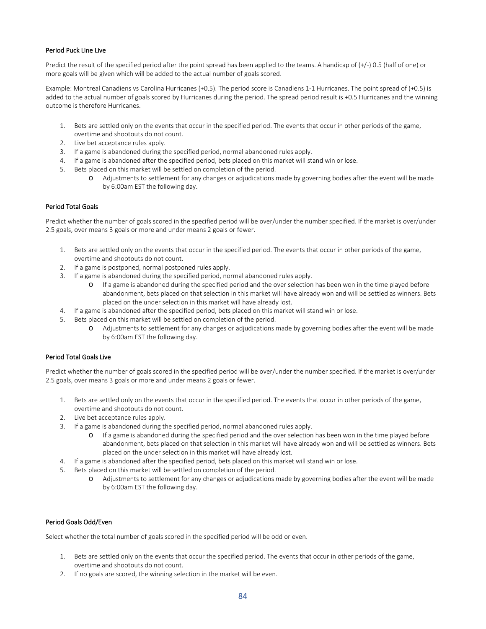# Period Puck Line Live

Predict the result of the specified period after the point spread has been applied to the teams. A handicap of  $(+/-)$  0.5 (half of one) or more goals will be given which will be added to the actual number of goals scored.

Example: Montreal Canadiens vs Carolina Hurricanes (+0.5). The period score is Canadiens 1-1 Hurricanes. The point spread of (+0.5) is added to the actual number of goals scored by Hurricanes during the period. The spread period result is +0.5 Hurricanes and the winning outcome is therefore Hurricanes.

- 1. Bets are settled only on the events that occur in the specified period. The events that occur in other periods of the game, overtime and shootouts do not count.
- 2. Live bet acceptance rules apply.
- 3. If a game is abandoned during the specified period, normal abandoned rules apply.
- 4. If a game is abandoned after the specified period, bets placed on this market will stand win or lose.
- 5. Bets placed on this market will be settled on completion of the period.
	- o Adjustments to settlement for any changes or adjudications made by governing bodies after the event will be made by 6:00am EST the following day.

# Period Total Goals

Predict whether the number of goals scored in the specified period will be over/under the number specified. If the market is over/under 2.5 goals, over means 3 goals or more and under means 2 goals or fewer.

- 1. Bets are settled only on the events that occur in the specified period. The events that occur in other periods of the game, overtime and shootouts do not count.
- 2. If a game is postponed, normal postponed rules apply.
- 3. If a game is abandoned during the specified period, normal abandoned rules apply.
	- o If a game is abandoned during the specified period and the over selection has been won in the time played before abandonment, bets placed on that selection in this market will have already won and will be settled as winners. Bets placed on the under selection in this market will have already lost.
- 4. If a game is abandoned after the specified period, bets placed on this market will stand win or lose.
- 5. Bets placed on this market will be settled on completion of the period.
	- o Adjustments to settlement for any changes or adjudications made by governing bodies after the event will be made by 6:00am EST the following day.

# Period Total Goals Live

Predict whether the number of goals scored in the specified period will be over/under the number specified. If the market is over/under 2.5 goals, over means 3 goals or more and under means 2 goals or fewer.

- 1. Bets are settled only on the events that occur in the specified period. The events that occur in other periods of the game, overtime and shootouts do not count.
- 2. Live bet acceptance rules apply.
- 3. If a game is abandoned during the specified period, normal abandoned rules apply.
	- o If a game is abandoned during the specified period and the over selection has been won in the time played before abandonment, bets placed on that selection in this market will have already won and will be settled as winners. Bets placed on the under selection in this market will have already lost.
- 4. If a game is abandoned after the specified period, bets placed on this market will stand win or lose.
- 5. Bets placed on this market will be settled on completion of the period.
	- o Adjustments to settlement for any changes or adjudications made by governing bodies after the event will be made by 6:00am EST the following day.

## Period Goals Odd/Even

Select whether the total number of goals scored in the specified period will be odd or even.

- 1. Bets are settled only on the events that occur the specified period. The events that occur in other periods of the game, overtime and shootouts do not count.
- 2. If no goals are scored, the winning selection in the market will be even.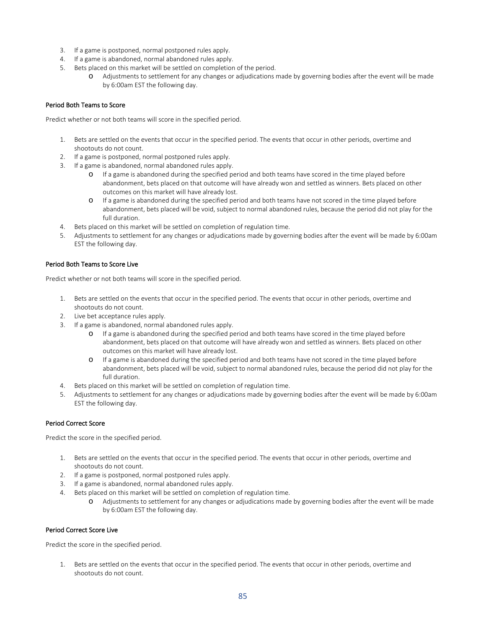- 3. If a game is postponed, normal postponed rules apply.
- 4. If a game is abandoned, normal abandoned rules apply.
- 5. Bets placed on this market will be settled on completion of the period.
	- o Adjustments to settlement for any changes or adjudications made by governing bodies after the event will be made by 6:00am EST the following day.

# Period Both Teams to Score

Predict whether or not both teams will score in the specified period.

- 1. Bets are settled on the events that occur in the specified period. The events that occur in other periods, overtime and shootouts do not count.
- 2. If a game is postponed, normal postponed rules apply.
- 3. If a game is abandoned, normal abandoned rules apply.
	- o If a game is abandoned during the specified period and both teams have scored in the time played before abandonment, bets placed on that outcome will have already won and settled as winners. Bets placed on other outcomes on this market will have already lost.
	- o If a game is abandoned during the specified period and both teams have not scored in the time played before abandonment, bets placed will be void, subject to normal abandoned rules, because the period did not play for the full duration.
- 4. Bets placed on this market will be settled on completion of regulation time.
- 5. Adjustments to settlement for any changes or adjudications made by governing bodies after the event will be made by 6:00am EST the following day.

## Period Both Teams to Score Live

Predict whether or not both teams will score in the specified period.

- 1. Bets are settled on the events that occur in the specified period. The events that occur in other periods, overtime and shootouts do not count.
- 2. Live bet acceptance rules apply.
- 3. If a game is abandoned, normal abandoned rules apply.
	- o If a game is abandoned during the specified period and both teams have scored in the time played before abandonment, bets placed on that outcome will have already won and settled as winners. Bets placed on other outcomes on this market will have already lost.
	- o If a game is abandoned during the specified period and both teams have not scored in the time played before abandonment, bets placed will be void, subject to normal abandoned rules, because the period did not play for the full duration.
- 4. Bets placed on this market will be settled on completion of regulation time.
- 5. Adjustments to settlement for any changes or adjudications made by governing bodies after the event will be made by 6:00am EST the following day.

# Period Correct Score

Predict the score in the specified period.

- 1. Bets are settled on the events that occur in the specified period. The events that occur in other periods, overtime and shootouts do not count.
- 2. If a game is postponed, normal postponed rules apply.
- 3. If a game is abandoned, normal abandoned rules apply.
- 4. Bets placed on this market will be settled on completion of regulation time.
	- o Adjustments to settlement for any changes or adjudications made by governing bodies after the event will be made by 6:00am EST the following day.

## Period Correct Score Live

Predict the score in the specified period.

1. Bets are settled on the events that occur in the specified period. The events that occur in other periods, overtime and shootouts do not count.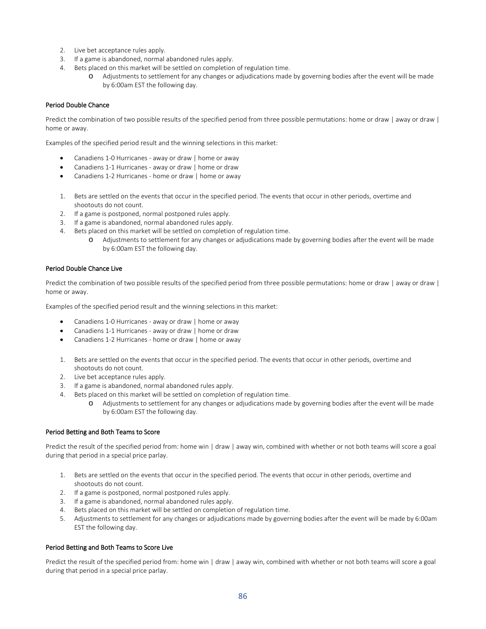- 2. Live bet acceptance rules apply.
- 3. If a game is abandoned, normal abandoned rules apply.
- 4. Bets placed on this market will be settled on completion of regulation time.
	- o Adjustments to settlement for any changes or adjudications made by governing bodies after the event will be made by 6:00am EST the following day.

## Period Double Chance

Predict the combination of two possible results of the specified period from three possible permutations: home or draw | away or draw | home or away.

Examples of the specified period result and the winning selections in this market:

- Canadiens 1-0 Hurricanes away or draw | home or away
- Canadiens 1-1 Hurricanes away or draw | home or draw
- Canadiens 1-2 Hurricanes home or draw | home or away
- 1. Bets are settled on the events that occur in the specified period. The events that occur in other periods, overtime and shootouts do not count.
- 2. If a game is postponed, normal postponed rules apply.
- 3. If a game is abandoned, normal abandoned rules apply.
- 4. Bets placed on this market will be settled on completion of regulation time.
	- o Adjustments to settlement for any changes or adjudications made by governing bodies after the event will be made by 6:00am EST the following day.

#### Period Double Chance Live

Predict the combination of two possible results of the specified period from three possible permutations: home or draw | away or draw | home or away.

Examples of the specified period result and the winning selections in this market:

- Canadiens 1-0 Hurricanes away or draw | home or away
- Canadiens 1-1 Hurricanes away or draw | home or draw
- Canadiens 1-2 Hurricanes home or draw | home or away
- 1. Bets are settled on the events that occur in the specified period. The events that occur in other periods, overtime and shootouts do not count.
- 2. Live bet acceptance rules apply.
- 3. If a game is abandoned, normal abandoned rules apply.
- 4. Bets placed on this market will be settled on completion of regulation time.
	- o Adjustments to settlement for any changes or adjudications made by governing bodies after the event will be made by 6:00am EST the following day.

#### Period Betting and Both Teams to Score

Predict the result of the specified period from: home win | draw | away win, combined with whether or not both teams will score a goal during that period in a special price parlay.

- 1. Bets are settled on the events that occur in the specified period. The events that occur in other periods, overtime and shootouts do not count.
- 2. If a game is postponed, normal postponed rules apply.
- 3. If a game is abandoned, normal abandoned rules apply.
- 4. Bets placed on this market will be settled on completion of regulation time.
- 5. Adjustments to settlement for any changes or adjudications made by governing bodies after the event will be made by 6:00am EST the following day.

## Period Betting and Both Teams to Score Live

Predict the result of the specified period from: home win | draw | away win, combined with whether or not both teams will score a goal during that period in a special price parlay.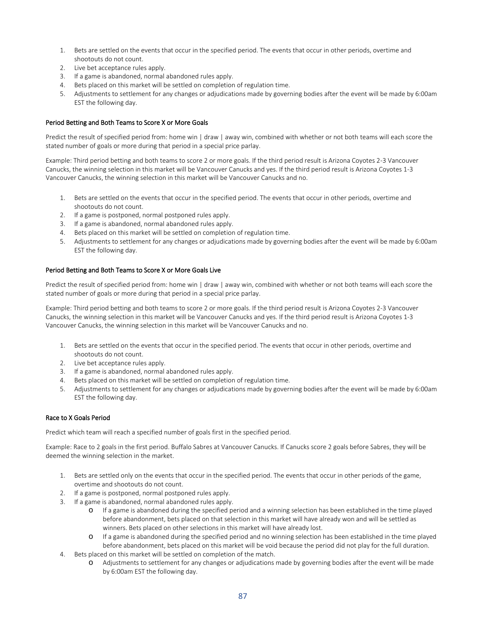- 1. Bets are settled on the events that occur in the specified period. The events that occur in other periods, overtime and shootouts do not count.
- 2. Live bet acceptance rules apply.
- 3. If a game is abandoned, normal abandoned rules apply.
- 4. Bets placed on this market will be settled on completion of regulation time.
- 5. Adjustments to settlement for any changes or adjudications made by governing bodies after the event will be made by 6:00am EST the following day.

# Period Betting and Both Teams to Score X or More Goals

Predict the result of specified period from: home win | draw | away win, combined with whether or not both teams will each score the stated number of goals or more during that period in a special price parlay.

Example: Third period betting and both teams to score 2 or more goals. If the third period result is Arizona Coyotes 2-3 Vancouver Canucks, the winning selection in this market will be Vancouver Canucks and yes. If the third period result is Arizona Coyotes 1-3 Vancouver Canucks, the winning selection in this market will be Vancouver Canucks and no.

- 1. Bets are settled on the events that occur in the specified period. The events that occur in other periods, overtime and shootouts do not count.
- 2. If a game is postponed, normal postponed rules apply.
- 3. If a game is abandoned, normal abandoned rules apply.
- 4. Bets placed on this market will be settled on completion of regulation time.
- 5. Adjustments to settlement for any changes or adjudications made by governing bodies after the event will be made by 6:00am EST the following day.

## Period Betting and Both Teams to Score X or More Goals Live

Predict the result of specified period from: home win | draw | away win, combined with whether or not both teams will each score the stated number of goals or more during that period in a special price parlay.

Example: Third period betting and both teams to score 2 or more goals. If the third period result is Arizona Coyotes 2-3 Vancouver Canucks, the winning selection in this market will be Vancouver Canucks and yes. If the third period result is Arizona Coyotes 1-3 Vancouver Canucks, the winning selection in this market will be Vancouver Canucks and no.

- 1. Bets are settled on the events that occur in the specified period. The events that occur in other periods, overtime and shootouts do not count.
- 2. Live bet acceptance rules apply.
- 3. If a game is abandoned, normal abandoned rules apply.
- 4. Bets placed on this market will be settled on completion of regulation time.
- 5. Adjustments to settlement for any changes or adjudications made by governing bodies after the event will be made by 6:00am EST the following day.

## Race to X Goals Period

Predict which team will reach a specified number of goals first in the specified period.

Example: Race to 2 goals in the first period. Buffalo Sabres at Vancouver Canucks. If Canucks score 2 goals before Sabres, they will be deemed the winning selection in the market.

- 1. Bets are settled only on the events that occur in the specified period. The events that occur in other periods of the game, overtime and shootouts do not count.
- 2. If a game is postponed, normal postponed rules apply.
- 3. If a game is abandoned, normal abandoned rules apply.
	- o If a game is abandoned during the specified period and a winning selection has been established in the time played before abandonment, bets placed on that selection in this market will have already won and will be settled as winners. Bets placed on other selections in this market will have already lost.
	- o If a game is abandoned during the specified period and no winning selection has been established in the time played before abandonment, bets placed on this market will be void because the period did not play for the full duration.
- 4. Bets placed on this market will be settled on completion of the match.
	- o Adjustments to settlement for any changes or adjudications made by governing bodies after the event will be made by 6:00am EST the following day.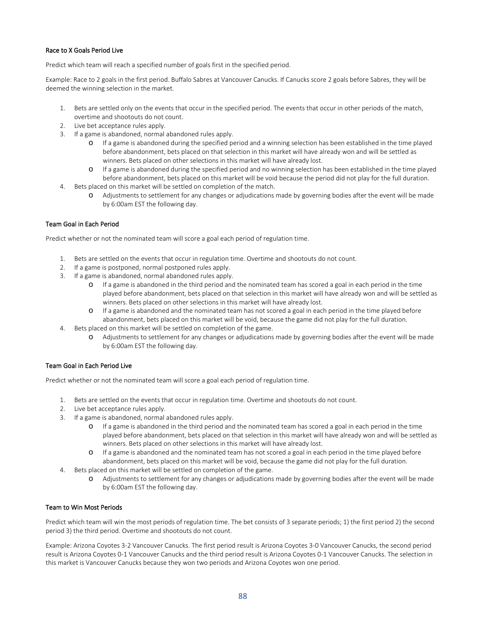## Race to X Goals Period Live

Predict which team will reach a specified number of goals first in the specified period.

Example: Race to 2 goals in the first period. Buffalo Sabres at Vancouver Canucks. If Canucks score 2 goals before Sabres, they will be deemed the winning selection in the market.

- 1. Bets are settled only on the events that occur in the specified period. The events that occur in other periods of the match, overtime and shootouts do not count.
- 2. Live bet acceptance rules apply.
- 3. If a game is abandoned, normal abandoned rules apply.
	- o If a game is abandoned during the specified period and a winning selection has been established in the time played before abandonment, bets placed on that selection in this market will have already won and will be settled as winners. Bets placed on other selections in this market will have already lost.
	- o If a game is abandoned during the specified period and no winning selection has been established in the time played before abandonment, bets placed on this market will be void because the period did not play for the full duration.
- 4. Bets placed on this market will be settled on completion of the match.
	- o Adjustments to settlement for any changes or adjudications made by governing bodies after the event will be made by 6:00am EST the following day.

## Team Goal in Each Period

Predict whether or not the nominated team will score a goal each period of regulation time.

- 1. Bets are settled on the events that occur in regulation time. Overtime and shootouts do not count.
- 2. If a game is postponed, normal postponed rules apply.
- 3. If a game is abandoned, normal abandoned rules apply.
	- o If a game is abandoned in the third period and the nominated team has scored a goal in each period in the time played before abandonment, bets placed on that selection in this market will have already won and will be settled as winners. Bets placed on other selections in this market will have already lost.
	- o If a game is abandoned and the nominated team has not scored a goal in each period in the time played before abandonment, bets placed on this market will be void, because the game did not play for the full duration.
- 4. Bets placed on this market will be settled on completion of the game.
	- o Adjustments to settlement for any changes or adjudications made by governing bodies after the event will be made by 6:00am EST the following day.

## Team Goal in Each Period Live

Predict whether or not the nominated team will score a goal each period of regulation time.

- 1. Bets are settled on the events that occur in regulation time. Overtime and shootouts do not count.
- 2. Live bet acceptance rules apply.
- 3. If a game is abandoned, normal abandoned rules apply.
	- o If a game is abandoned in the third period and the nominated team has scored a goal in each period in the time played before abandonment, bets placed on that selection in this market will have already won and will be settled as winners. Bets placed on other selections in this market will have already lost.
	- o If a game is abandoned and the nominated team has not scored a goal in each period in the time played before abandonment, bets placed on this market will be void, because the game did not play for the full duration.
- 4. Bets placed on this market will be settled on completion of the game.
	- o Adjustments to settlement for any changes or adjudications made by governing bodies after the event will be made by 6:00am EST the following day.

## Team to Win Most Periods

Predict which team will win the most periods of regulation time. The bet consists of 3 separate periods; 1) the first period 2) the second period 3) the third period. Overtime and shootouts do not count.

Example: Arizona Coyotes 3-2 Vancouver Canucks. The first period result is Arizona Coyotes 3-0 Vancouver Canucks, the second period result is Arizona Coyotes 0-1 Vancouver Canucks and the third period result is Arizona Coyotes 0-1 Vancouver Canucks. The selection in this market is Vancouver Canucks because they won two periods and Arizona Coyotes won one period.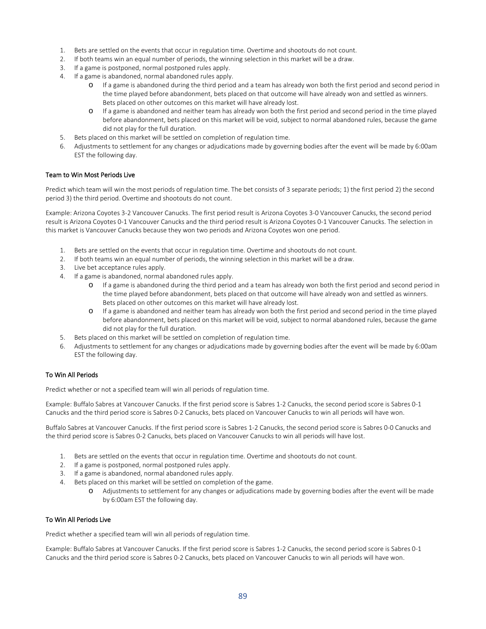- 1. Bets are settled on the events that occur in regulation time. Overtime and shootouts do not count.
- 2. If both teams win an equal number of periods, the winning selection in this market will be a draw.
- 3. If a game is postponed, normal postponed rules apply.
- 4. If a game is abandoned, normal abandoned rules apply.
	- o If a game is abandoned during the third period and a team has already won both the first period and second period in the time played before abandonment, bets placed on that outcome will have already won and settled as winners. Bets placed on other outcomes on this market will have already lost.
	- o If a game is abandoned and neither team has already won both the first period and second period in the time played before abandonment, bets placed on this market will be void, subject to normal abandoned rules, because the game did not play for the full duration.
- 5. Bets placed on this market will be settled on completion of regulation time.
- 6. Adjustments to settlement for any changes or adjudications made by governing bodies after the event will be made by 6:00am EST the following day.

## Team to Win Most Periods Live

Predict which team will win the most periods of regulation time. The bet consists of 3 separate periods; 1) the first period 2) the second period 3) the third period. Overtime and shootouts do not count.

Example: Arizona Coyotes 3-2 Vancouver Canucks. The first period result is Arizona Coyotes 3-0 Vancouver Canucks, the second period result is Arizona Coyotes 0-1 Vancouver Canucks and the third period result is Arizona Coyotes 0-1 Vancouver Canucks. The selection in this market is Vancouver Canucks because they won two periods and Arizona Coyotes won one period.

- 1. Bets are settled on the events that occur in regulation time. Overtime and shootouts do not count.
- 2. If both teams win an equal number of periods, the winning selection in this market will be a draw.
- 3. Live bet acceptance rules apply.
- 4. If a game is abandoned, normal abandoned rules apply.
	- o If a game is abandoned during the third period and a team has already won both the first period and second period in the time played before abandonment, bets placed on that outcome will have already won and settled as winners. Bets placed on other outcomes on this market will have already lost.
	- o If a game is abandoned and neither team has already won both the first period and second period in the time played before abandonment, bets placed on this market will be void, subject to normal abandoned rules, because the game did not play for the full duration.
- 5. Bets placed on this market will be settled on completion of regulation time.
- 6. Adjustments to settlement for any changes or adjudications made by governing bodies after the event will be made by 6:00am EST the following day.

## To Win All Periods

Predict whether or not a specified team will win all periods of regulation time.

Example: Buffalo Sabres at Vancouver Canucks. If the first period score is Sabres 1-2 Canucks, the second period score is Sabres 0-1 Canucks and the third period score is Sabres 0-2 Canucks, bets placed on Vancouver Canucks to win all periods will have won.

Buffalo Sabres at Vancouver Canucks. If the first period score is Sabres 1-2 Canucks, the second period score is Sabres 0-0 Canucks and the third period score is Sabres 0-2 Canucks, bets placed on Vancouver Canucks to win all periods will have lost.

- 1. Bets are settled on the events that occur in regulation time. Overtime and shootouts do not count.
- 2. If a game is postponed, normal postponed rules apply.
- 3. If a game is abandoned, normal abandoned rules apply.
- 4. Bets placed on this market will be settled on completion of the game.
	- o Adjustments to settlement for any changes or adjudications made by governing bodies after the event will be made by 6:00am EST the following day.

#### To Win All Periods Live

Predict whether a specified team will win all periods of regulation time.

Example: Buffalo Sabres at Vancouver Canucks. If the first period score is Sabres 1-2 Canucks, the second period score is Sabres 0-1 Canucks and the third period score is Sabres 0-2 Canucks, bets placed on Vancouver Canucks to win all periods will have won.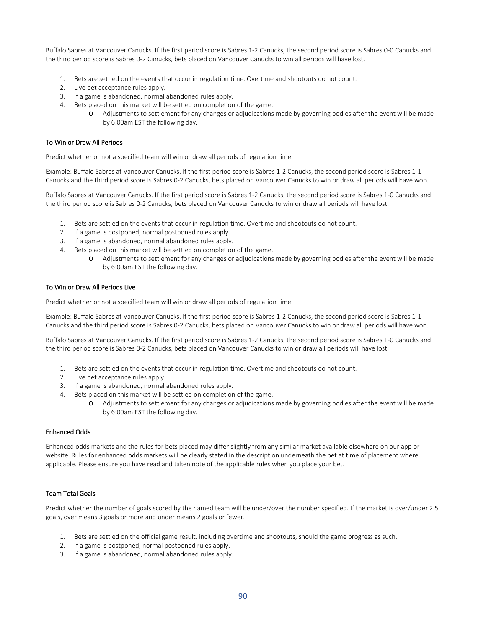Buffalo Sabres at Vancouver Canucks. If the first period score is Sabres 1-2 Canucks, the second period score is Sabres 0-0 Canucks and the third period score is Sabres 0-2 Canucks, bets placed on Vancouver Canucks to win all periods will have lost.

- 1. Bets are settled on the events that occur in regulation time. Overtime and shootouts do not count.
- 2. Live bet acceptance rules apply.
- 3. If a game is abandoned, normal abandoned rules apply.
- 4. Bets placed on this market will be settled on completion of the game.
	- o Adjustments to settlement for any changes or adjudications made by governing bodies after the event will be made by 6:00am EST the following day.

#### To Win or Draw All Periods

Predict whether or not a specified team will win or draw all periods of regulation time.

Example: Buffalo Sabres at Vancouver Canucks. If the first period score is Sabres 1-2 Canucks, the second period score is Sabres 1-1 Canucks and the third period score is Sabres 0-2 Canucks, bets placed on Vancouver Canucks to win or draw all periods will have won.

Buffalo Sabres at Vancouver Canucks. If the first period score is Sabres 1-2 Canucks, the second period score is Sabres 1-0 Canucks and the third period score is Sabres 0-2 Canucks, bets placed on Vancouver Canucks to win or draw all periods will have lost.

- 1. Bets are settled on the events that occur in regulation time. Overtime and shootouts do not count.
- 2. If a game is postponed, normal postponed rules apply.
- 3. If a game is abandoned, normal abandoned rules apply.
- 4. Bets placed on this market will be settled on completion of the game.
	- o Adjustments to settlement for any changes or adjudications made by governing bodies after the event will be made by 6:00am EST the following day.

#### To Win or Draw All Periods Live

Predict whether or not a specified team will win or draw all periods of regulation time.

Example: Buffalo Sabres at Vancouver Canucks. If the first period score is Sabres 1-2 Canucks, the second period score is Sabres 1-1 Canucks and the third period score is Sabres 0-2 Canucks, bets placed on Vancouver Canucks to win or draw all periods will have won.

Buffalo Sabres at Vancouver Canucks. If the first period score is Sabres 1-2 Canucks, the second period score is Sabres 1-0 Canucks and the third period score is Sabres 0-2 Canucks, bets placed on Vancouver Canucks to win or draw all periods will have lost.

- 1. Bets are settled on the events that occur in regulation time. Overtime and shootouts do not count.
- 2. Live bet acceptance rules apply.
- 3. If a game is abandoned, normal abandoned rules apply.
- 4. Bets placed on this market will be settled on completion of the game.
	- o Adjustments to settlement for any changes or adjudications made by governing bodies after the event will be made by 6:00am EST the following day.

#### Enhanced Odds

Enhanced odds markets and the rules for bets placed may differ slightly from any similar market available elsewhere on our app or website. Rules for enhanced odds markets will be clearly stated in the description underneath the bet at time of placement where applicable. Please ensure you have read and taken note of the applicable rules when you place your bet.

## Team Total Goals

Predict whether the number of goals scored by the named team will be under/over the number specified. If the market is over/under 2.5 goals, over means 3 goals or more and under means 2 goals or fewer.

- 1. Bets are settled on the official game result, including overtime and shootouts, should the game progress as such.
- 2. If a game is postponed, normal postponed rules apply.
- 3. If a game is abandoned, normal abandoned rules apply.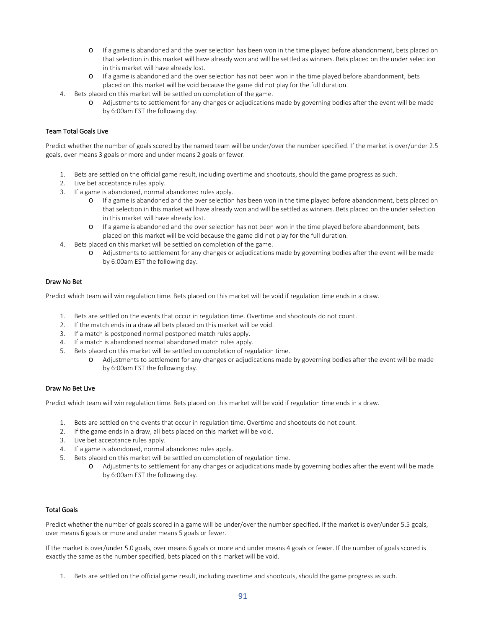- o If a game is abandoned and the over selection has been won in the time played before abandonment, bets placed on that selection in this market will have already won and will be settled as winners. Bets placed on the under selection in this market will have already lost.
- o If a game is abandoned and the over selection has not been won in the time played before abandonment, bets placed on this market will be void because the game did not play for the full duration.
- 4. Bets placed on this market will be settled on completion of the game.
	- o Adjustments to settlement for any changes or adjudications made by governing bodies after the event will be made by 6:00am EST the following day.

# Team Total Goals Live

Predict whether the number of goals scored by the named team will be under/over the number specified. If the market is over/under 2.5 goals, over means 3 goals or more and under means 2 goals or fewer.

- 1. Bets are settled on the official game result, including overtime and shootouts, should the game progress as such.
- 2. Live bet acceptance rules apply.
- 3. If a game is abandoned, normal abandoned rules apply.
	- o If a game is abandoned and the over selection has been won in the time played before abandonment, bets placed on that selection in this market will have already won and will be settled as winners. Bets placed on the under selection in this market will have already lost.
	- o If a game is abandoned and the over selection has not been won in the time played before abandonment, bets placed on this market will be void because the game did not play for the full duration.
- 4. Bets placed on this market will be settled on completion of the game.
	- o Adjustments to settlement for any changes or adjudications made by governing bodies after the event will be made by 6:00am EST the following day.

## Draw No Bet

Predict which team will win regulation time. Bets placed on this market will be void if regulation time ends in a draw.

- 1. Bets are settled on the events that occur in regulation time. Overtime and shootouts do not count.
- 2. If the match ends in a draw all bets placed on this market will be void.
- 3. If a match is postponed normal postponed match rules apply.
- 4. If a match is abandoned normal abandoned match rules apply.
- 5. Bets placed on this market will be settled on completion of regulation time.
	- o Adjustments to settlement for any changes or adjudications made by governing bodies after the event will be made by 6:00am EST the following day.

## Draw No Bet Live

Predict which team will win regulation time. Bets placed on this market will be void if regulation time ends in a draw.

- 1. Bets are settled on the events that occur in regulation time. Overtime and shootouts do not count.
- 2. If the game ends in a draw, all bets placed on this market will be void.
- 3. Live bet acceptance rules apply.
- 4. If a game is abandoned, normal abandoned rules apply.
- 5. Bets placed on this market will be settled on completion of regulation time.
	- o Adjustments to settlement for any changes or adjudications made by governing bodies after the event will be made by 6:00am EST the following day.

## Total Goals

Predict whether the number of goals scored in a game will be under/over the number specified. If the market is over/under 5.5 goals, over means 6 goals or more and under means 5 goals or fewer.

If the market is over/under 5.0 goals, over means 6 goals or more and under means 4 goals or fewer. If the number of goals scored is exactly the same as the number specified, bets placed on this market will be void.

1. Bets are settled on the official game result, including overtime and shootouts, should the game progress as such.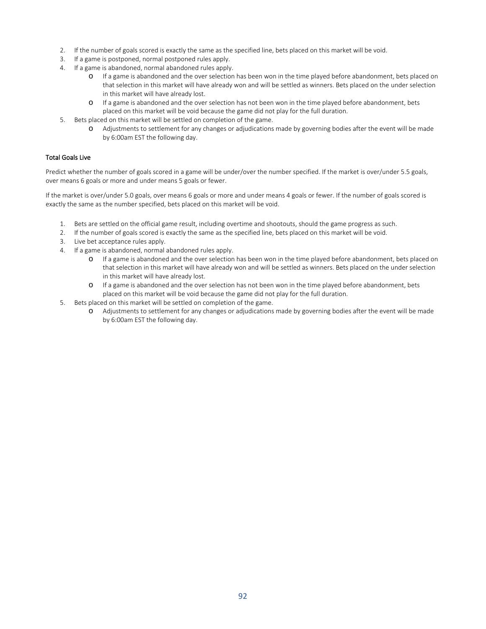- 2. If the number of goals scored is exactly the same as the specified line, bets placed on this market will be void.
- 3. If a game is postponed, normal postponed rules apply.
- 4. If a game is abandoned, normal abandoned rules apply.
	- o If a game is abandoned and the over selection has been won in the time played before abandonment, bets placed on that selection in this market will have already won and will be settled as winners. Bets placed on the under selection in this market will have already lost.
	- o If a game is abandoned and the over selection has not been won in the time played before abandonment, bets placed on this market will be void because the game did not play for the full duration.
- 5. Bets placed on this market will be settled on completion of the game.
	- o Adjustments to settlement for any changes or adjudications made by governing bodies after the event will be made by 6:00am EST the following day.

# Total Goals Live

Predict whether the number of goals scored in a game will be under/over the number specified. If the market is over/under 5.5 goals, over means 6 goals or more and under means 5 goals or fewer.

If the market is over/under 5.0 goals, over means 6 goals or more and under means 4 goals or fewer. If the number of goals scored is exactly the same as the number specified, bets placed on this market will be void.

- 1. Bets are settled on the official game result, including overtime and shootouts, should the game progress as such.
- 2. If the number of goals scored is exactly the same as the specified line, bets placed on this market will be void.
- 3. Live bet acceptance rules apply.
- 4. If a game is abandoned, normal abandoned rules apply.
	- o If a game is abandoned and the over selection has been won in the time played before abandonment, bets placed on that selection in this market will have already won and will be settled as winners. Bets placed on the under selection in this market will have already lost.
	- o If a game is abandoned and the over selection has not been won in the time played before abandonment, bets placed on this market will be void because the game did not play for the full duration.
- 5. Bets placed on this market will be settled on completion of the game.
	- o Adjustments to settlement for any changes or adjudications made by governing bodies after the event will be made by 6:00am EST the following day.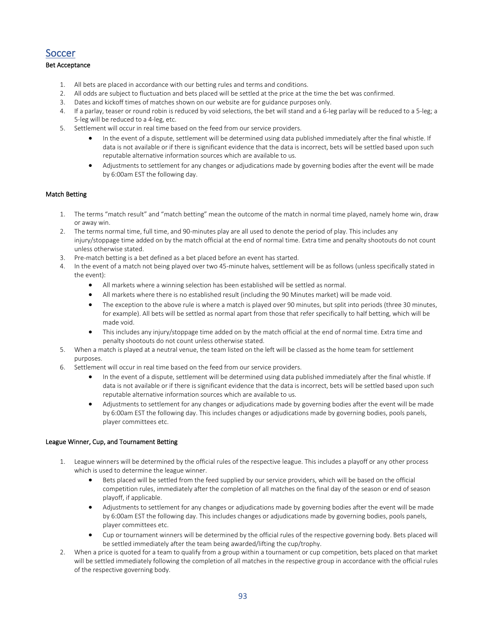# Soccer

# Bet Acceptance

- 1. All bets are placed in accordance with our betting rules and terms and conditions.
- 2. All odds are subject to fluctuation and bets placed will be settled at the price at the time the bet was confirmed.
- 3. Dates and kickoff times of matches shown on our website are for guidance purposes only.
- 4. If a parlay, teaser or round robin is reduced by void selections, the bet will stand and a 6-leg parlay will be reduced to a 5-leg; a 5-leg will be reduced to a 4-leg, etc.
- 5. Settlement will occur in real time based on the feed from our service providers.
	- In the event of a dispute, settlement will be determined using data published immediately after the final whistle. If data is not available or if there is significant evidence that the data is incorrect, bets will be settled based upon such reputable alternative information sources which are available to us.
	- Adjustments to settlement for any changes or adjudications made by governing bodies after the event will be made by 6:00am EST the following day.

# Match Betting

- 1. The terms "match result" and "match betting" mean the outcome of the match in normal time played, namely home win, draw or away win.
- 2. The terms normal time, full time, and 90-minutes play are all used to denote the period of play. This includes any injury/stoppage time added on by the match official at the end of normal time. Extra time and penalty shootouts do not count unless otherwise stated.
- 3. Pre-match betting is a bet defined as a bet placed before an event has started.
- 4. In the event of a match not being played over two 45-minute halves, settlement will be as follows (unless specifically stated in the event):
	- All markets where a winning selection has been established will be settled as normal.
	- All markets where there is no established result (including the 90 Minutes market) will be made void.
	- The exception to the above rule is where a match is played over 90 minutes, but split into periods (three 30 minutes, for example). All bets will be settled as normal apart from those that refer specifically to half betting, which will be made void.
	- This includes any injury/stoppage time added on by the match official at the end of normal time. Extra time and penalty shootouts do not count unless otherwise stated.
- 5. When a match is played at a neutral venue, the team listed on the left will be classed as the home team for settlement purposes.
- 6. Settlement will occur in real time based on the feed from our service providers.
	- In the event of a dispute, settlement will be determined using data published immediately after the final whistle. If data is not available or if there is significant evidence that the data is incorrect, bets will be settled based upon such reputable alternative information sources which are available to us.
	- Adjustments to settlement for any changes or adjudications made by governing bodies after the event will be made by 6:00am EST the following day. This includes changes or adjudications made by governing bodies, pools panels, player committees etc.

## League Winner, Cup, and Tournament Betting

- 1. League winners will be determined by the official rules of the respective league. This includes a playoff or any other process which is used to determine the league winner.
	- Bets placed will be settled from the feed supplied by our service providers, which will be based on the official competition rules, immediately after the completion of all matches on the final day of the season or end of season playoff, if applicable.
	- Adjustments to settlement for any changes or adjudications made by governing bodies after the event will be made by 6:00am EST the following day. This includes changes or adjudications made by governing bodies, pools panels, player committees etc.
	- Cup or tournament winners will be determined by the official rules of the respective governing body. Bets placed will be settled immediately after the team being awarded/lifting the cup/trophy.
- 2. When a price is quoted for a team to qualify from a group within a tournament or cup competition, bets placed on that market will be settled immediately following the completion of all matches in the respective group in accordance with the official rules of the respective governing body.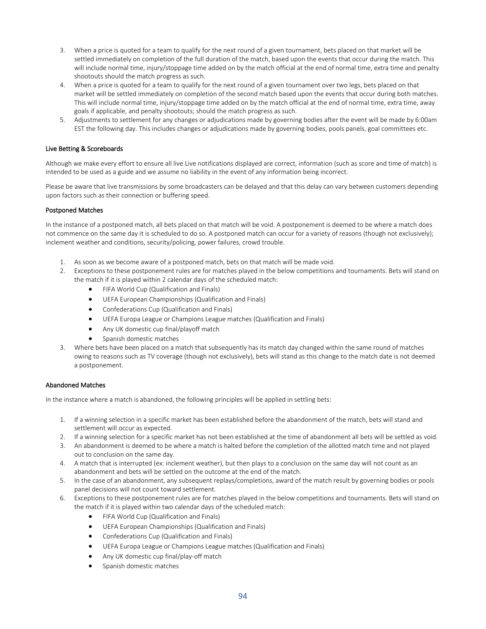- 3. When a price is quoted for a team to qualify for the next round of a given tournament, bets placed on that market will be settled immediately on completion of the full duration of the match, based upon the events that occur during the match. This will include normal time, injury/stoppage time added on by the match official at the end of normal time, extra time and penalty shootouts should the match progress as such.
- 4. When a price is quoted for a team to qualify for the next round of a given tournament over two legs, bets placed on that market will be settled immediately on completion of the second match based upon the events that occur during both matches. This will include normal time, injury/stoppage time added on by the match official at the end of normal time, extra time, away goals if applicable, and penalty shootouts; should the match progress as such.
- 5. Adjustments to settlement for any changes or adjudications made by governing bodies after the event will be made by 6:00am EST the following day. This includes changes or adjudications made by governing bodies, pools panels, goal committees etc.

# Live Betting & Scoreboards

Although we make every effort to ensure all live Live notifications displayed are correct, information (such as score and time of match) is intended to be used as a guide and we assume no liability in the event of any information being incorrect.

Please be aware that live transmissions by some broadcasters can be delayed and that this delay can vary between customers depending upon factors such as their connection or buffering speed.

#### Postponed Matches

In the instance of a postponed match, all bets placed on that match will be void. A postponement is deemed to be where a match does not commence on the same day it is scheduled to do so. A postponed match can occur for a variety of reasons (though not exclusively); inclement weather and conditions, security/policing, power failures, crowd trouble.

- 1. As soon as we become aware of a postponed match, bets on that match will be made void.
- 2. Exceptions to these postponement rules are for matches played in the below competitions and tournaments. Bets will stand on the match if it is played within 2 calendar days of the scheduled match:
	- FIFA World Cup (Qualification and Finals)
	- UEFA European Championships (Qualification and Finals)
	- Confederations Cup (Qualification and Finals)
	- UEFA Europa League or Champions League matches (Qualification and Finals)
	- Any UK domestic cup final/playoff match
	- Spanish domestic matches
- 3. Where bets have been placed on a match that subsequently has its match day changed within the same round of matches owing to reasons such as TV coverage (though not exclusively), bets will stand as this change to the match date is not deemed a postponement.

## Abandoned Matches

In the instance where a match is abandoned, the following principles will be applied in settling bets:

- 1. If a winning selection in a specific market has been established before the abandonment of the match, bets will stand and settlement will occur as expected.
- 2. If a winning selection for a specific market has not been established at the time of abandonment all bets will be settled as void.
- 3. An abandonment is deemed to be where a match is halted before the completion of the allotted match time and not played out to conclusion on the same day.
- 4. A match that is interrupted (ex: inclement weather), but then plays to a conclusion on the same day will not count as an abandonment and bets will be settled on the outcome at the end of the match.
- 5. In the case of an abandonment, any subsequent replays/completions, award of the match result by governing bodies or pools panel decisions will not count toward settlement.
- 6. Exceptions to these postponement rules are for matches played in the below competitions and tournaments. Bets will stand on the match if it is played within two calendar days of the scheduled match:
	- FIFA World Cup (Qualification and Finals)
	- UEFA European Championships (Qualification and Finals)
	- Confederations Cup (Qualification and Finals)
	- UEFA Europa League or Champions League matches (Qualification and Finals)
	- Any UK domestic cup final/play-off match
	- Spanish domestic matches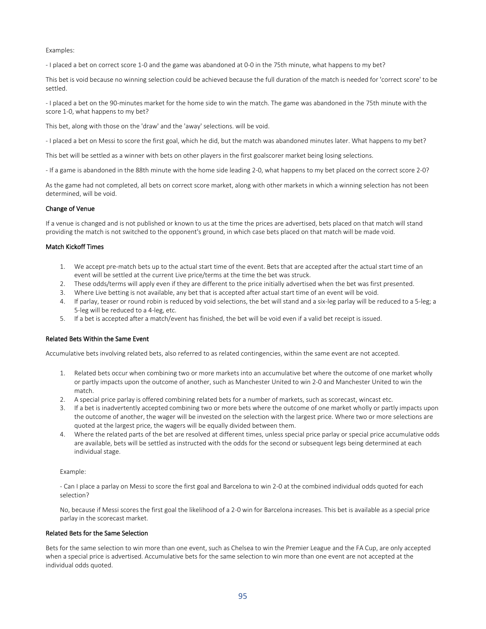#### Examples:

- I placed a bet on correct score 1-0 and the game was abandoned at 0-0 in the 75th minute, what happens to my bet?

This bet is void because no winning selection could be achieved because the full duration of the match is needed for 'correct score' to be settled.

- I placed a bet on the 90-minutes market for the home side to win the match. The game was abandoned in the 75th minute with the score 1-0, what happens to my bet?

This bet, along with those on the 'draw' and the 'away' selections. will be void.

- I placed a bet on Messi to score the first goal, which he did, but the match was abandoned minutes later. What happens to my bet?

This bet will be settled as a winner with bets on other players in the first goalscorer market being losing selections.

- If a game is abandoned in the 88th minute with the home side leading 2-0, what happens to my bet placed on the correct score 2-0?

As the game had not completed, all bets on correct score market, along with other markets in which a winning selection has not been determined, will be void.

#### Change of Venue

If a venue is changed and is not published or known to us at the time the prices are advertised, bets placed on that match will stand providing the match is not switched to the opponent's ground, in which case bets placed on that match will be made void.

#### Match Kickoff Times

- 1. We accept pre-match bets up to the actual start time of the event. Bets that are accepted after the actual start time of an event will be settled at the current Live price/terms at the time the bet was struck.
- 2. These odds/terms will apply even if they are different to the price initially advertised when the bet was first presented.
- 3. Where Live betting is not available, any bet that is accepted after actual start time of an event will be void.
- 4. If parlay, teaser or round robin is reduced by void selections, the bet will stand and a six-leg parlay will be reduced to a 5-leg; a 5-leg will be reduced to a 4-leg, etc.
- 5. If a bet is accepted after a match/event has finished, the bet will be void even if a valid bet receipt is issued.

## Related Bets Within the Same Event

Accumulative bets involving related bets, also referred to as related contingencies, within the same event are not accepted.

- 1. Related bets occur when combining two or more markets into an accumulative bet where the outcome of one market wholly or partly impacts upon the outcome of another, such as Manchester United to win 2-0 and Manchester United to win the match.
- 2. A special price parlay is offered combining related bets for a number of markets, such as scorecast, wincast etc.
- 3. If a bet is inadvertently accepted combining two or more bets where the outcome of one market wholly or partly impacts upon the outcome of another, the wager will be invested on the selection with the largest price. Where two or more selections are quoted at the largest price, the wagers will be equally divided between them.
- 4. Where the related parts of the bet are resolved at different times, unless special price parlay or special price accumulative odds are available, bets will be settled as instructed with the odds for the second or subsequent legs being determined at each individual stage.

#### Example:

- Can I place a parlay on Messi to score the first goal and Barcelona to win 2-0 at the combined individual odds quoted for each selection?

No, because if Messi scores the first goal the likelihood of a 2-0 win for Barcelona increases. This bet is available as a special price parlay in the scorecast market.

#### Related Bets for the Same Selection

Bets for the same selection to win more than one event, such as Chelsea to win the Premier League and the FA Cup, are only accepted when a special price is advertised. Accumulative bets for the same selection to win more than one event are not accepted at the individual odds quoted.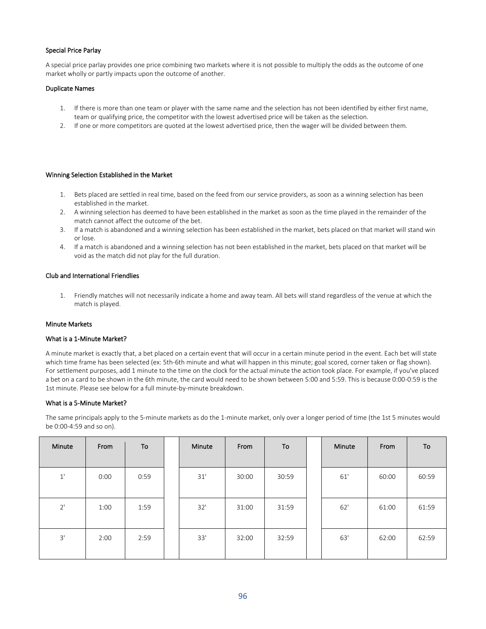# Special Price Parlay

A special price parlay provides one price combining two markets where it is not possible to multiply the odds as the outcome of one market wholly or partly impacts upon the outcome of another.

#### Duplicate Names

- 1. If there is more than one team or player with the same name and the selection has not been identified by either first name, team or qualifying price, the competitor with the lowest advertised price will be taken as the selection.
- 2. If one or more competitors are quoted at the lowest advertised price, then the wager will be divided between them.

## Winning Selection Established in the Market

- 1. Bets placed are settled in real time, based on the feed from our service providers, as soon as a winning selection has been established in the market.
- 2. A winning selection has deemed to have been established in the market as soon as the time played in the remainder of the match cannot affect the outcome of the bet.
- 3. If a match is abandoned and a winning selection has been established in the market, bets placed on that market will stand win or lose.
- 4. If a match is abandoned and a winning selection has not been established in the market, bets placed on that market will be void as the match did not play for the full duration.

#### Club and International Friendlies

1. Friendly matches will not necessarily indicate a home and away team. All bets will stand regardless of the venue at which the match is played.

#### Minute Markets

#### What is a 1-Minute Market?

A minute market is exactly that, a bet placed on a certain event that will occur in a certain minute period in the event. Each bet will state which time frame has been selected (ex: 5th-6th minute and what will happen in this minute; goal scored, corner taken or flag shown). For settlement purposes, add 1 minute to the time on the clock for the actual minute the action took place. For example, if you've placed a bet on a card to be shown in the 6th minute, the card would need to be shown between 5:00 and 5:59. This is because 0:00-0:59 is the 1st minute. Please see below for a full minute-by-minute breakdown.

#### What is a 5-Minute Market?

The same principals apply to the 5-minute markets as do the 1-minute market, only over a longer period of time (the 1st 5 minutes would be 0:00-4:59 and so on).

| Minute       | From | To   | Minute | From  | To    | Minute | From  | To    |
|--------------|------|------|--------|-------|-------|--------|-------|-------|
| $1^{\prime}$ | 0:00 | 0:59 | 31'    | 30:00 | 30:59 | 61'    | 60:00 | 60:59 |
| 2'           | 1:00 | 1:59 | 32'    | 31:00 | 31:59 | 62'    | 61:00 | 61:59 |
| 3'           | 2:00 | 2:59 | 33'    | 32:00 | 32:59 | 63'    | 62:00 | 62:59 |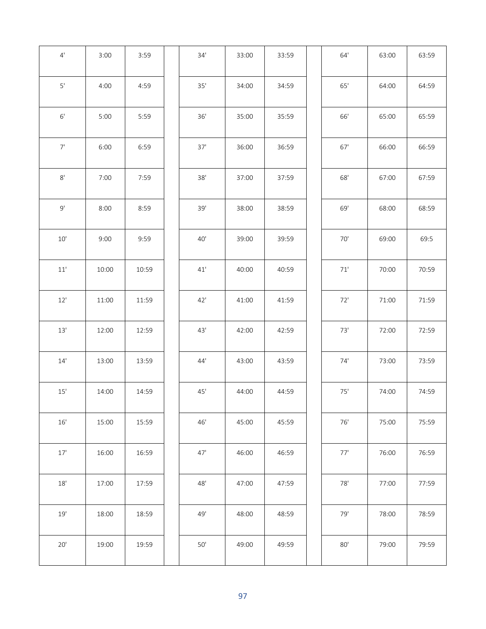| 4'            | 3:00  | 3:59  | 34'   | 33:00 | 33:59 | $64'$      | 63:00 | 63:59 |
|---------------|-------|-------|-------|-------|-------|------------|-------|-------|
| $5'$          | 4:00  | 4:59  | 35'   | 34:00 | 34:59 | 65'        | 64:00 | 64:59 |
| $6'$          | 5:00  | 5:59  | 36'   | 35:00 | 35:59 | 66'        | 65:00 | 65:59 |
| $7'$          | 6:00  | 6:59  | 37'   | 36:00 | 36:59 | $67'$      | 66:00 | 66:59 |
| $8^\circ$     | 7:00  | 7:59  | 38'   | 37:00 | 37:59 | $68'$      | 67:00 | 67:59 |
| 9'            | 8:00  | 8:59  | 39'   | 38:00 | 38:59 | 69'        | 68:00 | 68:59 |
| $10'$         | 9:00  | 9:59  | 40'   | 39:00 | 39:59 | 70'        | 69:00 | 69:5  |
| $11^{\prime}$ | 10:00 | 10:59 | 41'   | 40:00 | 40:59 | $71^\circ$ | 70:00 | 70:59 |
| $12'$         | 11:00 | 11:59 | 42'   | 41:00 | 41:59 | 72'        | 71:00 | 71:59 |
| $13'$         | 12:00 | 12:59 | 43'   | 42:00 | 42:59 | 73'        | 72:00 | 72:59 |
| 14'           | 13:00 | 13:59 | 44'   | 43:00 | 43:59 | 74'        | 73:00 | 73:59 |
| $15'$         | 14:00 | 14:59 | 45'   | 44:00 | 44:59 | 75'        | 74:00 | 74:59 |
| $16^{\prime}$ | 15:00 | 15:59 | $46'$ | 45:00 | 45:59 | $76'$      | 75:00 | 75:59 |
| $17'$         | 16:00 | 16:59 | 47'   | 46:00 | 46:59 | 77'        | 76:00 | 76:59 |
| $18^\circ$    | 17:00 | 17:59 | $48'$ | 47:00 | 47:59 | $78'$      | 77:00 | 77:59 |
| $19'$         | 18:00 | 18:59 | 49'   | 48:00 | 48:59 | 79'        | 78:00 | 78:59 |
| $20'$         | 19:00 | 19:59 | $50'$ | 49:00 | 49:59 | 80'        | 79:00 | 79:59 |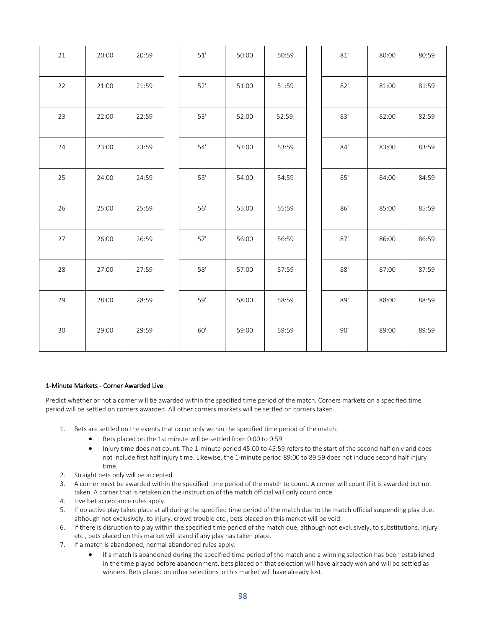| 21'   | 20:00 | 20:59 | 51'   | 50:00 | 50:59  | 81' | 80:00 | 80:59 |
|-------|-------|-------|-------|-------|--------|-----|-------|-------|
| 22'   | 21:00 | 21:59 | 52'   | 51:00 | 51:59  | 82' | 81:00 | 81:59 |
| 23'   | 22:00 | 22:59 | 53'   | 52:00 | 52:59: | 83' | 82:00 | 82:59 |
| 24'   | 23:00 | 23:59 | 54'   | 53:00 | 53:59  | 84' | 83:00 | 83:59 |
| 25'   | 24:00 | 24:59 | 55'   | 54:00 | 54:59  | 85' | 84:00 | 84:59 |
| 26'   | 25:00 | 25:59 | $56'$ | 55:00 | 55:59  | 86' | 85:00 | 85:59 |
| 27'   | 26:00 | 26:59 | 57'   | 56:00 | 56:59  | 87' | 86:00 | 86:59 |
| 28'   | 27:00 | 27:59 | $58'$ | 57:00 | 57:59  | 88' | 87:00 | 87:59 |
| 29'   | 28:00 | 28:59 | 59'   | 58:00 | 58:59  | 89' | 88:00 | 88:59 |
| $30'$ | 29:00 | 29:59 | $60'$ | 59:00 | 59:59  | 90' | 89:00 | 89:59 |

## 1-Minute Markets - Corner Awarded Live

Predict whether or not a corner will be awarded within the specified time period of the match. Corners markets on a specified time period will be settled on corners awarded. All other corners markets will be settled on corners taken.

- 1. Bets are settled on the events that occur only within the specified time period of the match.
	- Bets placed on the 1st minute will be settled from 0:00 to 0:59.
	- Injury time does not count. The 1-minute period 45:00 to 45:59 refers to the start of the second half only and does not include first half injury time. Likewise, the 1-minute period 89:00 to 89:59 does not include second half injury time.
- 2. Straight bets only will be accepted.
- 3. A corner must be awarded within the specified time period of the match to count. A corner will count if it is awarded but not taken. A corner that is retaken on the instruction of the match official will only count once.
- 4. Live bet acceptance rules apply.
- 5. If no active play takes place at all during the specified time period of the match due to the match official suspending play due, although not exclusively, to injury, crowd trouble etc., bets placed on this market will be void.
- 6. If there is disruption to play within the specified time period of the match due, although not exclusively, to substitutions, injury etc., bets placed on this market will stand if any play has taken place.
- 7. If a match is abandoned, normal abandoned rules apply.
	- If a match is abandoned during the specified time period of the match and a winning selection has been established in the time played before abandonment, bets placed on that selection will have already won and will be settled as winners. Bets placed on other selections in this market will have already lost.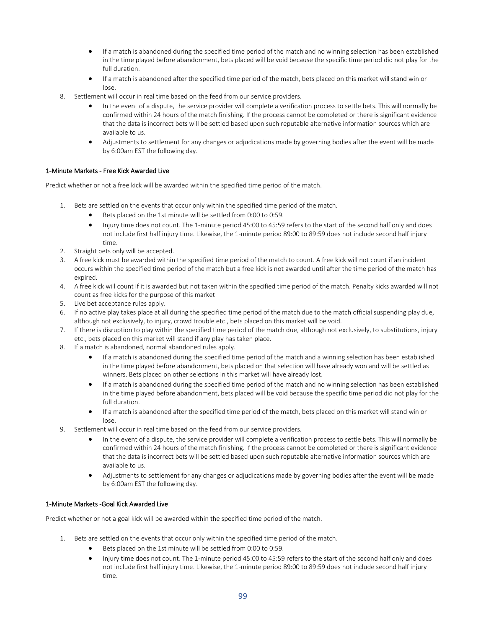- If a match is abandoned during the specified time period of the match and no winning selection has been established in the time played before abandonment, bets placed will be void because the specific time period did not play for the full duration.
- If a match is abandoned after the specified time period of the match, bets placed on this market will stand win or lose.
- 8. Settlement will occur in real time based on the feed from our service providers.
	- In the event of a dispute, the service provider will complete a verification process to settle bets. This will normally be confirmed within 24 hours of the match finishing. If the process cannot be completed or there is significant evidence that the data is incorrect bets will be settled based upon such reputable alternative information sources which are available to us.
	- Adjustments to settlement for any changes or adjudications made by governing bodies after the event will be made by 6:00am EST the following day.

## 1-Minute Markets - Free Kick Awarded Live

Predict whether or not a free kick will be awarded within the specified time period of the match.

- 1. Bets are settled on the events that occur only within the specified time period of the match.
	- Bets placed on the 1st minute will be settled from 0:00 to 0:59.
	- Injury time does not count. The 1-minute period 45:00 to 45:59 refers to the start of the second half only and does not include first half injury time. Likewise, the 1-minute period 89:00 to 89:59 does not include second half injury time.
- 2. Straight bets only will be accepted.
- 3. A free kick must be awarded within the specified time period of the match to count. A free kick will not count if an incident occurs within the specified time period of the match but a free kick is not awarded until after the time period of the match has expired.
- 4. A free kick will count if it is awarded but not taken within the specified time period of the match. Penalty kicks awarded will not count as free kicks for the purpose of this market
- 5. Live bet acceptance rules apply.
- 6. If no active play takes place at all during the specified time period of the match due to the match official suspending play due, although not exclusively, to injury, crowd trouble etc., bets placed on this market will be void.
- 7. If there is disruption to play within the specified time period of the match due, although not exclusively, to substitutions, injury etc., bets placed on this market will stand if any play has taken place.
- 8. If a match is abandoned, normal abandoned rules apply.
	- If a match is abandoned during the specified time period of the match and a winning selection has been established in the time played before abandonment, bets placed on that selection will have already won and will be settled as winners. Bets placed on other selections in this market will have already lost.
	- If a match is abandoned during the specified time period of the match and no winning selection has been established in the time played before abandonment, bets placed will be void because the specific time period did not play for the full duration.
	- If a match is abandoned after the specified time period of the match, bets placed on this market will stand win or lose.
- 9. Settlement will occur in real time based on the feed from our service providers.
	- In the event of a dispute, the service provider will complete a verification process to settle bets. This will normally be confirmed within 24 hours of the match finishing. If the process cannot be completed or there is significant evidence that the data is incorrect bets will be settled based upon such reputable alternative information sources which are available to us.
	- Adjustments to settlement for any changes or adjudications made by governing bodies after the event will be made by 6:00am EST the following day.

## 1-Minute Markets -Goal Kick Awarded Live

Predict whether or not a goal kick will be awarded within the specified time period of the match.

- 1. Bets are settled on the events that occur only within the specified time period of the match.
	- Bets placed on the 1st minute will be settled from 0:00 to 0:59.
	- Injury time does not count. The 1-minute period 45:00 to 45:59 refers to the start of the second half only and does not include first half injury time. Likewise, the 1-minute period 89:00 to 89:59 does not include second half injury time.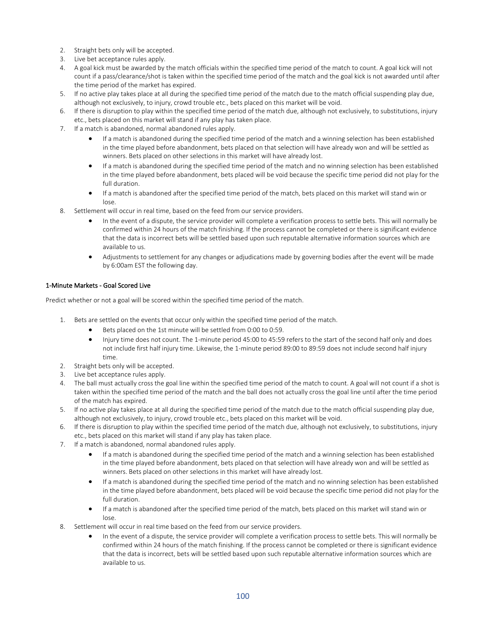- 2. Straight bets only will be accepted.
- 3. Live bet acceptance rules apply.
- 4. A goal kick must be awarded by the match officials within the specified time period of the match to count. A goal kick will not count if a pass/clearance/shot is taken within the specified time period of the match and the goal kick is not awarded until after the time period of the market has expired.
- 5. If no active play takes place at all during the specified time period of the match due to the match official suspending play due, although not exclusively, to injury, crowd trouble etc., bets placed on this market will be void.
- 6. If there is disruption to play within the specified time period of the match due, although not exclusively, to substitutions, injury etc., bets placed on this market will stand if any play has taken place.
- 7. If a match is abandoned, normal abandoned rules apply.
	- If a match is abandoned during the specified time period of the match and a winning selection has been established in the time played before abandonment, bets placed on that selection will have already won and will be settled as winners. Bets placed on other selections in this market will have already lost.
	- If a match is abandoned during the specified time period of the match and no winning selection has been established in the time played before abandonment, bets placed will be void because the specific time period did not play for the full duration.
	- If a match is abandoned after the specified time period of the match, bets placed on this market will stand win or lose.
- 8. Settlement will occur in real time, based on the feed from our service providers.
	- In the event of a dispute, the service provider will complete a verification process to settle bets. This will normally be confirmed within 24 hours of the match finishing. If the process cannot be completed or there is significant evidence that the data is incorrect bets will be settled based upon such reputable alternative information sources which are available to us.
	- Adjustments to settlement for any changes or adjudications made by governing bodies after the event will be made by 6:00am EST the following day.

# 1-Minute Markets - Goal Scored Live

Predict whether or not a goal will be scored within the specified time period of the match.

- 1. Bets are settled on the events that occur only within the specified time period of the match.
	- Bets placed on the 1st minute will be settled from 0:00 to 0:59.
	- Injury time does not count. The 1-minute period 45:00 to 45:59 refers to the start of the second half only and does not include first half injury time. Likewise, the 1-minute period 89:00 to 89:59 does not include second half injury time.
- 2. Straight bets only will be accepted.
- 3. Live bet acceptance rules apply.
- 4. The ball must actually cross the goal line within the specified time period of the match to count. A goal will not count if a shot is taken within the specified time period of the match and the ball does not actually cross the goal line until after the time period of the match has expired.
- 5. If no active play takes place at all during the specified time period of the match due to the match official suspending play due, although not exclusively, to injury, crowd trouble etc., bets placed on this market will be void.
- 6. If there is disruption to play within the specified time period of the match due, although not exclusively, to substitutions, injury etc., bets placed on this market will stand if any play has taken place.
- 7. If a match is abandoned, normal abandoned rules apply.
	- If a match is abandoned during the specified time period of the match and a winning selection has been established in the time played before abandonment, bets placed on that selection will have already won and will be settled as winners. Bets placed on other selections in this market will have already lost.
	- If a match is abandoned during the specified time period of the match and no winning selection has been established in the time played before abandonment, bets placed will be void because the specific time period did not play for the full duration.
	- If a match is abandoned after the specified time period of the match, bets placed on this market will stand win or lose.
- 8. Settlement will occur in real time based on the feed from our service providers.
	- In the event of a dispute, the service provider will complete a verification process to settle bets. This will normally be confirmed within 24 hours of the match finishing. If the process cannot be completed or there is significant evidence that the data is incorrect, bets will be settled based upon such reputable alternative information sources which are available to us.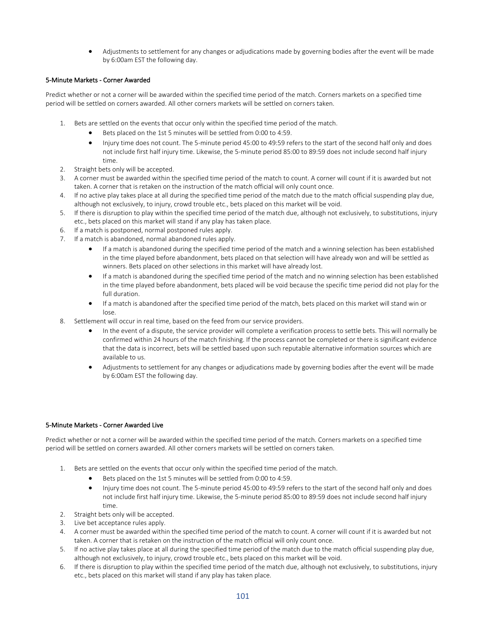• Adjustments to settlement for any changes or adjudications made by governing bodies after the event will be made by 6:00am EST the following day.

# 5-Minute Markets - Corner Awarded

Predict whether or not a corner will be awarded within the specified time period of the match. Corners markets on a specified time period will be settled on corners awarded. All other corners markets will be settled on corners taken.

- 1. Bets are settled on the events that occur only within the specified time period of the match.
	- Bets placed on the 1st 5 minutes will be settled from 0:00 to 4:59.
	- Injury time does not count. The 5-minute period 45:00 to 49:59 refers to the start of the second half only and does not include first half injury time. Likewise, the 5-minute period 85:00 to 89:59 does not include second half injury time.
- 2. Straight bets only will be accepted.
- 3. A corner must be awarded within the specified time period of the match to count. A corner will count if it is awarded but not taken. A corner that is retaken on the instruction of the match official will only count once.
- 4. If no active play takes place at all during the specified time period of the match due to the match official suspending play due, although not exclusively, to injury, crowd trouble etc., bets placed on this market will be void.
- 5. If there is disruption to play within the specified time period of the match due, although not exclusively, to substitutions, injury etc., bets placed on this market will stand if any play has taken place.
- 6. If a match is postponed, normal postponed rules apply.
- 7. If a match is abandoned, normal abandoned rules apply.
	- If a match is abandoned during the specified time period of the match and a winning selection has been established in the time played before abandonment, bets placed on that selection will have already won and will be settled as winners. Bets placed on other selections in this market will have already lost.
	- If a match is abandoned during the specified time period of the match and no winning selection has been established in the time played before abandonment, bets placed will be void because the specific time period did not play for the full duration.
	- If a match is abandoned after the specified time period of the match, bets placed on this market will stand win or lose.
- 8. Settlement will occur in real time, based on the feed from our service providers.
	- In the event of a dispute, the service provider will complete a verification process to settle bets. This will normally be confirmed within 24 hours of the match finishing. If the process cannot be completed or there is significant evidence that the data is incorrect, bets will be settled based upon such reputable alternative information sources which are available to us.
	- Adjustments to settlement for any changes or adjudications made by governing bodies after the event will be made by 6:00am EST the following day.

## 5-Minute Markets - Corner Awarded Live

Predict whether or not a corner will be awarded within the specified time period of the match. Corners markets on a specified time period will be settled on corners awarded. All other corners markets will be settled on corners taken.

- 1. Bets are settled on the events that occur only within the specified time period of the match.
	- Bets placed on the 1st 5 minutes will be settled from 0:00 to 4:59.
	- Injury time does not count. The 5-minute period 45:00 to 49:59 refers to the start of the second half only and does not include first half injury time. Likewise, the 5-minute period 85:00 to 89:59 does not include second half injury time.
- 2. Straight bets only will be accepted.
- 3. Live bet acceptance rules apply.
- 4. A corner must be awarded within the specified time period of the match to count. A corner will count if it is awarded but not taken. A corner that is retaken on the instruction of the match official will only count once.
- 5. If no active play takes place at all during the specified time period of the match due to the match official suspending play due, although not exclusively, to injury, crowd trouble etc., bets placed on this market will be void.
- 6. If there is disruption to play within the specified time period of the match due, although not exclusively, to substitutions, injury etc., bets placed on this market will stand if any play has taken place.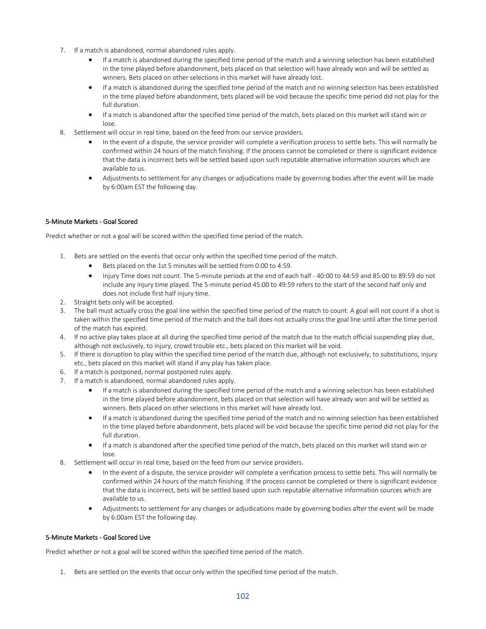- 7. If a match is abandoned, normal abandoned rules apply.
	- If a match is abandoned during the specified time period of the match and a winning selection has been established in the time played before abandonment, bets placed on that selection will have already won and will be settled as winners. Bets placed on other selections in this market will have already lost.
	- If a match is abandoned during the specified time period of the match and no winning selection has been established in the time played before abandonment, bets placed will be void because the specific time period did not play for the full duration.
	- If a match is abandoned after the specified time period of the match, bets placed on this market will stand win or lose.
- 8. Settlement will occur in real time, based on the feed from our service providers.
	- In the event of a dispute, the service provider will complete a verification process to settle bets. This will normally be confirmed within 24 hours of the match finishing. If the process cannot be completed or there is significant evidence that the data is incorrect bets will be settled based upon such reputable alternative information sources which are available to us.
	- Adjustments to settlement for any changes or adjudications made by governing bodies after the event will be made by 6:00am EST the following day.

# 5-Minute Markets - Goal Scored

Predict whether or not a goal will be scored within the specified time period of the match.

- 1. Bets are settled on the events that occur only within the specified time period of the match.
	- Bets placed on the 1st 5 minutes will be settled from 0:00 to 4:59.
	- Injury Time does not count. The 5-minute periods at the end of each half 40:00 to 44:59 and 85:00 to 89:59 do not include any injury time played. The 5-minute period 45:00 to 49:59 refers to the start of the second half only and does not include first half injury time.
- 2. Straight bets only will be accepted.
- 3. The ball must actually cross the goal line within the specified time period of the match to count. A goal will not count if a shot is taken within the specified time period of the match and the ball does not actually cross the goal line until after the time period of the match has expired.
- 4. If no active play takes place at all during the specified time period of the match due to the match official suspending play due, although not exclusively, to injury, crowd trouble etc., bets placed on this market will be void.
- 5. If there is disruption to play within the specified time period of the match due, although not exclusively, to substitutions, injury etc., bets placed on this market will stand if any play has taken place.
- 6. If a match is postponed, normal postponed rules apply.
- 7. If a match is abandoned, normal abandoned rules apply.
	- If a match is abandoned during the specified time period of the match and a winning selection has been established in the time played before abandonment, bets placed on that selection will have already won and will be settled as winners. Bets placed on other selections in this market will have already lost.
	- If a match is abandoned during the specified time period of the match and no winning selection has been established in the time played before abandonment, bets placed will be void because the specific time period did not play for the full duration.
	- If a match is abandoned after the specified time period of the match, bets placed on this market will stand win or lose.
- 8. Settlement will occur in real time, based on the feed from our service providers.
	- In the event of a dispute, the service provider will complete a verification process to settle bets. This will normally be confirmed within 24 hours of the match finishing. If the process cannot be completed or there is significant evidence that the data is incorrect, bets will be settled based upon such reputable alternative information sources which are available to us.
	- Adjustments to settlement for any changes or adjudications made by governing bodies after the event will be made by 6:00am EST the following day.

## 5-Minute Markets - Goal Scored Live

Predict whether or not a goal will be scored within the specified time period of the match.

1. Bets are settled on the events that occur only within the specified time period of the match.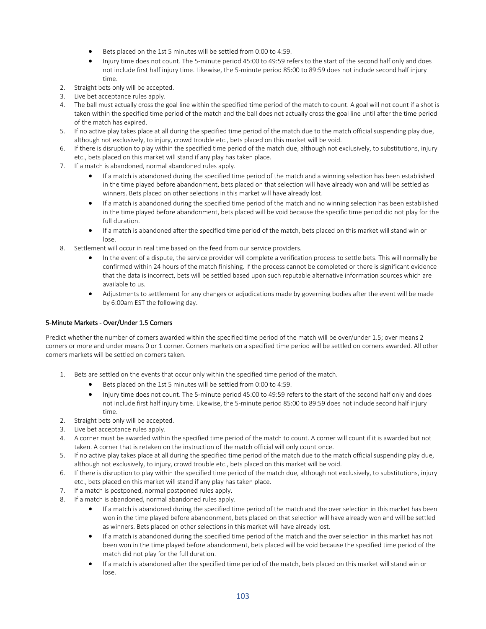- Bets placed on the 1st 5 minutes will be settled from 0:00 to 4:59.
- Injury time does not count. The 5-minute period 45:00 to 49:59 refers to the start of the second half only and does not include first half injury time. Likewise, the 5-minute period 85:00 to 89:59 does not include second half injury time.
- 2. Straight bets only will be accepted.
- 3. Live bet acceptance rules apply.
- 4. The ball must actually cross the goal line within the specified time period of the match to count. A goal will not count if a shot is taken within the specified time period of the match and the ball does not actually cross the goal line until after the time period of the match has expired.
- 5. If no active play takes place at all during the specified time period of the match due to the match official suspending play due, although not exclusively, to injury, crowd trouble etc., bets placed on this market will be void.
- 6. If there is disruption to play within the specified time period of the match due, although not exclusively, to substitutions, injury etc., bets placed on this market will stand if any play has taken place.
- 7. If a match is abandoned, normal abandoned rules apply.
	- If a match is abandoned during the specified time period of the match and a winning selection has been established in the time played before abandonment, bets placed on that selection will have already won and will be settled as winners. Bets placed on other selections in this market will have already lost.
	- If a match is abandoned during the specified time period of the match and no winning selection has been established in the time played before abandonment, bets placed will be void because the specific time period did not play for the full duration.
	- If a match is abandoned after the specified time period of the match, bets placed on this market will stand win or lose.
- 8. Settlement will occur in real time based on the feed from our service providers.
	- In the event of a dispute, the service provider will complete a verification process to settle bets. This will normally be confirmed within 24 hours of the match finishing. If the process cannot be completed or there is significant evidence that the data is incorrect, bets will be settled based upon such reputable alternative information sources which are available to us.
	- Adjustments to settlement for any changes or adjudications made by governing bodies after the event will be made by 6:00am EST the following day.

## 5-Minute Markets - Over/Under 1.5 Corners

Predict whether the number of corners awarded within the specified time period of the match will be over/under 1.5; over means 2 corners or more and under means 0 or 1 corner. Corners markets on a specified time period will be settled on corners awarded. All other corners markets will be settled on corners taken.

- 1. Bets are settled on the events that occur only within the specified time period of the match.
	- Bets placed on the 1st 5 minutes will be settled from 0:00 to 4:59.
	- Injury time does not count. The 5-minute period 45:00 to 49:59 refers to the start of the second half only and does not include first half injury time. Likewise, the 5-minute period 85:00 to 89:59 does not include second half injury time.
- 2. Straight bets only will be accepted.
- 3. Live bet acceptance rules apply.
- 4. A corner must be awarded within the specified time period of the match to count. A corner will count if it is awarded but not taken. A corner that is retaken on the instruction of the match official will only count once.
- 5. If no active play takes place at all during the specified time period of the match due to the match official suspending play due, although not exclusively, to injury, crowd trouble etc., bets placed on this market will be void.
- 6. If there is disruption to play within the specified time period of the match due, although not exclusively, to substitutions, injury etc., bets placed on this market will stand if any play has taken place.
- 7. If a match is postponed, normal postponed rules apply.
- 8. If a match is abandoned, normal abandoned rules apply.
	- If a match is abandoned during the specified time period of the match and the over selection in this market has been won in the time played before abandonment, bets placed on that selection will have already won and will be settled as winners. Bets placed on other selections in this market will have already lost.
	- If a match is abandoned during the specified time period of the match and the over selection in this market has not been won in the time played before abandonment, bets placed will be void because the specified time period of the match did not play for the full duration.
	- If a match is abandoned after the specified time period of the match, bets placed on this market will stand win or lose.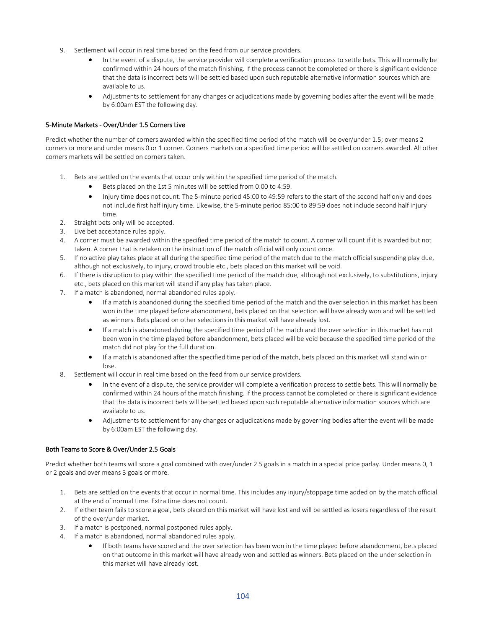- 9. Settlement will occur in real time based on the feed from our service providers.
	- In the event of a dispute, the service provider will complete a verification process to settle bets. This will normally be confirmed within 24 hours of the match finishing. If the process cannot be completed or there is significant evidence that the data is incorrect bets will be settled based upon such reputable alternative information sources which are available to us.
	- Adjustments to settlement for any changes or adjudications made by governing bodies after the event will be made by 6:00am EST the following day.

# 5-Minute Markets - Over/Under 1.5 Corners Live

Predict whether the number of corners awarded within the specified time period of the match will be over/under 1.5; over means 2 corners or more and under means 0 or 1 corner. Corners markets on a specified time period will be settled on corners awarded. All other corners markets will be settled on corners taken.

- 1. Bets are settled on the events that occur only within the specified time period of the match.
	- Bets placed on the 1st 5 minutes will be settled from 0:00 to 4:59.
	- Injury time does not count. The 5-minute period 45:00 to 49:59 refers to the start of the second half only and does not include first half injury time. Likewise, the 5-minute period 85:00 to 89:59 does not include second half injury time.
- 2. Straight bets only will be accepted.
- 3. Live bet acceptance rules apply.
- 4. A corner must be awarded within the specified time period of the match to count. A corner will count if it is awarded but not taken. A corner that is retaken on the instruction of the match official will only count once.
- 5. If no active play takes place at all during the specified time period of the match due to the match official suspending play due, although not exclusively, to injury, crowd trouble etc., bets placed on this market will be void.
- 6. If there is disruption to play within the specified time period of the match due, although not exclusively, to substitutions, injury etc., bets placed on this market will stand if any play has taken place.
- 7. If a match is abandoned, normal abandoned rules apply.
	- If a match is abandoned during the specified time period of the match and the over selection in this market has been won in the time played before abandonment, bets placed on that selection will have already won and will be settled as winners. Bets placed on other selections in this market will have already lost.
	- If a match is abandoned during the specified time period of the match and the over selection in this market has not been won in the time played before abandonment, bets placed will be void because the specified time period of the match did not play for the full duration.
	- If a match is abandoned after the specified time period of the match, bets placed on this market will stand win or  $\log$
- 8. Settlement will occur in real time based on the feed from our service providers.
	- In the event of a dispute, the service provider will complete a verification process to settle bets. This will normally be confirmed within 24 hours of the match finishing. If the process cannot be completed or there is significant evidence that the data is incorrect bets will be settled based upon such reputable alternative information sources which are available to us.
	- Adjustments to settlement for any changes or adjudications made by governing bodies after the event will be made by 6:00am EST the following day.

## Both Teams to Score & Over/Under 2.5 Goals

Predict whether both teams will score a goal combined with over/under 2.5 goals in a match in a special price parlay. Under means 0, 1 or 2 goals and over means 3 goals or more.

- 1. Bets are settled on the events that occur in normal time. This includes any injury/stoppage time added on by the match official at the end of normal time. Extra time does not count.
- 2. If either team fails to score a goal, bets placed on this market will have lost and will be settled as losers regardless of the result of the over/under market.
- 3. If a match is postponed, normal postponed rules apply.
- 4. If a match is abandoned, normal abandoned rules apply.
	- If both teams have scored and the over selection has been won in the time played before abandonment, bets placed on that outcome in this market will have already won and settled as winners. Bets placed on the under selection in this market will have already lost.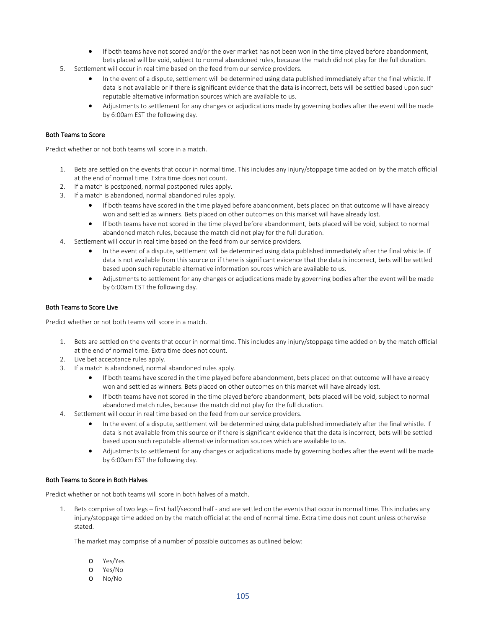- If both teams have not scored and/or the over market has not been won in the time played before abandonment, bets placed will be void, subject to normal abandoned rules, because the match did not play for the full duration.
- 5. Settlement will occur in real time based on the feed from our service providers.
	- In the event of a dispute, settlement will be determined using data published immediately after the final whistle. If data is not available or if there is significant evidence that the data is incorrect, bets will be settled based upon such reputable alternative information sources which are available to us.
	- Adjustments to settlement for any changes or adjudications made by governing bodies after the event will be made by 6:00am EST the following day.

# Both Teams to Score

Predict whether or not both teams will score in a match.

- 1. Bets are settled on the events that occur in normal time. This includes any injury/stoppage time added on by the match official at the end of normal time. Extra time does not count.
- 2. If a match is postponed, normal postponed rules apply.
- 3. If a match is abandoned, normal abandoned rules apply.
	- If both teams have scored in the time played before abandonment, bets placed on that outcome will have already won and settled as winners. Bets placed on other outcomes on this market will have already lost.
	- If both teams have not scored in the time played before abandonment, bets placed will be void, subject to normal abandoned match rules, because the match did not play for the full duration.
- 4. Settlement will occur in real time based on the feed from our service providers.
	- In the event of a dispute, settlement will be determined using data published immediately after the final whistle. If data is not available from this source or if there is significant evidence that the data is incorrect, bets will be settled based upon such reputable alternative information sources which are available to us.
	- Adjustments to settlement for any changes or adjudications made by governing bodies after the event will be made by 6:00am EST the following day.

## Both Teams to Score Live

Predict whether or not both teams will score in a match.

- 1. Bets are settled on the events that occur in normal time. This includes any injury/stoppage time added on by the match official at the end of normal time. Extra time does not count.
- 2. Live bet acceptance rules apply.
- 3. If a match is abandoned, normal abandoned rules apply.
	- If both teams have scored in the time played before abandonment, bets placed on that outcome will have already won and settled as winners. Bets placed on other outcomes on this market will have already lost.
	- If both teams have not scored in the time played before abandonment, bets placed will be void, subject to normal abandoned match rules, because the match did not play for the full duration.
- 4. Settlement will occur in real time based on the feed from our service providers.
	- In the event of a dispute, settlement will be determined using data published immediately after the final whistle. If data is not available from this source or if there is significant evidence that the data is incorrect, bets will be settled based upon such reputable alternative information sources which are available to us.
	- Adjustments to settlement for any changes or adjudications made by governing bodies after the event will be made by 6:00am EST the following day.

## Both Teams to Score in Both Halves

Predict whether or not both teams will score in both halves of a match.

1. Bets comprise of two legs – first half/second half - and are settled on the events that occur in normal time. This includes any injury/stoppage time added on by the match official at the end of normal time. Extra time does not count unless otherwise stated.

The market may comprise of a number of possible outcomes as outlined below:

- o Yes/Yes
- o Yes/No
- o No/No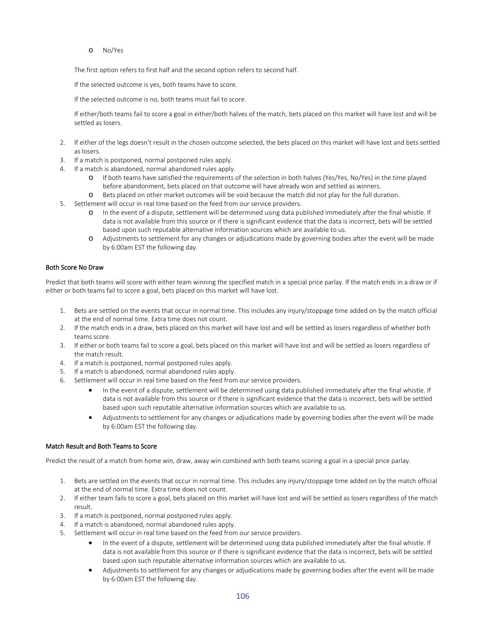o No/Yes

The first option refers to first half and the second option refers to second half.

If the selected outcome is yes, both teams have to score.

If the selected outcome is no, both teams must fail to score.

If either/both teams fail to score a goal in either/both halves of the match, bets placed on this market will have lost and will be settled as losers.

- 2. If either of the legs doesn't result in the chosen outcome selected, the bets placed on this market will have lost and bets settled as losers.
- 3. If a match is postponed, normal postponed rules apply.
- 4. If a match is abandoned, normal abandoned rules apply.
	- o If both teams have satisfied the requirements of the selection in both halves (Yes/Yes, No/Yes) in the time played before abandonment, bets placed on that outcome will have already won and settled as winners.
	- o Bets placed on other market outcomes will be void because the match did not play for the full duration.
- 5. Settlement will occur in real time based on the feed from our service providers.
	- o In the event of a dispute, settlement will be determined using data published immediately after the final whistle. If data is not available from this source or if there is significant evidence that the data is incorrect, bets will be settled based upon such reputable alternative information sources which are available to us.
	- Adjustments to settlement for any changes or adjudications made by governing bodies after the event will be made by 6:00am EST the following day.

## Both Score No Draw

Predict that both teams will score with either team winning the specified match in a special price parlay. If the match ends in a draw or if either or both teams fail to score a goal, bets placed on this market will have lost.

- 1. Bets are settled on the events that occur in normal time. This includes any injury/stoppage time added on by the match official at the end of normal time. Extra time does not count.
- 2. If the match ends in a draw, bets placed on this market will have lost and will be settled as losers regardless of whether both teams score.
- 3. If either or both teams fail to score a goal, bets placed on this market will have lost and will be settled as losers regardless of the match result.
- 4. If a match is postponed, normal postponed rules apply.
- 5. If a match is abandoned, normal abandoned rules apply.
- 6. Settlement will occur in real time based on the feed from our service providers.
	- In the event of a dispute, settlement will be determined using data published immediately after the final whistle. If data is not available from this source or if there is significant evidence that the data is incorrect, bets will be settled based upon such reputable alternative information sources which are available to us.
	- Adjustments to settlement for any changes or adjudications made by governing bodies after the event will be made by 6:00am EST the following day.

## Match Result and Both Teams to Score

Predict the result of a match from home win, draw, away win combined with both teams scoring a goal in a special price parlay.

- 1. Bets are settled on the events that occur in normal time. This includes any injury/stoppage time added on by the match official at the end of normal time. Extra time does not count.
- 2. If either team fails to score a goal, bets placed on this market will have lost and will be settled as losers regardless of the match result.
- 3. If a match is postponed, normal postponed rules apply.
- 4. If a match is abandoned, normal abandoned rules apply.
- 5. Settlement will occur in real time based on the feed from our service providers.
	- In the event of a dispute, settlement will be determined using data published immediately after the final whistle. If data is not available from this source or if there is significant evidence that the data is incorrect, bets will be settled based upon such reputable alternative information sources which are available to us.
	- Adjustments to settlement for any changes or adjudications made by governing bodies after the event will be made by 6:00am EST the following day.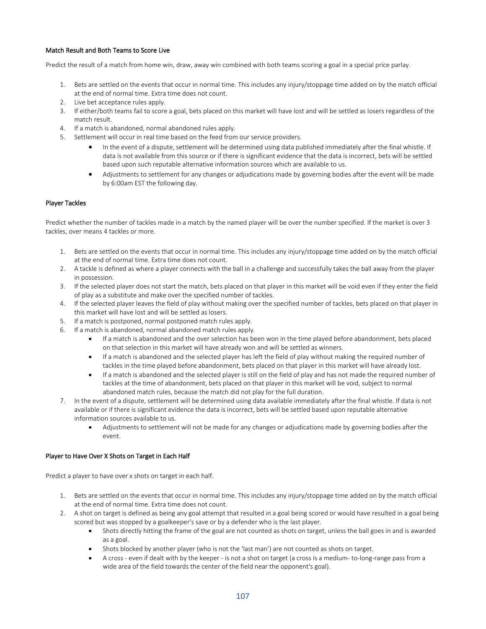# Match Result and Both Teams to Score Live

Predict the result of a match from home win, draw, away win combined with both teams scoring a goal in a special price parlay.

- 1. Bets are settled on the events that occur in normal time. This includes any injury/stoppage time added on by the match official at the end of normal time. Extra time does not count.
- 2. Live bet acceptance rules apply.
- 3. If either/both teams fail to score a goal, bets placed on this market will have lost and will be settled as losers regardless of the match result.
- 4. If a match is abandoned, normal abandoned rules apply.
- 5. Settlement will occur in real time based on the feed from our service providers.
	- In the event of a dispute, settlement will be determined using data published immediately after the final whistle. If data is not available from this source or if there is significant evidence that the data is incorrect, bets will be settled based upon such reputable alternative information sources which are available to us.
	- Adjustments to settlement for any changes or adjudications made by governing bodies after the event will be made by 6:00am EST the following day.

# Player Tackles

Predict whether the number of tackles made in a match by the named player will be over the number specified. If the market is over 3 tackles, over means 4 tackles or more.

- 1. Bets are settled on the events that occur in normal time. This includes any injury/stoppage time added on by the match official at the end of normal time. Extra time does not count.
- 2. A tackle is defined as where a player connects with the ball in a challenge and successfully takes the ball away from the player in possession.
- 3. If the selected player does not start the match, bets placed on that player in this market will be void even if they enter the field of play as a substitute and make over the specified number of tackles.
- 4. If the selected player leaves the field of play without making over the specified number of tackles, bets placed on that player in this market will have lost and will be settled as losers.
- 5. If a match is postponed, normal postponed match rules apply.
- 6. If a match is abandoned, normal abandoned match rules apply.
	- If a match is abandoned and the over selection has been won in the time played before abandonment, bets placed on that selection in this market will have already won and will be settled as winners.
	- If a match is abandoned and the selected player has left the field of play without making the required number of tackles in the time played before abandonment, bets placed on that player in this market will have already lost.
	- If a match is abandoned and the selected player is still on the field of play and has not made the required number of tackles at the time of abandonment, bets placed on that player in this market will be void, subject to normal abandoned match rules, because the match did not play for the full duration.
- 7. In the event of a dispute, settlement will be determined using data available immediately after the final whistle. If data is not available or if there is significant evidence the data is incorrect, bets will be settled based upon reputable alternative information sources available to us.
	- Adjustments to settlement will not be made for any changes or adjudications made by governing bodies after the event.

## Player to Have Over X Shots on Target in Each Half

Predict a player to have over x shots on target in each half.

- 1. Bets are settled on the events that occur in normal time. This includes any injury/stoppage time added on by the match official at the end of normal time. Extra time does not count.
- 2. A shot on target is defined as being any goal attempt that resulted in a goal being scored or would have resulted in a goal being scored but was stopped by a goalkeeper's save or by a defender who is the last player.
	- Shots directly hitting the frame of the goal are not counted as shots on target, unless the ball goes in and is awarded as a goal.
	- Shots blocked by another player (who is not the 'last man') are not counted as shots on target.
	- A cross even if dealt with by the keeper is not a shot on target (a cross is a medium- to-long-range pass from a wide area of the field towards the center of the field near the opponent's goal).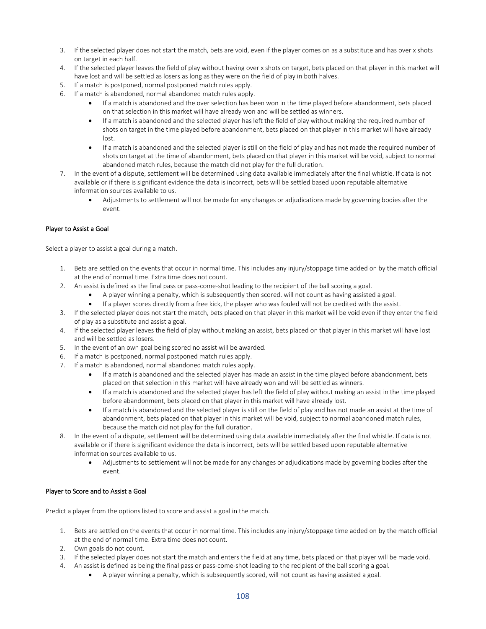- 3. If the selected player does not start the match, bets are void, even if the player comes on as a substitute and has over x shots on target in each half.
- 4. If the selected player leaves the field of play without having over x shots on target, bets placed on that player in this market will have lost and will be settled as losers as long as they were on the field of play in both halves.
- 5. If a match is postponed, normal postponed match rules apply.
- 6. If a match is abandoned, normal abandoned match rules apply.
	- If a match is abandoned and the over selection has been won in the time played before abandonment, bets placed on that selection in this market will have already won and will be settled as winners.
	- If a match is abandoned and the selected player has left the field of play without making the required number of shots on target in the time played before abandonment, bets placed on that player in this market will have already lost.
	- If a match is abandoned and the selected player is still on the field of play and has not made the required number of shots on target at the time of abandonment, bets placed on that player in this market will be void, subject to normal abandoned match rules, because the match did not play for the full duration.
- 7. In the event of a dispute, settlement will be determined using data available immediately after the final whistle. If data is not available or if there is significant evidence the data is incorrect, bets will be settled based upon reputable alternative information sources available to us.
	- Adjustments to settlement will not be made for any changes or adjudications made by governing bodies after the event.

## Player to Assist a Goal

Select a player to assist a goal during a match.

- 1. Bets are settled on the events that occur in normal time. This includes any injury/stoppage time added on by the match official at the end of normal time. Extra time does not count.
- 2. An assist is defined as the final pass or pass-come-shot leading to the recipient of the ball scoring a goal.
	- A player winning a penalty, which is subsequently then scored. will not count as having assisted a goal.
	- If a player scores directly from a free kick, the player who was fouled will not be credited with the assist.
- 3. If the selected player does not start the match, bets placed on that player in this market will be void even if they enter the field of play as a substitute and assist a goal.
- 4. If the selected player leaves the field of play without making an assist, bets placed on that player in this market will have lost and will be settled as losers.
- 5. In the event of an own goal being scored no assist will be awarded.
- 6. If a match is postponed, normal postponed match rules apply.
- 7. If a match is abandoned, normal abandoned match rules apply.
	- If a match is abandoned and the selected player has made an assist in the time played before abandonment, bets placed on that selection in this market will have already won and will be settled as winners.
	- If a match is abandoned and the selected player has left the field of play without making an assist in the time played before abandonment, bets placed on that player in this market will have already lost.
	- If a match is abandoned and the selected player is still on the field of play and has not made an assist at the time of abandonment, bets placed on that player in this market will be void, subject to normal abandoned match rules, because the match did not play for the full duration.
- 8. In the event of a dispute, settlement will be determined using data available immediately after the final whistle. If data is not available or if there is significant evidence the data is incorrect, bets will be settled based upon reputable alternative information sources available to us.
	- Adjustments to settlement will not be made for any changes or adjudications made by governing bodies after the event.

## Player to Score and to Assist a Goal

Predict a player from the options listed to score and assist a goal in the match.

- 1. Bets are settled on the events that occur in normal time. This includes any injury/stoppage time added on by the match official at the end of normal time. Extra time does not count.
- 2. Own goals do not count.
- 3. If the selected player does not start the match and enters the field at any time, bets placed on that player will be made void.
- 4. An assist is defined as being the final pass or pass-come-shot leading to the recipient of the ball scoring a goal.
	- A player winning a penalty, which is subsequently scored, will not count as having assisted a goal.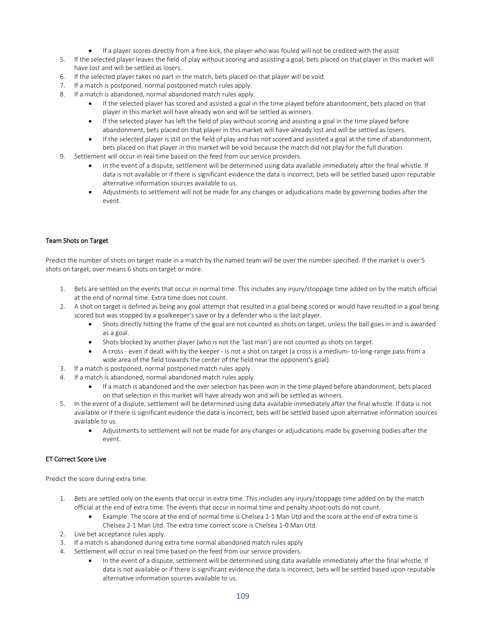- If a player scores directly from a free kick, the player who was fouled will not be credited with the assist
- 5. If the selected player leaves the field of play without scoring and assisting a goal, bets placed on that player in this market will have lost and will be settled as losers.
- 6. If the selected player takes no part in the match, bets placed on that player will be void.
- 7. If a match is postponed, normal postponed match rules apply.
- 8. If a match is abandoned, normal abandoned match rules apply.
	- If the selected player has scored and assisted a goal in the time played before abandonment, bets placed on that player in this market will have already won and will be settled as winners.
	- If the selected player has left the field of play without scoring and assisting a goal in the time played before abandonment, bets placed on that player in this market will have already lost and will be settled as losers.
	- If the selected player is still on the field of play and has not scored and assisted a goal at the time of abandonment, bets placed on that player in this market will be void because the match did not play for the full duration.
- 9. Settlement will occur in real time based on the feed from our service providers.
	- In the event of a dispute, settlement will be determined using data available immediately after the final whistle. If data is not available or if there is significant evidence the data is incorrect, bets will be settled based upon reputable alternative information sources available to us.
	- Adjustments to settlement will not be made for any changes or adjudications made by governing bodies after the event.

### Team Shots on Target

Predict the number of shots on target made in a match by the named team will be over the number specified. If the market is over 5 shots on target, over means 6 shots on target or more.

- 1. Bets are settled on the events that occur in normal time. This includes any injury/stoppage time added on by the match official at the end of normal time. Extra time does not count.
- 2. A shot on target is defined as being any goal attempt that resulted in a goal being scored or would have resulted in a goal being scored but was stopped by a goalkeeper's save or by a defender who is the last player.
	- Shots directly hitting the frame of the goal are not counted as shots on target, unless the ball goes in and is awarded as a goal.
	- Shots blocked by another player (who is not the 'last man') are not counted as shots on target.
	- A cross even if dealt with by the keeper is not a shot on target (a cross is a medium- to-long-range pass from a wide area of the field towards the center of the field near the opponent's goal).
- 3. If a match is postponed, normal postponed match rules apply.
- 4. If a match is abandoned, normal abandoned match rules apply.
	- If a match is abandoned and the over selection has been won in the time played before abandonment, bets placed on that selection in this market will have already won and will be settled as winners.
- 5. In the event of a dispute, settlement will be determined using data available immediately after the final whistle. If data is not available or if there is significant evidence the data is incorrect, bets will be settled based upon alternative information sources available to us.
	- Adjustments to settlement will not be made for any changes or adjudications made by governing bodies after the event.

### ET Correct Score Live

Predict the score during extra time.

- 1. Bets are settled only on the events that occur in extra time. This includes any injury/stoppage time added on by the match official at the end of extra time. The events that occur in normal time and penalty shoot-outs do not count.
	- Example: The score at the end of normal time is Chelsea 1-1 Man Utd and the score at the end of extra time is Chelsea 2-1 Man Utd. The extra time correct score is Chelsea 1-0 Man Utd.
- 2. Live bet acceptance rules apply.
- 3. If a match is abandoned during extra time normal abandoned match rules apply
- 4. Settlement will occur in real time based on the feed from our service providers.
	- In the event of a dispute, settlement will be determined using data available immediately after the final whistle. If data is not available or if there is significant evidence the data is incorrect, bets will be settled based upon reputable alternative information sources available to us.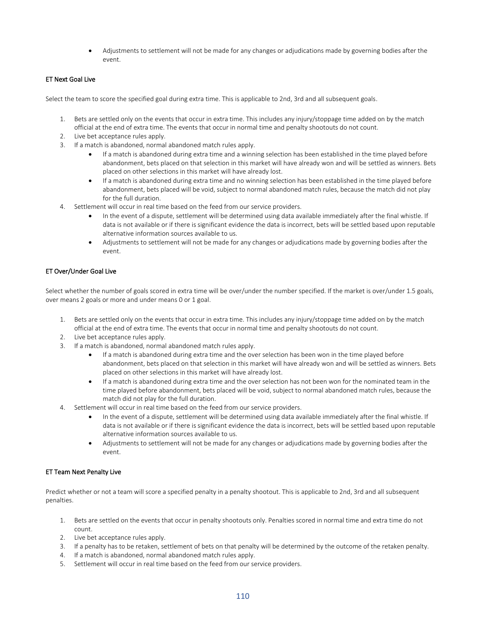• Adjustments to settlement will not be made for any changes or adjudications made by governing bodies after the event.

## ET Next Goal Live

Select the team to score the specified goal during extra time. This is applicable to 2nd, 3rd and all subsequent goals.

- 1. Bets are settled only on the events that occur in extra time. This includes any injury/stoppage time added on by the match official at the end of extra time. The events that occur in normal time and penalty shootouts do not count.
- 2. Live bet acceptance rules apply.
- 3. If a match is abandoned, normal abandoned match rules apply.
	- If a match is abandoned during extra time and a winning selection has been established in the time played before abandonment, bets placed on that selection in this market will have already won and will be settled as winners. Bets placed on other selections in this market will have already lost.
	- If a match is abandoned during extra time and no winning selection has been established in the time played before abandonment, bets placed will be void, subject to normal abandoned match rules, because the match did not play for the full duration.
- 4. Settlement will occur in real time based on the feed from our service providers.
	- In the event of a dispute, settlement will be determined using data available immediately after the final whistle. If data is not available or if there is significant evidence the data is incorrect, bets will be settled based upon reputable alternative information sources available to us.
	- Adjustments to settlement will not be made for any changes or adjudications made by governing bodies after the event.

## ET Over/Under Goal Live

Select whether the number of goals scored in extra time will be over/under the number specified. If the market is over/under 1.5 goals, over means 2 goals or more and under means 0 or 1 goal.

- 1. Bets are settled only on the events that occur in extra time. This includes any injury/stoppage time added on by the match official at the end of extra time. The events that occur in normal time and penalty shootouts do not count.
- 2. Live bet acceptance rules apply.
- 3. If a match is abandoned, normal abandoned match rules apply.
	- If a match is abandoned during extra time and the over selection has been won in the time played before abandonment, bets placed on that selection in this market will have already won and will be settled as winners. Bets placed on other selections in this market will have already lost.
	- If a match is abandoned during extra time and the over selection has not been won for the nominated team in the time played before abandonment, bets placed will be void, subject to normal abandoned match rules, because the match did not play for the full duration.
- 4. Settlement will occur in real time based on the feed from our service providers.
	- In the event of a dispute, settlement will be determined using data available immediately after the final whistle. If data is not available or if there is significant evidence the data is incorrect, bets will be settled based upon reputable alternative information sources available to us.
	- Adjustments to settlement will not be made for any changes or adjudications made by governing bodies after the event.

### ET Team Next Penalty Live

Predict whether or not a team will score a specified penalty in a penalty shootout. This is applicable to 2nd, 3rd and all subsequent penalties.

- 1. Bets are settled on the events that occur in penalty shootouts only. Penalties scored in normal time and extra time do not count.
- 2. Live bet acceptance rules apply.
- 3. If a penalty has to be retaken, settlement of bets on that penalty will be determined by the outcome of the retaken penalty.
- 4. If a match is abandoned, normal abandoned match rules apply.
- 5. Settlement will occur in real time based on the feed from our service providers.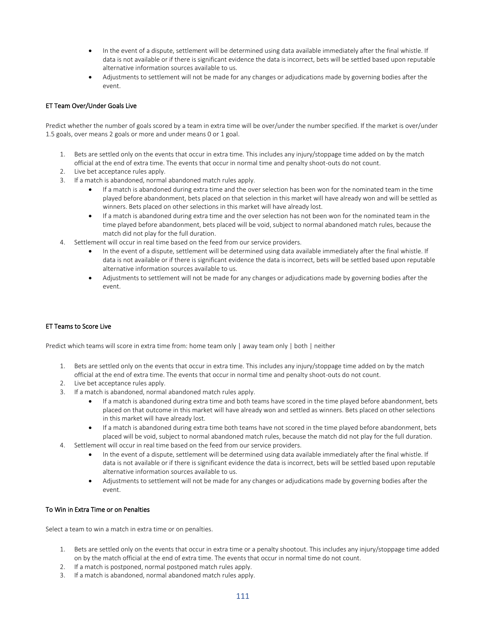- In the event of a dispute, settlement will be determined using data available immediately after the final whistle. If data is not available or if there is significant evidence the data is incorrect, bets will be settled based upon reputable alternative information sources available to us.
- Adjustments to settlement will not be made for any changes or adjudications made by governing bodies after the event.

# ET Team Over/Under Goals Live

Predict whether the number of goals scored by a team in extra time will be over/under the number specified. If the market is over/under 1.5 goals, over means 2 goals or more and under means 0 or 1 goal.

- 1. Bets are settled only on the events that occur in extra time. This includes any injury/stoppage time added on by the match official at the end of extra time. The events that occur in normal time and penalty shoot-outs do not count.
- 2. Live bet acceptance rules apply.
- 3. If a match is abandoned, normal abandoned match rules apply.
	- If a match is abandoned during extra time and the over selection has been won for the nominated team in the time played before abandonment, bets placed on that selection in this market will have already won and will be settled as winners. Bets placed on other selections in this market will have already lost.
	- If a match is abandoned during extra time and the over selection has not been won for the nominated team in the time played before abandonment, bets placed will be void, subject to normal abandoned match rules, because the match did not play for the full duration.
- 4. Settlement will occur in real time based on the feed from our service providers.
	- In the event of a dispute, settlement will be determined using data available immediately after the final whistle. If data is not available or if there is significant evidence the data is incorrect, bets will be settled based upon reputable alternative information sources available to us.
	- Adjustments to settlement will not be made for any changes or adjudications made by governing bodies after the event.

### ET Teams to Score Live

Predict which teams will score in extra time from: home team only | away team only | both | neither

- 1. Bets are settled only on the events that occur in extra time. This includes any injury/stoppage time added on by the match official at the end of extra time. The events that occur in normal time and penalty shoot-outs do not count.
- 2. Live bet acceptance rules apply.
- 3. If a match is abandoned, normal abandoned match rules apply.
	- If a match is abandoned during extra time and both teams have scored in the time played before abandonment, bets placed on that outcome in this market will have already won and settled as winners. Bets placed on other selections in this market will have already lost.
	- If a match is abandoned during extra time both teams have not scored in the time played before abandonment, bets placed will be void, subject to normal abandoned match rules, because the match did not play for the full duration.
- 4. Settlement will occur in real time based on the feed from our service providers.
	- In the event of a dispute, settlement will be determined using data available immediately after the final whistle. If data is not available or if there is significant evidence the data is incorrect, bets will be settled based upon reputable alternative information sources available to us.
	- Adjustments to settlement will not be made for any changes or adjudications made by governing bodies after the event.

### To Win in Extra Time or on Penalties

Select a team to win a match in extra time or on penalties.

- 1. Bets are settled only on the events that occur in extra time or a penalty shootout. This includes any injury/stoppage time added on by the match official at the end of extra time. The events that occur in normal time do not count.
- 2. If a match is postponed, normal postponed match rules apply.
- 3. If a match is abandoned, normal abandoned match rules apply.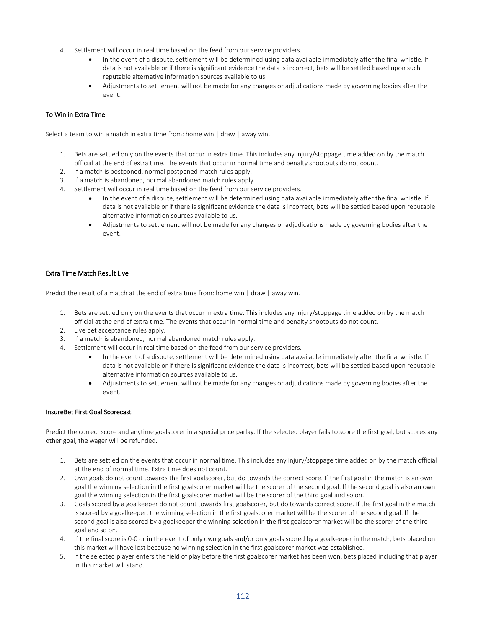- 4. Settlement will occur in real time based on the feed from our service providers.
	- In the event of a dispute, settlement will be determined using data available immediately after the final whistle. If data is not available or if there is significant evidence the data is incorrect, bets will be settled based upon such reputable alternative information sources available to us.
	- Adjustments to settlement will not be made for any changes or adjudications made by governing bodies after the event.

#### To Win in Extra Time

Select a team to win a match in extra time from: home win | draw | away win.

- 1. Bets are settled only on the events that occur in extra time. This includes any injury/stoppage time added on by the match official at the end of extra time. The events that occur in normal time and penalty shootouts do not count.
- 2. If a match is postponed, normal postponed match rules apply.
- 3. If a match is abandoned, normal abandoned match rules apply.
- Settlement will occur in real time based on the feed from our service providers.
	- In the event of a dispute, settlement will be determined using data available immediately after the final whistle. If data is not available or if there is significant evidence the data is incorrect, bets will be settled based upon reputable alternative information sources available to us.
	- Adjustments to settlement will not be made for any changes or adjudications made by governing bodies after the event.

### Extra Time Match Result Live

Predict the result of a match at the end of extra time from: home win | draw | away win.

- 1. Bets are settled only on the events that occur in extra time. This includes any injury/stoppage time added on by the match official at the end of extra time. The events that occur in normal time and penalty shootouts do not count.
- 2. Live bet acceptance rules apply.
- 3. If a match is abandoned, normal abandoned match rules apply.
- 4. Settlement will occur in real time based on the feed from our service providers.
	- In the event of a dispute, settlement will be determined using data available immediately after the final whistle. If data is not available or if there is significant evidence the data is incorrect, bets will be settled based upon reputable alternative information sources available to us.
	- Adjustments to settlement will not be made for any changes or adjudications made by governing bodies after the event.

#### InsureBet First Goal Scorecast

Predict the correct score and anytime goalscorer in a special price parlay. If the selected player fails to score the first goal, but scores any other goal, the wager will be refunded.

- 1. Bets are settled on the events that occur in normal time. This includes any injury/stoppage time added on by the match official at the end of normal time. Extra time does not count.
- 2. Own goals do not count towards the first goalscorer, but do towards the correct score. If the first goal in the match is an own goal the winning selection in the first goalscorer market will be the scorer of the second goal. If the second goal is also an own goal the winning selection in the first goalscorer market will be the scorer of the third goal and so on.
- 3. Goals scored by a goalkeeper do not count towards first goalscorer, but do towards correct score. If the first goal in the match is scored by a goalkeeper, the winning selection in the first goalscorer market will be the scorer of the second goal. If the second goal is also scored by a goalkeeper the winning selection in the first goalscorer market will be the scorer of the third goal and so on.
- 4. If the final score is 0-0 or in the event of only own goals and/or only goals scored by a goalkeeper in the match, bets placed on this market will have lost because no winning selection in the first goalscorer market was established.
- 5. If the selected player enters the field of play before the first goalscorer market has been won, bets placed including that player in this market will stand.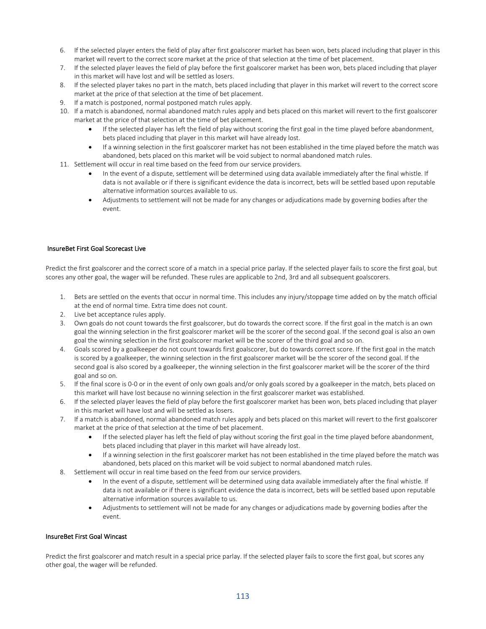- 6. If the selected player enters the field of play after first goalscorer market has been won, bets placed including that player in this market will revert to the correct score market at the price of that selection at the time of bet placement.
- 7. If the selected player leaves the field of play before the first goalscorer market has been won, bets placed including that player in this market will have lost and will be settled as losers.
- 8. If the selected player takes no part in the match, bets placed including that player in this market will revert to the correct score market at the price of that selection at the time of bet placement.
- 9. If a match is postponed, normal postponed match rules apply.
- 10. If a match is abandoned, normal abandoned match rules apply and bets placed on this market will revert to the first goalscorer market at the price of that selection at the time of bet placement.
	- If the selected player has left the field of play without scoring the first goal in the time played before abandonment, bets placed including that player in this market will have already lost.
	- If a winning selection in the first goalscorer market has not been established in the time played before the match was abandoned, bets placed on this market will be void subject to normal abandoned match rules.
- 11. Settlement will occur in real time based on the feed from our service providers.
	- In the event of a dispute, settlement will be determined using data available immediately after the final whistle. If data is not available or if there is significant evidence the data is incorrect, bets will be settled based upon reputable alternative information sources available to us.
	- Adjustments to settlement will not be made for any changes or adjudications made by governing bodies after the event.

# InsureBet First Goal Scorecast Live

Predict the first goalscorer and the correct score of a match in a special price parlay. If the selected player fails to score the first goal, but scores any other goal, the wager will be refunded. These rules are applicable to 2nd, 3rd and all subsequent goalscorers.

- 1. Bets are settled on the events that occur in normal time. This includes any injury/stoppage time added on by the match official at the end of normal time. Extra time does not count.
- 2. Live bet acceptance rules apply.
- 3. Own goals do not count towards the first goalscorer, but do towards the correct score. If the first goal in the match is an own goal the winning selection in the first goalscorer market will be the scorer of the second goal. If the second goal is also an own goal the winning selection in the first goalscorer market will be the scorer of the third goal and so on.
- 4. Goals scored by a goalkeeper do not count towards first goalscorer, but do towards correct score. If the first goal in the match is scored by a goalkeeper, the winning selection in the first goalscorer market will be the scorer of the second goal. If the second goal is also scored by a goalkeeper, the winning selection in the first goalscorer market will be the scorer of the third goal and so on.
- 5. If the final score is 0-0 or in the event of only own goals and/or only goals scored by a goalkeeper in the match, bets placed on this market will have lost because no winning selection in the first goalscorer market was established.
- 6. If the selected player leaves the field of play before the first goalscorer market has been won, bets placed including that player in this market will have lost and will be settled as losers.
- 7. If a match is abandoned, normal abandoned match rules apply and bets placed on this market will revert to the first goalscorer market at the price of that selection at the time of bet placement.
	- If the selected player has left the field of play without scoring the first goal in the time played before abandonment, bets placed including that player in this market will have already lost.
	- If a winning selection in the first goalscorer market has not been established in the time played before the match was abandoned, bets placed on this market will be void subject to normal abandoned match rules.
- 8. Settlement will occur in real time based on the feed from our service providers.
	- In the event of a dispute, settlement will be determined using data available immediately after the final whistle. If data is not available or if there is significant evidence the data is incorrect, bets will be settled based upon reputable alternative information sources available to us.
	- Adjustments to settlement will not be made for any changes or adjudications made by governing bodies after the event.

#### InsureBet First Goal Wincast

Predict the first goalscorer and match result in a special price parlay. If the selected player fails to score the first goal, but scores any other goal, the wager will be refunded.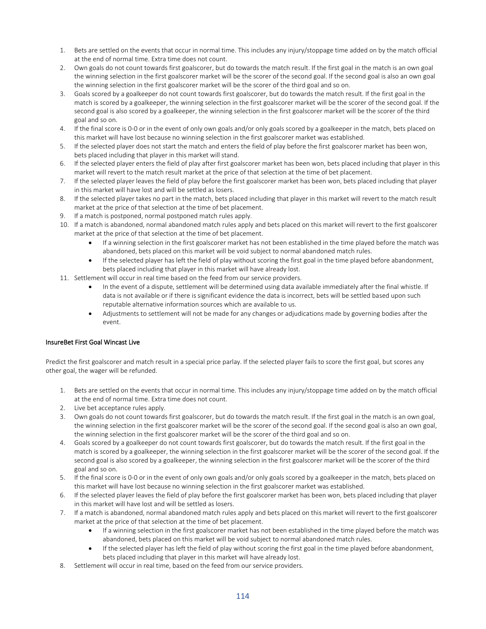- 1. Bets are settled on the events that occur in normal time. This includes any injury/stoppage time added on by the match official at the end of normal time. Extra time does not count.
- 2. Own goals do not count towards first goalscorer, but do towards the match result. If the first goal in the match is an own goal the winning selection in the first goalscorer market will be the scorer of the second goal. If the second goal is also an own goal the winning selection in the first goalscorer market will be the scorer of the third goal and so on.
- 3. Goals scored by a goalkeeper do not count towards first goalscorer, but do towards the match result. If the first goal in the match is scored by a goalkeeper, the winning selection in the first goalscorer market will be the scorer of the second goal. If the second goal is also scored by a goalkeeper, the winning selection in the first goalscorer market will be the scorer of the third goal and so on.
- 4. If the final score is 0-0 or in the event of only own goals and/or only goals scored by a goalkeeper in the match, bets placed on this market will have lost because no winning selection in the first goalscorer market was established.
- 5. If the selected player does not start the match and enters the field of play before the first goalscorer market has been won, bets placed including that player in this market will stand.
- 6. If the selected player enters the field of play after first goalscorer market has been won, bets placed including that player in this market will revert to the match result market at the price of that selection at the time of bet placement.
- 7. If the selected player leaves the field of play before the first goalscorer market has been won, bets placed including that player in this market will have lost and will be settled as losers.
- 8. If the selected player takes no part in the match, bets placed including that player in this market will revert to the match result market at the price of that selection at the time of bet placement.
- 9. If a match is postponed, normal postponed match rules apply.
- 10. If a match is abandoned, normal abandoned match rules apply and bets placed on this market will revert to the first goalscorer market at the price of that selection at the time of bet placement.
	- If a winning selection in the first goalscorer market has not been established in the time played before the match was abandoned, bets placed on this market will be void subject to normal abandoned match rules.
	- If the selected player has left the field of play without scoring the first goal in the time played before abandonment, bets placed including that player in this market will have already lost.
- 11. Settlement will occur in real time based on the feed from our service providers.
	- In the event of a dispute, settlement will be determined using data available immediately after the final whistle. If data is not available or if there is significant evidence the data is incorrect, bets will be settled based upon such reputable alternative information sources which are available to us.
	- Adjustments to settlement will not be made for any changes or adjudications made by governing bodies after the event.

# InsureBet First Goal Wincast Live

Predict the first goalscorer and match result in a special price parlay. If the selected player fails to score the first goal, but scores any other goal, the wager will be refunded.

- 1. Bets are settled on the events that occur in normal time. This includes any injury/stoppage time added on by the match official at the end of normal time. Extra time does not count.
- 2. Live bet acceptance rules apply.
- 3. Own goals do not count towards first goalscorer, but do towards the match result. If the first goal in the match is an own goal, the winning selection in the first goalscorer market will be the scorer of the second goal. If the second goal is also an own goal, the winning selection in the first goalscorer market will be the scorer of the third goal and so on.
- 4. Goals scored by a goalkeeper do not count towards first goalscorer, but do towards the match result. If the first goal in the match is scored by a goalkeeper, the winning selection in the first goalscorer market will be the scorer of the second goal. If the second goal is also scored by a goalkeeper, the winning selection in the first goalscorer market will be the scorer of the third goal and so on.
- 5. If the final score is 0-0 or in the event of only own goals and/or only goals scored by a goalkeeper in the match, bets placed on this market will have lost because no winning selection in the first goalscorer market was established.
- 6. If the selected player leaves the field of play before the first goalscorer market has been won, bets placed including that player in this market will have lost and will be settled as losers.
- 7. If a match is abandoned, normal abandoned match rules apply and bets placed on this market will revert to the first goalscorer market at the price of that selection at the time of bet placement.
	- If a winning selection in the first goalscorer market has not been established in the time played before the match was abandoned, bets placed on this market will be void subject to normal abandoned match rules.
	- If the selected player has left the field of play without scoring the first goal in the time played before abandonment, bets placed including that player in this market will have already lost.
- 8. Settlement will occur in real time, based on the feed from our service providers.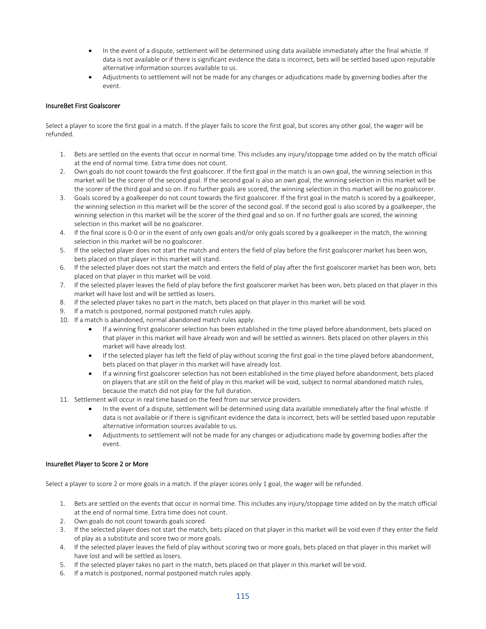- In the event of a dispute, settlement will be determined using data available immediately after the final whistle. If data is not available or if there is significant evidence the data is incorrect, bets will be settled based upon reputable alternative information sources available to us.
- Adjustments to settlement will not be made for any changes or adjudications made by governing bodies after the event.

## InsureBet First Goalscorer

Select a player to score the first goal in a match. If the player fails to score the first goal, but scores any other goal, the wager will be refunded.

- 1. Bets are settled on the events that occur in normal time. This includes any injury/stoppage time added on by the match official at the end of normal time. Extra time does not count.
- 2. Own goals do not count towards the first goalscorer. If the first goal in the match is an own goal, the winning selection in this market will be the scorer of the second goal. If the second goal is also an own goal, the winning selection in this market will be the scorer of the third goal and so on. If no further goals are scored, the winning selection in this market will be no goalscorer.
- 3. Goals scored by a goalkeeper do not count towards the first goalscorer. If the first goal in the match is scored by a goalkeeper, the winning selection in this market will be the scorer of the second goal. If the second goal is also scored by a goalkeeper, the winning selection in this market will be the scorer of the third goal and so on. If no further goals are scored, the winning selection in this market will be no goalscorer.
- 4. If the final score is 0-0 or in the event of only own goals and/or only goals scored by a goalkeeper in the match, the winning selection in this market will be no goalscorer.
- 5. If the selected player does not start the match and enters the field of play before the first goalscorer market has been won, bets placed on that player in this market will stand.
- 6. If the selected player does not start the match and enters the field of play after the first goalscorer market has been won, bets placed on that player in this market will be void.
- 7. If the selected player leaves the field of play before the first goalscorer market has been won, bets placed on that player in this market will have lost and will be settled as losers.
- 8. If the selected player takes no part in the match, bets placed on that player in this market will be void.
- 9. If a match is postponed, normal postponed match rules apply.
- 10. If a match is abandoned, normal abandoned match rules apply.
	- If a winning first goalscorer selection has been established in the time played before abandonment, bets placed on that player in this market will have already won and will be settled as winners. Bets placed on other players in this market will have already lost.
	- If the selected player has left the field of play without scoring the first goal in the time played before abandonment, bets placed on that player in this market will have already lost.
	- If a winning first goalscorer selection has not been established in the time played before abandonment, bets placed on players that are still on the field of play in this market will be void, subject to normal abandoned match rules, because the match did not play for the full duration.
- 11. Settlement will occur in real time based on the feed from our service providers.
	- In the event of a dispute, settlement will be determined using data available immediately after the final whistle. If data is not available or if there is significant evidence the data is incorrect, bets will be settled based upon reputable alternative information sources available to us.
	- Adjustments to settlement will not be made for any changes or adjudications made by governing bodies after the event.

### InsureBet Player to Score 2 or More

Select a player to score 2 or more goals in a match. If the player scores only 1 goal, the wager will be refunded.

- 1. Bets are settled on the events that occur in normal time. This includes any injury/stoppage time added on by the match official at the end of normal time. Extra time does not count.
- 2. Own goals do not count towards goals scored.
- 3. If the selected player does not start the match, bets placed on that player in this market will be void even if they enter the field of play as a substitute and score two or more goals.
- 4. If the selected player leaves the field of play without scoring two or more goals, bets placed on that player in this market will have lost and will be settled as losers.
- 5. If the selected player takes no part in the match, bets placed on that player in this market will be void.
- 6. If a match is postponed, normal postponed match rules apply.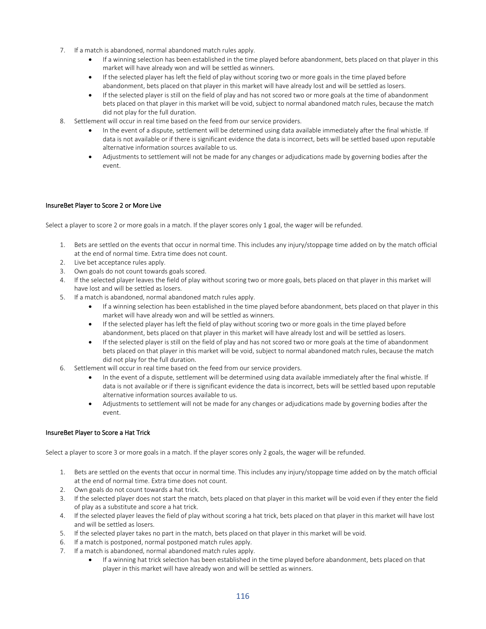- 7. If a match is abandoned, normal abandoned match rules apply.
	- If a winning selection has been established in the time played before abandonment, bets placed on that player in this market will have already won and will be settled as winners.
	- If the selected player has left the field of play without scoring two or more goals in the time played before abandonment, bets placed on that player in this market will have already lost and will be settled as losers.
	- If the selected player is still on the field of play and has not scored two or more goals at the time of abandonment bets placed on that player in this market will be void, subject to normal abandoned match rules, because the match did not play for the full duration.
- 8. Settlement will occur in real time based on the feed from our service providers.
	- In the event of a dispute, settlement will be determined using data available immediately after the final whistle. If data is not available or if there is significant evidence the data is incorrect, bets will be settled based upon reputable alternative information sources available to us.
	- Adjustments to settlement will not be made for any changes or adjudications made by governing bodies after the event.

### InsureBet Player to Score 2 or More Live

Select a player to score 2 or more goals in a match. If the player scores only 1 goal, the wager will be refunded.

- 1. Bets are settled on the events that occur in normal time. This includes any injury/stoppage time added on by the match official at the end of normal time. Extra time does not count.
- 2. Live bet acceptance rules apply.
- 3. Own goals do not count towards goals scored.
- 4. If the selected player leaves the field of play without scoring two or more goals, bets placed on that player in this market will have lost and will be settled as losers.
- 5. If a match is abandoned, normal abandoned match rules apply.
	- If a winning selection has been established in the time played before abandonment, bets placed on that player in this market will have already won and will be settled as winners.
	- If the selected player has left the field of play without scoring two or more goals in the time played before abandonment, bets placed on that player in this market will have already lost and will be settled as losers.
	- If the selected player is still on the field of play and has not scored two or more goals at the time of abandonment bets placed on that player in this market will be void, subject to normal abandoned match rules, because the match did not play for the full duration.
- 6. Settlement will occur in real time based on the feed from our service providers.
	- In the event of a dispute, settlement will be determined using data available immediately after the final whistle. If data is not available or if there is significant evidence the data is incorrect, bets will be settled based upon reputable alternative information sources available to us.
	- Adjustments to settlement will not be made for any changes or adjudications made by governing bodies after the event.

### InsureBet Player to Score a Hat Trick

Select a player to score 3 or more goals in a match. If the player scores only 2 goals, the wager will be refunded.

- 1. Bets are settled on the events that occur in normal time. This includes any injury/stoppage time added on by the match official at the end of normal time. Extra time does not count.
- 2. Own goals do not count towards a hat trick.
- 3. If the selected player does not start the match, bets placed on that player in this market will be void even if they enter the field of play as a substitute and score a hat trick.
- 4. If the selected player leaves the field of play without scoring a hat trick, bets placed on that player in this market will have lost and will be settled as losers.
- 5. If the selected player takes no part in the match, bets placed on that player in this market will be void.
- 6. If a match is postponed, normal postponed match rules apply.
- 7. If a match is abandoned, normal abandoned match rules apply.
	- If a winning hat trick selection has been established in the time played before abandonment, bets placed on that player in this market will have already won and will be settled as winners.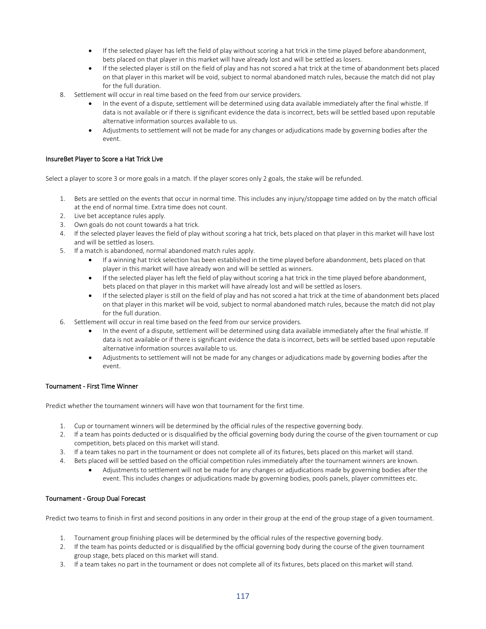- If the selected player has left the field of play without scoring a hat trick in the time played before abandonment, bets placed on that player in this market will have already lost and will be settled as losers.
- If the selected player is still on the field of play and has not scored a hat trick at the time of abandonment bets placed on that player in this market will be void, subject to normal abandoned match rules, because the match did not play for the full duration.
- 8. Settlement will occur in real time based on the feed from our service providers.
	- In the event of a dispute, settlement will be determined using data available immediately after the final whistle. If data is not available or if there is significant evidence the data is incorrect, bets will be settled based upon reputable alternative information sources available to us.
	- Adjustments to settlement will not be made for any changes or adjudications made by governing bodies after the event.

## InsureBet Player to Score a Hat Trick Live

Select a player to score 3 or more goals in a match. If the player scores only 2 goals, the stake will be refunded.

- 1. Bets are settled on the events that occur in normal time. This includes any injury/stoppage time added on by the match official at the end of normal time. Extra time does not count.
- 2. Live bet acceptance rules apply.
- 3. Own goals do not count towards a hat trick.
- 4. If the selected player leaves the field of play without scoring a hat trick, bets placed on that player in this market will have lost and will be settled as losers.
- 5. If a match is abandoned, normal abandoned match rules apply.
	- If a winning hat trick selection has been established in the time played before abandonment, bets placed on that player in this market will have already won and will be settled as winners.
	- If the selected player has left the field of play without scoring a hat trick in the time played before abandonment, bets placed on that player in this market will have already lost and will be settled as losers.
	- If the selected player is still on the field of play and has not scored a hat trick at the time of abandonment bets placed on that player in this market will be void, subject to normal abandoned match rules, because the match did not play for the full duration.
- 6. Settlement will occur in real time based on the feed from our service providers.
	- In the event of a dispute, settlement will be determined using data available immediately after the final whistle. If data is not available or if there is significant evidence the data is incorrect, bets will be settled based upon reputable alternative information sources available to us.
	- Adjustments to settlement will not be made for any changes or adjudications made by governing bodies after the event.

### Tournament - First Time Winner

Predict whether the tournament winners will have won that tournament for the first time.

- 1. Cup or tournament winners will be determined by the official rules of the respective governing body.
- 2. If a team has points deducted or is disqualified by the official governing body during the course of the given tournament or cup competition, bets placed on this market will stand.
- 3. If a team takes no part in the tournament or does not complete all of its fixtures, bets placed on this market will stand.
- 4. Bets placed will be settled based on the official competition rules immediately after the tournament winners are known.
	- Adjustments to settlement will not be made for any changes or adjudications made by governing bodies after the event. This includes changes or adjudications made by governing bodies, pools panels, player committees etc.

### Tournament - Group Dual Forecast

Predict two teams to finish in first and second positions in any order in their group at the end of the group stage of a given tournament.

- 1. Tournament group finishing places will be determined by the official rules of the respective governing body.
- 2. If the team has points deducted or is disqualified by the official governing body during the course of the given tournament group stage, bets placed on this market will stand.
- 3. If a team takes no part in the tournament or does not complete all of its fixtures, bets placed on this market will stand.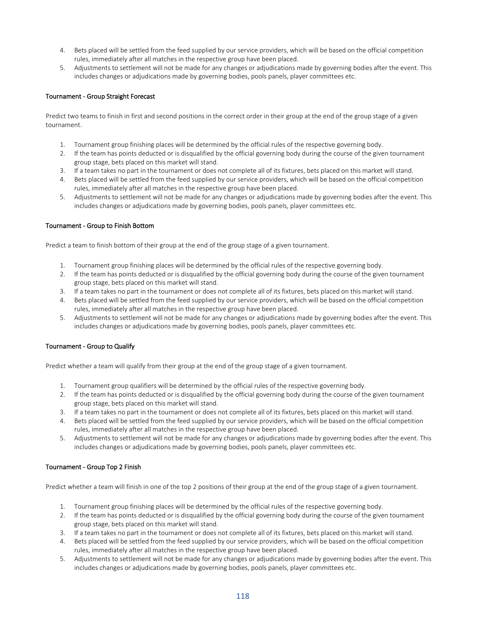- 4. Bets placed will be settled from the feed supplied by our service providers, which will be based on the official competition rules, immediately after all matches in the respective group have been placed.
- 5. Adjustments to settlement will not be made for any changes or adjudications made by governing bodies after the event. This includes changes or adjudications made by governing bodies, pools panels, player committees etc.

### Tournament - Group Straight Forecast

Predict two teams to finish in first and second positions in the correct order in their group at the end of the group stage of a given tournament.

- 1. Tournament group finishing places will be determined by the official rules of the respective governing body.
- 2. If the team has points deducted or is disqualified by the official governing body during the course of the given tournament group stage, bets placed on this market will stand.
- 3. If a team takes no part in the tournament or does not complete all of its fixtures, bets placed on this market will stand.
- 4. Bets placed will be settled from the feed supplied by our service providers, which will be based on the official competition rules, immediately after all matches in the respective group have been placed.
- 5. Adjustments to settlement will not be made for any changes or adjudications made by governing bodies after the event. This includes changes or adjudications made by governing bodies, pools panels, player committees etc.

#### Tournament - Group to Finish Bottom

Predict a team to finish bottom of their group at the end of the group stage of a given tournament.

- 1. Tournament group finishing places will be determined by the official rules of the respective governing body.
- 2. If the team has points deducted or is disqualified by the official governing body during the course of the given tournament group stage, bets placed on this market will stand.
- 3. If a team takes no part in the tournament or does not complete all of its fixtures, bets placed on this market will stand.
- 4. Bets placed will be settled from the feed supplied by our service providers, which will be based on the official competition rules, immediately after all matches in the respective group have been placed.
- 5. Adjustments to settlement will not be made for any changes or adjudications made by governing bodies after the event. This includes changes or adjudications made by governing bodies, pools panels, player committees etc.

### Tournament - Group to Qualify

Predict whether a team will qualify from their group at the end of the group stage of a given tournament.

- 1. Tournament group qualifiers will be determined by the official rules of the respective governing body.
- 2. If the team has points deducted or is disqualified by the official governing body during the course of the given tournament group stage, bets placed on this market will stand.
- 3. If a team takes no part in the tournament or does not complete all of its fixtures, bets placed on this market will stand.
- 4. Bets placed will be settled from the feed supplied by our service providers, which will be based on the official competition rules, immediately after all matches in the respective group have been placed.
- 5. Adjustments to settlement will not be made for any changes or adjudications made by governing bodies after the event. This includes changes or adjudications made by governing bodies, pools panels, player committees etc.

#### Tournament - Group Top 2 Finish

Predict whether a team will finish in one of the top 2 positions of their group at the end of the group stage of a given tournament.

- 1. Tournament group finishing places will be determined by the official rules of the respective governing body.
- 2. If the team has points deducted or is disqualified by the official governing body during the course of the given tournament group stage, bets placed on this market will stand.
- 3. If a team takes no part in the tournament or does not complete all of its fixtures, bets placed on this market will stand.
- 4. Bets placed will be settled from the feed supplied by our service providers, which will be based on the official competition rules, immediately after all matches in the respective group have been placed.
- 5. Adjustments to settlement will not be made for any changes or adjudications made by governing bodies after the event. This includes changes or adjudications made by governing bodies, pools panels, player committees etc.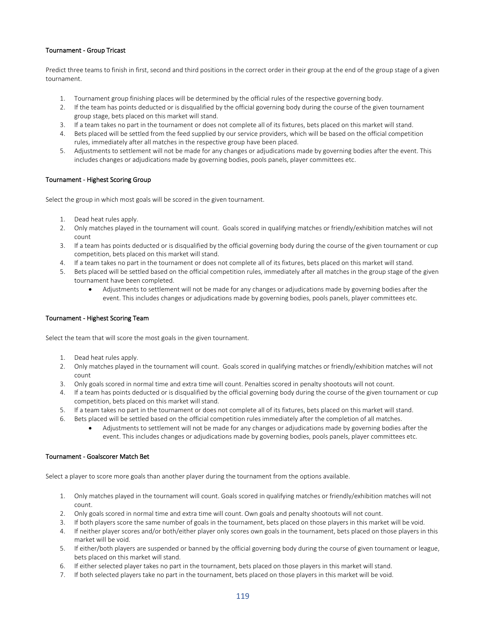# Tournament - Group Tricast

Predict three teams to finish in first, second and third positions in the correct order in their group at the end of the group stage of a given tournament.

- 1. Tournament group finishing places will be determined by the official rules of the respective governing body.
- 2. If the team has points deducted or is disqualified by the official governing body during the course of the given tournament group stage, bets placed on this market will stand.
- 3. If a team takes no part in the tournament or does not complete all of its fixtures, bets placed on this market will stand.
- 4. Bets placed will be settled from the feed supplied by our service providers, which will be based on the official competition rules, immediately after all matches in the respective group have been placed.
- 5. Adjustments to settlement will not be made for any changes or adjudications made by governing bodies after the event. This includes changes or adjudications made by governing bodies, pools panels, player committees etc.

#### Tournament - Highest Scoring Group

Select the group in which most goals will be scored in the given tournament.

- 1. Dead heat rules apply.
- 2. Only matches played in the tournament will count. Goals scored in qualifying matches or friendly/exhibition matches will not count
- 3. If a team has points deducted or is disqualified by the official governing body during the course of the given tournament or cup competition, bets placed on this market will stand.
- 4. If a team takes no part in the tournament or does not complete all of its fixtures, bets placed on this market will stand.
- 5. Bets placed will be settled based on the official competition rules, immediately after all matches in the group stage of the given tournament have been completed.
	- Adjustments to settlement will not be made for any changes or adjudications made by governing bodies after the event. This includes changes or adjudications made by governing bodies, pools panels, player committees etc.

#### Tournament - Highest Scoring Team

Select the team that will score the most goals in the given tournament.

- 1. Dead heat rules apply.
- 2. Only matches played in the tournament will count. Goals scored in qualifying matches or friendly/exhibition matches will not count
- 3. Only goals scored in normal time and extra time will count. Penalties scored in penalty shootouts will not count.
- 4. If a team has points deducted or is disqualified by the official governing body during the course of the given tournament or cup competition, bets placed on this market will stand.
- 5. If a team takes no part in the tournament or does not complete all of its fixtures, bets placed on this market will stand.
- 6. Bets placed will be settled based on the official competition rules immediately after the completion of all matches.
	- Adjustments to settlement will not be made for any changes or adjudications made by governing bodies after the event. This includes changes or adjudications made by governing bodies, pools panels, player committees etc.

### Tournament - Goalscorer Match Bet

Select a player to score more goals than another player during the tournament from the options available.

- 1. Only matches played in the tournament will count. Goals scored in qualifying matches or friendly/exhibition matches will not count.
- 2. Only goals scored in normal time and extra time will count. Own goals and penalty shootouts will not count.
- 3. If both players score the same number of goals in the tournament, bets placed on those players in this market will be void.
- 4. If neither player scores and/or both/either player only scores own goals in the tournament, bets placed on those players in this market will be void.
- 5. If either/both players are suspended or banned by the official governing body during the course of given tournament or league, bets placed on this market will stand.
- 6. If either selected player takes no part in the tournament, bets placed on those players in this market will stand.
- 7. If both selected players take no part in the tournament, bets placed on those players in this market will be void.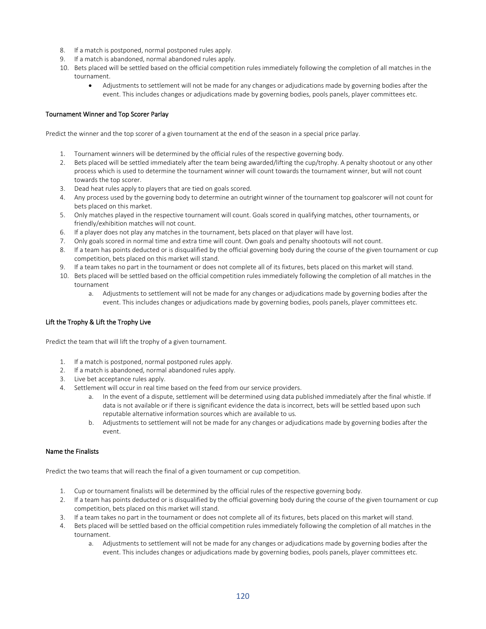- 8. If a match is postponed, normal postponed rules apply.
- 9. If a match is abandoned, normal abandoned rules apply.
- 10. Bets placed will be settled based on the official competition rules immediately following the completion of all matches in the tournament.
	- Adjustments to settlement will not be made for any changes or adjudications made by governing bodies after the event. This includes changes or adjudications made by governing bodies, pools panels, player committees etc.

### Tournament Winner and Top Scorer Parlay

Predict the winner and the top scorer of a given tournament at the end of the season in a special price parlay.

- 1. Tournament winners will be determined by the official rules of the respective governing body.
- 2. Bets placed will be settled immediately after the team being awarded/lifting the cup/trophy. A penalty shootout or any other process which is used to determine the tournament winner will count towards the tournament winner, but will not count towards the top scorer.
- 3. Dead heat rules apply to players that are tied on goals scored.
- 4. Any process used by the governing body to determine an outright winner of the tournament top goalscorer will not count for bets placed on this market.
- 5. Only matches played in the respective tournament will count. Goals scored in qualifying matches, other tournaments, or friendly/exhibition matches will not count.
- 6. If a player does not play any matches in the tournament, bets placed on that player will have lost.
- 7. Only goals scored in normal time and extra time will count. Own goals and penalty shootouts will not count.
- 8. If a team has points deducted or is disqualified by the official governing body during the course of the given tournament or cup competition, bets placed on this market will stand.
- 9. If a team takes no part in the tournament or does not complete all of its fixtures, bets placed on this market will stand.
- 10. Bets placed will be settled based on the official competition rules immediately following the completion of all matches in the tournament
	- a. Adjustments to settlement will not be made for any changes or adjudications made by governing bodies after the event. This includes changes or adjudications made by governing bodies, pools panels, player committees etc.

### Lift the Trophy & Lift the Trophy Live

Predict the team that will lift the trophy of a given tournament.

- 1. If a match is postponed, normal postponed rules apply.
- 2. If a match is abandoned, normal abandoned rules apply.
- 3. Live bet acceptance rules apply.
- 4. Settlement will occur in real time based on the feed from our service providers.
	- a. In the event of a dispute, settlement will be determined using data published immediately after the final whistle. If data is not available or if there is significant evidence the data is incorrect, bets will be settled based upon such reputable alternative information sources which are available to us.
	- b. Adjustments to settlement will not be made for any changes or adjudications made by governing bodies after the event.

### Name the Finalists

Predict the two teams that will reach the final of a given tournament or cup competition.

- 1. Cup or tournament finalists will be determined by the official rules of the respective governing body.
- 2. If a team has points deducted or is disqualified by the official governing body during the course of the given tournament or cup competition, bets placed on this market will stand.
- 3. If a team takes no part in the tournament or does not complete all of its fixtures, bets placed on this market will stand.
- 4. Bets placed will be settled based on the official competition rules immediately following the completion of all matches in the tournament.
	- a. Adjustments to settlement will not be made for any changes or adjudications made by governing bodies after the event. This includes changes or adjudications made by governing bodies, pools panels, player committees etc.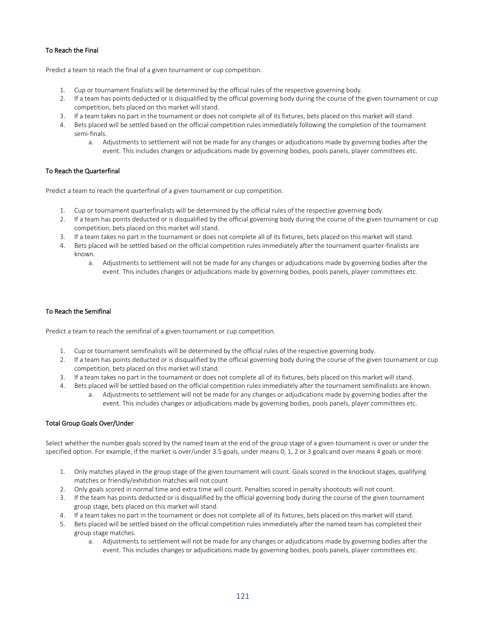# To Reach the Final

Predict a team to reach the final of a given tournament or cup competition.

- 1. Cup or tournament finalists will be determined by the official rules of the respective governing body.
- 2. If a team has points deducted or is disqualified by the official governing body during the course of the given tournament or cup competition, bets placed on this market will stand.
- 3. If a team takes no part in the tournament or does not complete all of its fixtures, bets placed on this market will stand.
- 4. Bets placed will be settled based on the official competition rules immediately following the completion of the tournament semi-finals.
	- a. Adjustments to settlement will not be made for any changes or adjudications made by governing bodies after the event. This includes changes or adjudications made by governing bodies, pools panels, player committees etc.

# To Reach the Quarterfinal

Predict a team to reach the quarterfinal of a given tournament or cup competition.

- 1. Cup or tournament quarterfinalists will be determined by the official rules of the respective governing body.
- 2. If a team has points deducted or is disqualified by the official governing body during the course of the given tournament or cup competition, bets placed on this market will stand.
- 3. If a team takes no part in the tournament or does not complete all of its fixtures, bets placed on this market will stand.
- 4. Bets placed will be settled based on the official competition rules immediately after the tournament quarter-finalists are known.
	- a. Adjustments to settlement will not be made for any changes or adjudications made by governing bodies after the event. This includes changes or adjudications made by governing bodies, pools panels, player committees etc.

#### To Reach the Semifinal

Predict a team to reach the semifinal of a given tournament or cup competition.

- 1. Cup or tournament semifinalists will be determined by the official rules of the respective governing body.
- 2. If a team has points deducted or is disqualified by the official governing body during the course of the given tournament or cup competition, bets placed on this market will stand.
- 3. If a team takes no part in the tournament or does not complete all of its fixtures, bets placed on this market will stand.
- 4. Bets placed will be settled based on the official competition rules immediately after the tournament semifinalists are known.
	- a. Adjustments to settlement will not be made for any changes or adjudications made by governing bodies after the event. This includes changes or adjudications made by governing bodies, pools panels, player committees etc.

### Total Group Goals Over/Under

Select whether the number goals scored by the named team at the end of the group stage of a given tournament is over or under the specified option. For example, if the market is over/under 3.5 goals, under means 0, 1, 2 or 3 goals and over means 4 goals or more.

- 1. Only matches played in the group stage of the given tournament will count. Goals scored in the knockout stages, qualifying matches or friendly/exhibition matches will not count
- 2. Only goals scored in normal time and extra time will count. Penalties scored in penalty shootouts will not count.
- 3. If the team has points deducted or is disqualified by the official governing body during the course of the given tournament group stage, bets placed on this market will stand.
- 4. If a team takes no part in the tournament or does not complete all of its fixtures, bets placed on this market will stand.
- 5. Bets placed will be settled based on the official competition rules immediately after the named team has completed their group stage matches.
	- a. Adjustments to settlement will not be made for any changes or adjudications made by governing bodies after the event. This includes changes or adjudications made by governing bodies, pools panels, player committees etc.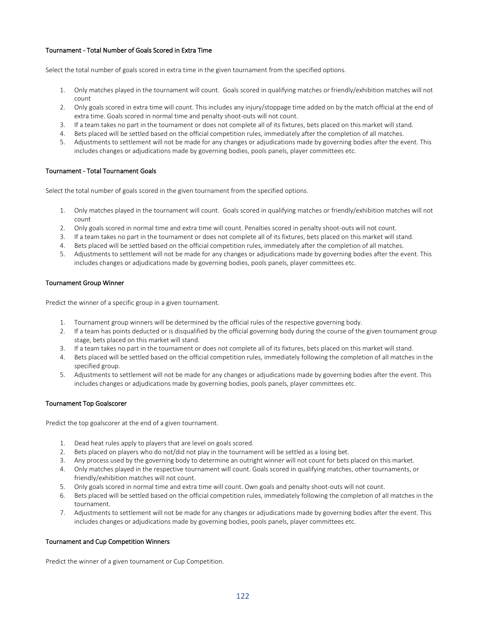# Tournament - Total Number of Goals Scored in Extra Time

Select the total number of goals scored in extra time in the given tournament from the specified options.

- 1. Only matches played in the tournament will count. Goals scored in qualifying matches or friendly/exhibition matches will not count
- 2. Only goals scored in extra time will count. This includes any injury/stoppage time added on by the match official at the end of extra time. Goals scored in normal time and penalty shoot-outs will not count.
- 3. If a team takes no part in the tournament or does not complete all of its fixtures, bets placed on this market will stand.
- 4. Bets placed will be settled based on the official competition rules, immediately after the completion of all matches.
- 5. Adjustments to settlement will not be made for any changes or adjudications made by governing bodies after the event. This includes changes or adjudications made by governing bodies, pools panels, player committees etc.

## Tournament - Total Tournament Goals

Select the total number of goals scored in the given tournament from the specified options.

- 1. Only matches played in the tournament will count. Goals scored in qualifying matches or friendly/exhibition matches will not count
- 2. Only goals scored in normal time and extra time will count. Penalties scored in penalty shoot-outs will not count.
- 3. If a team takes no part in the tournament or does not complete all of its fixtures, bets placed on this market will stand.
- 4. Bets placed will be settled based on the official competition rules, immediately after the completion of all matches.
- 5. Adjustments to settlement will not be made for any changes or adjudications made by governing bodies after the event. This includes changes or adjudications made by governing bodies, pools panels, player committees etc.

#### Tournament Group Winner

Predict the winner of a specific group in a given tournament.

- 1. Tournament group winners will be determined by the official rules of the respective governing body.
- 2. If a team has points deducted or is disqualified by the official governing body during the course of the given tournament group stage, bets placed on this market will stand.
- 3. If a team takes no part in the tournament or does not complete all of its fixtures, bets placed on this market will stand.
- 4. Bets placed will be settled based on the official competition rules, immediately following the completion of all matches in the specified group.
- 5. Adjustments to settlement will not be made for any changes or adjudications made by governing bodies after the event. This includes changes or adjudications made by governing bodies, pools panels, player committees etc.

#### Tournament Top Goalscorer

Predict the top goalscorer at the end of a given tournament.

- 1. Dead heat rules apply to players that are level on goals scored.
- 2. Bets placed on players who do not/did not play in the tournament will be settled as a losing bet.
- 3. Any process used by the governing body to determine an outright winner will not count for bets placed on this market.
- 4. Only matches played in the respective tournament will count. Goals scored in qualifying matches, other tournaments, or friendly/exhibition matches will not count.
- 5. Only goals scored in normal time and extra time will count. Own goals and penalty shoot-outs will not count.
- 6. Bets placed will be settled based on the official competition rules, immediately following the completion of all matches in the tournament.
- 7. Adjustments to settlement will not be made for any changes or adjudications made by governing bodies after the event. This includes changes or adjudications made by governing bodies, pools panels, player committees etc.

#### Tournament and Cup Competition Winners

Predict the winner of a given tournament or Cup Competition.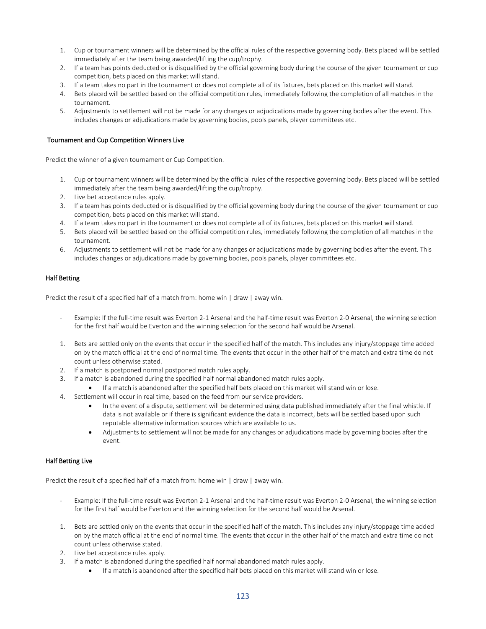- 1. Cup or tournament winners will be determined by the official rules of the respective governing body. Bets placed will be settled immediately after the team being awarded/lifting the cup/trophy.
- 2. If a team has points deducted or is disqualified by the official governing body during the course of the given tournament or cup competition, bets placed on this market will stand.
- 3. If a team takes no part in the tournament or does not complete all of its fixtures, bets placed on this market will stand.
- 4. Bets placed will be settled based on the official competition rules, immediately following the completion of all matches in the tournament.
- 5. Adjustments to settlement will not be made for any changes or adjudications made by governing bodies after the event. This includes changes or adjudications made by governing bodies, pools panels, player committees etc.

#### Tournament and Cup Competition Winners Live

Predict the winner of a given tournament or Cup Competition.

- 1. Cup or tournament winners will be determined by the official rules of the respective governing body. Bets placed will be settled immediately after the team being awarded/lifting the cup/trophy.
- 2. Live bet acceptance rules apply.
- 3. If a team has points deducted or is disqualified by the official governing body during the course of the given tournament or cup competition, bets placed on this market will stand.
- 4. If a team takes no part in the tournament or does not complete all of its fixtures, bets placed on this market will stand.
- 5. Bets placed will be settled based on the official competition rules, immediately following the completion of all matches in the tournament.
- 6. Adjustments to settlement will not be made for any changes or adjudications made by governing bodies after the event. This includes changes or adjudications made by governing bodies, pools panels, player committees etc.

#### Half Betting

Predict the result of a specified half of a match from: home win | draw | away win.

- Example: If the full-time result was Everton 2-1 Arsenal and the half-time result was Everton 2-0 Arsenal, the winning selection for the first half would be Everton and the winning selection for the second half would be Arsenal.
- 1. Bets are settled only on the events that occur in the specified half of the match. This includes any injury/stoppage time added on by the match official at the end of normal time. The events that occur in the other half of the match and extra time do not count unless otherwise stated.
- 2. If a match is postponed normal postponed match rules apply.
- 3. If a match is abandoned during the specified half normal abandoned match rules apply.
	- If a match is abandoned after the specified half bets placed on this market will stand win or lose.
- 4. Settlement will occur in real time, based on the feed from our service providers.
	- In the event of a dispute, settlement will be determined using data published immediately after the final whistle. If data is not available or if there is significant evidence the data is incorrect, bets will be settled based upon such reputable alternative information sources which are available to us.
	- Adjustments to settlement will not be made for any changes or adjudications made by governing bodies after the event.

### Half Betting Live

Predict the result of a specified half of a match from: home win | draw | away win.

- Example: If the full-time result was Everton 2-1 Arsenal and the half-time result was Everton 2-0 Arsenal, the winning selection for the first half would be Everton and the winning selection for the second half would be Arsenal.
- 1. Bets are settled only on the events that occur in the specified half of the match. This includes any injury/stoppage time added on by the match official at the end of normal time. The events that occur in the other half of the match and extra time do not count unless otherwise stated.
- 2. Live bet acceptance rules apply.
- 3. If a match is abandoned during the specified half normal abandoned match rules apply.
	- If a match is abandoned after the specified half bets placed on this market will stand win or lose.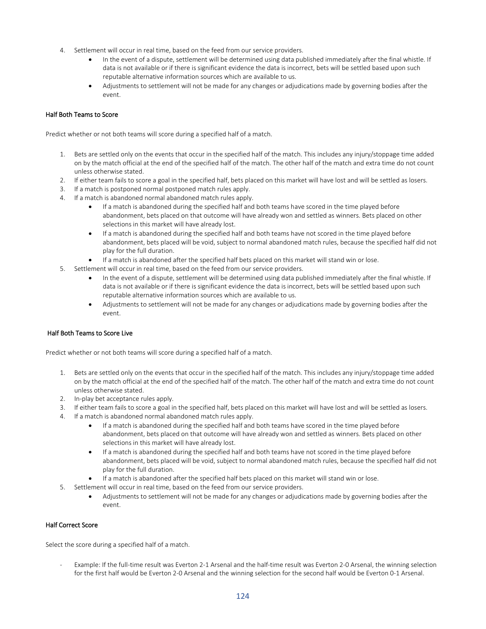- 4. Settlement will occur in real time, based on the feed from our service providers.
	- In the event of a dispute, settlement will be determined using data published immediately after the final whistle. If data is not available or if there is significant evidence the data is incorrect, bets will be settled based upon such reputable alternative information sources which are available to us.
	- Adjustments to settlement will not be made for any changes or adjudications made by governing bodies after the event.

### Half Both Teams to Score

Predict whether or not both teams will score during a specified half of a match.

- 1. Bets are settled only on the events that occur in the specified half of the match. This includes any injury/stoppage time added on by the match official at the end of the specified half of the match. The other half of the match and extra time do not count unless otherwise stated.
- 2. If either team fails to score a goal in the specified half, bets placed on this market will have lost and will be settled as losers.
- 3. If a match is postponed normal postponed match rules apply.
- 4. If a match is abandoned normal abandoned match rules apply.
	- If a match is abandoned during the specified half and both teams have scored in the time played before abandonment, bets placed on that outcome will have already won and settled as winners. Bets placed on other selections in this market will have already lost.
	- If a match is abandoned during the specified half and both teams have not scored in the time played before abandonment, bets placed will be void, subject to normal abandoned match rules, because the specified half did not play for the full duration.
	- If a match is abandoned after the specified half bets placed on this market will stand win or lose.
- 5. Settlement will occur in real time, based on the feed from our service providers.
	- In the event of a dispute, settlement will be determined using data published immediately after the final whistle. If data is not available or if there is significant evidence the data is incorrect, bets will be settled based upon such reputable alternative information sources which are available to us.
	- Adjustments to settlement will not be made for any changes or adjudications made by governing bodies after the event.

### Half Both Teams to Score Live

Predict whether or not both teams will score during a specified half of a match.

- 1. Bets are settled only on the events that occur in the specified half of the match. This includes any injury/stoppage time added on by the match official at the end of the specified half of the match. The other half of the match and extra time do not count unless otherwise stated.
- 2. In-play bet acceptance rules apply.
- 3. If either team fails to score a goal in the specified half, bets placed on this market will have lost and will be settled as losers.
- 4. If a match is abandoned normal abandoned match rules apply.
	- If a match is abandoned during the specified half and both teams have scored in the time played before abandonment, bets placed on that outcome will have already won and settled as winners. Bets placed on other selections in this market will have already lost.
	- If a match is abandoned during the specified half and both teams have not scored in the time played before abandonment, bets placed will be void, subject to normal abandoned match rules, because the specified half did not play for the full duration.
	- If a match is abandoned after the specified half bets placed on this market will stand win or lose.
- 5. Settlement will occur in real time, based on the feed from our service providers.
	- Adjustments to settlement will not be made for any changes or adjudications made by governing bodies after the event.

### Half Correct Score

Select the score during a specified half of a match.

Example: If the full-time result was Everton 2-1 Arsenal and the half-time result was Everton 2-0 Arsenal, the winning selection for the first half would be Everton 2-0 Arsenal and the winning selection for the second half would be Everton 0-1 Arsenal.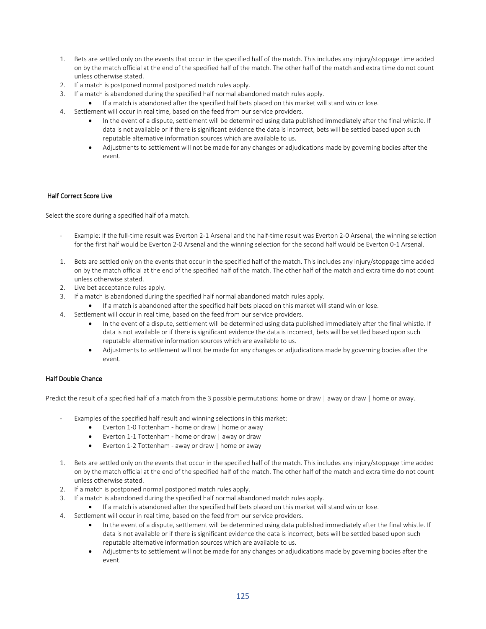- 1. Bets are settled only on the events that occur in the specified half of the match. This includes any injury/stoppage time added on by the match official at the end of the specified half of the match. The other half of the match and extra time do not count unless otherwise stated.
- 2. If a match is postponed normal postponed match rules apply.
- 3. If a match is abandoned during the specified half normal abandoned match rules apply.
	- If a match is abandoned after the specified half bets placed on this market will stand win or lose.
- 4. Settlement will occur in real time, based on the feed from our service providers.
	- In the event of a dispute, settlement will be determined using data published immediately after the final whistle. If data is not available or if there is significant evidence the data is incorrect, bets will be settled based upon such reputable alternative information sources which are available to us.
	- Adjustments to settlement will not be made for any changes or adjudications made by governing bodies after the event.

### Half Correct Score Live

Select the score during a specified half of a match.

- Example: If the full-time result was Everton 2-1 Arsenal and the half-time result was Everton 2-0 Arsenal, the winning selection for the first half would be Everton 2-0 Arsenal and the winning selection for the second half would be Everton 0-1 Arsenal.
- 1. Bets are settled only on the events that occur in the specified half of the match. This includes any injury/stoppage time added on by the match official at the end of the specified half of the match. The other half of the match and extra time do not count unless otherwise stated.
- 2. Live bet acceptance rules apply.
- 3. If a match is abandoned during the specified half normal abandoned match rules apply.
	- If a match is abandoned after the specified half bets placed on this market will stand win or lose.
- 4. Settlement will occur in real time, based on the feed from our service providers.
	- In the event of a dispute, settlement will be determined using data published immediately after the final whistle. If data is not available or if there is significant evidence the data is incorrect, bets will be settled based upon such reputable alternative information sources which are available to us.
	- Adjustments to settlement will not be made for any changes or adjudications made by governing bodies after the event.

### Half Double Chance

Predict the result of a specified half of a match from the 3 possible permutations: home or draw | away or draw | home or away.

- Examples of the specified half result and winning selections in this market:
	- Everton 1-0 Tottenham home or draw | home or away
	- Everton 1-1 Tottenham home or draw | away or draw
	- Everton 1-2 Tottenham away or draw | home or away
- 1. Bets are settled only on the events that occur in the specified half of the match. This includes any injury/stoppage time added on by the match official at the end of the specified half of the match. The other half of the match and extra time do not count unless otherwise stated.
- 2. If a match is postponed normal postponed match rules apply.
- 3. If a match is abandoned during the specified half normal abandoned match rules apply.
	- If a match is abandoned after the specified half bets placed on this market will stand win or lose.
- 4. Settlement will occur in real time, based on the feed from our service providers.
	- In the event of a dispute, settlement will be determined using data published immediately after the final whistle. If data is not available or if there is significant evidence the data is incorrect, bets will be settled based upon such reputable alternative information sources which are available to us.
	- Adjustments to settlement will not be made for any changes or adjudications made by governing bodies after the event.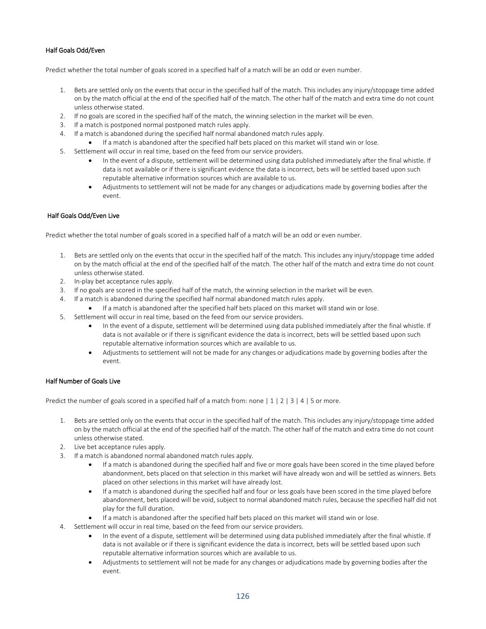# Half Goals Odd/Even

Predict whether the total number of goals scored in a specified half of a match will be an odd or even number.

- 1. Bets are settled only on the events that occur in the specified half of the match. This includes any injury/stoppage time added on by the match official at the end of the specified half of the match. The other half of the match and extra time do not count unless otherwise stated.
- 2. If no goals are scored in the specified half of the match, the winning selection in the market will be even.
- 3. If a match is postponed normal postponed match rules apply.
- 4. If a match is abandoned during the specified half normal abandoned match rules apply.
	- If a match is abandoned after the specified half bets placed on this market will stand win or lose.
- 5. Settlement will occur in real time, based on the feed from our service providers.
	- In the event of a dispute, settlement will be determined using data published immediately after the final whistle. If data is not available or if there is significant evidence the data is incorrect, bets will be settled based upon such reputable alternative information sources which are available to us.
	- Adjustments to settlement will not be made for any changes or adjudications made by governing bodies after the event.

#### Half Goals Odd/Even Live

Predict whether the total number of goals scored in a specified half of a match will be an odd or even number.

- 1. Bets are settled only on the events that occur in the specified half of the match. This includes any injury/stoppage time added on by the match official at the end of the specified half of the match. The other half of the match and extra time do not count unless otherwise stated.
- 2. In-play bet acceptance rules apply.
- 3. If no goals are scored in the specified half of the match, the winning selection in the market will be even.
- 4. If a match is abandoned during the specified half normal abandoned match rules apply.
	- If a match is abandoned after the specified half bets placed on this market will stand win or lose.
- 5. Settlement will occur in real time, based on the feed from our service providers.
	- In the event of a dispute, settlement will be determined using data published immediately after the final whistle. If data is not available or if there is significant evidence the data is incorrect, bets will be settled based upon such reputable alternative information sources which are available to us.
	- Adjustments to settlement will not be made for any changes or adjudications made by governing bodies after the event.

### Half Number of Goals Live

Predict the number of goals scored in a specified half of a match from: none  $|1|2|3|4|5$  or more.

- 1. Bets are settled only on the events that occur in the specified half of the match. This includes any injury/stoppage time added on by the match official at the end of the specified half of the match. The other half of the match and extra time do not count unless otherwise stated.
- 2. Live bet acceptance rules apply.
- 3. If a match is abandoned normal abandoned match rules apply.
	- If a match is abandoned during the specified half and five or more goals have been scored in the time played before abandonment, bets placed on that selection in this market will have already won and will be settled as winners. Bets placed on other selections in this market will have already lost.
	- If a match is abandoned during the specified half and four or less goals have been scored in the time played before abandonment, bets placed will be void, subject to normal abandoned match rules, because the specified half did not play for the full duration.
	- If a match is abandoned after the specified half bets placed on this market will stand win or lose.
- 4. Settlement will occur in real time, based on the feed from our service providers.
	- In the event of a dispute, settlement will be determined using data published immediately after the final whistle. If data is not available or if there is significant evidence the data is incorrect, bets will be settled based upon such reputable alternative information sources which are available to us.
	- Adjustments to settlement will not be made for any changes or adjudications made by governing bodies after the event.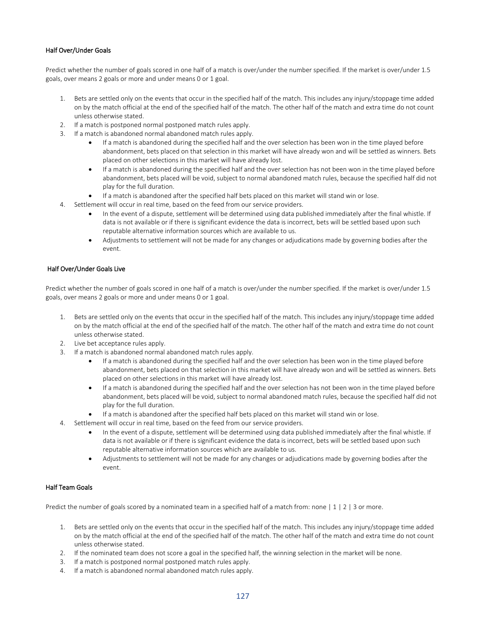## Half Over/Under Goals

Predict whether the number of goals scored in one half of a match is over/under the number specified. If the market is over/under 1.5 goals, over means 2 goals or more and under means 0 or 1 goal.

- 1. Bets are settled only on the events that occur in the specified half of the match. This includes any injury/stoppage time added on by the match official at the end of the specified half of the match. The other half of the match and extra time do not count unless otherwise stated.
- 2. If a match is postponed normal postponed match rules apply.
- 3. If a match is abandoned normal abandoned match rules apply.
	- If a match is abandoned during the specified half and the over selection has been won in the time played before abandonment, bets placed on that selection in this market will have already won and will be settled as winners. Bets placed on other selections in this market will have already lost.
	- If a match is abandoned during the specified half and the over selection has not been won in the time played before abandonment, bets placed will be void, subject to normal abandoned match rules, because the specified half did not play for the full duration.
	- If a match is abandoned after the specified half bets placed on this market will stand win or lose.
- 4. Settlement will occur in real time, based on the feed from our service providers.
	- In the event of a dispute, settlement will be determined using data published immediately after the final whistle. If data is not available or if there is significant evidence the data is incorrect, bets will be settled based upon such reputable alternative information sources which are available to us.
	- Adjustments to settlement will not be made for any changes or adjudications made by governing bodies after the event.

### Half Over/Under Goals Live

Predict whether the number of goals scored in one half of a match is over/under the number specified. If the market is over/under 1.5 goals, over means 2 goals or more and under means 0 or 1 goal.

- 1. Bets are settled only on the events that occur in the specified half of the match. This includes any injury/stoppage time added on by the match official at the end of the specified half of the match. The other half of the match and extra time do not count unless otherwise stated.
- 2. Live bet acceptance rules apply.
- 3. If a match is abandoned normal abandoned match rules apply.
	- If a match is abandoned during the specified half and the over selection has been won in the time played before abandonment, bets placed on that selection in this market will have already won and will be settled as winners. Bets placed on other selections in this market will have already lost.
	- If a match is abandoned during the specified half and the over selection has not been won in the time played before abandonment, bets placed will be void, subject to normal abandoned match rules, because the specified half did not play for the full duration.
	- If a match is abandoned after the specified half bets placed on this market will stand win or lose.
- 4. Settlement will occur in real time, based on the feed from our service providers.
	- In the event of a dispute, settlement will be determined using data published immediately after the final whistle. If data is not available or if there is significant evidence the data is incorrect, bets will be settled based upon such reputable alternative information sources which are available to us.
	- Adjustments to settlement will not be made for any changes or adjudications made by governing bodies after the event.

### Half Team Goals

Predict the number of goals scored by a nominated team in a specified half of a match from: none | 1 | 2 | 3 or more.

- 1. Bets are settled only on the events that occur in the specified half of the match. This includes any injury/stoppage time added on by the match official at the end of the specified half of the match. The other half of the match and extra time do not count unless otherwise stated.
- 2. If the nominated team does not score a goal in the specified half, the winning selection in the market will be none.
- 3. If a match is postponed normal postponed match rules apply.
- 4. If a match is abandoned normal abandoned match rules apply.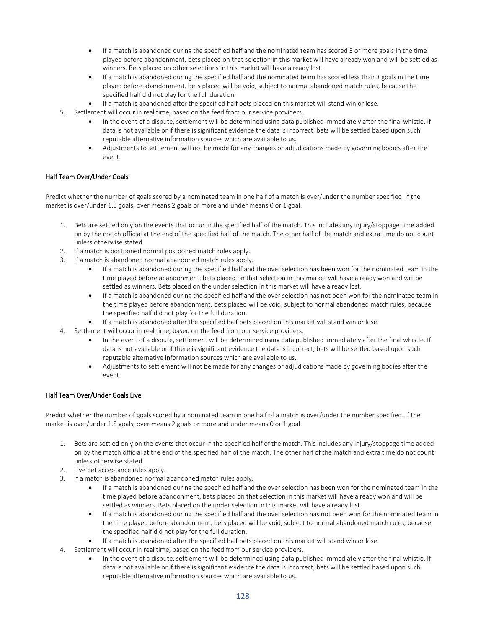- If a match is abandoned during the specified half and the nominated team has scored 3 or more goals in the time played before abandonment, bets placed on that selection in this market will have already won and will be settled as winners. Bets placed on other selections in this market will have already lost.
- If a match is abandoned during the specified half and the nominated team has scored less than 3 goals in the time played before abandonment, bets placed will be void, subject to normal abandoned match rules, because the specified half did not play for the full duration.
- If a match is abandoned after the specified half bets placed on this market will stand win or lose.
- 5. Settlement will occur in real time, based on the feed from our service providers.
	- In the event of a dispute, settlement will be determined using data published immediately after the final whistle. If data is not available or if there is significant evidence the data is incorrect, bets will be settled based upon such reputable alternative information sources which are available to us.
	- Adjustments to settlement will not be made for any changes or adjudications made by governing bodies after the event.

## Half Team Over/Under Goals

Predict whether the number of goals scored by a nominated team in one half of a match is over/under the number specified. If the market is over/under 1.5 goals, over means 2 goals or more and under means 0 or 1 goal.

- 1. Bets are settled only on the events that occur in the specified half of the match. This includes any injury/stoppage time added on by the match official at the end of the specified half of the match. The other half of the match and extra time do not count unless otherwise stated.
- 2. If a match is postponed normal postponed match rules apply.
- 3. If a match is abandoned normal abandoned match rules apply.
	- If a match is abandoned during the specified half and the over selection has been won for the nominated team in the time played before abandonment, bets placed on that selection in this market will have already won and will be settled as winners. Bets placed on the under selection in this market will have already lost.
	- If a match is abandoned during the specified half and the over selection has not been won for the nominated team in the time played before abandonment, bets placed will be void, subject to normal abandoned match rules, because the specified half did not play for the full duration.
	- If a match is abandoned after the specified half bets placed on this market will stand win or lose.
- 4. Settlement will occur in real time, based on the feed from our service providers.
	- In the event of a dispute, settlement will be determined using data published immediately after the final whistle. If data is not available or if there is significant evidence the data is incorrect, bets will be settled based upon such reputable alternative information sources which are available to us.
	- Adjustments to settlement will not be made for any changes or adjudications made by governing bodies after the event.

### Half Team Over/Under Goals Live

Predict whether the number of goals scored by a nominated team in one half of a match is over/under the number specified. If the market is over/under 1.5 goals, over means 2 goals or more and under means 0 or 1 goal.

- 1. Bets are settled only on the events that occur in the specified half of the match. This includes any injury/stoppage time added on by the match official at the end of the specified half of the match. The other half of the match and extra time do not count unless otherwise stated.
- 2. Live bet acceptance rules apply.
- 3. If a match is abandoned normal abandoned match rules apply.
	- If a match is abandoned during the specified half and the over selection has been won for the nominated team in the time played before abandonment, bets placed on that selection in this market will have already won and will be settled as winners. Bets placed on the under selection in this market will have already lost.
	- If a match is abandoned during the specified half and the over selection has not been won for the nominated team in the time played before abandonment, bets placed will be void, subject to normal abandoned match rules, because the specified half did not play for the full duration.
	- If a match is abandoned after the specified half bets placed on this market will stand win or lose.
- 4. Settlement will occur in real time, based on the feed from our service providers.
	- In the event of a dispute, settlement will be determined using data published immediately after the final whistle. If data is not available or if there is significant evidence the data is incorrect, bets will be settled based upon such reputable alternative information sources which are available to us.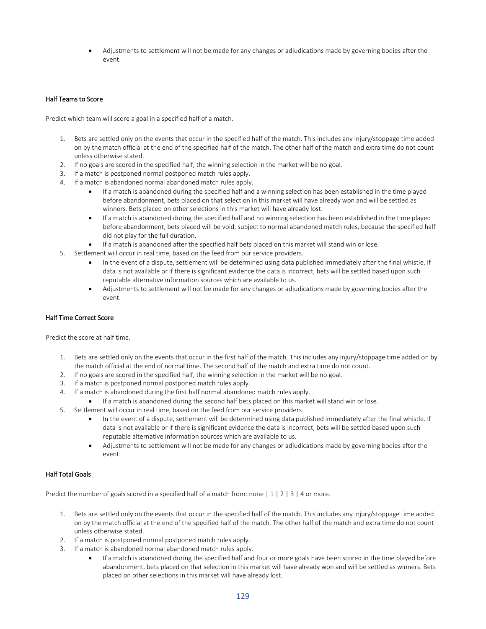• Adjustments to settlement will not be made for any changes or adjudications made by governing bodies after the event.

### Half Teams to Score

Predict which team will score a goal in a specified half of a match.

- 1. Bets are settled only on the events that occur in the specified half of the match. This includes any injury/stoppage time added on by the match official at the end of the specified half of the match. The other half of the match and extra time do not count unless otherwise stated.
- 2. If no goals are scored in the specified half, the winning selection in the market will be no goal.
- 3. If a match is postponed normal postponed match rules apply.
- 4. If a match is abandoned normal abandoned match rules apply.
	- If a match is abandoned during the specified half and a winning selection has been established in the time played before abandonment, bets placed on that selection in this market will have already won and will be settled as winners. Bets placed on other selections in this market will have already lost.
	- If a match is abandoned during the specified half and no winning selection has been established in the time played before abandonment, bets placed will be void, subject to normal abandoned match rules, because the specified half did not play for the full duration.
	- If a match is abandoned after the specified half bets placed on this market will stand win or lose.
- 5. Settlement will occur in real time, based on the feed from our service providers.
	- In the event of a dispute, settlement will be determined using data published immediately after the final whistle. If data is not available or if there is significant evidence the data is incorrect, bets will be settled based upon such reputable alternative information sources which are available to us.
	- Adjustments to settlement will not be made for any changes or adjudications made by governing bodies after the event.

### Half Time Correct Score

Predict the score at half time.

- 1. Bets are settled only on the events that occur in the first half of the match. This includes any injury/stoppage time added on by the match official at the end of normal time. The second half of the match and extra time do not count.
- 2. If no goals are scored in the specified half, the winning selection in the market will be no goal.
- 3. If a match is postponed normal postponed match rules apply.
- 4. If a match is abandoned during the first half normal abandoned match rules apply.
	- If a match is abandoned during the second half bets placed on this market will stand win or lose.
- 5. Settlement will occur in real time, based on the feed from our service providers.
	- In the event of a dispute, settlement will be determined using data published immediately after the final whistle. If data is not available or if there is significant evidence the data is incorrect, bets will be settled based upon such reputable alternative information sources which are available to us.
	- Adjustments to settlement will not be made for any changes or adjudications made by governing bodies after the event.

### Half Total Goals

Predict the number of goals scored in a specified half of a match from: none  $|1|2|3|4$  or more.

- 1. Bets are settled only on the events that occur in the specified half of the match. This includes any injury/stoppage time added on by the match official at the end of the specified half of the match. The other half of the match and extra time do not count unless otherwise stated.
- 2. If a match is postponed normal postponed match rules apply.
- 3. If a match is abandoned normal abandoned match rules apply.
	- If a match is abandoned during the specified half and four or more goals have been scored in the time played before abandonment, bets placed on that selection in this market will have already won and will be settled as winners. Bets placed on other selections in this market will have already lost.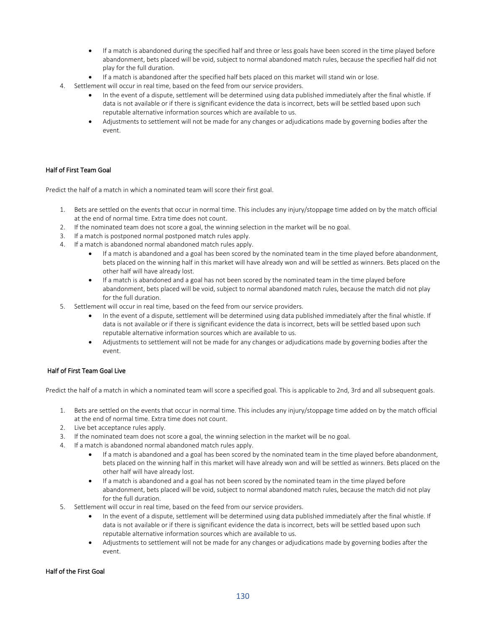- If a match is abandoned during the specified half and three or less goals have been scored in the time played before abandonment, bets placed will be void, subject to normal abandoned match rules, because the specified half did not play for the full duration.
- If a match is abandoned after the specified half bets placed on this market will stand win or lose.
- 4. Settlement will occur in real time, based on the feed from our service providers.
	- In the event of a dispute, settlement will be determined using data published immediately after the final whistle. If data is not available or if there is significant evidence the data is incorrect, bets will be settled based upon such reputable alternative information sources which are available to us.
	- Adjustments to settlement will not be made for any changes or adjudications made by governing bodies after the event.

### Half of First Team Goal

Predict the half of a match in which a nominated team will score their first goal.

- 1. Bets are settled on the events that occur in normal time. This includes any injury/stoppage time added on by the match official at the end of normal time. Extra time does not count.
- 2. If the nominated team does not score a goal, the winning selection in the market will be no goal.
- 3. If a match is postponed normal postponed match rules apply.
- 4. If a match is abandoned normal abandoned match rules apply.
	- If a match is abandoned and a goal has been scored by the nominated team in the time played before abandonment, bets placed on the winning half in this market will have already won and will be settled as winners. Bets placed on the other half will have already lost.
	- If a match is abandoned and a goal has not been scored by the nominated team in the time played before abandonment, bets placed will be void, subject to normal abandoned match rules, because the match did not play for the full duration.
- 5. Settlement will occur in real time, based on the feed from our service providers.
	- In the event of a dispute, settlement will be determined using data published immediately after the final whistle. If data is not available or if there is significant evidence the data is incorrect, bets will be settled based upon such reputable alternative information sources which are available to us.
	- Adjustments to settlement will not be made for any changes or adjudications made by governing bodies after the event.

### Half of First Team Goal Live

Predict the half of a match in which a nominated team will score a specified goal. This is applicable to 2nd, 3rd and all subsequent goals.

- 1. Bets are settled on the events that occur in normal time. This includes any injury/stoppage time added on by the match official at the end of normal time. Extra time does not count.
- 2. Live bet acceptance rules apply.
- 3. If the nominated team does not score a goal, the winning selection in the market will be no goal.
- 4. If a match is abandoned normal abandoned match rules apply.
	- If a match is abandoned and a goal has been scored by the nominated team in the time played before abandonment, bets placed on the winning half in this market will have already won and will be settled as winners. Bets placed on the other half will have already lost.
	- If a match is abandoned and a goal has not been scored by the nominated team in the time played before abandonment, bets placed will be void, subject to normal abandoned match rules, because the match did not play for the full duration.
- 5. Settlement will occur in real time, based on the feed from our service providers.
	- In the event of a dispute, settlement will be determined using data published immediately after the final whistle. If data is not available or if there is significant evidence the data is incorrect, bets will be settled based upon such reputable alternative information sources which are available to us.
	- Adjustments to settlement will not be made for any changes or adjudications made by governing bodies after the event.

#### Half of the First Goal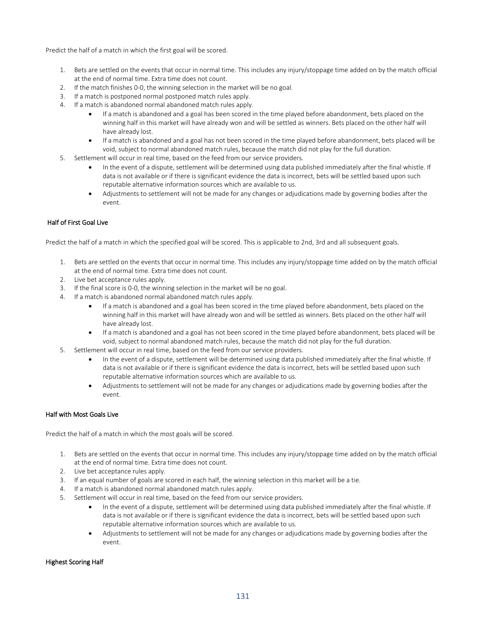Predict the half of a match in which the first goal will be scored.

- 1. Bets are settled on the events that occur in normal time. This includes any injury/stoppage time added on by the match official at the end of normal time. Extra time does not count.
- 2. If the match finishes 0-0, the winning selection in the market will be no goal.
- 3. If a match is postponed normal postponed match rules apply.
- 4. If a match is abandoned normal abandoned match rules apply.
	- If a match is abandoned and a goal has been scored in the time played before abandonment, bets placed on the winning half in this market will have already won and will be settled as winners. Bets placed on the other half will have already lost.
	- If a match is abandoned and a goal has not been scored in the time played before abandonment, bets placed will be void, subject to normal abandoned match rules, because the match did not play for the full duration.
- 5. Settlement will occur in real time, based on the feed from our service providers.
	- In the event of a dispute, settlement will be determined using data published immediately after the final whistle. If data is not available or if there is significant evidence the data is incorrect, bets will be settled based upon such reputable alternative information sources which are available to us.
	- Adjustments to settlement will not be made for any changes or adjudications made by governing bodies after the event.

## Half of First Goal Live

Predict the half of a match in which the specified goal will be scored. This is applicable to 2nd, 3rd and all subsequent goals.

- 1. Bets are settled on the events that occur in normal time. This includes any injury/stoppage time added on by the match official at the end of normal time. Extra time does not count.
- 2. Live bet acceptance rules apply.
- 3. If the final score is 0-0, the winning selection in the market will be no goal.
- 4. If a match is abandoned normal abandoned match rules apply.
	- If a match is abandoned and a goal has been scored in the time played before abandonment, bets placed on the winning half in this market will have already won and will be settled as winners. Bets placed on the other half will have already lost.
	- If a match is abandoned and a goal has not been scored in the time played before abandonment, bets placed will be void, subject to normal abandoned match rules, because the match did not play for the full duration.
- 5. Settlement will occur in real time, based on the feed from our service providers.
	- In the event of a dispute, settlement will be determined using data published immediately after the final whistle. If data is not available or if there is significant evidence the data is incorrect, bets will be settled based upon such reputable alternative information sources which are available to us.
	- Adjustments to settlement will not be made for any changes or adjudications made by governing bodies after the event.

## Half with Most Goals Live

Predict the half of a match in which the most goals will be scored.

- 1. Bets are settled on the events that occur in normal time. This includes any injury/stoppage time added on by the match official at the end of normal time. Extra time does not count.
- 2. Live bet acceptance rules apply.
- 3. If an equal number of goals are scored in each half, the winning selection in this market will be a tie.
- 4. If a match is abandoned normal abandoned match rules apply.
- 5. Settlement will occur in real time, based on the feed from our service providers.
	- In the event of a dispute, settlement will be determined using data published immediately after the final whistle. If data is not available or if there is significant evidence the data is incorrect, bets will be settled based upon such reputable alternative information sources which are available to us.
	- Adjustments to settlement will not be made for any changes or adjudications made by governing bodies after the event.

#### Highest Scoring Half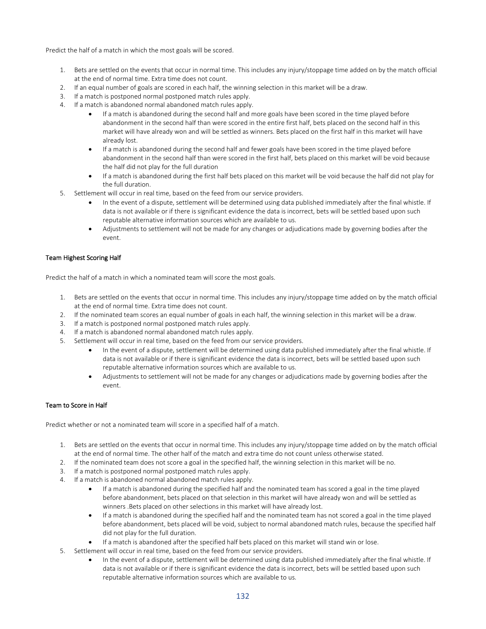Predict the half of a match in which the most goals will be scored.

- 1. Bets are settled on the events that occur in normal time. This includes any injury/stoppage time added on by the match official at the end of normal time. Extra time does not count.
- 2. If an equal number of goals are scored in each half, the winning selection in this market will be a draw.
- 3. If a match is postponed normal postponed match rules apply.
- 4. If a match is abandoned normal abandoned match rules apply.
	- If a match is abandoned during the second half and more goals have been scored in the time played before abandonment in the second half than were scored in the entire first half, bets placed on the second half in this market will have already won and will be settled as winners. Bets placed on the first half in this market will have already lost.
	- If a match is abandoned during the second half and fewer goals have been scored in the time played before abandonment in the second half than were scored in the first half, bets placed on this market will be void because the half did not play for the full duration
	- If a match is abandoned during the first half bets placed on this market will be void because the half did not play for the full duration.
- 5. Settlement will occur in real time, based on the feed from our service providers.
	- In the event of a dispute, settlement will be determined using data published immediately after the final whistle. If data is not available or if there is significant evidence the data is incorrect, bets will be settled based upon such reputable alternative information sources which are available to us.
	- Adjustments to settlement will not be made for any changes or adjudications made by governing bodies after the event.

## Team Highest Scoring Half

Predict the half of a match in which a nominated team will score the most goals.

- 1. Bets are settled on the events that occur in normal time. This includes any injury/stoppage time added on by the match official at the end of normal time. Extra time does not count.
- 2. If the nominated team scores an equal number of goals in each half, the winning selection in this market will be a draw.
- 3. If a match is postponed normal postponed match rules apply.
- 4. If a match is abandoned normal abandoned match rules apply.
- 5. Settlement will occur in real time, based on the feed from our service providers.
	- In the event of a dispute, settlement will be determined using data published immediately after the final whistle. If data is not available or if there is significant evidence the data is incorrect, bets will be settled based upon such reputable alternative information sources which are available to us.
	- Adjustments to settlement will not be made for any changes or adjudications made by governing bodies after the event.

### Team to Score in Half

Predict whether or not a nominated team will score in a specified half of a match.

- 1. Bets are settled on the events that occur in normal time. This includes any injury/stoppage time added on by the match official at the end of normal time. The other half of the match and extra time do not count unless otherwise stated.
- 2. If the nominated team does not score a goal in the specified half, the winning selection in this market will be no.
- 3. If a match is postponed normal postponed match rules apply.
- 4. If a match is abandoned normal abandoned match rules apply.
	- If a match is abandoned during the specified half and the nominated team has scored a goal in the time played before abandonment, bets placed on that selection in this market will have already won and will be settled as winners .Bets placed on other selections in this market will have already lost.
	- If a match is abandoned during the specified half and the nominated team has not scored a goal in the time played before abandonment, bets placed will be void, subject to normal abandoned match rules, because the specified half did not play for the full duration.
	- If a match is abandoned after the specified half bets placed on this market will stand win or lose.
- 5. Settlement will occur in real time, based on the feed from our service providers.
	- In the event of a dispute, settlement will be determined using data published immediately after the final whistle. If data is not available or if there is significant evidence the data is incorrect, bets will be settled based upon such reputable alternative information sources which are available to us.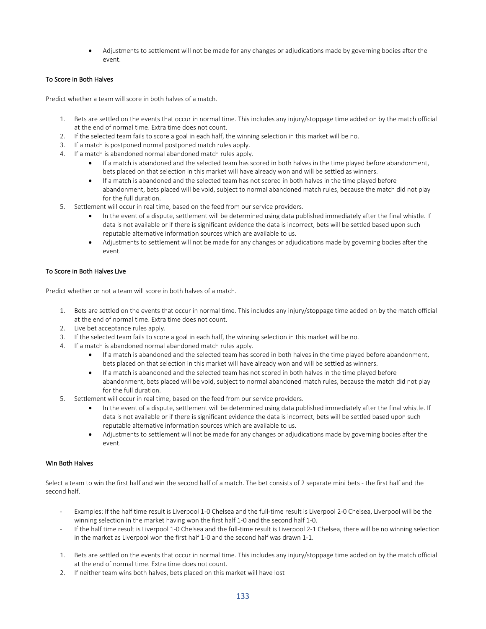• Adjustments to settlement will not be made for any changes or adjudications made by governing bodies after the event.

### To Score in Both Halves

Predict whether a team will score in both halves of a match.

- 1. Bets are settled on the events that occur in normal time. This includes any injury/stoppage time added on by the match official at the end of normal time. Extra time does not count.
- 2. If the selected team fails to score a goal in each half, the winning selection in this market will be no.
- 3. If a match is postponed normal postponed match rules apply.
- 4. If a match is abandoned normal abandoned match rules apply.
	- If a match is abandoned and the selected team has scored in both halves in the time played before abandonment, bets placed on that selection in this market will have already won and will be settled as winners.
	- If a match is abandoned and the selected team has not scored in both halves in the time played before abandonment, bets placed will be void, subject to normal abandoned match rules, because the match did not play for the full duration.
- 5. Settlement will occur in real time, based on the feed from our service providers.
	- In the event of a dispute, settlement will be determined using data published immediately after the final whistle. If data is not available or if there is significant evidence the data is incorrect, bets will be settled based upon such reputable alternative information sources which are available to us.
	- Adjustments to settlement will not be made for any changes or adjudications made by governing bodies after the event.

## To Score in Both Halves Live

Predict whether or not a team will score in both halves of a match.

- 1. Bets are settled on the events that occur in normal time. This includes any injury/stoppage time added on by the match official at the end of normal time. Extra time does not count.
- 2. Live bet acceptance rules apply.
- 3. If the selected team fails to score a goal in each half, the winning selection in this market will be no.
- 4. If a match is abandoned normal abandoned match rules apply.
	- If a match is abandoned and the selected team has scored in both halves in the time played before abandonment, bets placed on that selection in this market will have already won and will be settled as winners.
	- If a match is abandoned and the selected team has not scored in both halves in the time played before abandonment, bets placed will be void, subject to normal abandoned match rules, because the match did not play for the full duration.
- 5. Settlement will occur in real time, based on the feed from our service providers.
	- In the event of a dispute, settlement will be determined using data published immediately after the final whistle. If data is not available or if there is significant evidence the data is incorrect, bets will be settled based upon such reputable alternative information sources which are available to us.
	- Adjustments to settlement will not be made for any changes or adjudications made by governing bodies after the event.

### Win Both Halves

Select a team to win the first half and win the second half of a match. The bet consists of 2 separate mini bets - the first half and the second half.

- Examples: If the half time result is Liverpool 1-0 Chelsea and the full-time result is Liverpool 2-0 Chelsea, Liverpool will be the winning selection in the market having won the first half 1-0 and the second half 1-0.
- If the half time result is Liverpool 1-0 Chelsea and the full-time result is Liverpool 2-1 Chelsea, there will be no winning selection in the market as Liverpool won the first half 1-0 and the second half was drawn 1-1.
- 1. Bets are settled on the events that occur in normal time. This includes any injury/stoppage time added on by the match official at the end of normal time. Extra time does not count.
- 2. If neither team wins both halves, bets placed on this market will have lost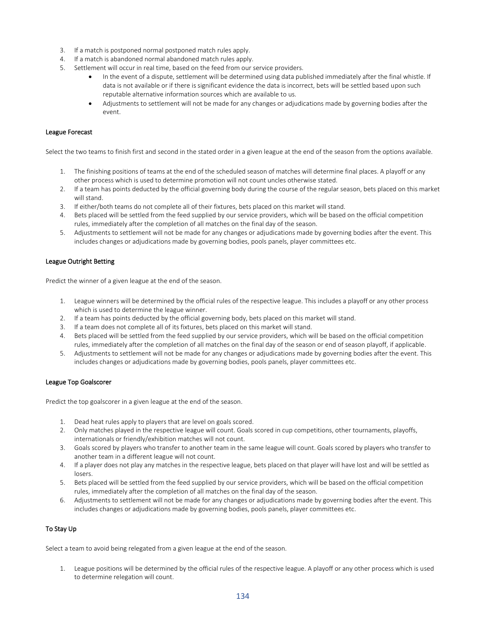- 3. If a match is postponed normal postponed match rules apply.
- 4. If a match is abandoned normal abandoned match rules apply.
- 5. Settlement will occur in real time, based on the feed from our service providers.
	- In the event of a dispute, settlement will be determined using data published immediately after the final whistle. If data is not available or if there is significant evidence the data is incorrect, bets will be settled based upon such reputable alternative information sources which are available to us.
	- Adjustments to settlement will not be made for any changes or adjudications made by governing bodies after the event.

#### League Forecast

Select the two teams to finish first and second in the stated order in a given league at the end of the season from the options available.

- 1. The finishing positions of teams at the end of the scheduled season of matches will determine final places. A playoff or any other process which is used to determine promotion will not count uncles otherwise stated.
- 2. If a team has points deducted by the official governing body during the course of the regular season, bets placed on this market will stand.
- 3. If either/both teams do not complete all of their fixtures, bets placed on this market will stand.
- 4. Bets placed will be settled from the feed supplied by our service providers, which will be based on the official competition rules, immediately after the completion of all matches on the final day of the season.
- 5. Adjustments to settlement will not be made for any changes or adjudications made by governing bodies after the event. This includes changes or adjudications made by governing bodies, pools panels, player committees etc.

#### League Outright Betting

Predict the winner of a given league at the end of the season.

- 1. League winners will be determined by the official rules of the respective league. This includes a playoff or any other process which is used to determine the league winner.
- 2. If a team has points deducted by the official governing body, bets placed on this market will stand.
- 3. If a team does not complete all of its fixtures, bets placed on this market will stand.
- 4. Bets placed will be settled from the feed supplied by our service providers, which will be based on the official competition rules, immediately after the completion of all matches on the final day of the season or end of season playoff, if applicable.
- 5. Adjustments to settlement will not be made for any changes or adjudications made by governing bodies after the event. This includes changes or adjudications made by governing bodies, pools panels, player committees etc.

#### League Top Goalscorer

Predict the top goalscorer in a given league at the end of the season.

- 1. Dead heat rules apply to players that are level on goals scored.
- 2. Only matches played in the respective league will count. Goals scored in cup competitions, other tournaments, playoffs, internationals or friendly/exhibition matches will not count.
- 3. Goals scored by players who transfer to another team in the same league will count. Goals scored by players who transfer to another team in a different league will not count.
- 4. If a player does not play any matches in the respective league, bets placed on that player will have lost and will be settled as losers.
- 5. Bets placed will be settled from the feed supplied by our service providers, which will be based on the official competition rules, immediately after the completion of all matches on the final day of the season.
- 6. Adjustments to settlement will not be made for any changes or adjudications made by governing bodies after the event. This includes changes or adjudications made by governing bodies, pools panels, player committees etc.

### To Stay Up

Select a team to avoid being relegated from a given league at the end of the season.

1. League positions will be determined by the official rules of the respective league. A playoff or any other process which is used to determine relegation will count.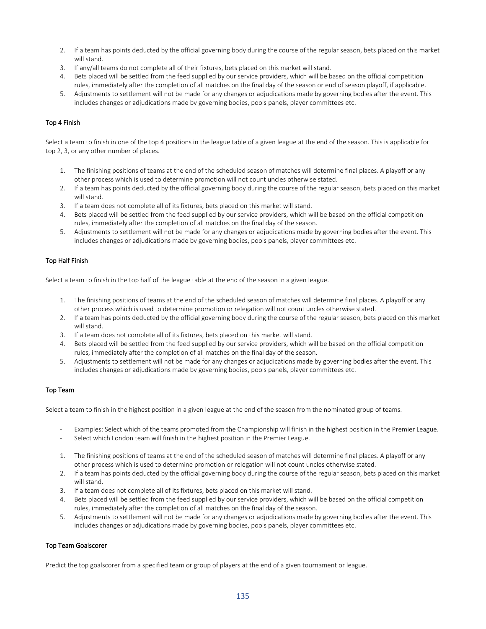- 2. If a team has points deducted by the official governing body during the course of the regular season, bets placed on this market will stand.
- 3. If any/all teams do not complete all of their fixtures, bets placed on this market will stand.
- 4. Bets placed will be settled from the feed supplied by our service providers, which will be based on the official competition rules, immediately after the completion of all matches on the final day of the season or end of season playoff, if applicable.
- 5. Adjustments to settlement will not be made for any changes or adjudications made by governing bodies after the event. This includes changes or adjudications made by governing bodies, pools panels, player committees etc.

# Top 4 Finish

Select a team to finish in one of the top 4 positions in the league table of a given league at the end of the season. This is applicable for top 2, 3, or any other number of places.

- 1. The finishing positions of teams at the end of the scheduled season of matches will determine final places. A playoff or any other process which is used to determine promotion will not count uncles otherwise stated.
- 2. If a team has points deducted by the official governing body during the course of the regular season, bets placed on this market will stand.
- 3. If a team does not complete all of its fixtures, bets placed on this market will stand.
- 4. Bets placed will be settled from the feed supplied by our service providers, which will be based on the official competition rules, immediately after the completion of all matches on the final day of the season.
- 5. Adjustments to settlement will not be made for any changes or adjudications made by governing bodies after the event. This includes changes or adjudications made by governing bodies, pools panels, player committees etc.

### Top Half Finish

Select a team to finish in the top half of the league table at the end of the season in a given league.

- 1. The finishing positions of teams at the end of the scheduled season of matches will determine final places. A playoff or any other process which is used to determine promotion or relegation will not count uncles otherwise stated.
- 2. If a team has points deducted by the official governing body during the course of the regular season, bets placed on this market will stand.
- 3. If a team does not complete all of its fixtures, bets placed on this market will stand.
- 4. Bets placed will be settled from the feed supplied by our service providers, which will be based on the official competition rules, immediately after the completion of all matches on the final day of the season.
- 5. Adjustments to settlement will not be made for any changes or adjudications made by governing bodies after the event. This includes changes or adjudications made by governing bodies, pools panels, player committees etc.

### Top Team

Select a team to finish in the highest position in a given league at the end of the season from the nominated group of teams.

- Examples: Select which of the teams promoted from the Championship will finish in the highest position in the Premier League.
- Select which London team will finish in the highest position in the Premier League.
- 1. The finishing positions of teams at the end of the scheduled season of matches will determine final places. A playoff or any other process which is used to determine promotion or relegation will not count uncles otherwise stated.
- 2. If a team has points deducted by the official governing body during the course of the regular season, bets placed on this market will stand.
- 3. If a team does not complete all of its fixtures, bets placed on this market will stand.
- 4. Bets placed will be settled from the feed supplied by our service providers, which will be based on the official competition rules, immediately after the completion of all matches on the final day of the season.
- 5. Adjustments to settlement will not be made for any changes or adjudications made by governing bodies after the event. This includes changes or adjudications made by governing bodies, pools panels, player committees etc.

### Top Team Goalscorer

Predict the top goalscorer from a specified team or group of players at the end of a given tournament or league.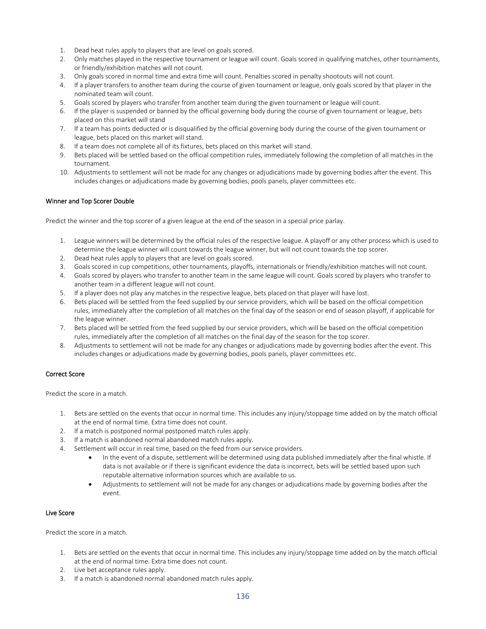- 1. Dead heat rules apply to players that are level on goals scored.
- 2. Only matches played in the respective tournament or league will count. Goals scored in qualifying matches, other tournaments, or friendly/exhibition matches will not count.
- 3. Only goals scored in normal time and extra time will count. Penalties scored in penalty shootouts will not count.
- 4. If a player transfers to another team during the course of given tournament or league, only goals scored by that player in the nominated team will count.
- 5. Goals scored by players who transfer from another team during the given tournament or league will count.
- 6. If the player is suspended or banned by the official governing body during the course of given tournament or league, bets placed on this market will stand
- 7. If a team has points deducted or is disqualified by the official governing body during the course of the given tournament or league, bets placed on this market will stand.
- 8. If a team does not complete all of its fixtures, bets placed on this market will stand.
- 9. Bets placed will be settled based on the official competition rules, immediately following the completion of all matches in the tournament.
- 10. Adjustments to settlement will not be made for any changes or adjudications made by governing bodies after the event. This includes changes or adjudications made by governing bodies, pools panels, player committees etc.

# Winner and Top Scorer Double

Predict the winner and the top scorer of a given league at the end of the season in a special price parlay.

- 1. League winners will be determined by the official rules of the respective league. A playoff or any other process which is used to determine the league winner will count towards the league winner, but will not count towards the top scorer.
- 2. Dead heat rules apply to players that are level on goals scored.
- 3. Goals scored in cup competitions, other tournaments, playoffs, internationals or friendly/exhibition matches will not count.
- 4. Goals scored by players who transfer to another team in the same league will count. Goals scored by players who transfer to another team in a different league will not count.
- 5. If a player does not play any matches in the respective league, bets placed on that player will have lost.
- 6. Bets placed will be settled from the feed supplied by our service providers, which will be based on the official competition rules, immediately after the completion of all matches on the final day of the season or end of season playoff, if applicable for the league winner.
- 7. Bets placed will be settled from the feed supplied by our service providers, which will be based on the official competition rules, immediately after the completion of all matches on the final day of the season for the top scorer.
- 8. Adjustments to settlement will not be made for any changes or adjudications made by governing bodies after the event. This includes changes or adjudications made by governing bodies, pools panels, player committees etc.

# Correct Score

Predict the score in a match.

- 1. Bets are settled on the events that occur in normal time. This includes any injury/stoppage time added on by the match official at the end of normal time. Extra time does not count.
- 2. If a match is postponed normal postponed match rules apply.
- 3. If a match is abandoned normal abandoned match rules apply.
- 4. Settlement will occur in real time, based on the feed from our service providers.
	- In the event of a dispute, settlement will be determined using data published immediately after the final whistle. If data is not available or if there is significant evidence the data is incorrect, bets will be settled based upon such reputable alternative information sources which are available to us.
	- Adjustments to settlement will not be made for any changes or adjudications made by governing bodies after the event.

### Live Score

Predict the score in a match.

- 1. Bets are settled on the events that occur in normal time. This includes any injury/stoppage time added on by the match official at the end of normal time. Extra time does not count.
- 2. Live bet acceptance rules apply.
- 3. If a match is abandoned normal abandoned match rules apply.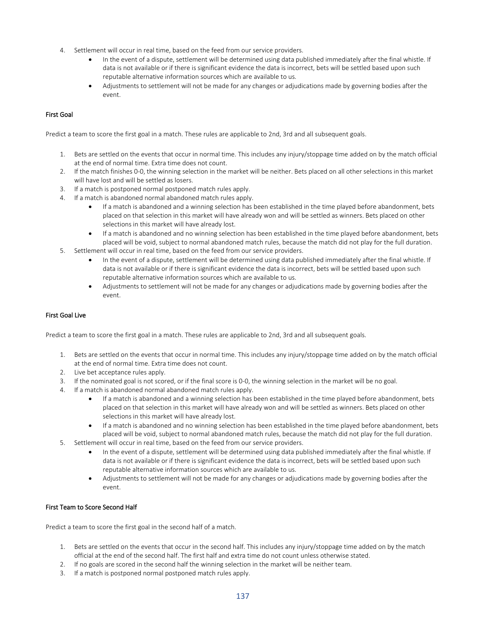- 4. Settlement will occur in real time, based on the feed from our service providers.
	- In the event of a dispute, settlement will be determined using data published immediately after the final whistle. If data is not available or if there is significant evidence the data is incorrect, bets will be settled based upon such reputable alternative information sources which are available to us.
	- Adjustments to settlement will not be made for any changes or adjudications made by governing bodies after the event.

# First Goal

Predict a team to score the first goal in a match. These rules are applicable to 2nd, 3rd and all subsequent goals.

- 1. Bets are settled on the events that occur in normal time. This includes any injury/stoppage time added on by the match official at the end of normal time. Extra time does not count.
- 2. If the match finishes 0-0, the winning selection in the market will be neither. Bets placed on all other selections in this market will have lost and will be settled as losers.
- 3. If a match is postponed normal postponed match rules apply.
- 4. If a match is abandoned normal abandoned match rules apply.
	- If a match is abandoned and a winning selection has been established in the time played before abandonment, bets placed on that selection in this market will have already won and will be settled as winners. Bets placed on other selections in this market will have already lost.
	- If a match is abandoned and no winning selection has been established in the time played before abandonment, bets placed will be void, subject to normal abandoned match rules, because the match did not play for the full duration.
- 5. Settlement will occur in real time, based on the feed from our service providers.
	- In the event of a dispute, settlement will be determined using data published immediately after the final whistle. If data is not available or if there is significant evidence the data is incorrect, bets will be settled based upon such reputable alternative information sources which are available to us.
	- Adjustments to settlement will not be made for any changes or adjudications made by governing bodies after the event.

# First Goal Live

Predict a team to score the first goal in a match. These rules are applicable to 2nd, 3rd and all subsequent goals.

- 1. Bets are settled on the events that occur in normal time. This includes any injury/stoppage time added on by the match official at the end of normal time. Extra time does not count.
- 2. Live bet acceptance rules apply.
- 3. If the nominated goal is not scored, or if the final score is 0-0, the winning selection in the market will be no goal.
- 4. If a match is abandoned normal abandoned match rules apply.
	- If a match is abandoned and a winning selection has been established in the time played before abandonment, bets placed on that selection in this market will have already won and will be settled as winners. Bets placed on other selections in this market will have already lost.
	- If a match is abandoned and no winning selection has been established in the time played before abandonment, bets placed will be void, subject to normal abandoned match rules, because the match did not play for the full duration.
- 5. Settlement will occur in real time, based on the feed from our service providers.
	- In the event of a dispute, settlement will be determined using data published immediately after the final whistle. If data is not available or if there is significant evidence the data is incorrect, bets will be settled based upon such reputable alternative information sources which are available to us.
	- Adjustments to settlement will not be made for any changes or adjudications made by governing bodies after the event.

### First Team to Score Second Half

Predict a team to score the first goal in the second half of a match.

- 1. Bets are settled on the events that occur in the second half. This includes any injury/stoppage time added on by the match official at the end of the second half. The first half and extra time do not count unless otherwise stated.
- 2. If no goals are scored in the second half the winning selection in the market will be neither team.
- 3. If a match is postponed normal postponed match rules apply.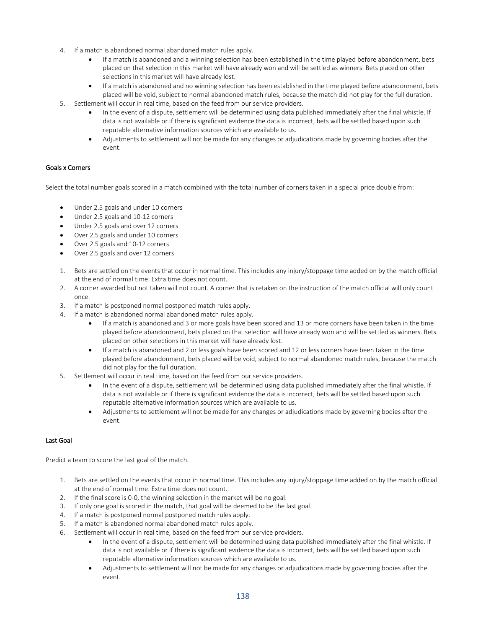- 4. If a match is abandoned normal abandoned match rules apply.
	- If a match is abandoned and a winning selection has been established in the time played before abandonment, bets placed on that selection in this market will have already won and will be settled as winners. Bets placed on other selections in this market will have already lost.
	- If a match is abandoned and no winning selection has been established in the time played before abandonment, bets placed will be void, subject to normal abandoned match rules, because the match did not play for the full duration.

5. Settlement will occur in real time, based on the feed from our service providers.

- In the event of a dispute, settlement will be determined using data published immediately after the final whistle. If data is not available or if there is significant evidence the data is incorrect, bets will be settled based upon such reputable alternative information sources which are available to us.
- Adjustments to settlement will not be made for any changes or adjudications made by governing bodies after the event.

### Goals x Corners

Select the total number goals scored in a match combined with the total number of corners taken in a special price double from:

- Under 2.5 goals and under 10 corners
- Under 2.5 goals and 10-12 corners
- Under 2.5 goals and over 12 corners
- Over 2.5 goals and under 10 corners
- Over 2.5 goals and 10-12 corners
- Over 2.5 goals and over 12 corners
- 1. Bets are settled on the events that occur in normal time. This includes any injury/stoppage time added on by the match official at the end of normal time. Extra time does not count.
- 2. A corner awarded but not taken will not count. A corner that is retaken on the instruction of the match official will only count once.
- 3. If a match is postponed normal postponed match rules apply.
- 4. If a match is abandoned normal abandoned match rules apply.
	- If a match is abandoned and 3 or more goals have been scored and 13 or more corners have been taken in the time played before abandonment, bets placed on that selection will have already won and will be settled as winners. Bets placed on other selections in this market will have already lost.
	- If a match is abandoned and 2 or less goals have been scored and 12 or less corners have been taken in the time played before abandonment, bets placed will be void, subject to normal abandoned match rules, because the match did not play for the full duration.
- 5. Settlement will occur in real time, based on the feed from our service providers.
	- In the event of a dispute, settlement will be determined using data published immediately after the final whistle. If data is not available or if there is significant evidence the data is incorrect, bets will be settled based upon such reputable alternative information sources which are available to us.
	- Adjustments to settlement will not be made for any changes or adjudications made by governing bodies after the event.

### Last Goal

Predict a team to score the last goal of the match.

- 1. Bets are settled on the events that occur in normal time. This includes any injury/stoppage time added on by the match official at the end of normal time. Extra time does not count.
- 2. If the final score is 0-0, the winning selection in the market will be no goal.
- 3. If only one goal is scored in the match, that goal will be deemed to be the last goal.
- 4. If a match is postponed normal postponed match rules apply.
- 5. If a match is abandoned normal abandoned match rules apply.
- 6. Settlement will occur in real time, based on the feed from our service providers.
	- In the event of a dispute, settlement will be determined using data published immediately after the final whistle. If data is not available or if there is significant evidence the data is incorrect, bets will be settled based upon such reputable alternative information sources which are available to us.
	- Adjustments to settlement will not be made for any changes or adjudications made by governing bodies after the event.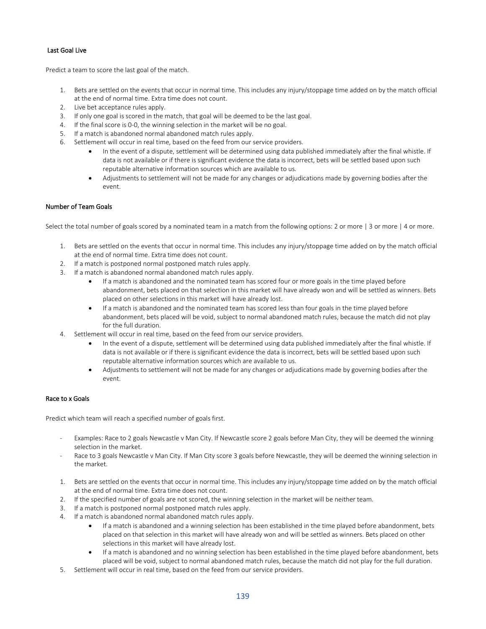## Last Goal Live

Predict a team to score the last goal of the match.

- 1. Bets are settled on the events that occur in normal time. This includes any injury/stoppage time added on by the match official at the end of normal time. Extra time does not count.
- 2. Live bet acceptance rules apply.
- 3. If only one goal is scored in the match, that goal will be deemed to be the last goal.
- 4. If the final score is 0-0, the winning selection in the market will be no goal.
- 5. If a match is abandoned normal abandoned match rules apply.
- 6. Settlement will occur in real time, based on the feed from our service providers.
	- In the event of a dispute, settlement will be determined using data published immediately after the final whistle. If data is not available or if there is significant evidence the data is incorrect, bets will be settled based upon such reputable alternative information sources which are available to us.
	- Adjustments to settlement will not be made for any changes or adjudications made by governing bodies after the event.

# Number of Team Goals

Select the total number of goals scored by a nominated team in a match from the following options: 2 or more | 3 or more | 4 or more.

- 1. Bets are settled on the events that occur in normal time. This includes any injury/stoppage time added on by the match official at the end of normal time. Extra time does not count.
- 2. If a match is postponed normal postponed match rules apply.
- 3. If a match is abandoned normal abandoned match rules apply.
	- If a match is abandoned and the nominated team has scored four or more goals in the time played before abandonment, bets placed on that selection in this market will have already won and will be settled as winners. Bets placed on other selections in this market will have already lost.
	- If a match is abandoned and the nominated team has scored less than four goals in the time played before abandonment, bets placed will be void, subject to normal abandoned match rules, because the match did not play for the full duration.
- 4. Settlement will occur in real time, based on the feed from our service providers.
	- In the event of a dispute, settlement will be determined using data published immediately after the final whistle. If data is not available or if there is significant evidence the data is incorrect, bets will be settled based upon such reputable alternative information sources which are available to us.
	- Adjustments to settlement will not be made for any changes or adjudications made by governing bodies after the event.

### Race to x Goals

Predict which team will reach a specified number of goals first.

- Examples: Race to 2 goals Newcastle v Man City. If Newcastle score 2 goals before Man City, they will be deemed the winning selection in the market.
- Race to 3 goals Newcastle v Man City. If Man City score 3 goals before Newcastle, they will be deemed the winning selection in the market.
- 1. Bets are settled on the events that occur in normal time. This includes any injury/stoppage time added on by the match official at the end of normal time. Extra time does not count.
- 2. If the specified number of goals are not scored, the winning selection in the market will be neither team.
- 3. If a match is postponed normal postponed match rules apply.
- 4. If a match is abandoned normal abandoned match rules apply.
	- If a match is abandoned and a winning selection has been established in the time played before abandonment, bets placed on that selection in this market will have already won and will be settled as winners. Bets placed on other selections in this market will have already lost.
	- If a match is abandoned and no winning selection has been established in the time played before abandonment, bets placed will be void, subject to normal abandoned match rules, because the match did not play for the full duration.
- 5. Settlement will occur in real time, based on the feed from our service providers.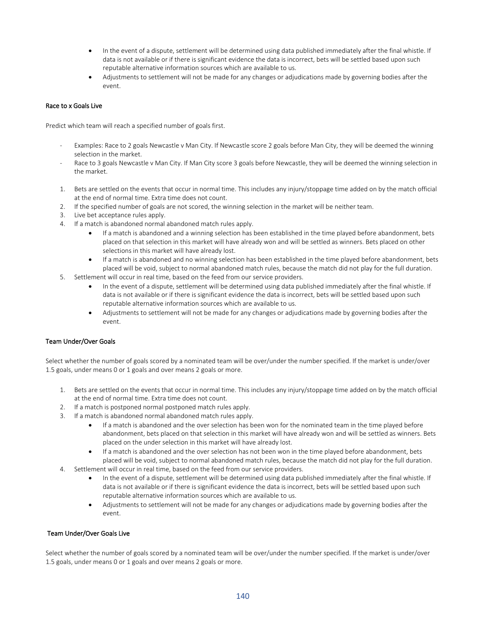- In the event of a dispute, settlement will be determined using data published immediately after the final whistle. If data is not available or if there is significant evidence the data is incorrect, bets will be settled based upon such reputable alternative information sources which are available to us.
- Adjustments to settlement will not be made for any changes or adjudications made by governing bodies after the event.

### Race to x Goals Live

Predict which team will reach a specified number of goals first.

- Examples: Race to 2 goals Newcastle v Man City. If Newcastle score 2 goals before Man City, they will be deemed the winning selection in the market.
- Race to 3 goals Newcastle v Man City. If Man City score 3 goals before Newcastle, they will be deemed the winning selection in the market.
- 1. Bets are settled on the events that occur in normal time. This includes any injury/stoppage time added on by the match official at the end of normal time. Extra time does not count.
- 2. If the specified number of goals are not scored, the winning selection in the market will be neither team.
- 3. Live bet acceptance rules apply.
- 4. If a match is abandoned normal abandoned match rules apply.
	- If a match is abandoned and a winning selection has been established in the time played before abandonment, bets placed on that selection in this market will have already won and will be settled as winners. Bets placed on other selections in this market will have already lost.
	- If a match is abandoned and no winning selection has been established in the time played before abandonment, bets placed will be void, subject to normal abandoned match rules, because the match did not play for the full duration.
- 5. Settlement will occur in real time, based on the feed from our service providers.
	- In the event of a dispute, settlement will be determined using data published immediately after the final whistle. If data is not available or if there is significant evidence the data is incorrect, bets will be settled based upon such reputable alternative information sources which are available to us.
	- Adjustments to settlement will not be made for any changes or adjudications made by governing bodies after the event.

### Team Under/Over Goals

Select whether the number of goals scored by a nominated team will be over/under the number specified. If the market is under/over 1.5 goals, under means 0 or 1 goals and over means 2 goals or more.

- 1. Bets are settled on the events that occur in normal time. This includes any injury/stoppage time added on by the match official at the end of normal time. Extra time does not count.
- 2. If a match is postponed normal postponed match rules apply.
- 3. If a match is abandoned normal abandoned match rules apply.
	- If a match is abandoned and the over selection has been won for the nominated team in the time played before abandonment, bets placed on that selection in this market will have already won and will be settled as winners. Bets placed on the under selection in this market will have already lost.
	- If a match is abandoned and the over selection has not been won in the time played before abandonment, bets placed will be void, subject to normal abandoned match rules, because the match did not play for the full duration.
- 4. Settlement will occur in real time, based on the feed from our service providers.
	- In the event of a dispute, settlement will be determined using data published immediately after the final whistle. If data is not available or if there is significant evidence the data is incorrect, bets will be settled based upon such reputable alternative information sources which are available to us.
	- Adjustments to settlement will not be made for any changes or adjudications made by governing bodies after the event.

# Team Under/Over Goals Live

Select whether the number of goals scored by a nominated team will be over/under the number specified. If the market is under/over 1.5 goals, under means 0 or 1 goals and over means 2 goals or more.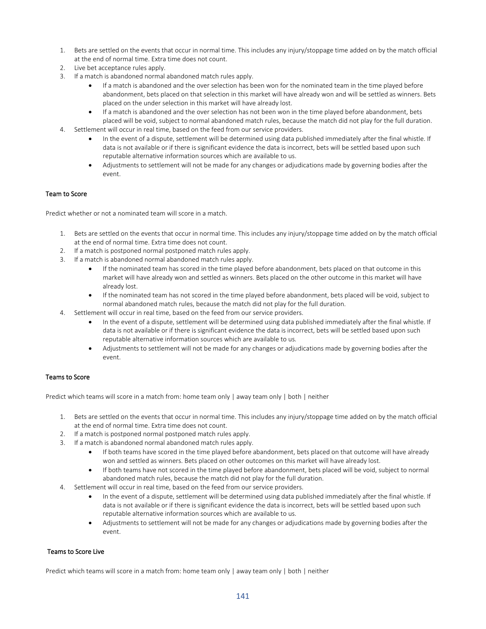- 1. Bets are settled on the events that occur in normal time. This includes any injury/stoppage time added on by the match official at the end of normal time. Extra time does not count.
- 2. Live bet acceptance rules apply.
- 3. If a match is abandoned normal abandoned match rules apply.
	- If a match is abandoned and the over selection has been won for the nominated team in the time played before abandonment, bets placed on that selection in this market will have already won and will be settled as winners. Bets placed on the under selection in this market will have already lost.
	- If a match is abandoned and the over selection has not been won in the time played before abandonment, bets placed will be void, subject to normal abandoned match rules, because the match did not play for the full duration.
- 4. Settlement will occur in real time, based on the feed from our service providers.
	- In the event of a dispute, settlement will be determined using data published immediately after the final whistle. If data is not available or if there is significant evidence the data is incorrect, bets will be settled based upon such reputable alternative information sources which are available to us.
	- Adjustments to settlement will not be made for any changes or adjudications made by governing bodies after the event.

### Team to Score

Predict whether or not a nominated team will score in a match.

- 1. Bets are settled on the events that occur in normal time. This includes any injury/stoppage time added on by the match official at the end of normal time. Extra time does not count.
- 2. If a match is postponed normal postponed match rules apply.
- 3. If a match is abandoned normal abandoned match rules apply.
	- If the nominated team has scored in the time played before abandonment, bets placed on that outcome in this market will have already won and settled as winners. Bets placed on the other outcome in this market will have already lost.
	- If the nominated team has not scored in the time played before abandonment, bets placed will be void, subject to normal abandoned match rules, because the match did not play for the full duration.
- 4. Settlement will occur in real time, based on the feed from our service providers.
	- In the event of a dispute, settlement will be determined using data published immediately after the final whistle. If data is not available or if there is significant evidence the data is incorrect, bets will be settled based upon such reputable alternative information sources which are available to us.
	- Adjustments to settlement will not be made for any changes or adjudications made by governing bodies after the event.

### Teams to Score

Predict which teams will score in a match from: home team only | away team only | both | neither

- 1. Bets are settled on the events that occur in normal time. This includes any injury/stoppage time added on by the match official at the end of normal time. Extra time does not count.
- 2. If a match is postponed normal postponed match rules apply.
- 3. If a match is abandoned normal abandoned match rules apply.
	- If both teams have scored in the time played before abandonment, bets placed on that outcome will have already won and settled as winners. Bets placed on other outcomes on this market will have already lost.
	- If both teams have not scored in the time played before abandonment, bets placed will be void, subject to normal abandoned match rules, because the match did not play for the full duration.
- 4. Settlement will occur in real time, based on the feed from our service providers.
	- In the event of a dispute, settlement will be determined using data published immediately after the final whistle. If data is not available or if there is significant evidence the data is incorrect, bets will be settled based upon such reputable alternative information sources which are available to us.
	- Adjustments to settlement will not be made for any changes or adjudications made by governing bodies after the event.

### Teams to Score Live

Predict which teams will score in a match from: home team only | away team only | both | neither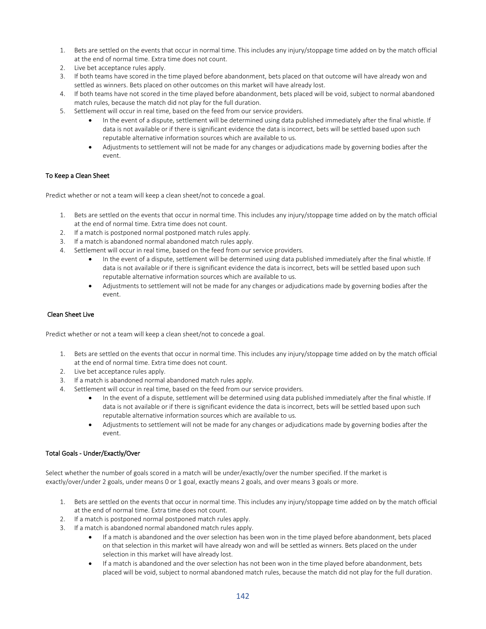- 1. Bets are settled on the events that occur in normal time. This includes any injury/stoppage time added on by the match official at the end of normal time. Extra time does not count.
- 2. Live bet acceptance rules apply.
- 3. If both teams have scored in the time played before abandonment, bets placed on that outcome will have already won and settled as winners. Bets placed on other outcomes on this market will have already lost.
- 4. If both teams have not scored in the time played before abandonment, bets placed will be void, subject to normal abandoned match rules, because the match did not play for the full duration.
- 5. Settlement will occur in real time, based on the feed from our service providers.
	- In the event of a dispute, settlement will be determined using data published immediately after the final whistle. If data is not available or if there is significant evidence the data is incorrect, bets will be settled based upon such reputable alternative information sources which are available to us.
	- Adjustments to settlement will not be made for any changes or adjudications made by governing bodies after the event.

## To Keep a Clean Sheet

Predict whether or not a team will keep a clean sheet/not to concede a goal.

- 1. Bets are settled on the events that occur in normal time. This includes any injury/stoppage time added on by the match official at the end of normal time. Extra time does not count.
- 2. If a match is postponed normal postponed match rules apply.
- 3. If a match is abandoned normal abandoned match rules apply.
- 4. Settlement will occur in real time, based on the feed from our service providers.
	- In the event of a dispute, settlement will be determined using data published immediately after the final whistle. If data is not available or if there is significant evidence the data is incorrect, bets will be settled based upon such reputable alternative information sources which are available to us.
	- Adjustments to settlement will not be made for any changes or adjudications made by governing bodies after the event.

### Clean Sheet Live

Predict whether or not a team will keep a clean sheet/not to concede a goal.

- 1. Bets are settled on the events that occur in normal time. This includes any injury/stoppage time added on by the match official at the end of normal time. Extra time does not count.
- 2. Live bet acceptance rules apply.
- 3. If a match is abandoned normal abandoned match rules apply.
- 4. Settlement will occur in real time, based on the feed from our service providers.
	- In the event of a dispute, settlement will be determined using data published immediately after the final whistle. If data is not available or if there is significant evidence the data is incorrect, bets will be settled based upon such reputable alternative information sources which are available to us.
	- Adjustments to settlement will not be made for any changes or adjudications made by governing bodies after the event.

### Total Goals - Under/Exactly/Over

Select whether the number of goals scored in a match will be under/exactly/over the number specified. If the market is exactly/over/under 2 goals, under means 0 or 1 goal, exactly means 2 goals, and over means 3 goals or more.

- 1. Bets are settled on the events that occur in normal time. This includes any injury/stoppage time added on by the match official at the end of normal time. Extra time does not count.
- 2. If a match is postponed normal postponed match rules apply.
- 3. If a match is abandoned normal abandoned match rules apply.
	- If a match is abandoned and the over selection has been won in the time played before abandonment, bets placed on that selection in this market will have already won and will be settled as winners. Bets placed on the under selection in this market will have already lost.
	- If a match is abandoned and the over selection has not been won in the time played before abandonment, bets placed will be void, subject to normal abandoned match rules, because the match did not play for the full duration.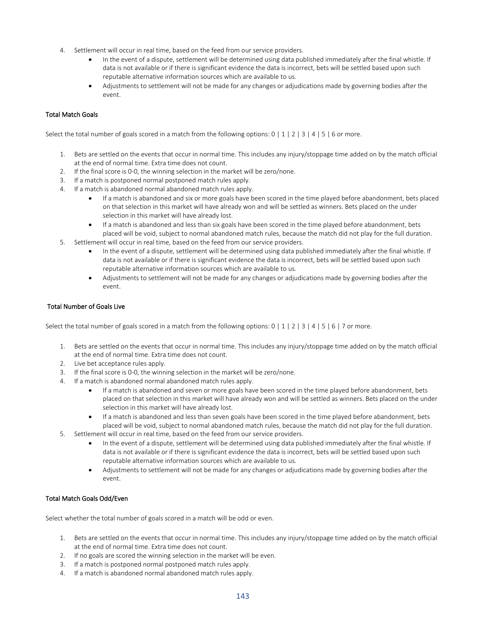- 4. Settlement will occur in real time, based on the feed from our service providers.
	- In the event of a dispute, settlement will be determined using data published immediately after the final whistle. If data is not available or if there is significant evidence the data is incorrect, bets will be settled based upon such reputable alternative information sources which are available to us.
	- Adjustments to settlement will not be made for any changes or adjudications made by governing bodies after the event.

## Total Match Goals

Select the total number of goals scored in a match from the following options:  $0 \mid 1 \mid 2 \mid 3 \mid 4 \mid 5 \mid 6$  or more.

- 1. Bets are settled on the events that occur in normal time. This includes any injury/stoppage time added on by the match official at the end of normal time. Extra time does not count.
- 2. If the final score is 0-0, the winning selection in the market will be zero/none.
- 3. If a match is postponed normal postponed match rules apply.
- 4. If a match is abandoned normal abandoned match rules apply.
	- If a match is abandoned and six or more goals have been scored in the time played before abandonment, bets placed on that selection in this market will have already won and will be settled as winners. Bets placed on the under selection in this market will have already lost.
	- If a match is abandoned and less than six goals have been scored in the time played before abandonment, bets placed will be void, subject to normal abandoned match rules, because the match did not play for the full duration.
- 5. Settlement will occur in real time, based on the feed from our service providers.
	- In the event of a dispute, settlement will be determined using data published immediately after the final whistle. If data is not available or if there is significant evidence the data is incorrect, bets will be settled based upon such reputable alternative information sources which are available to us.
	- Adjustments to settlement will not be made for any changes or adjudications made by governing bodies after the event.

## Total Number of Goals Live

Select the total number of goals scored in a match from the following options:  $0 \mid 1 \mid 2 \mid 3 \mid 4 \mid 5 \mid 6 \mid 7$  or more.

- 1. Bets are settled on the events that occur in normal time. This includes any injury/stoppage time added on by the match official at the end of normal time. Extra time does not count.
- 2. Live bet acceptance rules apply.
- 3. If the final score is 0-0, the winning selection in the market will be zero/none.
- 4. If a match is abandoned normal abandoned match rules apply.
	- If a match is abandoned and seven or more goals have been scored in the time played before abandonment, bets placed on that selection in this market will have already won and will be settled as winners. Bets placed on the under selection in this market will have already lost.
	- If a match is abandoned and less than seven goals have been scored in the time played before abandonment, bets placed will be void, subject to normal abandoned match rules, because the match did not play for the full duration.
- 5. Settlement will occur in real time, based on the feed from our service providers.
	- In the event of a dispute, settlement will be determined using data published immediately after the final whistle. If data is not available or if there is significant evidence the data is incorrect, bets will be settled based upon such reputable alternative information sources which are available to us.
	- Adjustments to settlement will not be made for any changes or adjudications made by governing bodies after the event.

### Total Match Goals Odd/Even

Select whether the total number of goals scored in a match will be odd or even.

- 1. Bets are settled on the events that occur in normal time. This includes any injury/stoppage time added on by the match official at the end of normal time. Extra time does not count.
- 2. If no goals are scored the winning selection in the market will be even.
- 3. If a match is postponed normal postponed match rules apply.
- 4. If a match is abandoned normal abandoned match rules apply.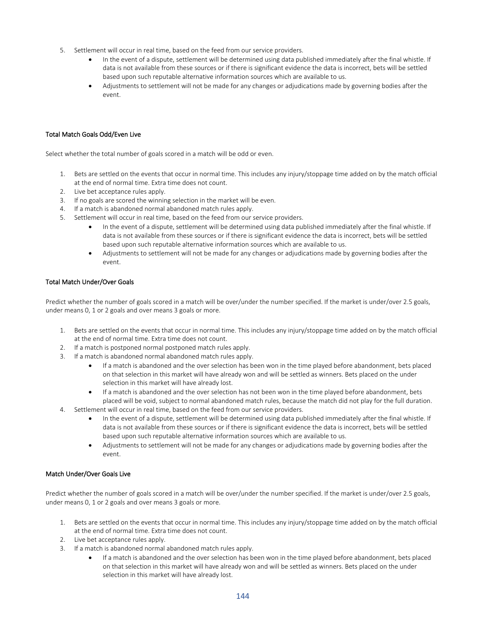- 5. Settlement will occur in real time, based on the feed from our service providers.
	- In the event of a dispute, settlement will be determined using data published immediately after the final whistle. If data is not available from these sources or if there is significant evidence the data is incorrect, bets will be settled based upon such reputable alternative information sources which are available to us.
	- Adjustments to settlement will not be made for any changes or adjudications made by governing bodies after the event.

### Total Match Goals Odd/Even Live

Select whether the total number of goals scored in a match will be odd or even.

- 1. Bets are settled on the events that occur in normal time. This includes any injury/stoppage time added on by the match official at the end of normal time. Extra time does not count.
- 2. Live bet acceptance rules apply.
- 3. If no goals are scored the winning selection in the market will be even.
- 4. If a match is abandoned normal abandoned match rules apply.
- 5. Settlement will occur in real time, based on the feed from our service providers.
	- In the event of a dispute, settlement will be determined using data published immediately after the final whistle. If data is not available from these sources or if there is significant evidence the data is incorrect, bets will be settled based upon such reputable alternative information sources which are available to us.
	- Adjustments to settlement will not be made for any changes or adjudications made by governing bodies after the event.

#### Total Match Under/Over Goals

Predict whether the number of goals scored in a match will be over/under the number specified. If the market is under/over 2.5 goals, under means 0, 1 or 2 goals and over means 3 goals or more.

- 1. Bets are settled on the events that occur in normal time. This includes any injury/stoppage time added on by the match official at the end of normal time. Extra time does not count.
- 2. If a match is postponed normal postponed match rules apply.
- 3. If a match is abandoned normal abandoned match rules apply.
	- If a match is abandoned and the over selection has been won in the time played before abandonment, bets placed on that selection in this market will have already won and will be settled as winners. Bets placed on the under selection in this market will have already lost.
	- If a match is abandoned and the over selection has not been won in the time played before abandonment, bets placed will be void, subject to normal abandoned match rules, because the match did not play for the full duration.
- 4. Settlement will occur in real time, based on the feed from our service providers.
	- In the event of a dispute, settlement will be determined using data published immediately after the final whistle. If data is not available from these sources or if there is significant evidence the data is incorrect, bets will be settled based upon such reputable alternative information sources which are available to us.
	- Adjustments to settlement will not be made for any changes or adjudications made by governing bodies after the event.

#### Match Under/Over Goals Live

Predict whether the number of goals scored in a match will be over/under the number specified. If the market is under/over 2.5 goals, under means 0, 1 or 2 goals and over means 3 goals or more.

- 1. Bets are settled on the events that occur in normal time. This includes any injury/stoppage time added on by the match official at the end of normal time. Extra time does not count.
- 2. Live bet acceptance rules apply.
- 3. If a match is abandoned normal abandoned match rules apply.
	- If a match is abandoned and the over selection has been won in the time played before abandonment, bets placed on that selection in this market will have already won and will be settled as winners. Bets placed on the under selection in this market will have already lost.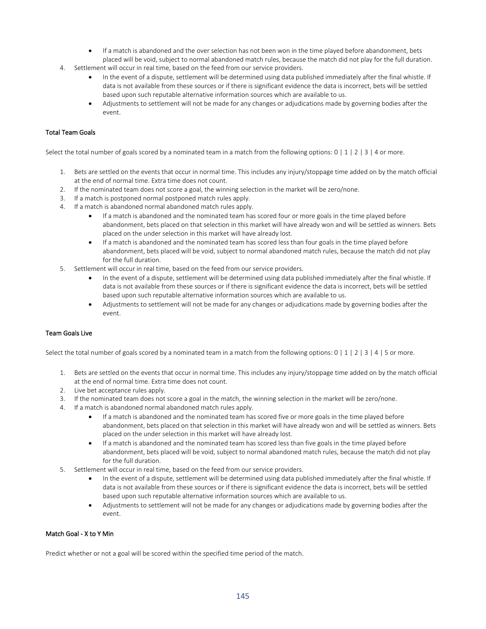- If a match is abandoned and the over selection has not been won in the time played before abandonment, bets placed will be void, subject to normal abandoned match rules, because the match did not play for the full duration.
- 4. Settlement will occur in real time, based on the feed from our service providers.
	- In the event of a dispute, settlement will be determined using data published immediately after the final whistle. If data is not available from these sources or if there is significant evidence the data is incorrect, bets will be settled based upon such reputable alternative information sources which are available to us.
	- Adjustments to settlement will not be made for any changes or adjudications made by governing bodies after the event.

# Total Team Goals

Select the total number of goals scored by a nominated team in a match from the following options:  $0 \mid 1 \mid 2 \mid 3 \mid 4$  or more.

- 1. Bets are settled on the events that occur in normal time. This includes any injury/stoppage time added on by the match official at the end of normal time. Extra time does not count.
- 2. If the nominated team does not score a goal, the winning selection in the market will be zero/none.
- 3. If a match is postponed normal postponed match rules apply.
- 4. If a match is abandoned normal abandoned match rules apply.
	- If a match is abandoned and the nominated team has scored four or more goals in the time played before abandonment, bets placed on that selection in this market will have already won and will be settled as winners. Bets placed on the under selection in this market will have already lost.
	- If a match is abandoned and the nominated team has scored less than four goals in the time played before abandonment, bets placed will be void, subject to normal abandoned match rules, because the match did not play for the full duration.
- 5. Settlement will occur in real time, based on the feed from our service providers.
	- In the event of a dispute, settlement will be determined using data published immediately after the final whistle. If data is not available from these sources or if there is significant evidence the data is incorrect, bets will be settled based upon such reputable alternative information sources which are available to us.
	- Adjustments to settlement will not be made for any changes or adjudications made by governing bodies after the event.

# Team Goals Live

Select the total number of goals scored by a nominated team in a match from the following options:  $0 \mid 1 \mid 2 \mid 3 \mid 4 \mid 5$  or more.

- 1. Bets are settled on the events that occur in normal time. This includes any injury/stoppage time added on by the match official at the end of normal time. Extra time does not count.
- 2. Live bet acceptance rules apply.
- 3. If the nominated team does not score a goal in the match, the winning selection in the market will be zero/none.
- 4. If a match is abandoned normal abandoned match rules apply.
	- If a match is abandoned and the nominated team has scored five or more goals in the time played before abandonment, bets placed on that selection in this market will have already won and will be settled as winners. Bets placed on the under selection in this market will have already lost.
	- If a match is abandoned and the nominated team has scored less than five goals in the time played before abandonment, bets placed will be void, subject to normal abandoned match rules, because the match did not play for the full duration.
- 5. Settlement will occur in real time, based on the feed from our service providers.
	- In the event of a dispute, settlement will be determined using data published immediately after the final whistle. If data is not available from these sources or if there is significant evidence the data is incorrect, bets will be settled based upon such reputable alternative information sources which are available to us.
	- Adjustments to settlement will not be made for any changes or adjudications made by governing bodies after the event.

## Match Goal - X to Y Min

Predict whether or not a goal will be scored within the specified time period of the match.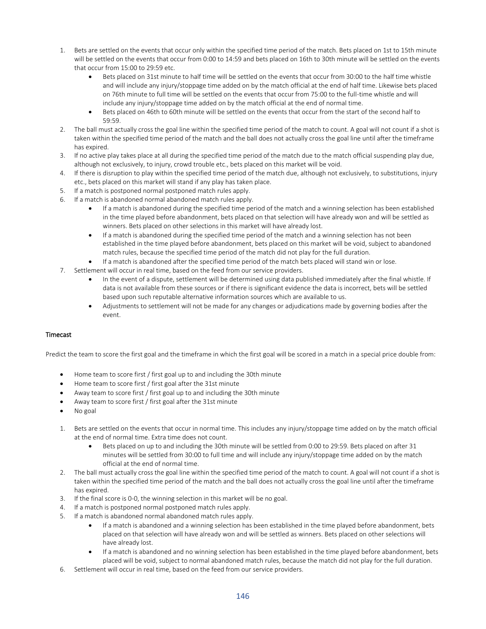- 1. Bets are settled on the events that occur only within the specified time period of the match. Bets placed on 1st to 15th minute will be settled on the events that occur from 0:00 to 14:59 and bets placed on 16th to 30th minute will be settled on the events that occur from 15:00 to 29:59 etc.
	- Bets placed on 31st minute to half time will be settled on the events that occur from 30:00 to the half time whistle and will include any injury/stoppage time added on by the match official at the end of half time. Likewise bets placed on 76th minute to full time will be settled on the events that occur from 75:00 to the full-time whistle and will include any injury/stoppage time added on by the match official at the end of normal time.
	- Bets placed on 46th to 60th minute will be settled on the events that occur from the start of the second half to 59:59.
- 2. The ball must actually cross the goal line within the specified time period of the match to count. A goal will not count if a shot is taken within the specified time period of the match and the ball does not actually cross the goal line until after the timeframe has expired.
- 3. If no active play takes place at all during the specified time period of the match due to the match official suspending play due, although not exclusively, to injury, crowd trouble etc., bets placed on this market will be void.
- 4. If there is disruption to play within the specified time period of the match due, although not exclusively, to substitutions, injury etc., bets placed on this market will stand if any play has taken place.
- 5. If a match is postponed normal postponed match rules apply.
- 6. If a match is abandoned normal abandoned match rules apply.
	- If a match is abandoned during the specified time period of the match and a winning selection has been established in the time played before abandonment, bets placed on that selection will have already won and will be settled as winners. Bets placed on other selections in this market will have already lost.
	- If a match is abandoned during the specified time period of the match and a winning selection has not been established in the time played before abandonment, bets placed on this market will be void, subject to abandoned match rules, because the specified time period of the match did not play for the full duration.
	- If a match is abandoned after the specified time period of the match bets placed will stand win or lose.
- 7. Settlement will occur in real time, based on the feed from our service providers.
	- In the event of a dispute, settlement will be determined using data published immediately after the final whistle. If data is not available from these sources or if there is significant evidence the data is incorrect, bets will be settled based upon such reputable alternative information sources which are available to us.
	- Adjustments to settlement will not be made for any changes or adjudications made by governing bodies after the event.

## **Timecast**

Predict the team to score the first goal and the timeframe in which the first goal will be scored in a match in a special price double from:

- Home team to score first / first goal up to and including the 30th minute
- Home team to score first / first goal after the 31st minute
- Away team to score first / first goal up to and including the 30th minute
- Away team to score first / first goal after the 31st minute
- No goal
- 1. Bets are settled on the events that occur in normal time. This includes any injury/stoppage time added on by the match official at the end of normal time. Extra time does not count.
	- Bets placed on up to and including the 30th minute will be settled from 0:00 to 29:59. Bets placed on after 31 minutes will be settled from 30:00 to full time and will include any injury/stoppage time added on by the match official at the end of normal time.
- 2. The ball must actually cross the goal line within the specified time period of the match to count. A goal will not count if a shot is taken within the specified time period of the match and the ball does not actually cross the goal line until after the timeframe has expired.
- 3. If the final score is 0-0, the winning selection in this market will be no goal.
- 4. If a match is postponed normal postponed match rules apply.
- 5. If a match is abandoned normal abandoned match rules apply.
	- If a match is abandoned and a winning selection has been established in the time played before abandonment, bets placed on that selection will have already won and will be settled as winners. Bets placed on other selections will have already lost.
	- If a match is abandoned and no winning selection has been established in the time played before abandonment, bets placed will be void, subject to normal abandoned match rules, because the match did not play for the full duration.
- 6. Settlement will occur in real time, based on the feed from our service providers.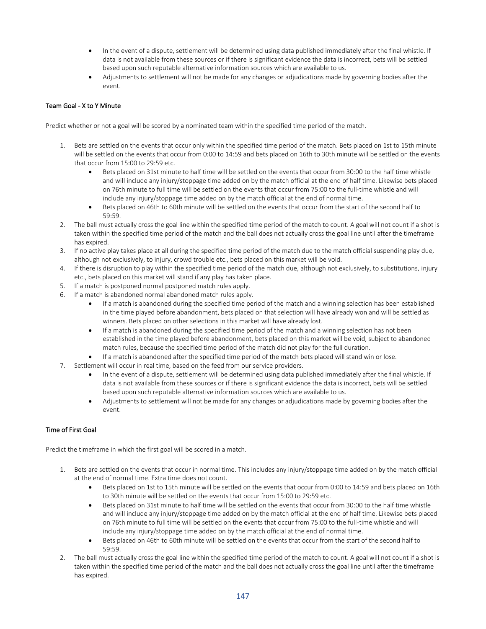- In the event of a dispute, settlement will be determined using data published immediately after the final whistle. If data is not available from these sources or if there is significant evidence the data is incorrect, bets will be settled based upon such reputable alternative information sources which are available to us.
- Adjustments to settlement will not be made for any changes or adjudications made by governing bodies after the event.

# Team Goal - X to Y Minute

Predict whether or not a goal will be scored by a nominated team within the specified time period of the match.

- 1. Bets are settled on the events that occur only within the specified time period of the match. Bets placed on 1st to 15th minute will be settled on the events that occur from 0:00 to 14:59 and bets placed on 16th to 30th minute will be settled on the events that occur from 15:00 to 29:59 etc.
	- Bets placed on 31st minute to half time will be settled on the events that occur from 30:00 to the half time whistle and will include any injury/stoppage time added on by the match official at the end of half time. Likewise bets placed on 76th minute to full time will be settled on the events that occur from 75:00 to the full-time whistle and will include any injury/stoppage time added on by the match official at the end of normal time.
	- Bets placed on 46th to 60th minute will be settled on the events that occur from the start of the second half to 59:59.
- 2. The ball must actually cross the goal line within the specified time period of the match to count. A goal will not count if a shot is taken within the specified time period of the match and the ball does not actually cross the goal line until after the timeframe has expired.
- 3. If no active play takes place at all during the specified time period of the match due to the match official suspending play due, although not exclusively, to injury, crowd trouble etc., bets placed on this market will be void.
- 4. If there is disruption to play within the specified time period of the match due, although not exclusively, to substitutions, injury etc., bets placed on this market will stand if any play has taken place.
- 5. If a match is postponed normal postponed match rules apply.
- 6. If a match is abandoned normal abandoned match rules apply.
	- If a match is abandoned during the specified time period of the match and a winning selection has been established in the time played before abandonment, bets placed on that selection will have already won and will be settled as winners. Bets placed on other selections in this market will have already lost.
	- If a match is abandoned during the specified time period of the match and a winning selection has not been established in the time played before abandonment, bets placed on this market will be void, subject to abandoned match rules, because the specified time period of the match did not play for the full duration.
	- If a match is abandoned after the specified time period of the match bets placed will stand win or lose.
- 7. Settlement will occur in real time, based on the feed from our service providers.
	- In the event of a dispute, settlement will be determined using data published immediately after the final whistle. If data is not available from these sources or if there is significant evidence the data is incorrect, bets will be settled based upon such reputable alternative information sources which are available to us.
	- Adjustments to settlement will not be made for any changes or adjudications made by governing bodies after the event.

# Time of First Goal

Predict the timeframe in which the first goal will be scored in a match.

- 1. Bets are settled on the events that occur in normal time. This includes any injury/stoppage time added on by the match official at the end of normal time. Extra time does not count.
	- Bets placed on 1st to 15th minute will be settled on the events that occur from 0:00 to 14:59 and bets placed on 16th to 30th minute will be settled on the events that occur from 15:00 to 29:59 etc.
	- Bets placed on 31st minute to half time will be settled on the events that occur from 30:00 to the half time whistle and will include any injury/stoppage time added on by the match official at the end of half time. Likewise bets placed on 76th minute to full time will be settled on the events that occur from 75:00 to the full-time whistle and will include any injury/stoppage time added on by the match official at the end of normal time.
	- Bets placed on 46th to 60th minute will be settled on the events that occur from the start of the second half to 59:59.
- 2. The ball must actually cross the goal line within the specified time period of the match to count. A goal will not count if a shot is taken within the specified time period of the match and the ball does not actually cross the goal line until after the timeframe has expired.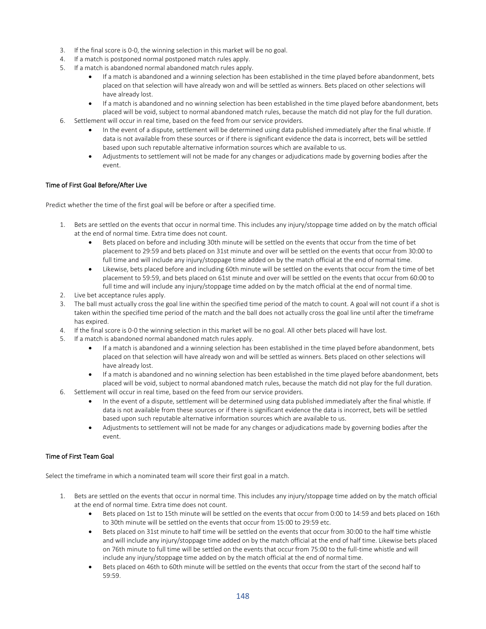- 3. If the final score is 0-0, the winning selection in this market will be no goal.
- 4. If a match is postponed normal postponed match rules apply.
- 5. If a match is abandoned normal abandoned match rules apply.
	- If a match is abandoned and a winning selection has been established in the time played before abandonment, bets placed on that selection will have already won and will be settled as winners. Bets placed on other selections will have already lost.
	- If a match is abandoned and no winning selection has been established in the time played before abandonment, bets placed will be void, subject to normal abandoned match rules, because the match did not play for the full duration.
- 6. Settlement will occur in real time, based on the feed from our service providers.
	- In the event of a dispute, settlement will be determined using data published immediately after the final whistle. If data is not available from these sources or if there is significant evidence the data is incorrect, bets will be settled based upon such reputable alternative information sources which are available to us.
	- Adjustments to settlement will not be made for any changes or adjudications made by governing bodies after the event.

## Time of First Goal Before/After Live

Predict whether the time of the first goal will be before or after a specified time.

- 1. Bets are settled on the events that occur in normal time. This includes any injury/stoppage time added on by the match official at the end of normal time. Extra time does not count.
	- Bets placed on before and including 30th minute will be settled on the events that occur from the time of bet placement to 29:59 and bets placed on 31st minute and over will be settled on the events that occur from 30:00 to full time and will include any injury/stoppage time added on by the match official at the end of normal time.
	- Likewise, bets placed before and including 60th minute will be settled on the events that occur from the time of bet placement to 59:59, and bets placed on 61st minute and over will be settled on the events that occur from 60:00 to full time and will include any injury/stoppage time added on by the match official at the end of normal time.
- 2. Live bet acceptance rules apply.
- 3. The ball must actually cross the goal line within the specified time period of the match to count. A goal will not count if a shot is taken within the specified time period of the match and the ball does not actually cross the goal line until after the timeframe has expired.
- 4. If the final score is 0-0 the winning selection in this market will be no goal. All other bets placed will have lost.
- 5. If a match is abandoned normal abandoned match rules apply.
	- If a match is abandoned and a winning selection has been established in the time played before abandonment, bets placed on that selection will have already won and will be settled as winners. Bets placed on other selections will have already lost.
	- If a match is abandoned and no winning selection has been established in the time played before abandonment, bets placed will be void, subject to normal abandoned match rules, because the match did not play for the full duration.
- 6. Settlement will occur in real time, based on the feed from our service providers.
	- In the event of a dispute, settlement will be determined using data published immediately after the final whistle. If data is not available from these sources or if there is significant evidence the data is incorrect, bets will be settled based upon such reputable alternative information sources which are available to us.
	- Adjustments to settlement will not be made for any changes or adjudications made by governing bodies after the event.

# Time of First Team Goal

Select the timeframe in which a nominated team will score their first goal in a match.

- 1. Bets are settled on the events that occur in normal time. This includes any injury/stoppage time added on by the match official at the end of normal time. Extra time does not count.
	- Bets placed on 1st to 15th minute will be settled on the events that occur from 0:00 to 14:59 and bets placed on 16th to 30th minute will be settled on the events that occur from 15:00 to 29:59 etc.
	- Bets placed on 31st minute to half time will be settled on the events that occur from 30:00 to the half time whistle and will include any injury/stoppage time added on by the match official at the end of half time. Likewise bets placed on 76th minute to full time will be settled on the events that occur from 75:00 to the full-time whistle and will include any injury/stoppage time added on by the match official at the end of normal time.
	- Bets placed on 46th to 60th minute will be settled on the events that occur from the start of the second half to 59:59.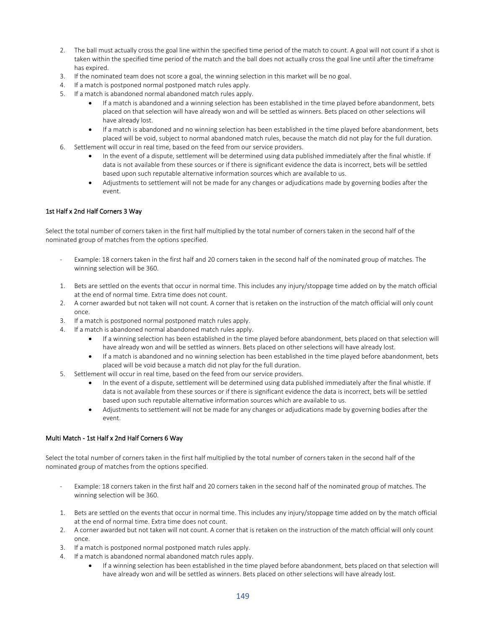- 2. The ball must actually cross the goal line within the specified time period of the match to count. A goal will not count if a shot is taken within the specified time period of the match and the ball does not actually cross the goal line until after the timeframe has expired.
- 3. If the nominated team does not score a goal, the winning selection in this market will be no goal.
- 4. If a match is postponed normal postponed match rules apply.
- 5. If a match is abandoned normal abandoned match rules apply.
	- If a match is abandoned and a winning selection has been established in the time played before abandonment, bets placed on that selection will have already won and will be settled as winners. Bets placed on other selections will have already lost.
	- If a match is abandoned and no winning selection has been established in the time played before abandonment, bets placed will be void, subject to normal abandoned match rules, because the match did not play for the full duration.
- 6. Settlement will occur in real time, based on the feed from our service providers.
	- In the event of a dispute, settlement will be determined using data published immediately after the final whistle. If data is not available from these sources or if there is significant evidence the data is incorrect, bets will be settled based upon such reputable alternative information sources which are available to us.
	- Adjustments to settlement will not be made for any changes or adjudications made by governing bodies after the event.

## 1st Half x 2nd Half Corners 3 Way

Select the total number of corners taken in the first half multiplied by the total number of corners taken in the second half of the nominated group of matches from the options specified.

- Example: 18 corners taken in the first half and 20 corners taken in the second half of the nominated group of matches. The winning selection will be 360.
- 1. Bets are settled on the events that occur in normal time. This includes any injury/stoppage time added on by the match official at the end of normal time. Extra time does not count.
- 2. A corner awarded but not taken will not count. A corner that is retaken on the instruction of the match official will only count once.
- 3. If a match is postponed normal postponed match rules apply.
- 4. If a match is abandoned normal abandoned match rules apply.
	- If a winning selection has been established in the time played before abandonment, bets placed on that selection will have already won and will be settled as winners. Bets placed on other selections will have already lost.
	- If a match is abandoned and no winning selection has been established in the time played before abandonment, bets placed will be void because a match did not play for the full duration.
- 5. Settlement will occur in real time, based on the feed from our service providers.
	- In the event of a dispute, settlement will be determined using data published immediately after the final whistle. If data is not available from these sources or if there is significant evidence the data is incorrect, bets will be settled based upon such reputable alternative information sources which are available to us.
	- Adjustments to settlement will not be made for any changes or adjudications made by governing bodies after the event.

## Multi Match - 1st Half x 2nd Half Corners 6 Way

Select the total number of corners taken in the first half multiplied by the total number of corners taken in the second half of the nominated group of matches from the options specified.

- Example: 18 corners taken in the first half and 20 corners taken in the second half of the nominated group of matches. The winning selection will be 360.
- 1. Bets are settled on the events that occur in normal time. This includes any injury/stoppage time added on by the match official at the end of normal time. Extra time does not count.
- 2. A corner awarded but not taken will not count. A corner that is retaken on the instruction of the match official will only count once.
- 3. If a match is postponed normal postponed match rules apply.
- 4. If a match is abandoned normal abandoned match rules apply.
	- If a winning selection has been established in the time played before abandonment, bets placed on that selection will have already won and will be settled as winners. Bets placed on other selections will have already lost.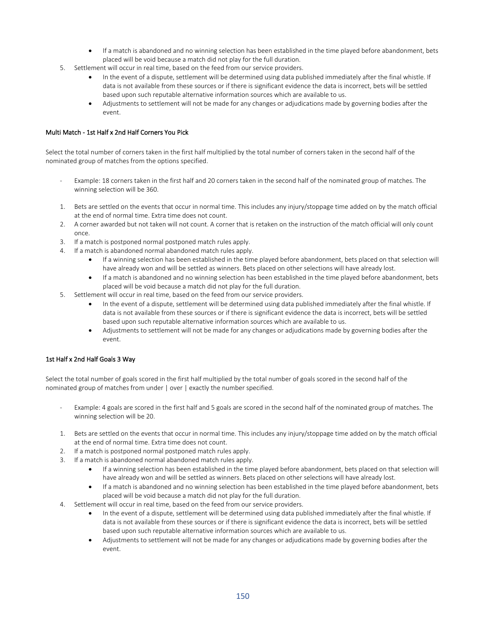- If a match is abandoned and no winning selection has been established in the time played before abandonment, bets placed will be void because a match did not play for the full duration.
- 5. Settlement will occur in real time, based on the feed from our service providers.
	- In the event of a dispute, settlement will be determined using data published immediately after the final whistle. If data is not available from these sources or if there is significant evidence the data is incorrect, bets will be settled based upon such reputable alternative information sources which are available to us.
	- Adjustments to settlement will not be made for any changes or adjudications made by governing bodies after the event.

## Multi Match - 1st Half x 2nd Half Corners You Pick

Select the total number of corners taken in the first half multiplied by the total number of corners taken in the second half of the nominated group of matches from the options specified.

- Example: 18 corners taken in the first half and 20 corners taken in the second half of the nominated group of matches. The winning selection will be 360.
- 1. Bets are settled on the events that occur in normal time. This includes any injury/stoppage time added on by the match official at the end of normal time. Extra time does not count.
- 2. A corner awarded but not taken will not count. A corner that is retaken on the instruction of the match official will only count once.
- 3. If a match is postponed normal postponed match rules apply.
- 4. If a match is abandoned normal abandoned match rules apply.
	- If a winning selection has been established in the time played before abandonment, bets placed on that selection will have already won and will be settled as winners. Bets placed on other selections will have already lost.
	- If a match is abandoned and no winning selection has been established in the time played before abandonment, bets placed will be void because a match did not play for the full duration.
- 5. Settlement will occur in real time, based on the feed from our service providers.
	- In the event of a dispute, settlement will be determined using data published immediately after the final whistle. If data is not available from these sources or if there is significant evidence the data is incorrect, bets will be settled based upon such reputable alternative information sources which are available to us.
	- Adjustments to settlement will not be made for any changes or adjudications made by governing bodies after the event.

# 1st Half x 2nd Half Goals 3 Way

Select the total number of goals scored in the first half multiplied by the total number of goals scored in the second half of the nominated group of matches from under | over | exactly the number specified.

- Example: 4 goals are scored in the first half and 5 goals are scored in the second half of the nominated group of matches. The winning selection will be 20.
- 1. Bets are settled on the events that occur in normal time. This includes any injury/stoppage time added on by the match official at the end of normal time. Extra time does not count.
- 2. If a match is postponed normal postponed match rules apply.
- 3. If a match is abandoned normal abandoned match rules apply.
	- If a winning selection has been established in the time played before abandonment, bets placed on that selection will have already won and will be settled as winners. Bets placed on other selections will have already lost.
	- If a match is abandoned and no winning selection has been established in the time played before abandonment, bets placed will be void because a match did not play for the full duration.
- 4. Settlement will occur in real time, based on the feed from our service providers.
	- In the event of a dispute, settlement will be determined using data published immediately after the final whistle. If data is not available from these sources or if there is significant evidence the data is incorrect, bets will be settled based upon such reputable alternative information sources which are available to us.
	- Adjustments to settlement will not be made for any changes or adjudications made by governing bodies after the event.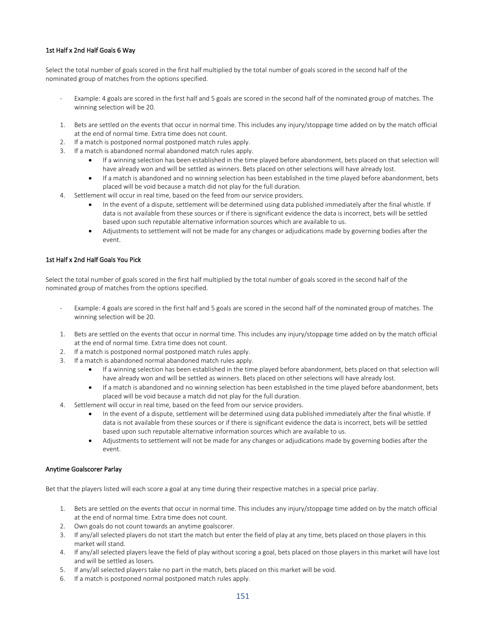# 1st Half x 2nd Half Goals 6 Way

Select the total number of goals scored in the first half multiplied by the total number of goals scored in the second half of the nominated group of matches from the options specified.

- Example: 4 goals are scored in the first half and 5 goals are scored in the second half of the nominated group of matches. The winning selection will be 20.
- 1. Bets are settled on the events that occur in normal time. This includes any injury/stoppage time added on by the match official at the end of normal time. Extra time does not count.
- 2. If a match is postponed normal postponed match rules apply.
- 3. If a match is abandoned normal abandoned match rules apply.
	- If a winning selection has been established in the time played before abandonment, bets placed on that selection will have already won and will be settled as winners. Bets placed on other selections will have already lost.
	- If a match is abandoned and no winning selection has been established in the time played before abandonment, bets placed will be void because a match did not play for the full duration.
- 4. Settlement will occur in real time, based on the feed from our service providers.
	- In the event of a dispute, settlement will be determined using data published immediately after the final whistle. If data is not available from these sources or if there is significant evidence the data is incorrect, bets will be settled based upon such reputable alternative information sources which are available to us.
	- Adjustments to settlement will not be made for any changes or adjudications made by governing bodies after the event.

## 1st Half x 2nd Half Goals You Pick

Select the total number of goals scored in the first half multiplied by the total number of goals scored in the second half of the nominated group of matches from the options specified.

- Example: 4 goals are scored in the first half and 5 goals are scored in the second half of the nominated group of matches. The winning selection will be 20.
- 1. Bets are settled on the events that occur in normal time. This includes any injury/stoppage time added on by the match official at the end of normal time. Extra time does not count.
- 2. If a match is postponed normal postponed match rules apply.
- 3. If a match is abandoned normal abandoned match rules apply.
	- If a winning selection has been established in the time played before abandonment, bets placed on that selection will have already won and will be settled as winners. Bets placed on other selections will have already lost.
	- If a match is abandoned and no winning selection has been established in the time played before abandonment, bets placed will be void because a match did not play for the full duration.
- 4. Settlement will occur in real time, based on the feed from our service providers.
	- In the event of a dispute, settlement will be determined using data published immediately after the final whistle. If data is not available from these sources or if there is significant evidence the data is incorrect, bets will be settled based upon such reputable alternative information sources which are available to us.
	- Adjustments to settlement will not be made for any changes or adjudications made by governing bodies after the event.

#### Anytime Goalscorer Parlay

Bet that the players listed will each score a goal at any time during their respective matches in a special price parlay.

- 1. Bets are settled on the events that occur in normal time. This includes any injury/stoppage time added on by the match official at the end of normal time. Extra time does not count.
- 2. Own goals do not count towards an anytime goalscorer.
- 3. If any/all selected players do not start the match but enter the field of play at any time, bets placed on those players in this market will stand.
- 4. If any/all selected players leave the field of play without scoring a goal, bets placed on those players in this market will have lost and will be settled as losers.
- 5. If any/all selected players take no part in the match, bets placed on this market will be void.
- 6. If a match is postponed normal postponed match rules apply.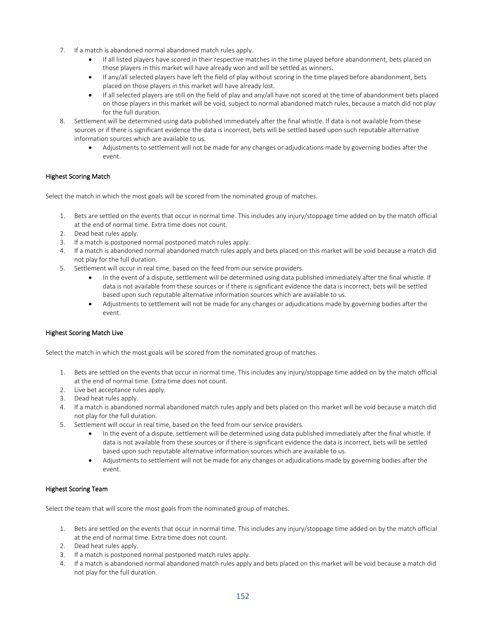- 7. If a match is abandoned normal abandoned match rules apply.
	- If all listed players have scored in their respective matches in the time played before abandonment, bets placed on those players in this market will have already won and will be settled as winners.
	- If any/all selected players have left the field of play without scoring in the time played before abandonment, bets placed on those players in this market will have already lost.
	- If all selected players are still on the field of play and any/all have not scored at the time of abandonment bets placed on those players in this market will be void, subject to normal abandoned match rules, because a match did not play for the full duration.
- 8. Settlement will be determined using data published immediately after the final whistle. If data is not available from these sources or if there is significant evidence the data is incorrect, bets will be settled based upon such reputable alternative information sources which are available to us.
	- Adjustments to settlement will not be made for any changes or adjudications made by governing bodies after the event.

## Highest Scoring Match

Select the match in which the most goals will be scored from the nominated group of matches.

- 1. Bets are settled on the events that occur in normal time. This includes any injury/stoppage time added on by the match official at the end of normal time. Extra time does not count.
- 2. Dead heat rules apply.
- 3. If a match is postponed normal postponed match rules apply.
- 4. If a match is abandoned normal abandoned match rules apply and bets placed on this market will be void because a match did not play for the full duration.
- 5. Settlement will occur in real time, based on the feed from our service providers.
	- In the event of a dispute, settlement will be determined using data published immediately after the final whistle. If data is not available from these sources or if there is significant evidence the data is incorrect, bets will be settled based upon such reputable alternative information sources which are available to us.
	- Adjustments to settlement will not be made for any changes or adjudications made by governing bodies after the event.

## Highest Scoring Match Live

Select the match in which the most goals will be scored from the nominated group of matches.

- 1. Bets are settled on the events that occur in normal time. This includes any injury/stoppage time added on by the match official at the end of normal time. Extra time does not count.
- 2. Live bet acceptance rules apply.
- 3. Dead heat rules apply.
- 4. If a match is abandoned normal abandoned match rules apply and bets placed on this market will be void because a match did not play for the full duration.
- 5. Settlement will occur in real time, based on the feed from our service providers.
	- In the event of a dispute, settlement will be determined using data published immediately after the final whistle. If data is not available from these sources or if there is significant evidence the data is incorrect, bets will be settled based upon such reputable alternative information sources which are available to us.
	- Adjustments to settlement will not be made for any changes or adjudications made by governing bodies after the event.

## Highest Scoring Team

Select the team that will score the most goals from the nominated group of matches.

- 1. Bets are settled on the events that occur in normal time. This includes any injury/stoppage time added on by the match official at the end of normal time. Extra time does not count.
- 2. Dead heat rules apply.
- 3. If a match is postponed normal postponed match rules apply.
- 4. If a match is abandoned normal abandoned match rules apply and bets placed on this market will be void because a match did not play for the full duration.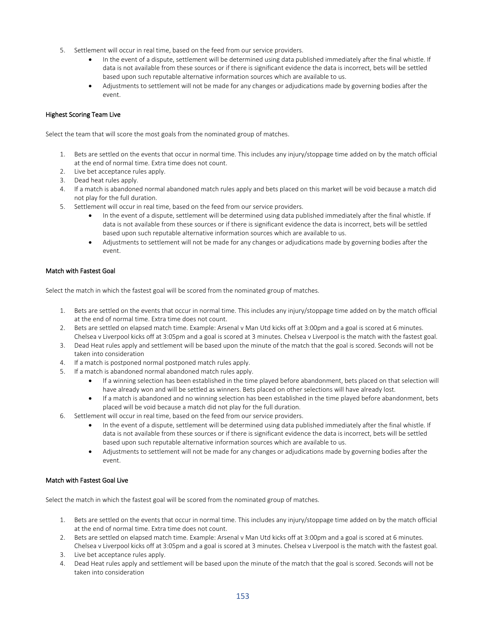- 5. Settlement will occur in real time, based on the feed from our service providers.
	- In the event of a dispute, settlement will be determined using data published immediately after the final whistle. If data is not available from these sources or if there is significant evidence the data is incorrect, bets will be settled based upon such reputable alternative information sources which are available to us.
	- Adjustments to settlement will not be made for any changes or adjudications made by governing bodies after the event.

## Highest Scoring Team Live

Select the team that will score the most goals from the nominated group of matches.

- 1. Bets are settled on the events that occur in normal time. This includes any injury/stoppage time added on by the match official at the end of normal time. Extra time does not count.
- 2. Live bet acceptance rules apply.
- 3. Dead heat rules apply.
- 4. If a match is abandoned normal abandoned match rules apply and bets placed on this market will be void because a match did not play for the full duration.
- 5. Settlement will occur in real time, based on the feed from our service providers.
	- In the event of a dispute, settlement will be determined using data published immediately after the final whistle. If data is not available from these sources or if there is significant evidence the data is incorrect, bets will be settled based upon such reputable alternative information sources which are available to us.
	- Adjustments to settlement will not be made for any changes or adjudications made by governing bodies after the event.

## Match with Fastest Goal

Select the match in which the fastest goal will be scored from the nominated group of matches.

- 1. Bets are settled on the events that occur in normal time. This includes any injury/stoppage time added on by the match official at the end of normal time. Extra time does not count.
- 2. Bets are settled on elapsed match time. Example: Arsenal v Man Utd kicks off at 3:00pm and a goal is scored at 6 minutes. Chelsea v Liverpool kicks off at 3:05pm and a goal is scored at 3 minutes. Chelsea v Liverpool is the match with the fastest goal.
- 3. Dead Heat rules apply and settlement will be based upon the minute of the match that the goal is scored. Seconds will not be taken into consideration
- 4. If a match is postponed normal postponed match rules apply.
- 5. If a match is abandoned normal abandoned match rules apply.
	- If a winning selection has been established in the time played before abandonment, bets placed on that selection will have already won and will be settled as winners. Bets placed on other selections will have already lost.
	- If a match is abandoned and no winning selection has been established in the time played before abandonment, bets placed will be void because a match did not play for the full duration.
- 6. Settlement will occur in real time, based on the feed from our service providers.
	- In the event of a dispute, settlement will be determined using data published immediately after the final whistle. If data is not available from these sources or if there is significant evidence the data is incorrect, bets will be settled based upon such reputable alternative information sources which are available to us.
	- Adjustments to settlement will not be made for any changes or adjudications made by governing bodies after the event.

## Match with Fastest Goal Live

Select the match in which the fastest goal will be scored from the nominated group of matches.

- 1. Bets are settled on the events that occur in normal time. This includes any injury/stoppage time added on by the match official at the end of normal time. Extra time does not count.
- 2. Bets are settled on elapsed match time. Example: Arsenal v Man Utd kicks off at 3:00pm and a goal is scored at 6 minutes. Chelsea v Liverpool kicks off at 3:05pm and a goal is scored at 3 minutes. Chelsea v Liverpool is the match with the fastest goal.
- 3. Live bet acceptance rules apply.
- 4. Dead Heat rules apply and settlement will be based upon the minute of the match that the goal is scored. Seconds will not be taken into consideration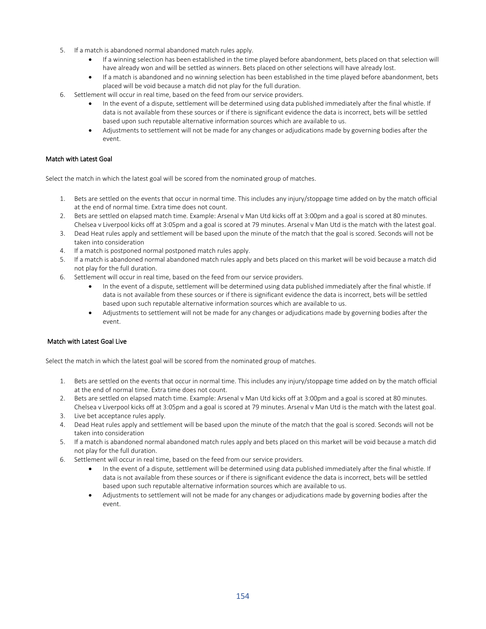- 5. If a match is abandoned normal abandoned match rules apply.
	- If a winning selection has been established in the time played before abandonment, bets placed on that selection will have already won and will be settled as winners. Bets placed on other selections will have already lost.
	- If a match is abandoned and no winning selection has been established in the time played before abandonment, bets placed will be void because a match did not play for the full duration.
- 6. Settlement will occur in real time, based on the feed from our service providers.
	- In the event of a dispute, settlement will be determined using data published immediately after the final whistle. If data is not available from these sources or if there is significant evidence the data is incorrect, bets will be settled based upon such reputable alternative information sources which are available to us.
	- Adjustments to settlement will not be made for any changes or adjudications made by governing bodies after the event.

## Match with Latest Goal

Select the match in which the latest goal will be scored from the nominated group of matches.

- 1. Bets are settled on the events that occur in normal time. This includes any injury/stoppage time added on by the match official at the end of normal time. Extra time does not count.
- 2. Bets are settled on elapsed match time. Example: Arsenal v Man Utd kicks off at 3:00pm and a goal is scored at 80 minutes. Chelsea v Liverpool kicks off at 3:05pm and a goal is scored at 79 minutes. Arsenal v Man Utd is the match with the latest goal.
- 3. Dead Heat rules apply and settlement will be based upon the minute of the match that the goal is scored. Seconds will not be taken into consideration
- 4. If a match is postponed normal postponed match rules apply.
- 5. If a match is abandoned normal abandoned match rules apply and bets placed on this market will be void because a match did not play for the full duration.
- 6. Settlement will occur in real time, based on the feed from our service providers.
	- In the event of a dispute, settlement will be determined using data published immediately after the final whistle. If data is not available from these sources or if there is significant evidence the data is incorrect, bets will be settled based upon such reputable alternative information sources which are available to us.
	- Adjustments to settlement will not be made for any changes or adjudications made by governing bodies after the event.

# Match with Latest Goal Live

Select the match in which the latest goal will be scored from the nominated group of matches.

- 1. Bets are settled on the events that occur in normal time. This includes any injury/stoppage time added on by the match official at the end of normal time. Extra time does not count.
- 2. Bets are settled on elapsed match time. Example: Arsenal v Man Utd kicks off at 3:00pm and a goal is scored at 80 minutes. Chelsea v Liverpool kicks off at 3:05pm and a goal is scored at 79 minutes. Arsenal v Man Utd is the match with the latest goal.
- 3. Live bet acceptance rules apply.
- 4. Dead Heat rules apply and settlement will be based upon the minute of the match that the goal is scored. Seconds will not be taken into consideration
- 5. If a match is abandoned normal abandoned match rules apply and bets placed on this market will be void because a match did not play for the full duration.
- 6. Settlement will occur in real time, based on the feed from our service providers.
	- In the event of a dispute, settlement will be determined using data published immediately after the final whistle. If data is not available from these sources or if there is significant evidence the data is incorrect, bets will be settled based upon such reputable alternative information sources which are available to us.
	- Adjustments to settlement will not be made for any changes or adjudications made by governing bodies after the event.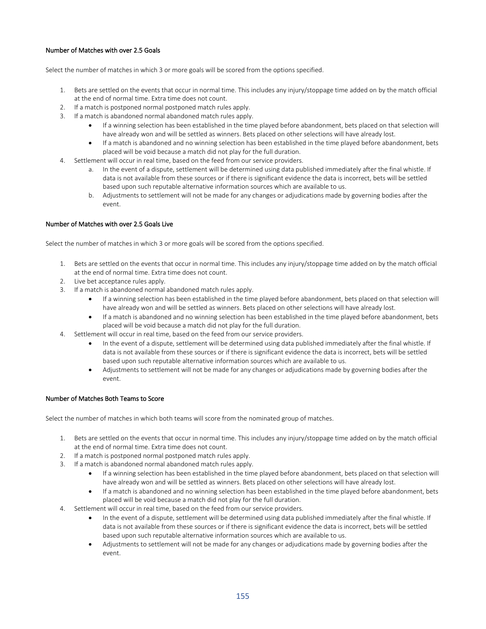## Number of Matches with over 2.5 Goals

Select the number of matches in which 3 or more goals will be scored from the options specified.

- 1. Bets are settled on the events that occur in normal time. This includes any injury/stoppage time added on by the match official at the end of normal time. Extra time does not count.
- 2. If a match is postponed normal postponed match rules apply.
- 3. If a match is abandoned normal abandoned match rules apply.
	- If a winning selection has been established in the time played before abandonment, bets placed on that selection will have already won and will be settled as winners. Bets placed on other selections will have already lost.
	- If a match is abandoned and no winning selection has been established in the time played before abandonment, bets placed will be void because a match did not play for the full duration.
- 4. Settlement will occur in real time, based on the feed from our service providers.
	- a. In the event of a dispute, settlement will be determined using data published immediately after the final whistle. If data is not available from these sources or if there is significant evidence the data is incorrect, bets will be settled based upon such reputable alternative information sources which are available to us.
	- b. Adjustments to settlement will not be made for any changes or adjudications made by governing bodies after the event.

## Number of Matches with over 2.5 Goals Live

Select the number of matches in which 3 or more goals will be scored from the options specified.

- 1. Bets are settled on the events that occur in normal time. This includes any injury/stoppage time added on by the match official at the end of normal time. Extra time does not count.
- 2. Live bet acceptance rules apply.
- 3. If a match is abandoned normal abandoned match rules apply.
	- If a winning selection has been established in the time played before abandonment, bets placed on that selection will have already won and will be settled as winners. Bets placed on other selections will have already lost.
	- If a match is abandoned and no winning selection has been established in the time played before abandonment, bets placed will be void because a match did not play for the full duration.
- 4. Settlement will occur in real time, based on the feed from our service providers.
	- In the event of a dispute, settlement will be determined using data published immediately after the final whistle. If data is not available from these sources or if there is significant evidence the data is incorrect, bets will be settled based upon such reputable alternative information sources which are available to us.
	- Adjustments to settlement will not be made for any changes or adjudications made by governing bodies after the event.

## Number of Matches Both Teams to Score

Select the number of matches in which both teams will score from the nominated group of matches.

- 1. Bets are settled on the events that occur in normal time. This includes any injury/stoppage time added on by the match official at the end of normal time. Extra time does not count.
- 2. If a match is postponed normal postponed match rules apply.
- 3. If a match is abandoned normal abandoned match rules apply.
	- If a winning selection has been established in the time played before abandonment, bets placed on that selection will have already won and will be settled as winners. Bets placed on other selections will have already lost.
	- If a match is abandoned and no winning selection has been established in the time played before abandonment, bets placed will be void because a match did not play for the full duration.
- 4. Settlement will occur in real time, based on the feed from our service providers.
	- In the event of a dispute, settlement will be determined using data published immediately after the final whistle. If data is not available from these sources or if there is significant evidence the data is incorrect, bets will be settled based upon such reputable alternative information sources which are available to us.
	- Adjustments to settlement will not be made for any changes or adjudications made by governing bodies after the event.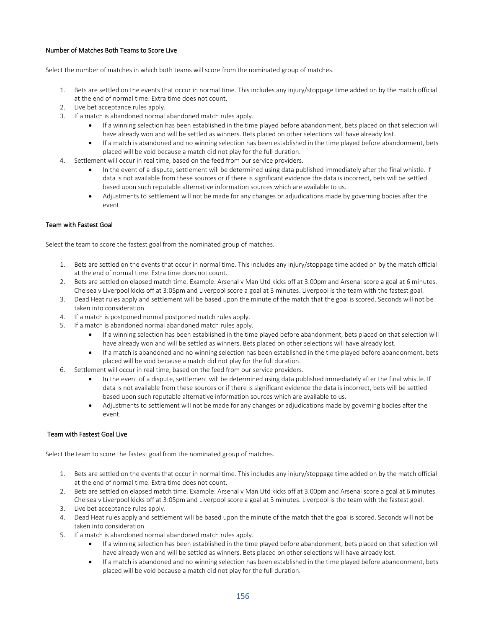## Number of Matches Both Teams to Score Live

Select the number of matches in which both teams will score from the nominated group of matches.

- 1. Bets are settled on the events that occur in normal time. This includes any injury/stoppage time added on by the match official at the end of normal time. Extra time does not count.
- 2. Live bet acceptance rules apply.
- 3. If a match is abandoned normal abandoned match rules apply.
	- If a winning selection has been established in the time played before abandonment, bets placed on that selection will have already won and will be settled as winners. Bets placed on other selections will have already lost.
	- If a match is abandoned and no winning selection has been established in the time played before abandonment, bets placed will be void because a match did not play for the full duration.
- 4. Settlement will occur in real time, based on the feed from our service providers.
	- In the event of a dispute, settlement will be determined using data published immediately after the final whistle. If data is not available from these sources or if there is significant evidence the data is incorrect, bets will be settled based upon such reputable alternative information sources which are available to us.
	- Adjustments to settlement will not be made for any changes or adjudications made by governing bodies after the event.

## Team with Fastest Goal

Select the team to score the fastest goal from the nominated group of matches.

- 1. Bets are settled on the events that occur in normal time. This includes any injury/stoppage time added on by the match official at the end of normal time. Extra time does not count.
- 2. Bets are settled on elapsed match time. Example: Arsenal v Man Utd kicks off at 3:00pm and Arsenal score a goal at 6 minutes. Chelsea v Liverpool kicks off at 3:05pm and Liverpool score a goal at 3 minutes. Liverpool is the team with the fastest goal.
- 3. Dead Heat rules apply and settlement will be based upon the minute of the match that the goal is scored. Seconds will not be taken into consideration
- 4. If a match is postponed normal postponed match rules apply.
- 5. If a match is abandoned normal abandoned match rules apply.
	- If a winning selection has been established in the time played before abandonment, bets placed on that selection will have already won and will be settled as winners. Bets placed on other selections will have already lost.
	- If a match is abandoned and no winning selection has been established in the time played before abandonment, bets placed will be void because a match did not play for the full duration.
- 6. Settlement will occur in real time, based on the feed from our service providers.
	- In the event of a dispute, settlement will be determined using data published immediately after the final whistle. If data is not available from these sources or if there is significant evidence the data is incorrect, bets will be settled based upon such reputable alternative information sources which are available to us.
	- Adjustments to settlement will not be made for any changes or adjudications made by governing bodies after the event.

## Team with Fastest Goal Live

Select the team to score the fastest goal from the nominated group of matches.

- 1. Bets are settled on the events that occur in normal time. This includes any injury/stoppage time added on by the match official at the end of normal time. Extra time does not count.
- 2. Bets are settled on elapsed match time. Example: Arsenal v Man Utd kicks off at 3:00pm and Arsenal score a goal at 6 minutes. Chelsea v Liverpool kicks off at 3:05pm and Liverpool score a goal at 3 minutes. Liverpool is the team with the fastest goal.
- 3. Live bet acceptance rules apply.
- 4. Dead Heat rules apply and settlement will be based upon the minute of the match that the goal is scored. Seconds will not be taken into consideration
- 5. If a match is abandoned normal abandoned match rules apply.
	- If a winning selection has been established in the time played before abandonment, bets placed on that selection will have already won and will be settled as winners. Bets placed on other selections will have already lost.
	- If a match is abandoned and no winning selection has been established in the time played before abandonment, bets placed will be void because a match did not play for the full duration.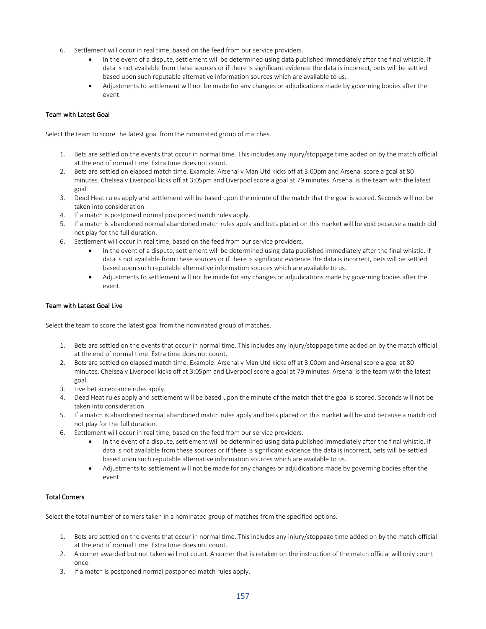- 6. Settlement will occur in real time, based on the feed from our service providers.
	- In the event of a dispute, settlement will be determined using data published immediately after the final whistle. If data is not available from these sources or if there is significant evidence the data is incorrect, bets will be settled based upon such reputable alternative information sources which are available to us.
	- Adjustments to settlement will not be made for any changes or adjudications made by governing bodies after the event.

#### Team with Latest Goal

Select the team to score the latest goal from the nominated group of matches.

- 1. Bets are settled on the events that occur in normal time. This includes any injury/stoppage time added on by the match official at the end of normal time. Extra time does not count.
- 2. Bets are settled on elapsed match time. Example: Arsenal v Man Utd kicks off at 3:00pm and Arsenal score a goal at 80 minutes. Chelsea v Liverpool kicks off at 3:05pm and Liverpool score a goal at 79 minutes. Arsenal is the team with the latest goal.
- 3. Dead Heat rules apply and settlement will be based upon the minute of the match that the goal is scored. Seconds will not be taken into consideration
- 4. If a match is postponed normal postponed match rules apply.
- 5. If a match is abandoned normal abandoned match rules apply and bets placed on this market will be void because a match did not play for the full duration.
- 6. Settlement will occur in real time, based on the feed from our service providers.
	- In the event of a dispute, settlement will be determined using data published immediately after the final whistle. If data is not available from these sources or if there is significant evidence the data is incorrect, bets will be settled based upon such reputable alternative information sources which are available to us.
	- Adjustments to settlement will not be made for any changes or adjudications made by governing bodies after the event.

#### Team with Latest Goal Live

Select the team to score the latest goal from the nominated group of matches.

- 1. Bets are settled on the events that occur in normal time. This includes any injury/stoppage time added on by the match official at the end of normal time. Extra time does not count.
- 2. Bets are settled on elapsed match time. Example: Arsenal v Man Utd kicks off at 3:00pm and Arsenal score a goal at 80 minutes. Chelsea v Liverpool kicks off at 3:05pm and Liverpool score a goal at 79 minutes. Arsenal is the team with the latest goal.
- 3. Live bet acceptance rules apply.
- 4. Dead Heat rules apply and settlement will be based upon the minute of the match that the goal is scored. Seconds will not be taken into consideration
- 5. If a match is abandoned normal abandoned match rules apply and bets placed on this market will be void because a match did not play for the full duration.
- 6. Settlement will occur in real time, based on the feed from our service providers.
	- In the event of a dispute, settlement will be determined using data published immediately after the final whistle. If data is not available from these sources or if there is significant evidence the data is incorrect, bets will be settled based upon such reputable alternative information sources which are available to us.
	- Adjustments to settlement will not be made for any changes or adjudications made by governing bodies after the event.

## Total Corners

Select the total number of corners taken in a nominated group of matches from the specified options.

- 1. Bets are settled on the events that occur in normal time. This includes any injury/stoppage time added on by the match official at the end of normal time. Extra time does not count.
- 2. A corner awarded but not taken will not count. A corner that is retaken on the instruction of the match official will only count once.
- 3. If a match is postponed normal postponed match rules apply.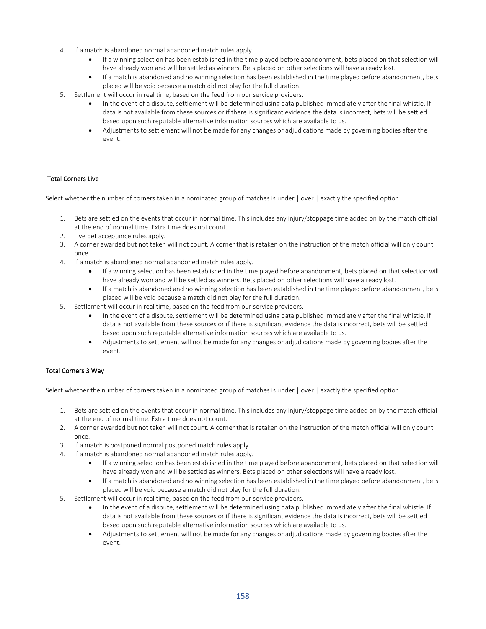- 4. If a match is abandoned normal abandoned match rules apply.
	- If a winning selection has been established in the time played before abandonment, bets placed on that selection will have already won and will be settled as winners. Bets placed on other selections will have already lost.
	- If a match is abandoned and no winning selection has been established in the time played before abandonment, bets placed will be void because a match did not play for the full duration.
- 5. Settlement will occur in real time, based on the feed from our service providers.
	- In the event of a dispute, settlement will be determined using data published immediately after the final whistle. If data is not available from these sources or if there is significant evidence the data is incorrect, bets will be settled based upon such reputable alternative information sources which are available to us.
	- Adjustments to settlement will not be made for any changes or adjudications made by governing bodies after the event.

## Total Corners Live

Select whether the number of corners taken in a nominated group of matches is under | over | exactly the specified option.

- 1. Bets are settled on the events that occur in normal time. This includes any injury/stoppage time added on by the match official at the end of normal time. Extra time does not count.
- 2. Live bet acceptance rules apply.
- 3. A corner awarded but not taken will not count. A corner that is retaken on the instruction of the match official will only count once.
- 4. If a match is abandoned normal abandoned match rules apply.
	- If a winning selection has been established in the time played before abandonment, bets placed on that selection will have already won and will be settled as winners. Bets placed on other selections will have already lost.
	- If a match is abandoned and no winning selection has been established in the time played before abandonment, bets placed will be void because a match did not play for the full duration.
- 5. Settlement will occur in real time, based on the feed from our service providers.
	- In the event of a dispute, settlement will be determined using data published immediately after the final whistle. If data is not available from these sources or if there is significant evidence the data is incorrect, bets will be settled based upon such reputable alternative information sources which are available to us.
	- Adjustments to settlement will not be made for any changes or adjudications made by governing bodies after the event.

## Total Corners 3 Way

Select whether the number of corners taken in a nominated group of matches is under  $\vert$  over  $\vert$  exactly the specified option.

- 1. Bets are settled on the events that occur in normal time. This includes any injury/stoppage time added on by the match official at the end of normal time. Extra time does not count.
- 2. A corner awarded but not taken will not count. A corner that is retaken on the instruction of the match official will only count once.
- 3. If a match is postponed normal postponed match rules apply.
- 4. If a match is abandoned normal abandoned match rules apply.
	- If a winning selection has been established in the time played before abandonment, bets placed on that selection will have already won and will be settled as winners. Bets placed on other selections will have already lost.
	- If a match is abandoned and no winning selection has been established in the time played before abandonment, bets placed will be void because a match did not play for the full duration.
- 5. Settlement will occur in real time, based on the feed from our service providers.
	- In the event of a dispute, settlement will be determined using data published immediately after the final whistle. If data is not available from these sources or if there is significant evidence the data is incorrect, bets will be settled based upon such reputable alternative information sources which are available to us.
	- Adjustments to settlement will not be made for any changes or adjudications made by governing bodies after the event.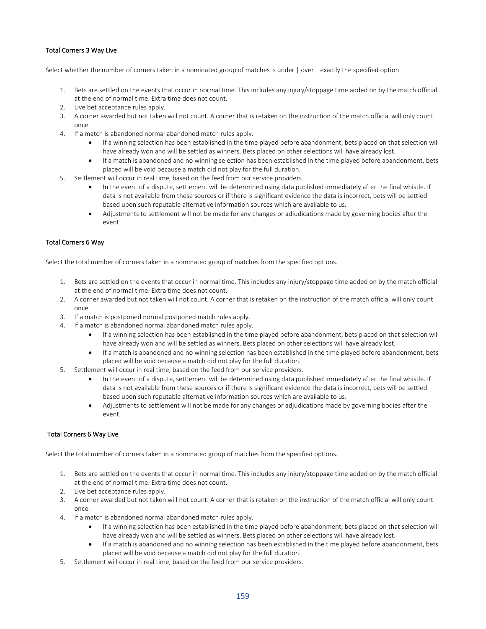# Total Corners 3 Way Live

Select whether the number of corners taken in a nominated group of matches is under | over | exactly the specified option.

- 1. Bets are settled on the events that occur in normal time. This includes any injury/stoppage time added on by the match official at the end of normal time. Extra time does not count.
- 2. Live bet acceptance rules apply.
- 3. A corner awarded but not taken will not count. A corner that is retaken on the instruction of the match official will only count once.
- 4. If a match is abandoned normal abandoned match rules apply.
	- If a winning selection has been established in the time played before abandonment, bets placed on that selection will have already won and will be settled as winners. Bets placed on other selections will have already lost.
	- If a match is abandoned and no winning selection has been established in the time played before abandonment, bets placed will be void because a match did not play for the full duration.
- 5. Settlement will occur in real time, based on the feed from our service providers.
	- In the event of a dispute, settlement will be determined using data published immediately after the final whistle. If data is not available from these sources or if there is significant evidence the data is incorrect, bets will be settled based upon such reputable alternative information sources which are available to us.
	- Adjustments to settlement will not be made for any changes or adjudications made by governing bodies after the event.

## Total Corners 6 Way

Select the total number of corners taken in a nominated group of matches from the specified options.

- 1. Bets are settled on the events that occur in normal time. This includes any injury/stoppage time added on by the match official at the end of normal time. Extra time does not count.
- 2. A corner awarded but not taken will not count. A corner that is retaken on the instruction of the match official will only count once.
- 3. If a match is postponed normal postponed match rules apply.
- 4. If a match is abandoned normal abandoned match rules apply.
	- If a winning selection has been established in the time played before abandonment, bets placed on that selection will have already won and will be settled as winners. Bets placed on other selections will have already lost.
	- If a match is abandoned and no winning selection has been established in the time played before abandonment, bets placed will be void because a match did not play for the full duration.
- 5. Settlement will occur in real time, based on the feed from our service providers.
	- In the event of a dispute, settlement will be determined using data published immediately after the final whistle. If data is not available from these sources or if there is significant evidence the data is incorrect, bets will be settled based upon such reputable alternative information sources which are available to us.
	- Adjustments to settlement will not be made for any changes or adjudications made by governing bodies after the event.

## Total Corners 6 Way Live

Select the total number of corners taken in a nominated group of matches from the specified options.

- 1. Bets are settled on the events that occur in normal time. This includes any injury/stoppage time added on by the match official at the end of normal time. Extra time does not count.
- 2. Live bet acceptance rules apply.
- 3. A corner awarded but not taken will not count. A corner that is retaken on the instruction of the match official will only count once.
- 4. If a match is abandoned normal abandoned match rules apply.
	- If a winning selection has been established in the time played before abandonment, bets placed on that selection will have already won and will be settled as winners. Bets placed on other selections will have already lost.
	- If a match is abandoned and no winning selection has been established in the time played before abandonment, bets placed will be void because a match did not play for the full duration.
- 5. Settlement will occur in real time, based on the feed from our service providers.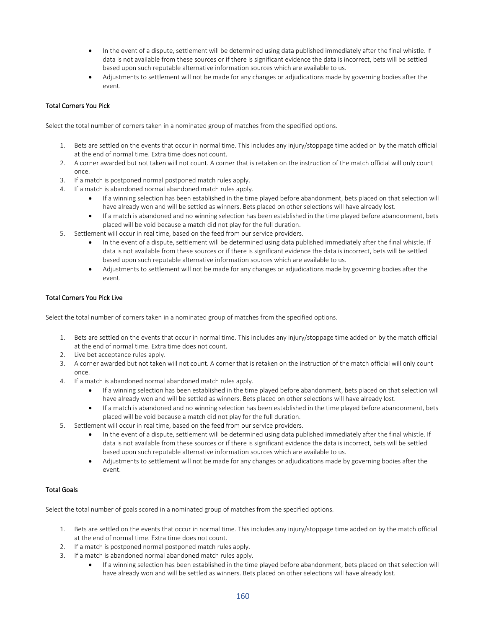- In the event of a dispute, settlement will be determined using data published immediately after the final whistle. If data is not available from these sources or if there is significant evidence the data is incorrect, bets will be settled based upon such reputable alternative information sources which are available to us.
- Adjustments to settlement will not be made for any changes or adjudications made by governing bodies after the event.

# Total Corners You Pick

Select the total number of corners taken in a nominated group of matches from the specified options.

- 1. Bets are settled on the events that occur in normal time. This includes any injury/stoppage time added on by the match official at the end of normal time. Extra time does not count.
- 2. A corner awarded but not taken will not count. A corner that is retaken on the instruction of the match official will only count once.
- 3. If a match is postponed normal postponed match rules apply.
- 4. If a match is abandoned normal abandoned match rules apply.
	- If a winning selection has been established in the time played before abandonment, bets placed on that selection will have already won and will be settled as winners. Bets placed on other selections will have already lost.
	- If a match is abandoned and no winning selection has been established in the time played before abandonment, bets placed will be void because a match did not play for the full duration.
- 5. Settlement will occur in real time, based on the feed from our service providers.
	- In the event of a dispute, settlement will be determined using data published immediately after the final whistle. If data is not available from these sources or if there is significant evidence the data is incorrect, bets will be settled based upon such reputable alternative information sources which are available to us.
	- Adjustments to settlement will not be made for any changes or adjudications made by governing bodies after the event.

## Total Corners You Pick Live

Select the total number of corners taken in a nominated group of matches from the specified options.

- 1. Bets are settled on the events that occur in normal time. This includes any injury/stoppage time added on by the match official at the end of normal time. Extra time does not count.
- 2. Live bet acceptance rules apply.
- 3. A corner awarded but not taken will not count. A corner that is retaken on the instruction of the match official will only count once.
- 4. If a match is abandoned normal abandoned match rules apply.
	- If a winning selection has been established in the time played before abandonment, bets placed on that selection will have already won and will be settled as winners. Bets placed on other selections will have already lost.
	- If a match is abandoned and no winning selection has been established in the time played before abandonment, bets placed will be void because a match did not play for the full duration.
- 5. Settlement will occur in real time, based on the feed from our service providers.
	- In the event of a dispute, settlement will be determined using data published immediately after the final whistle. If data is not available from these sources or if there is significant evidence the data is incorrect, bets will be settled based upon such reputable alternative information sources which are available to us.
	- Adjustments to settlement will not be made for any changes or adjudications made by governing bodies after the event.

# Total Goals

Select the total number of goals scored in a nominated group of matches from the specified options.

- 1. Bets are settled on the events that occur in normal time. This includes any injury/stoppage time added on by the match official at the end of normal time. Extra time does not count.
- 2. If a match is postponed normal postponed match rules apply.
- 3. If a match is abandoned normal abandoned match rules apply.
	- If a winning selection has been established in the time played before abandonment, bets placed on that selection will have already won and will be settled as winners. Bets placed on other selections will have already lost.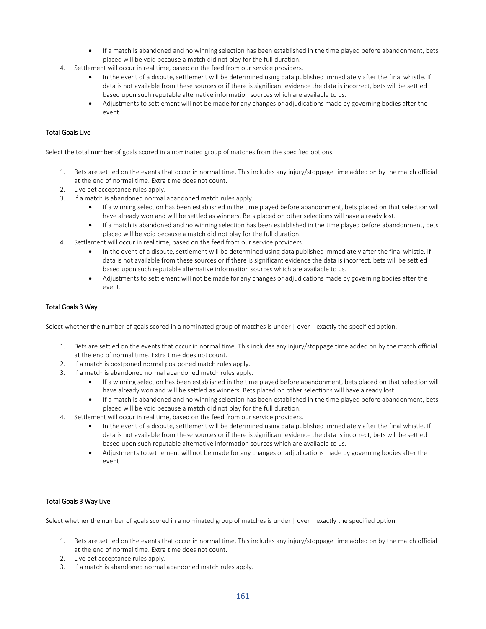- If a match is abandoned and no winning selection has been established in the time played before abandonment, bets placed will be void because a match did not play for the full duration.
- 4. Settlement will occur in real time, based on the feed from our service providers.
	- In the event of a dispute, settlement will be determined using data published immediately after the final whistle. If data is not available from these sources or if there is significant evidence the data is incorrect, bets will be settled based upon such reputable alternative information sources which are available to us.
	- Adjustments to settlement will not be made for any changes or adjudications made by governing bodies after the event.

## Total Goals Live

Select the total number of goals scored in a nominated group of matches from the specified options.

- 1. Bets are settled on the events that occur in normal time. This includes any injury/stoppage time added on by the match official at the end of normal time. Extra time does not count.
- 2. Live bet acceptance rules apply.
- 3. If a match is abandoned normal abandoned match rules apply.
	- If a winning selection has been established in the time played before abandonment, bets placed on that selection will have already won and will be settled as winners. Bets placed on other selections will have already lost.
	- If a match is abandoned and no winning selection has been established in the time played before abandonment, bets placed will be void because a match did not play for the full duration.
- 4. Settlement will occur in real time, based on the feed from our service providers.
	- In the event of a dispute, settlement will be determined using data published immediately after the final whistle. If data is not available from these sources or if there is significant evidence the data is incorrect, bets will be settled based upon such reputable alternative information sources which are available to us.
	- Adjustments to settlement will not be made for any changes or adjudications made by governing bodies after the event.

#### Total Goals 3 Way

Select whether the number of goals scored in a nominated group of matches is under | over | exactly the specified option.

- 1. Bets are settled on the events that occur in normal time. This includes any injury/stoppage time added on by the match official at the end of normal time. Extra time does not count.
- 2. If a match is postponed normal postponed match rules apply.
- 3. If a match is abandoned normal abandoned match rules apply.
	- If a winning selection has been established in the time played before abandonment, bets placed on that selection will have already won and will be settled as winners. Bets placed on other selections will have already lost.
	- If a match is abandoned and no winning selection has been established in the time played before abandonment, bets placed will be void because a match did not play for the full duration.
- 4. Settlement will occur in real time, based on the feed from our service providers.
	- In the event of a dispute, settlement will be determined using data published immediately after the final whistle. If data is not available from these sources or if there is significant evidence the data is incorrect, bets will be settled based upon such reputable alternative information sources which are available to us.
	- Adjustments to settlement will not be made for any changes or adjudications made by governing bodies after the event.

## Total Goals 3 Way Live

Select whether the number of goals scored in a nominated group of matches is under | over | exactly the specified option.

- 1. Bets are settled on the events that occur in normal time. This includes any injury/stoppage time added on by the match official at the end of normal time. Extra time does not count.
- 2. Live bet acceptance rules apply.
- 3. If a match is abandoned normal abandoned match rules apply.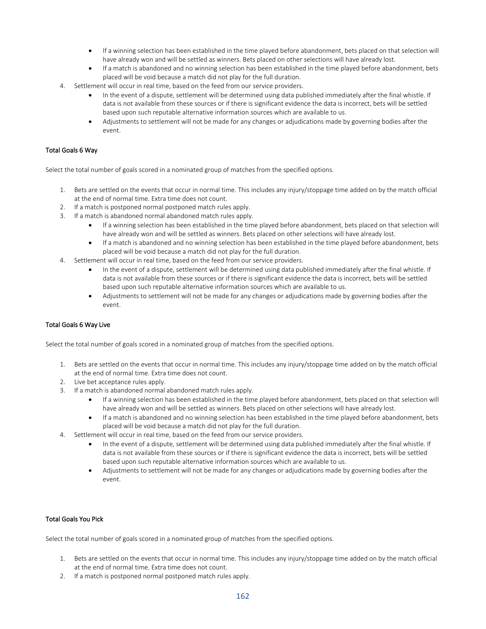- If a winning selection has been established in the time played before abandonment, bets placed on that selection will have already won and will be settled as winners. Bets placed on other selections will have already lost.
- If a match is abandoned and no winning selection has been established in the time played before abandonment, bets placed will be void because a match did not play for the full duration.
- 4. Settlement will occur in real time, based on the feed from our service providers.
	- In the event of a dispute, settlement will be determined using data published immediately after the final whistle. If data is not available from these sources or if there is significant evidence the data is incorrect, bets will be settled based upon such reputable alternative information sources which are available to us.
	- Adjustments to settlement will not be made for any changes or adjudications made by governing bodies after the event.

## Total Goals 6 Way

Select the total number of goals scored in a nominated group of matches from the specified options.

- 1. Bets are settled on the events that occur in normal time. This includes any injury/stoppage time added on by the match official at the end of normal time. Extra time does not count.
- 2. If a match is postponed normal postponed match rules apply.
- 3. If a match is abandoned normal abandoned match rules apply.
	- If a winning selection has been established in the time played before abandonment, bets placed on that selection will have already won and will be settled as winners. Bets placed on other selections will have already lost.
	- If a match is abandoned and no winning selection has been established in the time played before abandonment, bets placed will be void because a match did not play for the full duration.
- 4. Settlement will occur in real time, based on the feed from our service providers.
	- In the event of a dispute, settlement will be determined using data published immediately after the final whistle. If data is not available from these sources or if there is significant evidence the data is incorrect, bets will be settled based upon such reputable alternative information sources which are available to us.
	- Adjustments to settlement will not be made for any changes or adjudications made by governing bodies after the event.

#### Total Goals 6 Way Live

Select the total number of goals scored in a nominated group of matches from the specified options.

- 1. Bets are settled on the events that occur in normal time. This includes any injury/stoppage time added on by the match official at the end of normal time. Extra time does not count.
- 2. Live bet acceptance rules apply.
- 3. If a match is abandoned normal abandoned match rules apply.
	- If a winning selection has been established in the time played before abandonment, bets placed on that selection will have already won and will be settled as winners. Bets placed on other selections will have already lost.
	- If a match is abandoned and no winning selection has been established in the time played before abandonment, bets placed will be void because a match did not play for the full duration.
- 4. Settlement will occur in real time, based on the feed from our service providers.
	- In the event of a dispute, settlement will be determined using data published immediately after the final whistle. If data is not available from these sources or if there is significant evidence the data is incorrect, bets will be settled based upon such reputable alternative information sources which are available to us.
	- Adjustments to settlement will not be made for any changes or adjudications made by governing bodies after the event.

### Total Goals You Pick

Select the total number of goals scored in a nominated group of matches from the specified options.

- 1. Bets are settled on the events that occur in normal time. This includes any injury/stoppage time added on by the match official at the end of normal time. Extra time does not count.
- 2. If a match is postponed normal postponed match rules apply.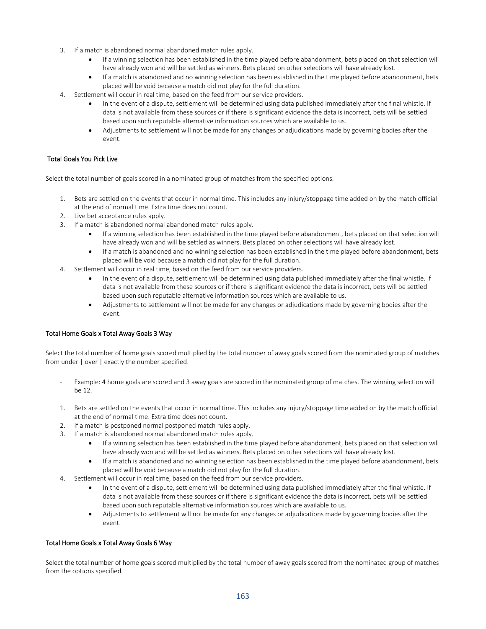- 3. If a match is abandoned normal abandoned match rules apply.
	- If a winning selection has been established in the time played before abandonment, bets placed on that selection will have already won and will be settled as winners. Bets placed on other selections will have already lost.
	- If a match is abandoned and no winning selection has been established in the time played before abandonment, bets placed will be void because a match did not play for the full duration.
- 4. Settlement will occur in real time, based on the feed from our service providers.
	- In the event of a dispute, settlement will be determined using data published immediately after the final whistle. If data is not available from these sources or if there is significant evidence the data is incorrect, bets will be settled based upon such reputable alternative information sources which are available to us.
	- Adjustments to settlement will not be made for any changes or adjudications made by governing bodies after the event.

## Total Goals You Pick Live

Select the total number of goals scored in a nominated group of matches from the specified options.

- 1. Bets are settled on the events that occur in normal time. This includes any injury/stoppage time added on by the match official at the end of normal time. Extra time does not count.
- 2. Live bet acceptance rules apply.
- 3. If a match is abandoned normal abandoned match rules apply.
	- If a winning selection has been established in the time played before abandonment, bets placed on that selection will have already won and will be settled as winners. Bets placed on other selections will have already lost.
	- If a match is abandoned and no winning selection has been established in the time played before abandonment, bets placed will be void because a match did not play for the full duration.
- 4. Settlement will occur in real time, based on the feed from our service providers.
	- In the event of a dispute, settlement will be determined using data published immediately after the final whistle. If data is not available from these sources or if there is significant evidence the data is incorrect, bets will be settled based upon such reputable alternative information sources which are available to us.
	- Adjustments to settlement will not be made for any changes or adjudications made by governing bodies after the event.

## Total Home Goals x Total Away Goals 3 Way

Select the total number of home goals scored multiplied by the total number of away goals scored from the nominated group of matches from under | over | exactly the number specified.

- Example: 4 home goals are scored and 3 away goals are scored in the nominated group of matches. The winning selection will be 12.
- 1. Bets are settled on the events that occur in normal time. This includes any injury/stoppage time added on by the match official at the end of normal time. Extra time does not count.
- 2. If a match is postponed normal postponed match rules apply.
- 3. If a match is abandoned normal abandoned match rules apply.
	- If a winning selection has been established in the time played before abandonment, bets placed on that selection will have already won and will be settled as winners. Bets placed on other selections will have already lost.
	- If a match is abandoned and no winning selection has been established in the time played before abandonment, bets placed will be void because a match did not play for the full duration.
- 4. Settlement will occur in real time, based on the feed from our service providers.
	- In the event of a dispute, settlement will be determined using data published immediately after the final whistle. If data is not available from these sources or if there is significant evidence the data is incorrect, bets will be settled based upon such reputable alternative information sources which are available to us.
	- Adjustments to settlement will not be made for any changes or adjudications made by governing bodies after the event.

## Total Home Goals x Total Away Goals 6 Way

Select the total number of home goals scored multiplied by the total number of away goals scored from the nominated group of matches from the options specified.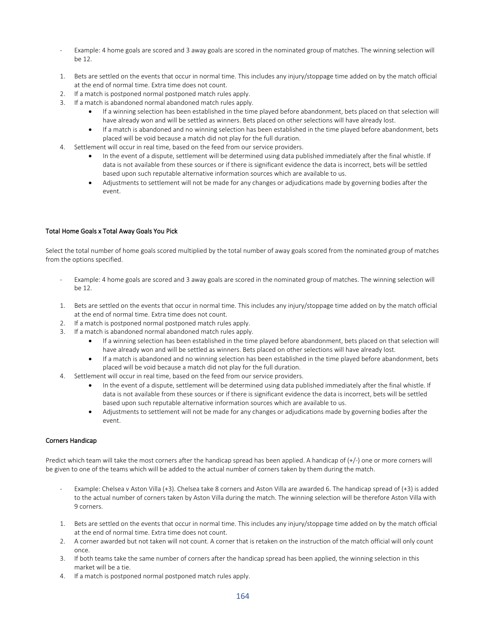- Example: 4 home goals are scored and 3 away goals are scored in the nominated group of matches. The winning selection will be 12.
- 1. Bets are settled on the events that occur in normal time. This includes any injury/stoppage time added on by the match official at the end of normal time. Extra time does not count.
- 2. If a match is postponed normal postponed match rules apply.
- 3. If a match is abandoned normal abandoned match rules apply.
	- If a winning selection has been established in the time played before abandonment, bets placed on that selection will have already won and will be settled as winners. Bets placed on other selections will have already lost.
	- If a match is abandoned and no winning selection has been established in the time played before abandonment, bets placed will be void because a match did not play for the full duration.
- 4. Settlement will occur in real time, based on the feed from our service providers.
	- In the event of a dispute, settlement will be determined using data published immediately after the final whistle. If data is not available from these sources or if there is significant evidence the data is incorrect, bets will be settled based upon such reputable alternative information sources which are available to us.
	- Adjustments to settlement will not be made for any changes or adjudications made by governing bodies after the event.

## Total Home Goals x Total Away Goals You Pick

Select the total number of home goals scored multiplied by the total number of away goals scored from the nominated group of matches from the options specified.

- Example: 4 home goals are scored and 3 away goals are scored in the nominated group of matches. The winning selection will be 12.
- 1. Bets are settled on the events that occur in normal time. This includes any injury/stoppage time added on by the match official at the end of normal time. Extra time does not count.
- 2. If a match is postponed normal postponed match rules apply.
- 3. If a match is abandoned normal abandoned match rules apply.
	- If a winning selection has been established in the time played before abandonment, bets placed on that selection will have already won and will be settled as winners. Bets placed on other selections will have already lost.
	- If a match is abandoned and no winning selection has been established in the time played before abandonment, bets placed will be void because a match did not play for the full duration.
- 4. Settlement will occur in real time, based on the feed from our service providers.
	- In the event of a dispute, settlement will be determined using data published immediately after the final whistle. If data is not available from these sources or if there is significant evidence the data is incorrect, bets will be settled based upon such reputable alternative information sources which are available to us.
	- Adjustments to settlement will not be made for any changes or adjudications made by governing bodies after the event.

## Corners Handicap

Predict which team will take the most corners after the handicap spread has been applied. A handicap of (+/-) one or more corners will be given to one of the teams which will be added to the actual number of corners taken by them during the match.

- Example: Chelsea v Aston Villa (+3). Chelsea take 8 corners and Aston Villa are awarded 6. The handicap spread of (+3) is added to the actual number of corners taken by Aston Villa during the match. The winning selection will be therefore Aston Villa with 9 corners.
- 1. Bets are settled on the events that occur in normal time. This includes any injury/stoppage time added on by the match official at the end of normal time. Extra time does not count.
- 2. A corner awarded but not taken will not count. A corner that is retaken on the instruction of the match official will only count once.
- 3. If both teams take the same number of corners after the handicap spread has been applied, the winning selection in this market will be a tie.
- 4. If a match is postponed normal postponed match rules apply.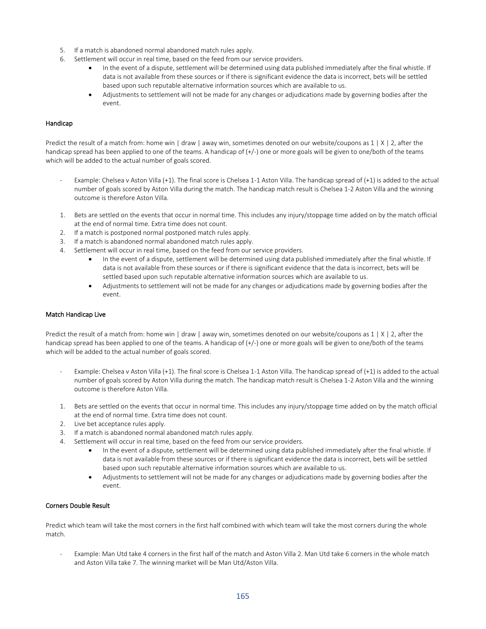- 5. If a match is abandoned normal abandoned match rules apply.
- 6. Settlement will occur in real time, based on the feed from our service providers.
	- In the event of a dispute, settlement will be determined using data published immediately after the final whistle. If data is not available from these sources or if there is significant evidence the data is incorrect, bets will be settled based upon such reputable alternative information sources which are available to us.
	- Adjustments to settlement will not be made for any changes or adjudications made by governing bodies after the event.

## Handicap

Predict the result of a match from: home win | draw | away win, sometimes denoted on our website/coupons as  $1 \mid X \mid 2$ , after the handicap spread has been applied to one of the teams. A handicap of (+/-) one or more goals will be given to one/both of the teams which will be added to the actual number of goals scored.

- Example: Chelsea v Aston Villa (+1). The final score is Chelsea 1-1 Aston Villa. The handicap spread of (+1) is added to the actual number of goals scored by Aston Villa during the match. The handicap match result is Chelsea 1-2 Aston Villa and the winning outcome is therefore Aston Villa.
- 1. Bets are settled on the events that occur in normal time. This includes any injury/stoppage time added on by the match official at the end of normal time. Extra time does not count.
- 2. If a match is postponed normal postponed match rules apply.
- 3. If a match is abandoned normal abandoned match rules apply.
- 4. Settlement will occur in real time, based on the feed from our service providers.
	- In the event of a dispute, settlement will be determined using data published immediately after the final whistle. If data is not available from these sources or if there is significant evidence that the data is incorrect, bets will be settled based upon such reputable alternative information sources which are available to us.
	- Adjustments to settlement will not be made for any changes or adjudications made by governing bodies after the event.

#### Match Handicap Live

Predict the result of a match from: home win | draw | away win, sometimes denoted on our website/coupons as 1 | X | 2, after the handicap spread has been applied to one of the teams. A handicap of (+/-) one or more goals will be given to one/both of the teams which will be added to the actual number of goals scored.

- Example: Chelsea v Aston Villa (+1). The final score is Chelsea 1-1 Aston Villa. The handicap spread of (+1) is added to the actual number of goals scored by Aston Villa during the match. The handicap match result is Chelsea 1-2 Aston Villa and the winning outcome is therefore Aston Villa.
- 1. Bets are settled on the events that occur in normal time. This includes any injury/stoppage time added on by the match official at the end of normal time. Extra time does not count.
- 2. Live bet acceptance rules apply.
- 3. If a match is abandoned normal abandoned match rules apply.
- 4. Settlement will occur in real time, based on the feed from our service providers.
	- In the event of a dispute, settlement will be determined using data published immediately after the final whistle. If data is not available from these sources or if there is significant evidence the data is incorrect, bets will be settled based upon such reputable alternative information sources which are available to us.
	- Adjustments to settlement will not be made for any changes or adjudications made by governing bodies after the event.

#### Corners Double Result

Predict which team will take the most corners in the first half combined with which team will take the most corners during the whole match.

Example: Man Utd take 4 corners in the first half of the match and Aston Villa 2. Man Utd take 6 corners in the whole match and Aston Villa take 7. The winning market will be Man Utd/Aston Villa.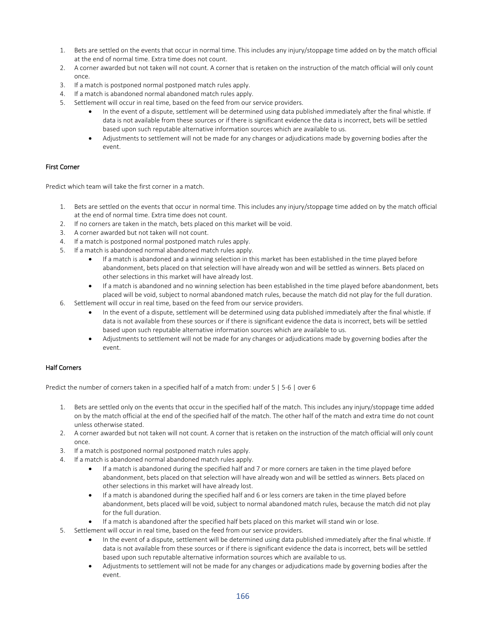- 1. Bets are settled on the events that occur in normal time. This includes any injury/stoppage time added on by the match official at the end of normal time. Extra time does not count.
- 2. A corner awarded but not taken will not count. A corner that is retaken on the instruction of the match official will only count once.
- 3. If a match is postponed normal postponed match rules apply.
- 4. If a match is abandoned normal abandoned match rules apply.
- 5. Settlement will occur in real time, based on the feed from our service providers.
	- In the event of a dispute, settlement will be determined using data published immediately after the final whistle. If data is not available from these sources or if there is significant evidence the data is incorrect, bets will be settled based upon such reputable alternative information sources which are available to us.
	- Adjustments to settlement will not be made for any changes or adjudications made by governing bodies after the event.

## First Corner

Predict which team will take the first corner in a match.

- 1. Bets are settled on the events that occur in normal time. This includes any injury/stoppage time added on by the match official at the end of normal time. Extra time does not count.
- 2. If no corners are taken in the match, bets placed on this market will be void.
- 3. A corner awarded but not taken will not count.
- 4. If a match is postponed normal postponed match rules apply.
- 5. If a match is abandoned normal abandoned match rules apply.
	- If a match is abandoned and a winning selection in this market has been established in the time played before abandonment, bets placed on that selection will have already won and will be settled as winners. Bets placed on other selections in this market will have already lost.
	- If a match is abandoned and no winning selection has been established in the time played before abandonment, bets placed will be void, subject to normal abandoned match rules, because the match did not play for the full duration.
- 6. Settlement will occur in real time, based on the feed from our service providers.
	- In the event of a dispute, settlement will be determined using data published immediately after the final whistle. If data is not available from these sources or if there is significant evidence the data is incorrect, bets will be settled based upon such reputable alternative information sources which are available to us.
	- Adjustments to settlement will not be made for any changes or adjudications made by governing bodies after the event.

## Half Corners

Predict the number of corners taken in a specified half of a match from: under 5 | 5-6 | over 6

- 1. Bets are settled only on the events that occur in the specified half of the match. This includes any injury/stoppage time added on by the match official at the end of the specified half of the match. The other half of the match and extra time do not count unless otherwise stated.
- 2. A corner awarded but not taken will not count. A corner that is retaken on the instruction of the match official will only count once.
- 3. If a match is postponed normal postponed match rules apply.
- 4. If a match is abandoned normal abandoned match rules apply.
	- If a match is abandoned during the specified half and 7 or more corners are taken in the time played before abandonment, bets placed on that selection will have already won and will be settled as winners. Bets placed on other selections in this market will have already lost.
	- If a match is abandoned during the specified half and 6 or less corners are taken in the time played before abandonment, bets placed will be void, subject to normal abandoned match rules, because the match did not play for the full duration.
	- If a match is abandoned after the specified half bets placed on this market will stand win or lose.
- 5. Settlement will occur in real time, based on the feed from our service providers.
	- In the event of a dispute, settlement will be determined using data published immediately after the final whistle. If data is not available from these sources or if there is significant evidence the data is incorrect, bets will be settled based upon such reputable alternative information sources which are available to us.
	- Adjustments to settlement will not be made for any changes or adjudications made by governing bodies after the event.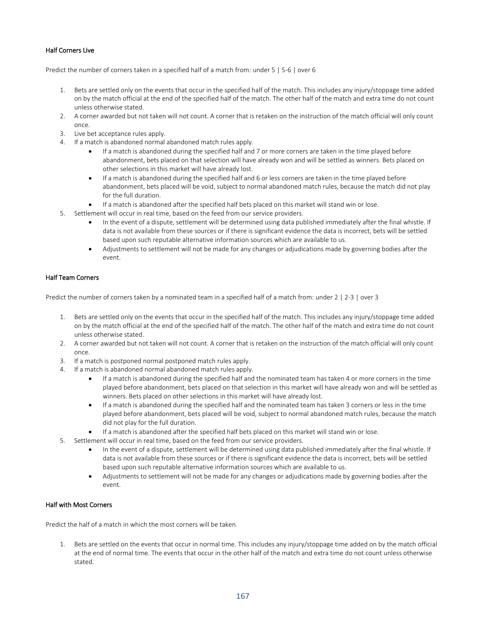# Half Corners Live

Predict the number of corners taken in a specified half of a match from: under 5 | 5-6 | over 6

- 1. Bets are settled only on the events that occur in the specified half of the match. This includes any injury/stoppage time added on by the match official at the end of the specified half of the match. The other half of the match and extra time do not count unless otherwise stated.
- 2. A corner awarded but not taken will not count. A corner that is retaken on the instruction of the match official will only count once.
- 3. Live bet acceptance rules apply.
- 4. If a match is abandoned normal abandoned match rules apply.
	- If a match is abandoned during the specified half and 7 or more corners are taken in the time played before abandonment, bets placed on that selection will have already won and will be settled as winners. Bets placed on other selections in this market will have already lost.
	- If a match is abandoned during the specified half and 6 or less corners are taken in the time played before abandonment, bets placed will be void, subject to normal abandoned match rules, because the match did not play for the full duration.
	- If a match is abandoned after the specified half bets placed on this market will stand win or lose.
- 5. Settlement will occur in real time, based on the feed from our service providers.
	- In the event of a dispute, settlement will be determined using data published immediately after the final whistle. If data is not available from these sources or if there is significant evidence the data is incorrect, bets will be settled based upon such reputable alternative information sources which are available to us.
	- Adjustments to settlement will not be made for any changes or adjudications made by governing bodies after the event.

#### Half Team Corners

Predict the number of corners taken by a nominated team in a specified half of a match from: under 2 | 2-3 | over 3

- 1. Bets are settled only on the events that occur in the specified half of the match. This includes any injury/stoppage time added on by the match official at the end of the specified half of the match. The other half of the match and extra time do not count unless otherwise stated.
- 2. A corner awarded but not taken will not count. A corner that is retaken on the instruction of the match official will only count once.
- 3. If a match is postponed normal postponed match rules apply.
- 4. If a match is abandoned normal abandoned match rules apply.
	- If a match is abandoned during the specified half and the nominated team has taken 4 or more corners in the time played before abandonment, bets placed on that selection in this market will have already won and will be settled as winners. Bets placed on other selections in this market will have already lost.
	- If a match is abandoned during the specified half and the nominated team has taken 3 corners or less in the time played before abandonment, bets placed will be void, subject to normal abandoned match rules, because the match did not play for the full duration.
	- If a match is abandoned after the specified half bets placed on this market will stand win or lose.
- 5. Settlement will occur in real time, based on the feed from our service providers.
	- In the event of a dispute, settlement will be determined using data published immediately after the final whistle. If data is not available from these sources or if there is significant evidence the data is incorrect, bets will be settled based upon such reputable alternative information sources which are available to us.
	- Adjustments to settlement will not be made for any changes or adjudications made by governing bodies after the event.

## Half with Most Corners

Predict the half of a match in which the most corners will be taken.

1. Bets are settled on the events that occur in normal time. This includes any injury/stoppage time added on by the match official at the end of normal time. The events that occur in the other half of the match and extra time do not count unless otherwise stated.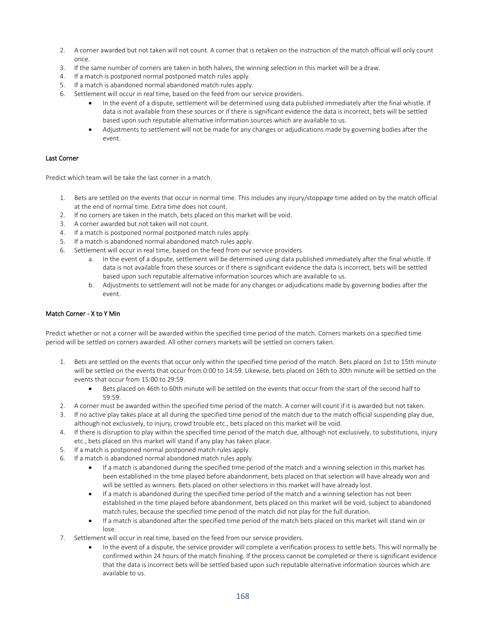- 2. A corner awarded but not taken will not count. A corner that is retaken on the instruction of the match official will only count once.
- 3. If the same number of corners are taken in both halves, the winning selection in this market will be a draw.
- 4. If a match is postponed normal postponed match rules apply.
- 5. If a match is abandoned normal abandoned match rules apply.
- 6. Settlement will occur in real time, based on the feed from our service providers.
	- In the event of a dispute, settlement will be determined using data published immediately after the final whistle. If data is not available from these sources or if there is significant evidence the data is incorrect, bets will be settled based upon such reputable alternative information sources which are available to us.
	- Adjustments to settlement will not be made for any changes or adjudications made by governing bodies after the event.

## Last Corner

Predict which team will be take the last corner in a match.

- 1. Bets are settled on the events that occur in normal time. This includes any injury/stoppage time added on by the match official at the end of normal time. Extra time does not count.
- 2. If no corners are taken in the match, bets placed on this market will be void.
- 3. A corner awarded but not taken will not count.
- 4. If a match is postponed normal postponed match rules apply.
- 5. If a match is abandoned normal abandoned match rules apply.
- 6. Settlement will occur in real time, based on the feed from our service providers.
	- a. In the event of a dispute, settlement will be determined using data published immediately after the final whistle. If data is not available from these sources or if there is significant evidence the data is incorrect, bets will be settled based upon such reputable alternative information sources which are available to us.
	- b. Adjustments to settlement will not be made for any changes or adjudications made by governing bodies after the event.

### Match Corner - X to Y Min

Predict whether or not a corner will be awarded within the specified time period of the match. Corners markets on a specified time period will be settled on corners awarded. All other corners markets will be settled on corners taken.

- 1. Bets are settled on the events that occur only within the specified time period of the match. Bets placed on 1st to 15th minute will be settled on the events that occur from 0:00 to 14:59. Likewise, bets placed on 16th to 30th minute will be settled on the events that occur from 15:00 to 29:59.
	- Bets placed on 46th to 60th minute will be settled on the events that occur from the start of the second half to 59:59.
- 2. A corner must be awarded within the specified time period of the match. A corner will count if it is awarded but not taken.
- 3. If no active play takes place at all during the specified time period of the match due to the match official suspending play due, although not exclusively, to injury, crowd trouble etc., bets placed on this market will be void.
- 4. If there is disruption to play within the specified time period of the match due, although not exclusively, to substitutions, injury etc., bets placed on this market will stand if any play has taken place.
- 5. If a match is postponed normal postponed match rules apply.
- 6. If a match is abandoned normal abandoned match rules apply.
	- If a match is abandoned during the specified time period of the match and a winning selection in this market has been established in the time played before abandonment, bets placed on that selection will have already won and will be settled as winners. Bets placed on other selections in this market will have already lost.
	- If a match is abandoned during the specified time period of the match and a winning selection has not been established in the time played before abandonment, bets placed on this market will be void, subject to abandoned match rules, because the specified time period of the match did not play for the full duration.
	- If a match is abandoned after the specified time period of the match bets placed on this market will stand win or lose.
- 7. Settlement will occur in real time, based on the feed from our service providers.
	- In the event of a dispute, the service provider will complete a verification process to settle bets. This will normally be confirmed within 24 hours of the match finishing. If the process cannot be completed or there is significant evidence that the data is incorrect bets will be settled based upon such reputable alternative information sources which are available to us.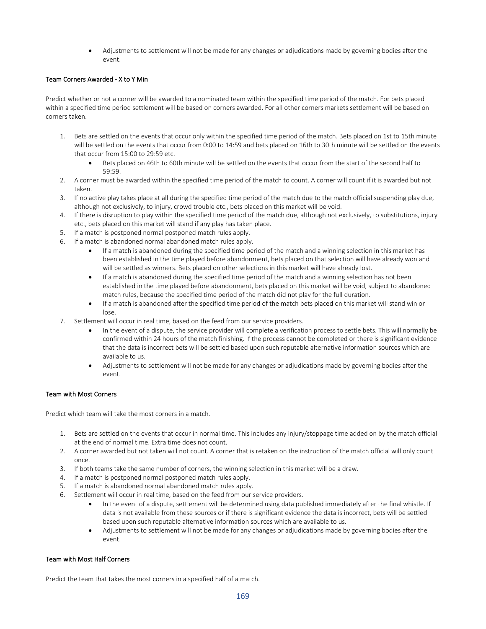• Adjustments to settlement will not be made for any changes or adjudications made by governing bodies after the event.

# Team Corners Awarded - X to Y Min

Predict whether or not a corner will be awarded to a nominated team within the specified time period of the match. For bets placed within a specified time period settlement will be based on corners awarded. For all other corners markets settlement will be based on corners taken.

- 1. Bets are settled on the events that occur only within the specified time period of the match. Bets placed on 1st to 15th minute will be settled on the events that occur from 0:00 to 14:59 and bets placed on 16th to 30th minute will be settled on the events that occur from 15:00 to 29:59 etc.
	- Bets placed on 46th to 60th minute will be settled on the events that occur from the start of the second half to 59:59.
- 2. A corner must be awarded within the specified time period of the match to count. A corner will count if it is awarded but not taken.
- 3. If no active play takes place at all during the specified time period of the match due to the match official suspending play due, although not exclusively, to injury, crowd trouble etc., bets placed on this market will be void.
- 4. If there is disruption to play within the specified time period of the match due, although not exclusively, to substitutions, injury etc., bets placed on this market will stand if any play has taken place.
- 5. If a match is postponed normal postponed match rules apply.
- 6. If a match is abandoned normal abandoned match rules apply.
	- If a match is abandoned during the specified time period of the match and a winning selection in this market has been established in the time played before abandonment, bets placed on that selection will have already won and will be settled as winners. Bets placed on other selections in this market will have already lost.
	- If a match is abandoned during the specified time period of the match and a winning selection has not been established in the time played before abandonment, bets placed on this market will be void, subject to abandoned match rules, because the specified time period of the match did not play for the full duration.
	- If a match is abandoned after the specified time period of the match bets placed on this market will stand win or lose.
- 7. Settlement will occur in real time, based on the feed from our service providers.
	- In the event of a dispute, the service provider will complete a verification process to settle bets. This will normally be confirmed within 24 hours of the match finishing. If the process cannot be completed or there is significant evidence that the data is incorrect bets will be settled based upon such reputable alternative information sources which are available to us.
	- Adjustments to settlement will not be made for any changes or adjudications made by governing bodies after the event.

## Team with Most Corners

Predict which team will take the most corners in a match.

- 1. Bets are settled on the events that occur in normal time. This includes any injury/stoppage time added on by the match official at the end of normal time. Extra time does not count.
- 2. A corner awarded but not taken will not count. A corner that is retaken on the instruction of the match official will only count once.
- 3. If both teams take the same number of corners, the winning selection in this market will be a draw.
- 4. If a match is postponed normal postponed match rules apply.
- 5. If a match is abandoned normal abandoned match rules apply.
- 6. Settlement will occur in real time, based on the feed from our service providers.
	- In the event of a dispute, settlement will be determined using data published immediately after the final whistle. If data is not available from these sources or if there is significant evidence the data is incorrect, bets will be settled based upon such reputable alternative information sources which are available to us.
	- Adjustments to settlement will not be made for any changes or adjudications made by governing bodies after the event.

## Team with Most Half Corners

Predict the team that takes the most corners in a specified half of a match.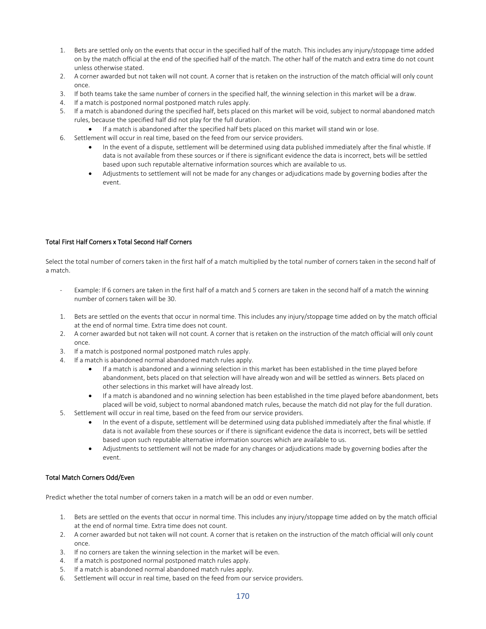- 1. Bets are settled only on the events that occur in the specified half of the match. This includes any injury/stoppage time added on by the match official at the end of the specified half of the match. The other half of the match and extra time do not count unless otherwise stated.
- 2. A corner awarded but not taken will not count. A corner that is retaken on the instruction of the match official will only count once.
- 3. If both teams take the same number of corners in the specified half, the winning selection in this market will be a draw.
- 4. If a match is postponed normal postponed match rules apply.
- 5. If a match is abandoned during the specified half, bets placed on this market will be void, subject to normal abandoned match rules, because the specified half did not play for the full duration.
	- If a match is abandoned after the specified half bets placed on this market will stand win or lose.
- 6. Settlement will occur in real time, based on the feed from our service providers.
	- In the event of a dispute, settlement will be determined using data published immediately after the final whistle. If data is not available from these sources or if there is significant evidence the data is incorrect, bets will be settled based upon such reputable alternative information sources which are available to us.
	- Adjustments to settlement will not be made for any changes or adjudications made by governing bodies after the event.

### Total First Half Corners x Total Second Half Corners

Select the total number of corners taken in the first half of a match multiplied by the total number of corners taken in the second half of a match.

- Example: If 6 corners are taken in the first half of a match and 5 corners are taken in the second half of a match the winning number of corners taken will be 30.
- 1. Bets are settled on the events that occur in normal time. This includes any injury/stoppage time added on by the match official at the end of normal time. Extra time does not count.
- 2. A corner awarded but not taken will not count. A corner that is retaken on the instruction of the match official will only count once.
- 3. If a match is postponed normal postponed match rules apply.
- 4. If a match is abandoned normal abandoned match rules apply.
	- If a match is abandoned and a winning selection in this market has been established in the time played before abandonment, bets placed on that selection will have already won and will be settled as winners. Bets placed on other selections in this market will have already lost.
	- If a match is abandoned and no winning selection has been established in the time played before abandonment, bets placed will be void, subject to normal abandoned match rules, because the match did not play for the full duration.
- 5. Settlement will occur in real time, based on the feed from our service providers.
	- In the event of a dispute, settlement will be determined using data published immediately after the final whistle. If data is not available from these sources or if there is significant evidence the data is incorrect, bets will be settled based upon such reputable alternative information sources which are available to us.
	- Adjustments to settlement will not be made for any changes or adjudications made by governing bodies after the event.

#### Total Match Corners Odd/Even

Predict whether the total number of corners taken in a match will be an odd or even number.

- 1. Bets are settled on the events that occur in normal time. This includes any injury/stoppage time added on by the match official at the end of normal time. Extra time does not count.
- 2. A corner awarded but not taken will not count. A corner that is retaken on the instruction of the match official will only count once.
- 3. If no corners are taken the winning selection in the market will be even.
- 4. If a match is postponed normal postponed match rules apply.
- 5. If a match is abandoned normal abandoned match rules apply.
- 6. Settlement will occur in real time, based on the feed from our service providers.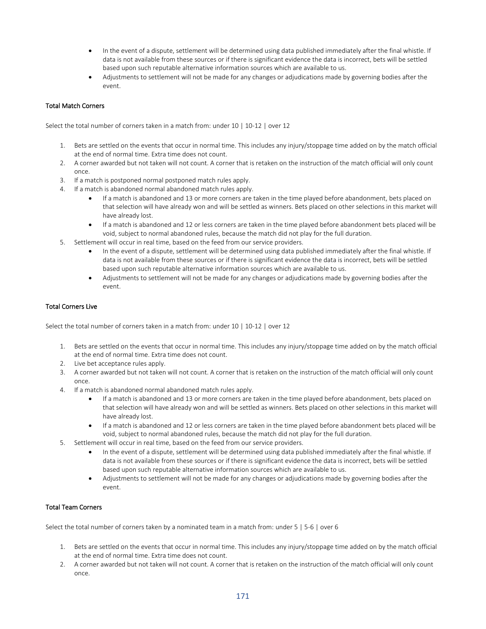- In the event of a dispute, settlement will be determined using data published immediately after the final whistle. If data is not available from these sources or if there is significant evidence the data is incorrect, bets will be settled based upon such reputable alternative information sources which are available to us.
- Adjustments to settlement will not be made for any changes or adjudications made by governing bodies after the event.

## Total Match Corners

Select the total number of corners taken in a match from: under 10 | 10-12 | over 12

- 1. Bets are settled on the events that occur in normal time. This includes any injury/stoppage time added on by the match official at the end of normal time. Extra time does not count.
- 2. A corner awarded but not taken will not count. A corner that is retaken on the instruction of the match official will only count once.
- 3. If a match is postponed normal postponed match rules apply.
- 4. If a match is abandoned normal abandoned match rules apply.
	- If a match is abandoned and 13 or more corners are taken in the time played before abandonment, bets placed on that selection will have already won and will be settled as winners. Bets placed on other selections in this market will have already lost.
	- If a match is abandoned and 12 or less corners are taken in the time played before abandonment bets placed will be void, subject to normal abandoned rules, because the match did not play for the full duration.
- 5. Settlement will occur in real time, based on the feed from our service providers.
	- In the event of a dispute, settlement will be determined using data published immediately after the final whistle. If data is not available from these sources or if there is significant evidence the data is incorrect, bets will be settled based upon such reputable alternative information sources which are available to us.
	- Adjustments to settlement will not be made for any changes or adjudications made by governing bodies after the event.

## Total Corners Live

Select the total number of corners taken in a match from: under 10 | 10-12 | over 12

- 1. Bets are settled on the events that occur in normal time. This includes any injury/stoppage time added on by the match official at the end of normal time. Extra time does not count.
- 2. Live bet acceptance rules apply.
- 3. A corner awarded but not taken will not count. A corner that is retaken on the instruction of the match official will only count once.
- 4. If a match is abandoned normal abandoned match rules apply.
	- If a match is abandoned and 13 or more corners are taken in the time played before abandonment, bets placed on that selection will have already won and will be settled as winners. Bets placed on other selections in this market will have already lost.
	- If a match is abandoned and 12 or less corners are taken in the time played before abandonment bets placed will be void, subject to normal abandoned rules, because the match did not play for the full duration.
- 5. Settlement will occur in real time, based on the feed from our service providers.
	- In the event of a dispute, settlement will be determined using data published immediately after the final whistle. If data is not available from these sources or if there is significant evidence the data is incorrect, bets will be settled based upon such reputable alternative information sources which are available to us.
	- Adjustments to settlement will not be made for any changes or adjudications made by governing bodies after the event.

## Total Team Corners

Select the total number of corners taken by a nominated team in a match from: under 5 | 5-6 | over 6

- 1. Bets are settled on the events that occur in normal time. This includes any injury/stoppage time added on by the match official at the end of normal time. Extra time does not count.
- 2. A corner awarded but not taken will not count. A corner that is retaken on the instruction of the match official will only count once.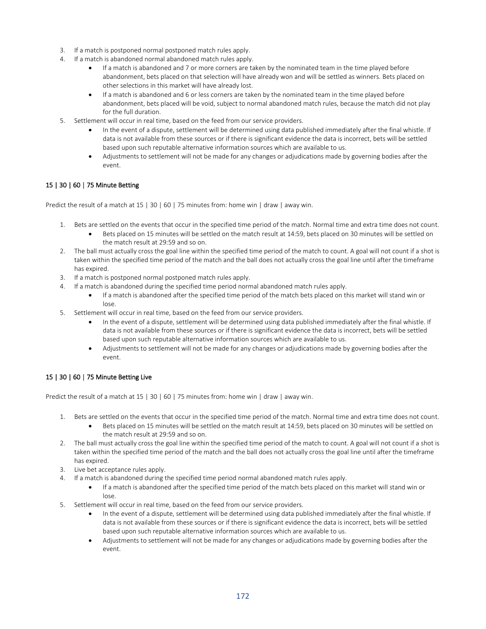- 3. If a match is postponed normal postponed match rules apply.
- 4. If a match is abandoned normal abandoned match rules apply.
	- If a match is abandoned and 7 or more corners are taken by the nominated team in the time played before abandonment, bets placed on that selection will have already won and will be settled as winners. Bets placed on other selections in this market will have already lost.
	- If a match is abandoned and 6 or less corners are taken by the nominated team in the time played before abandonment, bets placed will be void, subject to normal abandoned match rules, because the match did not play for the full duration.
- 5. Settlement will occur in real time, based on the feed from our service providers.
	- In the event of a dispute, settlement will be determined using data published immediately after the final whistle. If data is not available from these sources or if there is significant evidence the data is incorrect, bets will be settled based upon such reputable alternative information sources which are available to us.
	- Adjustments to settlement will not be made for any changes or adjudications made by governing bodies after the event.

## 15 | 30 | 60 | 75 Minute Betting

Predict the result of a match at 15 | 30 | 60 | 75 minutes from: home win | draw | away win.

- 1. Bets are settled on the events that occur in the specified time period of the match. Normal time and extra time does not count.
	- Bets placed on 15 minutes will be settled on the match result at 14:59, bets placed on 30 minutes will be settled on the match result at 29:59 and so on.
- 2. The ball must actually cross the goal line within the specified time period of the match to count. A goal will not count if a shot is taken within the specified time period of the match and the ball does not actually cross the goal line until after the timeframe has expired.
- 3. If a match is postponed normal postponed match rules apply.
- 4. If a match is abandoned during the specified time period normal abandoned match rules apply.
	- If a match is abandoned after the specified time period of the match bets placed on this market will stand win or lose.
- 5. Settlement will occur in real time, based on the feed from our service providers.
	- In the event of a dispute, settlement will be determined using data published immediately after the final whistle. If data is not available from these sources or if there is significant evidence the data is incorrect, bets will be settled based upon such reputable alternative information sources which are available to us.
	- Adjustments to settlement will not be made for any changes or adjudications made by governing bodies after the event.

# 15 | 30 | 60 | 75 Minute Betting Live

Predict the result of a match at 15 | 30 | 60 | 75 minutes from: home win | draw | away win.

- 1. Bets are settled on the events that occur in the specified time period of the match. Normal time and extra time does not count.
	- Bets placed on 15 minutes will be settled on the match result at 14:59, bets placed on 30 minutes will be settled on the match result at 29:59 and so on.
- 2. The ball must actually cross the goal line within the specified time period of the match to count. A goal will not count if a shot is taken within the specified time period of the match and the ball does not actually cross the goal line until after the timeframe has expired.
- 3. Live bet acceptance rules apply.
- 4. If a match is abandoned during the specified time period normal abandoned match rules apply.
	- If a match is abandoned after the specified time period of the match bets placed on this market will stand win or lose.
- 5. Settlement will occur in real time, based on the feed from our service providers.
	- In the event of a dispute, settlement will be determined using data published immediately after the final whistle. If data is not available from these sources or if there is significant evidence the data is incorrect, bets will be settled based upon such reputable alternative information sources which are available to us.
	- Adjustments to settlement will not be made for any changes or adjudications made by governing bodies after the event.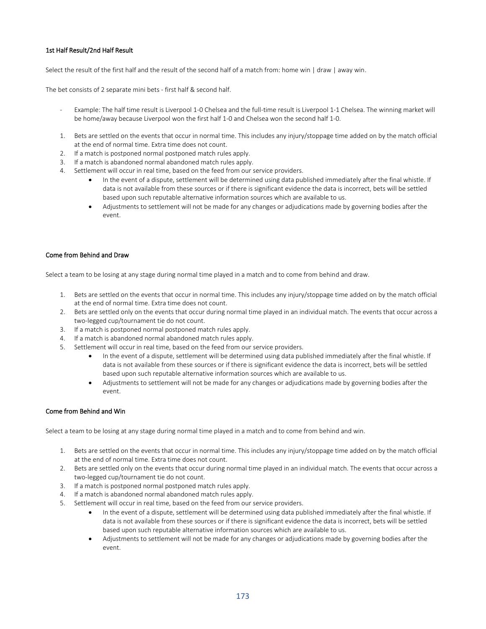## 1st Half Result/2nd Half Result

Select the result of the first half and the result of the second half of a match from: home win | draw | away win.

The bet consists of 2 separate mini bets - first half & second half.

- Example: The half time result is Liverpool 1-0 Chelsea and the full-time result is Liverpool 1-1 Chelsea. The winning market will be home/away because Liverpool won the first half 1-0 and Chelsea won the second half 1-0.
- 1. Bets are settled on the events that occur in normal time. This includes any injury/stoppage time added on by the match official at the end of normal time. Extra time does not count.
- 2. If a match is postponed normal postponed match rules apply.
- 3. If a match is abandoned normal abandoned match rules apply.
- 4. Settlement will occur in real time, based on the feed from our service providers.
	- In the event of a dispute, settlement will be determined using data published immediately after the final whistle. If data is not available from these sources or if there is significant evidence the data is incorrect, bets will be settled based upon such reputable alternative information sources which are available to us.
	- Adjustments to settlement will not be made for any changes or adjudications made by governing bodies after the event.

## Come from Behind and Draw

Select a team to be losing at any stage during normal time played in a match and to come from behind and draw.

- 1. Bets are settled on the events that occur in normal time. This includes any injury/stoppage time added on by the match official at the end of normal time. Extra time does not count.
- 2. Bets are settled only on the events that occur during normal time played in an individual match. The events that occur across a two-legged cup/tournament tie do not count.
- 3. If a match is postponed normal postponed match rules apply.
- 4. If a match is abandoned normal abandoned match rules apply.
- 5. Settlement will occur in real time, based on the feed from our service providers.
	- In the event of a dispute, settlement will be determined using data published immediately after the final whistle. If data is not available from these sources or if there is significant evidence the data is incorrect, bets will be settled based upon such reputable alternative information sources which are available to us.
	- Adjustments to settlement will not be made for any changes or adjudications made by governing bodies after the event.

#### Come from Behind and Win

Select a team to be losing at any stage during normal time played in a match and to come from behind and win.

- 1. Bets are settled on the events that occur in normal time. This includes any injury/stoppage time added on by the match official at the end of normal time. Extra time does not count.
- 2. Bets are settled only on the events that occur during normal time played in an individual match. The events that occur across a two-legged cup/tournament tie do not count.
- 3. If a match is postponed normal postponed match rules apply.
- 4. If a match is abandoned normal abandoned match rules apply.
- 5. Settlement will occur in real time, based on the feed from our service providers.
	- In the event of a dispute, settlement will be determined using data published immediately after the final whistle. If data is not available from these sources or if there is significant evidence the data is incorrect, bets will be settled based upon such reputable alternative information sources which are available to us.
	- Adjustments to settlement will not be made for any changes or adjudications made by governing bodies after the event.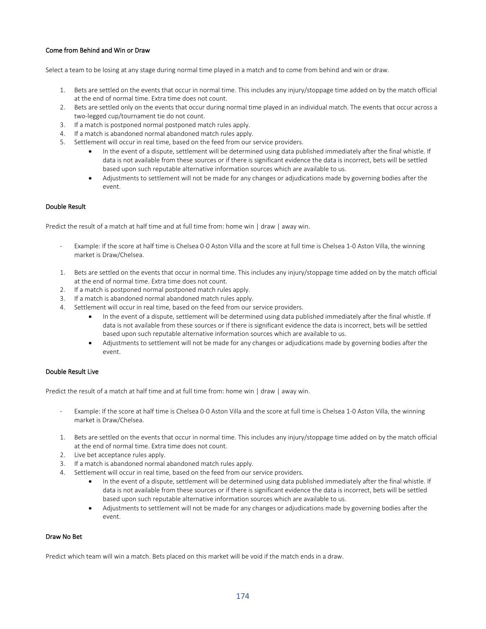## Come from Behind and Win or Draw

Select a team to be losing at any stage during normal time played in a match and to come from behind and win or draw.

- 1. Bets are settled on the events that occur in normal time. This includes any injury/stoppage time added on by the match official at the end of normal time. Extra time does not count.
- 2. Bets are settled only on the events that occur during normal time played in an individual match. The events that occur across a two-legged cup/tournament tie do not count.
- 3. If a match is postponed normal postponed match rules apply.
- 4. If a match is abandoned normal abandoned match rules apply.
- 5. Settlement will occur in real time, based on the feed from our service providers.
	- In the event of a dispute, settlement will be determined using data published immediately after the final whistle. If data is not available from these sources or if there is significant evidence the data is incorrect, bets will be settled based upon such reputable alternative information sources which are available to us.
	- Adjustments to settlement will not be made for any changes or adjudications made by governing bodies after the event.

## Double Result

Predict the result of a match at half time and at full time from: home win | draw | away win.

- Example: If the score at half time is Chelsea 0-0 Aston Villa and the score at full time is Chelsea 1-0 Aston Villa, the winning market is Draw/Chelsea.
- 1. Bets are settled on the events that occur in normal time. This includes any injury/stoppage time added on by the match official at the end of normal time. Extra time does not count.
- 2. If a match is postponed normal postponed match rules apply.
- 3. If a match is abandoned normal abandoned match rules apply.
- 4. Settlement will occur in real time, based on the feed from our service providers.
	- In the event of a dispute, settlement will be determined using data published immediately after the final whistle. If data is not available from these sources or if there is significant evidence the data is incorrect, bets will be settled based upon such reputable alternative information sources which are available to us.
	- Adjustments to settlement will not be made for any changes or adjudications made by governing bodies after the event.

## Double Result Live

Predict the result of a match at half time and at full time from: home win | draw | away win.

- Example: If the score at half time is Chelsea 0-0 Aston Villa and the score at full time is Chelsea 1-0 Aston Villa, the winning market is Draw/Chelsea.
- 1. Bets are settled on the events that occur in normal time. This includes any injury/stoppage time added on by the match official at the end of normal time. Extra time does not count.
- 2. Live bet acceptance rules apply.
- 3. If a match is abandoned normal abandoned match rules apply.
- 4. Settlement will occur in real time, based on the feed from our service providers.
	- In the event of a dispute, settlement will be determined using data published immediately after the final whistle. If data is not available from these sources or if there is significant evidence the data is incorrect, bets will be settled based upon such reputable alternative information sources which are available to us.
	- Adjustments to settlement will not be made for any changes or adjudications made by governing bodies after the event.

## Draw No Bet

Predict which team will win a match. Bets placed on this market will be void if the match ends in a draw.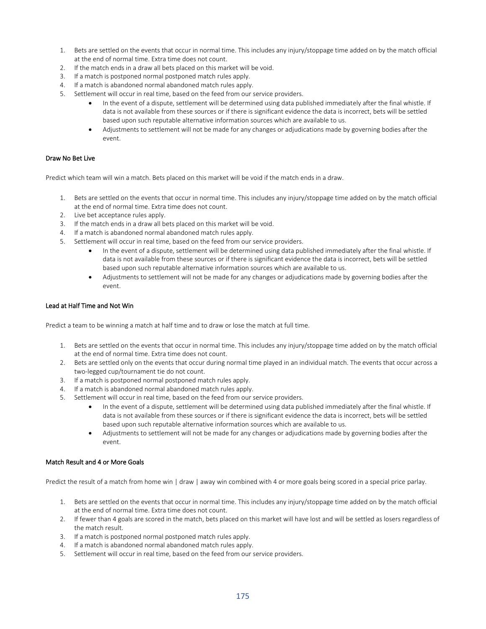- 1. Bets are settled on the events that occur in normal time. This includes any injury/stoppage time added on by the match official at the end of normal time. Extra time does not count.
- 2. If the match ends in a draw all bets placed on this market will be void.
- 3. If a match is postponed normal postponed match rules apply.
- 4. If a match is abandoned normal abandoned match rules apply.
- 5. Settlement will occur in real time, based on the feed from our service providers.
	- In the event of a dispute, settlement will be determined using data published immediately after the final whistle. If data is not available from these sources or if there is significant evidence the data is incorrect, bets will be settled based upon such reputable alternative information sources which are available to us.
	- Adjustments to settlement will not be made for any changes or adjudications made by governing bodies after the event.

## Draw No Bet Live

Predict which team will win a match. Bets placed on this market will be void if the match ends in a draw.

- 1. Bets are settled on the events that occur in normal time. This includes any injury/stoppage time added on by the match official at the end of normal time. Extra time does not count.
- 2. Live bet acceptance rules apply.
- 3. If the match ends in a draw all bets placed on this market will be void.
- 4. If a match is abandoned normal abandoned match rules apply.
- 5. Settlement will occur in real time, based on the feed from our service providers.
	- In the event of a dispute, settlement will be determined using data published immediately after the final whistle. If data is not available from these sources or if there is significant evidence the data is incorrect, bets will be settled based upon such reputable alternative information sources which are available to us.
	- Adjustments to settlement will not be made for any changes or adjudications made by governing bodies after the event.

## Lead at Half Time and Not Win

Predict a team to be winning a match at half time and to draw or lose the match at full time.

- 1. Bets are settled on the events that occur in normal time. This includes any injury/stoppage time added on by the match official at the end of normal time. Extra time does not count.
- 2. Bets are settled only on the events that occur during normal time played in an individual match. The events that occur across a two-legged cup/tournament tie do not count.
- 3. If a match is postponed normal postponed match rules apply.
- 4. If a match is abandoned normal abandoned match rules apply.
- 5. Settlement will occur in real time, based on the feed from our service providers.
	- In the event of a dispute, settlement will be determined using data published immediately after the final whistle. If data is not available from these sources or if there is significant evidence the data is incorrect, bets will be settled based upon such reputable alternative information sources which are available to us.
	- Adjustments to settlement will not be made for any changes or adjudications made by governing bodies after the event.

## Match Result and 4 or More Goals

Predict the result of a match from home win | draw | away win combined with 4 or more goals being scored in a special price parlay.

- 1. Bets are settled on the events that occur in normal time. This includes any injury/stoppage time added on by the match official at the end of normal time. Extra time does not count.
- 2. If fewer than 4 goals are scored in the match, bets placed on this market will have lost and will be settled as losers regardless of the match result.
- 3. If a match is postponed normal postponed match rules apply.
- 4. If a match is abandoned normal abandoned match rules apply.
- 5. Settlement will occur in real time, based on the feed from our service providers.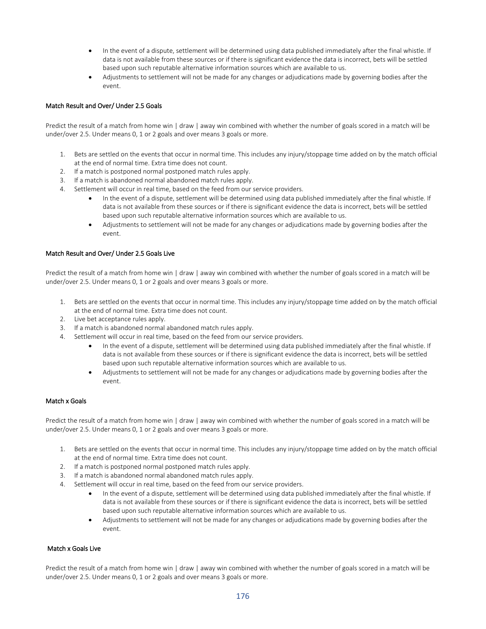- In the event of a dispute, settlement will be determined using data published immediately after the final whistle. If data is not available from these sources or if there is significant evidence the data is incorrect, bets will be settled based upon such reputable alternative information sources which are available to us.
- Adjustments to settlement will not be made for any changes or adjudications made by governing bodies after the event.

## Match Result and Over/ Under 2.5 Goals

Predict the result of a match from home win | draw | away win combined with whether the number of goals scored in a match will be under/over 2.5. Under means 0, 1 or 2 goals and over means 3 goals or more.

- 1. Bets are settled on the events that occur in normal time. This includes any injury/stoppage time added on by the match official at the end of normal time. Extra time does not count.
- 2. If a match is postponed normal postponed match rules apply.
- 3. If a match is abandoned normal abandoned match rules apply.
- 4. Settlement will occur in real time, based on the feed from our service providers.
	- In the event of a dispute, settlement will be determined using data published immediately after the final whistle. If data is not available from these sources or if there is significant evidence the data is incorrect, bets will be settled based upon such reputable alternative information sources which are available to us.
	- Adjustments to settlement will not be made for any changes or adjudications made by governing bodies after the event.

## Match Result and Over/ Under 2.5 Goals Live

Predict the result of a match from home win | draw | away win combined with whether the number of goals scored in a match will be under/over 2.5. Under means 0, 1 or 2 goals and over means 3 goals or more.

- 1. Bets are settled on the events that occur in normal time. This includes any injury/stoppage time added on by the match official at the end of normal time. Extra time does not count.
- 2. Live bet acceptance rules apply.
- 3. If a match is abandoned normal abandoned match rules apply.
- 4. Settlement will occur in real time, based on the feed from our service providers.
	- In the event of a dispute, settlement will be determined using data published immediately after the final whistle. If data is not available from these sources or if there is significant evidence the data is incorrect, bets will be settled based upon such reputable alternative information sources which are available to us.
	- Adjustments to settlement will not be made for any changes or adjudications made by governing bodies after the event.

## Match x Goals

Predict the result of a match from home win | draw | away win combined with whether the number of goals scored in a match will be under/over 2.5. Under means 0, 1 or 2 goals and over means 3 goals or more.

- 1. Bets are settled on the events that occur in normal time. This includes any injury/stoppage time added on by the match official at the end of normal time. Extra time does not count.
- 2. If a match is postponed normal postponed match rules apply.
- 3. If a match is abandoned normal abandoned match rules apply.
- 4. Settlement will occur in real time, based on the feed from our service providers.
	- In the event of a dispute, settlement will be determined using data published immediately after the final whistle. If data is not available from these sources or if there is significant evidence the data is incorrect, bets will be settled based upon such reputable alternative information sources which are available to us.
	- Adjustments to settlement will not be made for any changes or adjudications made by governing bodies after the event.

## Match x Goals Live

Predict the result of a match from home win | draw | away win combined with whether the number of goals scored in a match will be under/over 2.5. Under means 0, 1 or 2 goals and over means 3 goals or more.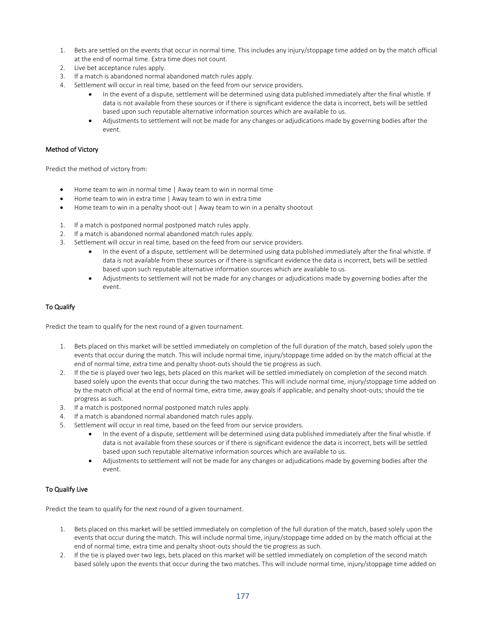- 1. Bets are settled on the events that occur in normal time. This includes any injury/stoppage time added on by the match official at the end of normal time. Extra time does not count.
- 2. Live bet acceptance rules apply.
- 3. If a match is abandoned normal abandoned match rules apply.
- 4. Settlement will occur in real time, based on the feed from our service providers.
	- In the event of a dispute, settlement will be determined using data published immediately after the final whistle. If data is not available from these sources or if there is significant evidence the data is incorrect, bets will be settled based upon such reputable alternative information sources which are available to us.
	- Adjustments to settlement will not be made for any changes or adjudications made by governing bodies after the event.

### Method of Victory

Predict the method of victory from:

- Home team to win in normal time | Away team to win in normal time
- Home team to win in extra time | Away team to win in extra time
- Home team to win in a penalty shoot-out | Away team to win in a penalty shootout
- 1. If a match is postponed normal postponed match rules apply.
- 2. If a match is abandoned normal abandoned match rules apply.
- 3. Settlement will occur in real time, based on the feed from our service providers.
	- In the event of a dispute, settlement will be determined using data published immediately after the final whistle. If data is not available from these sources or if there is significant evidence the data is incorrect, bets will be settled based upon such reputable alternative information sources which are available to us.
	- Adjustments to settlement will not be made for any changes or adjudications made by governing bodies after the event.

## To Qualify

Predict the team to qualify for the next round of a given tournament.

- 1. Bets placed on this market will be settled immediately on completion of the full duration of the match, based solely upon the events that occur during the match. This will include normal time, injury/stoppage time added on by the match official at the end of normal time, extra time and penalty shoot-outs should the tie progress as such.
- 2. If the tie is played over two legs, bets placed on this market will be settled immediately on completion of the second match based solely upon the events that occur during the two matches. This will include normal time, injury/stoppage time added on by the match official at the end of normal time, extra time, away goals if applicable, and penalty shoot-outs; should the tie progress as such.
- 3. If a match is postponed normal postponed match rules apply.
- 4. If a match is abandoned normal abandoned match rules apply.
- 5. Settlement will occur in real time, based on the feed from our service providers.
	- In the event of a dispute, settlement will be determined using data published immediately after the final whistle. If data is not available from these sources or if there is significant evidence the data is incorrect, bets will be settled based upon such reputable alternative information sources which are available to us.
	- Adjustments to settlement will not be made for any changes or adjudications made by governing bodies after the event.

## To Qualify Live

Predict the team to qualify for the next round of a given tournament.

- 1. Bets placed on this market will be settled immediately on completion of the full duration of the match, based solely upon the events that occur during the match. This will include normal time, injury/stoppage time added on by the match official at the end of normal time, extra time and penalty shoot-outs should the tie progress as such.
- 2. If the tie is played over two legs, bets placed on this market will be settled immediately on completion of the second match based solely upon the events that occur during the two matches. This will include normal time, injury/stoppage time added on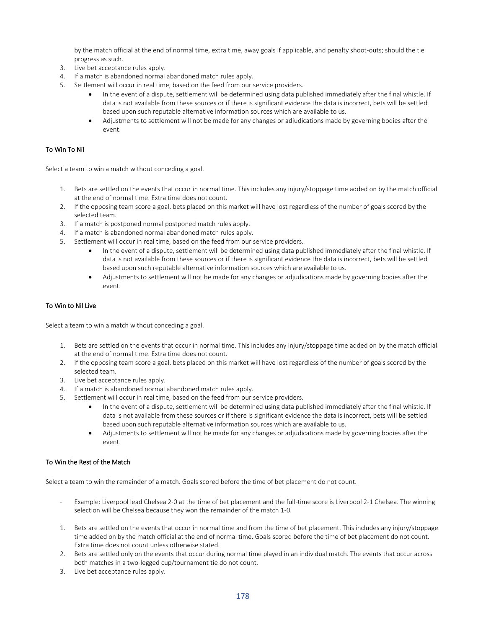by the match official at the end of normal time, extra time, away goals if applicable, and penalty shoot-outs; should the tie progress as such.

- 3. Live bet acceptance rules apply.
- 4. If a match is abandoned normal abandoned match rules apply.
- 5. Settlement will occur in real time, based on the feed from our service providers.
	- In the event of a dispute, settlement will be determined using data published immediately after the final whistle. If data is not available from these sources or if there is significant evidence the data is incorrect, bets will be settled based upon such reputable alternative information sources which are available to us.
	- Adjustments to settlement will not be made for any changes or adjudications made by governing bodies after the event.

## To Win To Nil

Select a team to win a match without conceding a goal.

- 1. Bets are settled on the events that occur in normal time. This includes any injury/stoppage time added on by the match official at the end of normal time. Extra time does not count.
- 2. If the opposing team score a goal, bets placed on this market will have lost regardless of the number of goals scored by the selected team.
- 3. If a match is postponed normal postponed match rules apply.
- 4. If a match is abandoned normal abandoned match rules apply.
- 5. Settlement will occur in real time, based on the feed from our service providers.
	- In the event of a dispute, settlement will be determined using data published immediately after the final whistle. If data is not available from these sources or if there is significant evidence the data is incorrect, bets will be settled based upon such reputable alternative information sources which are available to us.
	- Adjustments to settlement will not be made for any changes or adjudications made by governing bodies after the event.

## To Win to Nil Live

Select a team to win a match without conceding a goal.

- 1. Bets are settled on the events that occur in normal time. This includes any injury/stoppage time added on by the match official at the end of normal time. Extra time does not count.
- 2. If the opposing team score a goal, bets placed on this market will have lost regardless of the number of goals scored by the selected team.
- 3. Live bet acceptance rules apply.
- 4. If a match is abandoned normal abandoned match rules apply.
- 5. Settlement will occur in real time, based on the feed from our service providers.
	- In the event of a dispute, settlement will be determined using data published immediately after the final whistle. If data is not available from these sources or if there is significant evidence the data is incorrect, bets will be settled based upon such reputable alternative information sources which are available to us.
	- Adjustments to settlement will not be made for any changes or adjudications made by governing bodies after the event.

## To Win the Rest of the Match

Select a team to win the remainder of a match. Goals scored before the time of bet placement do not count.

- Example: Liverpool lead Chelsea 2-0 at the time of bet placement and the full-time score is Liverpool 2-1 Chelsea. The winning selection will be Chelsea because they won the remainder of the match 1-0.
- 1. Bets are settled on the events that occur in normal time and from the time of bet placement. This includes any injury/stoppage time added on by the match official at the end of normal time. Goals scored before the time of bet placement do not count. Extra time does not count unless otherwise stated.
- 2. Bets are settled only on the events that occur during normal time played in an individual match. The events that occur across both matches in a two-legged cup/tournament tie do not count.
- 3. Live bet acceptance rules apply.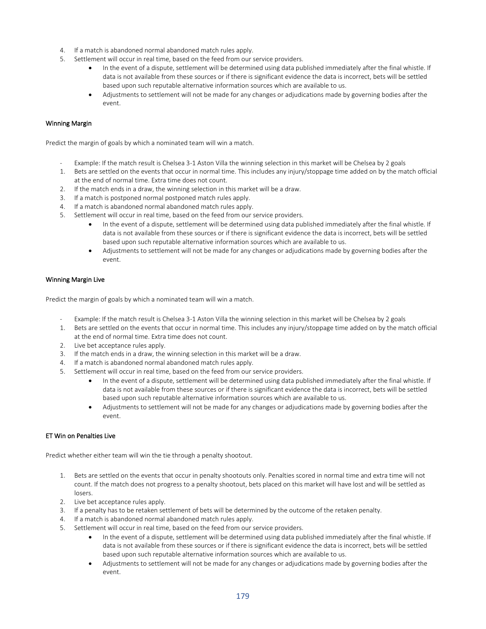- 4. If a match is abandoned normal abandoned match rules apply.
- 5. Settlement will occur in real time, based on the feed from our service providers.
	- In the event of a dispute, settlement will be determined using data published immediately after the final whistle. If data is not available from these sources or if there is significant evidence the data is incorrect, bets will be settled based upon such reputable alternative information sources which are available to us.
	- Adjustments to settlement will not be made for any changes or adjudications made by governing bodies after the event.

## Winning Margin

Predict the margin of goals by which a nominated team will win a match.

- Example: If the match result is Chelsea 3-1 Aston Villa the winning selection in this market will be Chelsea by 2 goals
- 1. Bets are settled on the events that occur in normal time. This includes any injury/stoppage time added on by the match official at the end of normal time. Extra time does not count.
- 2. If the match ends in a draw, the winning selection in this market will be a draw.
- 3. If a match is postponed normal postponed match rules apply.
- 4. If a match is abandoned normal abandoned match rules apply.
- 5. Settlement will occur in real time, based on the feed from our service providers.
	- In the event of a dispute, settlement will be determined using data published immediately after the final whistle. If data is not available from these sources or if there is significant evidence the data is incorrect, bets will be settled based upon such reputable alternative information sources which are available to us.
	- Adjustments to settlement will not be made for any changes or adjudications made by governing bodies after the event.

### Winning Margin Live

Predict the margin of goals by which a nominated team will win a match.

- Example: If the match result is Chelsea 3-1 Aston Villa the winning selection in this market will be Chelsea by 2 goals
- 1. Bets are settled on the events that occur in normal time. This includes any injury/stoppage time added on by the match official at the end of normal time. Extra time does not count.
- 2. Live bet acceptance rules apply.
- 3. If the match ends in a draw, the winning selection in this market will be a draw.
- 4. If a match is abandoned normal abandoned match rules apply.
- 5. Settlement will occur in real time, based on the feed from our service providers.
	- In the event of a dispute, settlement will be determined using data published immediately after the final whistle. If data is not available from these sources or if there is significant evidence the data is incorrect, bets will be settled based upon such reputable alternative information sources which are available to us.
	- Adjustments to settlement will not be made for any changes or adjudications made by governing bodies after the event.

## ET Win on Penalties Live

Predict whether either team will win the tie through a penalty shootout.

- 1. Bets are settled on the events that occur in penalty shootouts only. Penalties scored in normal time and extra time will not count. If the match does not progress to a penalty shootout, bets placed on this market will have lost and will be settled as losers.
- 2. Live bet acceptance rules apply.
- 3. If a penalty has to be retaken settlement of bets will be determined by the outcome of the retaken penalty.
- 4. If a match is abandoned normal abandoned match rules apply.
- 5. Settlement will occur in real time, based on the feed from our service providers.
	- In the event of a dispute, settlement will be determined using data published immediately after the final whistle. If data is not available from these sources or if there is significant evidence the data is incorrect, bets will be settled based upon such reputable alternative information sources which are available to us.
	- Adjustments to settlement will not be made for any changes or adjudications made by governing bodies after the event.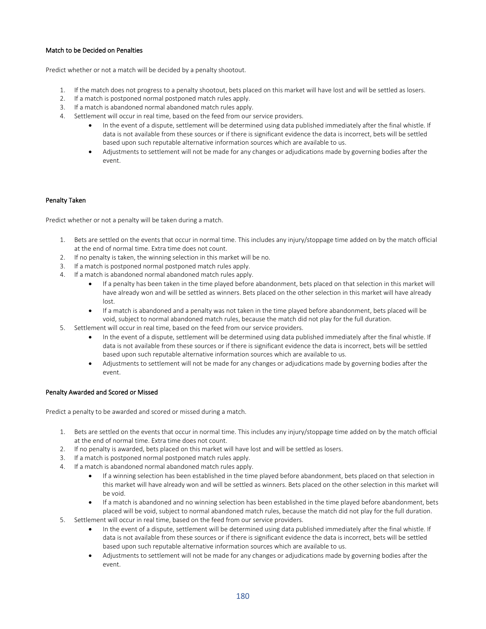## Match to be Decided on Penalties

Predict whether or not a match will be decided by a penalty shootout.

- 1. If the match does not progress to a penalty shootout, bets placed on this market will have lost and will be settled as losers.
- 2. If a match is postponed normal postponed match rules apply.
- 3. If a match is abandoned normal abandoned match rules apply.
- 4. Settlement will occur in real time, based on the feed from our service providers.
	- In the event of a dispute, settlement will be determined using data published immediately after the final whistle. If data is not available from these sources or if there is significant evidence the data is incorrect, bets will be settled based upon such reputable alternative information sources which are available to us.
	- Adjustments to settlement will not be made for any changes or adjudications made by governing bodies after the event.

#### Penalty Taken

Predict whether or not a penalty will be taken during a match.

- 1. Bets are settled on the events that occur in normal time. This includes any injury/stoppage time added on by the match official at the end of normal time. Extra time does not count.
- 2. If no penalty is taken, the winning selection in this market will be no.
- 3. If a match is postponed normal postponed match rules apply.
- 4. If a match is abandoned normal abandoned match rules apply.
	- If a penalty has been taken in the time played before abandonment, bets placed on that selection in this market will have already won and will be settled as winners. Bets placed on the other selection in this market will have already lost.
	- If a match is abandoned and a penalty was not taken in the time played before abandonment, bets placed will be void, subject to normal abandoned match rules, because the match did not play for the full duration.
- 5. Settlement will occur in real time, based on the feed from our service providers.
	- In the event of a dispute, settlement will be determined using data published immediately after the final whistle. If data is not available from these sources or if there is significant evidence the data is incorrect, bets will be settled based upon such reputable alternative information sources which are available to us.
	- Adjustments to settlement will not be made for any changes or adjudications made by governing bodies after the event.

#### Penalty Awarded and Scored or Missed

Predict a penalty to be awarded and scored or missed during a match.

- 1. Bets are settled on the events that occur in normal time. This includes any injury/stoppage time added on by the match official at the end of normal time. Extra time does not count.
- 2. If no penalty is awarded, bets placed on this market will have lost and will be settled as losers.
- 3. If a match is postponed normal postponed match rules apply.
- 4. If a match is abandoned normal abandoned match rules apply.
	- If a winning selection has been established in the time played before abandonment, bets placed on that selection in this market will have already won and will be settled as winners. Bets placed on the other selection in this market will be void.
	- If a match is abandoned and no winning selection has been established in the time played before abandonment, bets placed will be void, subject to normal abandoned match rules, because the match did not play for the full duration.
- 5. Settlement will occur in real time, based on the feed from our service providers.
	- In the event of a dispute, settlement will be determined using data published immediately after the final whistle. If data is not available from these sources or if there is significant evidence the data is incorrect, bets will be settled based upon such reputable alternative information sources which are available to us.
	- Adjustments to settlement will not be made for any changes or adjudications made by governing bodies after the event.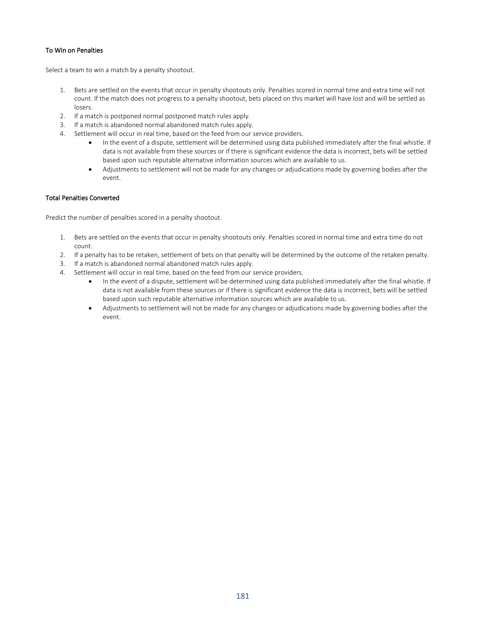#### To Win on Penalties

Select a team to win a match by a penalty shootout.

- 1. Bets are settled on the events that occur in penalty shootouts only. Penalties scored in normal time and extra time will not count. If the match does not progress to a penalty shootout, bets placed on this market will have lost and will be settled as losers.
- 2. If a match is postponed normal postponed match rules apply.
- 3. If a match is abandoned normal abandoned match rules apply.
- 4. Settlement will occur in real time, based on the feed from our service providers.
	- In the event of a dispute, settlement will be determined using data published immediately after the final whistle. If data is not available from these sources or if there is significant evidence the data is incorrect, bets will be settled based upon such reputable alternative information sources which are available to us.
	- Adjustments to settlement will not be made for any changes or adjudications made by governing bodies after the event.

## Total Penalties Converted

Predict the number of penalties scored in a penalty shootout.

- 1. Bets are settled on the events that occur in penalty shootouts only. Penalties scored in normal time and extra time do not count.
- 2. If a penalty has to be retaken, settlement of bets on that penalty will be determined by the outcome of the retaken penalty.
- 3. If a match is abandoned normal abandoned match rules apply.
- 4. Settlement will occur in real time, based on the feed from our service providers.
	- In the event of a dispute, settlement will be determined using data published immediately after the final whistle. If data is not available from these sources or if there is significant evidence the data is incorrect, bets will be settled based upon such reputable alternative information sources which are available to us.
	- Adjustments to settlement will not be made for any changes or adjudications made by governing bodies after the event.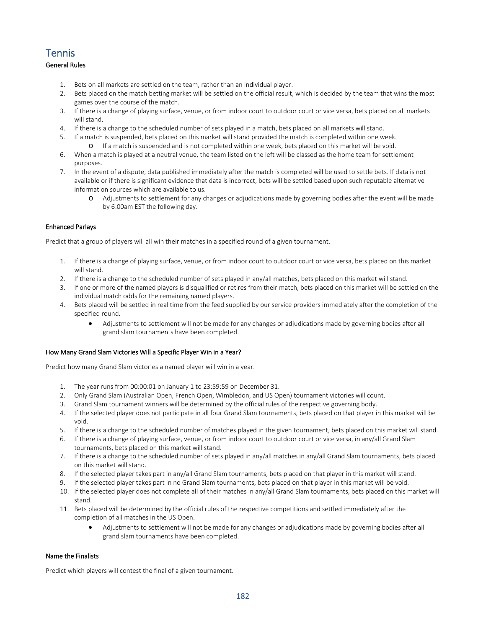# **Tennis**

# General Rules

- 1. Bets on all markets are settled on the team, rather than an individual player.
- 2. Bets placed on the match betting market will be settled on the official result, which is decided by the team that wins the most games over the course of the match.
- 3. If there is a change of playing surface, venue, or from indoor court to outdoor court or vice versa, bets placed on all markets will stand.
- 4. If there is a change to the scheduled number of sets played in a match, bets placed on all markets will stand.
- 5. If a match is suspended, bets placed on this market will stand provided the match is completed within one week. o If a match is suspended and is not completed within one week, bets placed on this market will be void.
- 6. When a match is played at a neutral venue, the team listed on the left will be classed as the home team for settlement purposes.
- 7. In the event of a dispute, data published immediately after the match is completed will be used to settle bets. If data is not available or if there is significant evidence that data is incorrect, bets will be settled based upon such reputable alternative information sources which are available to us.
	- o Adjustments to settlement for any changes or adjudications made by governing bodies after the event will be made by 6:00am EST the following day.

#### Enhanced Parlays

Predict that a group of players will all win their matches in a specified round of a given tournament.

- 1. If there is a change of playing surface, venue, or from indoor court to outdoor court or vice versa, bets placed on this market will stand.
- 2. If there is a change to the scheduled number of sets played in any/all matches, bets placed on this market will stand.
- 3. If one or more of the named players is disqualified or retires from their match, bets placed on this market will be settled on the individual match odds for the remaining named players.
- 4. Bets placed will be settled in real time from the feed supplied by our service providers immediately after the completion of the specified round.
	- Adjustments to settlement will not be made for any changes or adjudications made by governing bodies after all grand slam tournaments have been completed.

#### How Many Grand Slam Victories Will a Specific Player Win in a Year?

Predict how many Grand Slam victories a named player will win in a year.

- 1. The year runs from 00:00:01 on January 1 to 23:59:59 on December 31.
- 2. Only Grand Slam (Australian Open, French Open, Wimbledon, and US Open) tournament victories will count.
- 3. Grand Slam tournament winners will be determined by the official rules of the respective governing body.
- 4. If the selected player does not participate in all four Grand Slam tournaments, bets placed on that player in this market will be void.
- 5. If there is a change to the scheduled number of matches played in the given tournament, bets placed on this market will stand.
- 6. If there is a change of playing surface, venue, or from indoor court to outdoor court or vice versa, in any/all Grand Slam tournaments, bets placed on this market will stand.
- 7. If there is a change to the scheduled number of sets played in any/all matches in any/all Grand Slam tournaments, bets placed on this market will stand.
- 8. If the selected player takes part in any/all Grand Slam tournaments, bets placed on that player in this market will stand.
- 9. If the selected player takes part in no Grand Slam tournaments, bets placed on that player in this market will be void.
- 10. If the selected player does not complete all of their matches in any/all Grand Slam tournaments, bets placed on this market will stand.
- 11. Bets placed will be determined by the official rules of the respective competitions and settled immediately after the completion of all matches in the US Open.
	- Adjustments to settlement will not be made for any changes or adjudications made by governing bodies after all grand slam tournaments have been completed.

#### Name the Finalists

Predict which players will contest the final of a given tournament.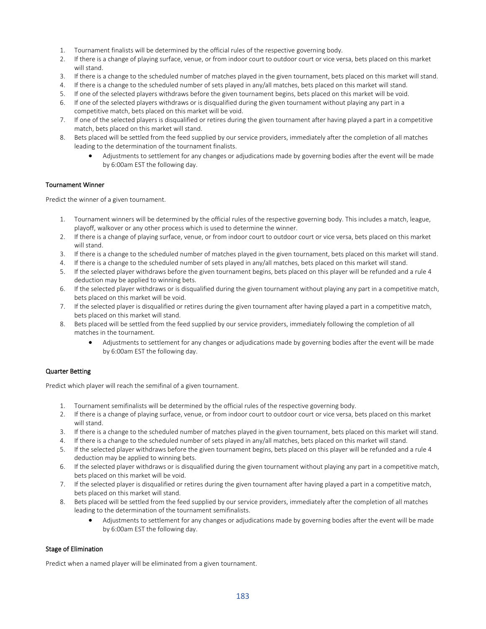- 1. Tournament finalists will be determined by the official rules of the respective governing body.
- 2. If there is a change of playing surface, venue, or from indoor court to outdoor court or vice versa, bets placed on this market will stand.
- 3. If there is a change to the scheduled number of matches played in the given tournament, bets placed on this market will stand.
- 4. If there is a change to the scheduled number of sets played in any/all matches, bets placed on this market will stand.
- 5. If one of the selected players withdraws before the given tournament begins, bets placed on this market will be void.
- 6. If one of the selected players withdraws or is disqualified during the given tournament without playing any part in a competitive match, bets placed on this market will be void.
- 7. If one of the selected players is disqualified or retires during the given tournament after having played a part in a competitive match, bets placed on this market will stand.
- 8. Bets placed will be settled from the feed supplied by our service providers, immediately after the completion of all matches leading to the determination of the tournament finalists.
	- Adjustments to settlement for any changes or adjudications made by governing bodies after the event will be made by 6:00am EST the following day.

#### Tournament Winner

Predict the winner of a given tournament.

- 1. Tournament winners will be determined by the official rules of the respective governing body. This includes a match, league, playoff, walkover or any other process which is used to determine the winner.
- 2. If there is a change of playing surface, venue, or from indoor court to outdoor court or vice versa, bets placed on this market will stand.
- 3. If there is a change to the scheduled number of matches played in the given tournament, bets placed on this market will stand.
- 4. If there is a change to the scheduled number of sets played in any/all matches, bets placed on this market will stand.
- 5. If the selected player withdraws before the given tournament begins, bets placed on this player will be refunded and a rule 4 deduction may be applied to winning bets.
- 6. If the selected player withdraws or is disqualified during the given tournament without playing any part in a competitive match, bets placed on this market will be void.
- 7. If the selected player is disqualified or retires during the given tournament after having played a part in a competitive match, bets placed on this market will stand.
- 8. Bets placed will be settled from the feed supplied by our service providers, immediately following the completion of all matches in the tournament.
	- Adjustments to settlement for any changes or adjudications made by governing bodies after the event will be made by 6:00am EST the following day.

#### Quarter Betting

Predict which player will reach the semifinal of a given tournament.

- 1. Tournament semifinalists will be determined by the official rules of the respective governing body.
- 2. If there is a change of playing surface, venue, or from indoor court to outdoor court or vice versa, bets placed on this market will stand.
- 3. If there is a change to the scheduled number of matches played in the given tournament, bets placed on this market will stand.
- 4. If there is a change to the scheduled number of sets played in any/all matches, bets placed on this market will stand.
- 5. If the selected player withdraws before the given tournament begins, bets placed on this player will be refunded and a rule 4 deduction may be applied to winning bets.
- 6. If the selected player withdraws or is disqualified during the given tournament without playing any part in a competitive match, bets placed on this market will be void.
- 7. If the selected player is disqualified or retires during the given tournament after having played a part in a competitive match, bets placed on this market will stand.
- 8. Bets placed will be settled from the feed supplied by our service providers, immediately after the completion of all matches leading to the determination of the tournament semifinalists.
	- Adjustments to settlement for any changes or adjudications made by governing bodies after the event will be made by 6:00am EST the following day.

#### Stage of Elimination

Predict when a named player will be eliminated from a given tournament.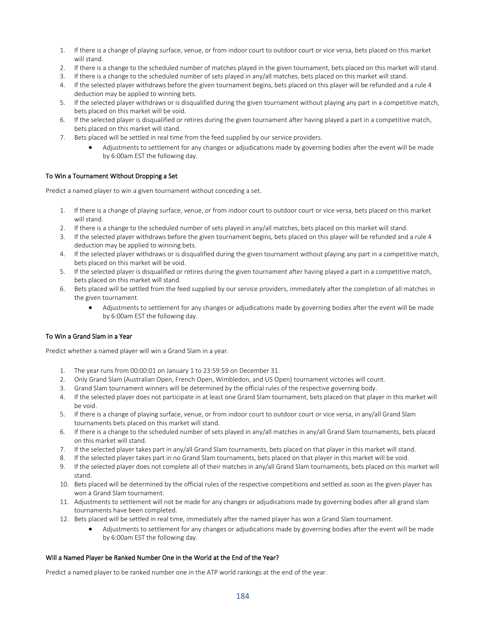- 1. If there is a change of playing surface, venue, or from indoor court to outdoor court or vice versa, bets placed on this market will stand.
- 2. If there is a change to the scheduled number of matches played in the given tournament, bets placed on this market will stand.
- 3. If there is a change to the scheduled number of sets played in any/all matches, bets placed on this market will stand.
- 4. If the selected player withdraws before the given tournament begins, bets placed on this player will be refunded and a rule 4 deduction may be applied to winning bets.
- 5. If the selected player withdraws or is disqualified during the given tournament without playing any part in a competitive match, bets placed on this market will be void.
- 6. If the selected player is disqualified or retires during the given tournament after having played a part in a competitive match, bets placed on this market will stand.
- 7. Bets placed will be settled in real time from the feed supplied by our service providers.
	- Adjustments to settlement for any changes or adjudications made by governing bodies after the event will be made by 6:00am EST the following day.

#### To Win a Tournament Without Dropping a Set

Predict a named player to win a given tournament without conceding a set.

- 1. If there is a change of playing surface, venue, or from indoor court to outdoor court or vice versa, bets placed on this market will stand.
- 2. If there is a change to the scheduled number of sets played in any/all matches, bets placed on this market will stand.
- 3. If the selected player withdraws before the given tournament begins, bets placed on this player will be refunded and a rule 4 deduction may be applied to winning bets.
- 4. If the selected player withdraws or is disqualified during the given tournament without playing any part in a competitive match, bets placed on this market will be void.
- 5. If the selected player is disqualified or retires during the given tournament after having played a part in a competitive match, bets placed on this market will stand.
- 6. Bets placed will be settled from the feed supplied by our service providers, immediately after the completion of all matches in the given tournament.
	- Adjustments to settlement for any changes or adjudications made by governing bodies after the event will be made by 6:00am EST the following day.

## To Win a Grand Slam in a Year

Predict whether a named player will win a Grand Slam in a year.

- 1. The year runs from 00:00:01 on January 1 to 23:59:59 on December 31.
- 2. Only Grand Slam (Australian Open, French Open, Wimbledon, and US Open) tournament victories will count.
- 3. Grand Slam tournament winners will be determined by the official rules of the respective governing body.
- 4. If the selected player does not participate in at least one Grand Slam tournament, bets placed on that player in this market will be void.
- 5. If there is a change of playing surface, venue, or from indoor court to outdoor court or vice versa, in any/all Grand Slam tournaments bets placed on this market will stand.
- 6. If there is a change to the scheduled number of sets played in any/all matches in any/all Grand Slam tournaments, bets placed on this market will stand.
- 7. If the selected player takes part in any/all Grand Slam tournaments, bets placed on that player in this market will stand.
- 8. If the selected player takes part in no Grand Slam tournaments, bets placed on that player in this market will be void.
- 9. If the selected player does not complete all of their matches in any/all Grand Slam tournaments, bets placed on this market will stand.
- 10. Bets placed will be determined by the official rules of the respective competitions and settled as soon as the given player has won a Grand Slam tournament.
- 11. Adjustments to settlement will not be made for any changes or adjudications made by governing bodies after all grand slam tournaments have been completed.
- 12. Bets placed will be settled in real time, immediately after the named player has won a Grand Slam tournament.
	- Adjustments to settlement for any changes or adjudications made by governing bodies after the event will be made by 6:00am EST the following day.

#### Will a Named Player be Ranked Number One in the World at the End of the Year?

Predict a named player to be ranked number one in the ATP world rankings at the end of the year.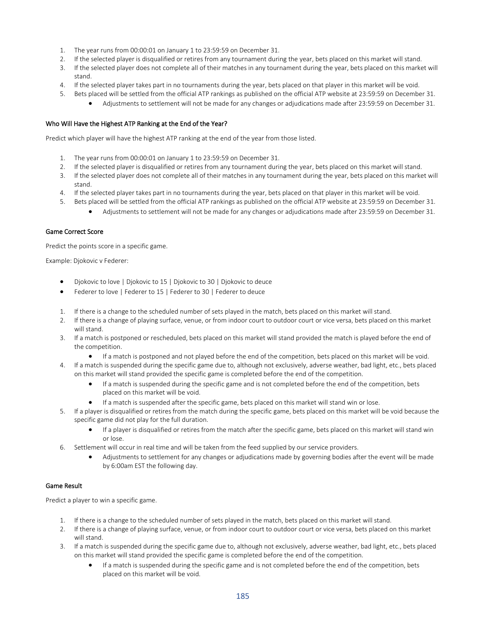- 1. The year runs from 00:00:01 on January 1 to 23:59:59 on December 31.
- 2. If the selected player is disqualified or retires from any tournament during the year, bets placed on this market will stand.
- 3. If the selected player does not complete all of their matches in any tournament during the year, bets placed on this market will stand.
- 4. If the selected player takes part in no tournaments during the year, bets placed on that player in this market will be void.
- 5. Bets placed will be settled from the official ATP rankings as published on the official ATP website at 23:59:59 on December 31.
	- Adjustments to settlement will not be made for any changes or adjudications made after 23:59:59 on December 31.

## Who Will Have the Highest ATP Ranking at the End of the Year?

Predict which player will have the highest ATP ranking at the end of the year from those listed.

- 1. The year runs from 00:00:01 on January 1 to 23:59:59 on December 31.
- 2. If the selected player is disqualified or retires from any tournament during the year, bets placed on this market will stand.
- 3. If the selected player does not complete all of their matches in any tournament during the year, bets placed on this market will stand.
- 4. If the selected player takes part in no tournaments during the year, bets placed on that player in this market will be void.
- 5. Bets placed will be settled from the official ATP rankings as published on the official ATP website at 23:59:59 on December 31.
	- Adjustments to settlement will not be made for any changes or adjudications made after 23:59:59 on December 31.

## Game Correct Score

Predict the points score in a specific game.

Example: Djokovic v Federer:

- Djokovic to love | Djokovic to 15 | Djokovic to 30 | Djokovic to deuce
- Federer to love | Federer to 15 | Federer to 30 | Federer to deuce
- 1. If there is a change to the scheduled number of sets played in the match, bets placed on this market will stand.
- 2. If there is a change of playing surface, venue, or from indoor court to outdoor court or vice versa, bets placed on this market will stand.
- 3. If a match is postponed or rescheduled, bets placed on this market will stand provided the match is played before the end of the competition.
	- If a match is postponed and not played before the end of the competition, bets placed on this market will be void.
- 4. If a match is suspended during the specific game due to, although not exclusively, adverse weather, bad light, etc., bets placed on this market will stand provided the specific game is completed before the end of the competition.
	- If a match is suspended during the specific game and is not completed before the end of the competition, bets placed on this market will be void.
	- If a match is suspended after the specific game, bets placed on this market will stand win or lose.
- 5. If a player is disqualified or retires from the match during the specific game, bets placed on this market will be void because the specific game did not play for the full duration.
	- If a player is disqualified or retires from the match after the specific game, bets placed on this market will stand win or lose.
- 6. Settlement will occur in real time and will be taken from the feed supplied by our service providers.
	- Adjustments to settlement for any changes or adjudications made by governing bodies after the event will be made by 6:00am EST the following day.

#### Game Result

Predict a player to win a specific game.

- 1. If there is a change to the scheduled number of sets played in the match, bets placed on this market will stand.
- 2. If there is a change of playing surface, venue, or from indoor court to outdoor court or vice versa, bets placed on this market will stand.
- 3. If a match is suspended during the specific game due to, although not exclusively, adverse weather, bad light, etc., bets placed on this market will stand provided the specific game is completed before the end of the competition.
	- If a match is suspended during the specific game and is not completed before the end of the competition, bets placed on this market will be void.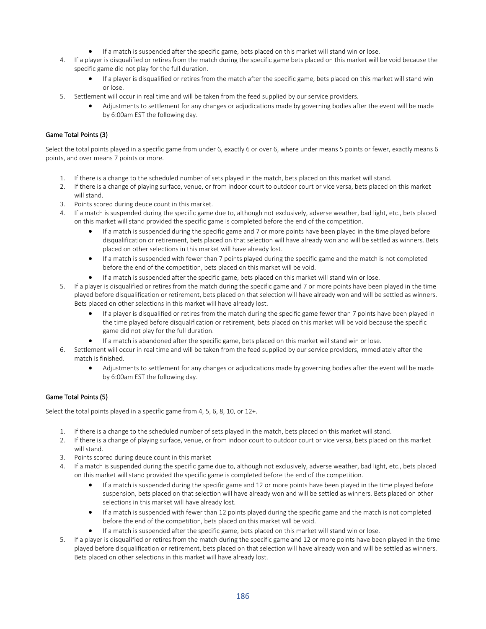- If a match is suspended after the specific game, bets placed on this market will stand win or lose.
- 4. If a player is disqualified or retires from the match during the specific game bets placed on this market will be void because the specific game did not play for the full duration.
	- If a player is disqualified or retires from the match after the specific game, bets placed on this market will stand win or lose.
- 5. Settlement will occur in real time and will be taken from the feed supplied by our service providers.
	- Adjustments to settlement for any changes or adjudications made by governing bodies after the event will be made by 6:00am EST the following day.

# Game Total Points (3)

Select the total points played in a specific game from under 6, exactly 6 or over 6, where under means 5 points or fewer, exactly means 6 points, and over means 7 points or more.

- 1. If there is a change to the scheduled number of sets played in the match, bets placed on this market will stand.
- 2. If there is a change of playing surface, venue, or from indoor court to outdoor court or vice versa, bets placed on this market will stand.
- 3. Points scored during deuce count in this market.
- 4. If a match is suspended during the specific game due to, although not exclusively, adverse weather, bad light, etc., bets placed on this market will stand provided the specific game is completed before the end of the competition.
	- If a match is suspended during the specific game and 7 or more points have been played in the time played before disqualification or retirement, bets placed on that selection will have already won and will be settled as winners. Bets placed on other selections in this market will have already lost.
	- If a match is suspended with fewer than 7 points played during the specific game and the match is not completed before the end of the competition, bets placed on this market will be void.
	- If a match is suspended after the specific game, bets placed on this market will stand win or lose.
- 5. If a player is disqualified or retires from the match during the specific game and 7 or more points have been played in the time played before disqualification or retirement, bets placed on that selection will have already won and will be settled as winners. Bets placed on other selections in this market will have already lost.
	- If a player is disqualified or retires from the match during the specific game fewer than 7 points have been played in the time played before disqualification or retirement, bets placed on this market will be void because the specific game did not play for the full duration.
	- If a match is abandoned after the specific game, bets placed on this market will stand win or lose.
- 6. Settlement will occur in real time and will be taken from the feed supplied by our service providers, immediately after the match is finished.
	- Adjustments to settlement for any changes or adjudications made by governing bodies after the event will be made by 6:00am EST the following day.

# Game Total Points (5)

Select the total points played in a specific game from 4, 5, 6, 8, 10, or 12+.

- 1. If there is a change to the scheduled number of sets played in the match, bets placed on this market will stand.
- 2. If there is a change of playing surface, venue, or from indoor court to outdoor court or vice versa, bets placed on this market will stand.
- 3. Points scored during deuce count in this market
- 4. If a match is suspended during the specific game due to, although not exclusively, adverse weather, bad light, etc., bets placed on this market will stand provided the specific game is completed before the end of the competition.
	- If a match is suspended during the specific game and 12 or more points have been played in the time played before suspension, bets placed on that selection will have already won and will be settled as winners. Bets placed on other selections in this market will have already lost.
	- If a match is suspended with fewer than 12 points played during the specific game and the match is not completed before the end of the competition, bets placed on this market will be void.
	- If a match is suspended after the specific game, bets placed on this market will stand win or lose.
- 5. If a player is disqualified or retires from the match during the specific game and 12 or more points have been played in the time played before disqualification or retirement, bets placed on that selection will have already won and will be settled as winners. Bets placed on other selections in this market will have already lost.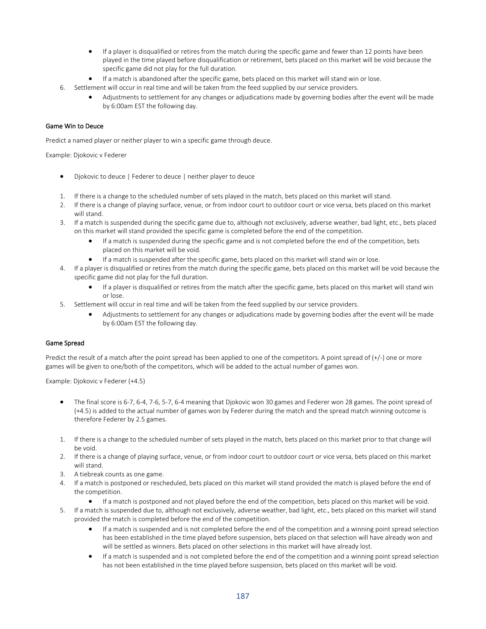- If a player is disqualified or retires from the match during the specific game and fewer than 12 points have been played in the time played before disqualification or retirement, bets placed on this market will be void because the specific game did not play for the full duration.
- If a match is abandoned after the specific game, bets placed on this market will stand win or lose.
- 6. Settlement will occur in real time and will be taken from the feed supplied by our service providers.
	- Adjustments to settlement for any changes or adjudications made by governing bodies after the event will be made by 6:00am EST the following day.

#### Game Win to Deuce

Predict a named player or neither player to win a specific game through deuce.

Example: Djokovic v Federer

- Djokovic to deuce | Federer to deuce | neither player to deuce
- 1. If there is a change to the scheduled number of sets played in the match, bets placed on this market will stand.
- 2. If there is a change of playing surface, venue, or from indoor court to outdoor court or vice versa, bets placed on this market will stand.
- 3. If a match is suspended during the specific game due to, although not exclusively, adverse weather, bad light, etc., bets placed on this market will stand provided the specific game is completed before the end of the competition.
	- If a match is suspended during the specific game and is not completed before the end of the competition, bets placed on this market will be void.
	- If a match is suspended after the specific game, bets placed on this market will stand win or lose.
- 4. If a player is disqualified or retires from the match during the specific game, bets placed on this market will be void because the specific game did not play for the full duration.
	- If a player is disqualified or retires from the match after the specific game, bets placed on this market will stand win or lose.
- 5. Settlement will occur in real time and will be taken from the feed supplied by our service providers.
	- Adjustments to settlement for any changes or adjudications made by governing bodies after the event will be made by 6:00am EST the following day.

#### Game Spread

Predict the result of a match after the point spread has been applied to one of the competitors. A point spread of (+/-) one or more games will be given to one/both of the competitors, which will be added to the actual number of games won.

Example: Djokovic v Federer (+4.5)

- The final score is 6-7, 6-4, 7-6, 5-7, 6-4 meaning that Djokovic won 30 games and Federer won 28 games. The point spread of (+4.5) is added to the actual number of games won by Federer during the match and the spread match winning outcome is therefore Federer by 2.5 games.
- 1. If there is a change to the scheduled number of sets played in the match, bets placed on this market prior to that change will be void.
- 2. If there is a change of playing surface, venue, or from indoor court to outdoor court or vice versa, bets placed on this market will stand.
- 3. A tiebreak counts as one game.
- 4. If a match is postponed or rescheduled, bets placed on this market will stand provided the match is played before the end of the competition.
	- If a match is postponed and not played before the end of the competition, bets placed on this market will be void.
- 5. If a match is suspended due to, although not exclusively, adverse weather, bad light, etc., bets placed on this market will stand provided the match is completed before the end of the competition.
	- If a match is suspended and is not completed before the end of the competition and a winning point spread selection has been established in the time played before suspension, bets placed on that selection will have already won and will be settled as winners. Bets placed on other selections in this market will have already lost.
	- If a match is suspended and is not completed before the end of the competition and a winning point spread selection has not been established in the time played before suspension, bets placed on this market will be void.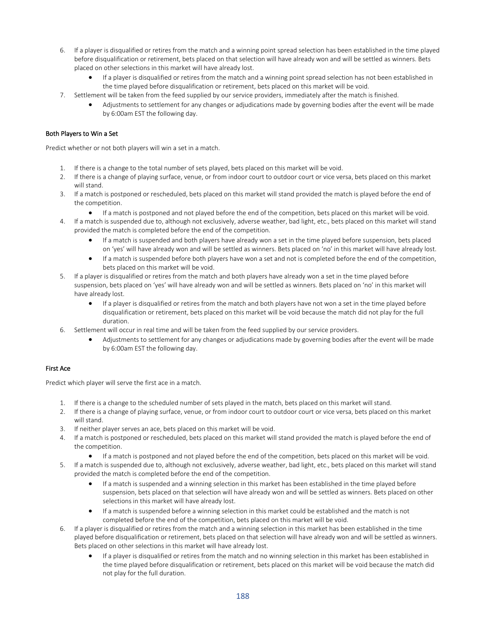- 6. If a player is disqualified or retires from the match and a winning point spread selection has been established in the time played before disqualification or retirement, bets placed on that selection will have already won and will be settled as winners. Bets placed on other selections in this market will have already lost.
	- If a player is disqualified or retires from the match and a winning point spread selection has not been established in the time played before disqualification or retirement, bets placed on this market will be void.
- 7. Settlement will be taken from the feed supplied by our service providers, immediately after the match is finished.
	- Adjustments to settlement for any changes or adjudications made by governing bodies after the event will be made by 6:00am EST the following day.

# Both Players to Win a Set

Predict whether or not both players will win a set in a match.

- 1. If there is a change to the total number of sets played, bets placed on this market will be void.
- 2. If there is a change of playing surface, venue, or from indoor court to outdoor court or vice versa, bets placed on this market will stand.
- 3. If a match is postponed or rescheduled, bets placed on this market will stand provided the match is played before the end of the competition.
	- If a match is postponed and not played before the end of the competition, bets placed on this market will be void.
- 4. If a match is suspended due to, although not exclusively, adverse weather, bad light, etc., bets placed on this market will stand provided the match is completed before the end of the competition.
	- If a match is suspended and both players have already won a set in the time played before suspension, bets placed on 'yes' will have already won and will be settled as winners. Bets placed on 'no' in this market will have already lost.
	- If a match is suspended before both players have won a set and not is completed before the end of the competition, bets placed on this market will be void.
- 5. If a player is disqualified or retires from the match and both players have already won a set in the time played before suspension, bets placed on 'yes' will have already won and will be settled as winners. Bets placed on 'no' in this market will have already lost.
	- If a player is disqualified or retires from the match and both players have not won a set in the time played before disqualification or retirement, bets placed on this market will be void because the match did not play for the full duration.
- 6. Settlement will occur in real time and will be taken from the feed supplied by our service providers.
	- Adjustments to settlement for any changes or adjudications made by governing bodies after the event will be made by 6:00am EST the following day.

# First Ace

Predict which player will serve the first ace in a match.

- 1. If there is a change to the scheduled number of sets played in the match, bets placed on this market will stand.
- 2. If there is a change of playing surface, venue, or from indoor court to outdoor court or vice versa, bets placed on this market will stand.
- 3. If neither player serves an ace, bets placed on this market will be void.
- 4. If a match is postponed or rescheduled, bets placed on this market will stand provided the match is played before the end of the competition.
	- If a match is postponed and not played before the end of the competition, bets placed on this market will be void.
- 5. If a match is suspended due to, although not exclusively, adverse weather, bad light, etc., bets placed on this market will stand provided the match is completed before the end of the competition.
	- If a match is suspended and a winning selection in this market has been established in the time played before suspension, bets placed on that selection will have already won and will be settled as winners. Bets placed on other selections in this market will have already lost.
	- If a match is suspended before a winning selection in this market could be established and the match is not completed before the end of the competition, bets placed on this market will be void.
- 6. If a player is disqualified or retires from the match and a winning selection in this market has been established in the time played before disqualification or retirement, bets placed on that selection will have already won and will be settled as winners. Bets placed on other selections in this market will have already lost.
	- If a player is disqualified or retires from the match and no winning selection in this market has been established in the time played before disqualification or retirement, bets placed on this market will be void because the match did not play for the full duration.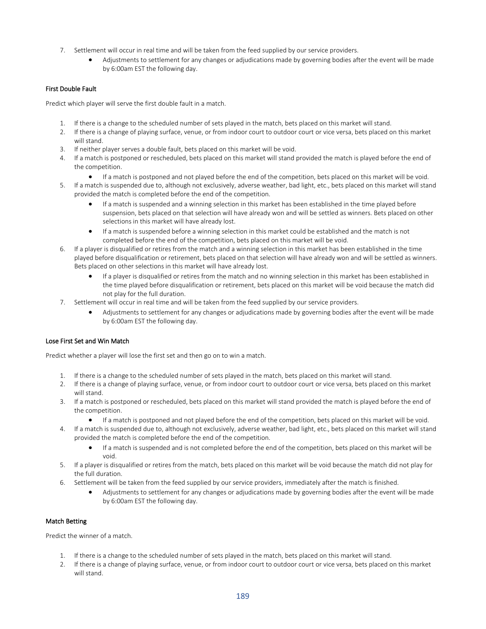- 7. Settlement will occur in real time and will be taken from the feed supplied by our service providers.
	- Adjustments to settlement for any changes or adjudications made by governing bodies after the event will be made by 6:00am EST the following day.

## First Double Fault

Predict which player will serve the first double fault in a match.

- 1. If there is a change to the scheduled number of sets played in the match, bets placed on this market will stand.
- 2. If there is a change of playing surface, venue, or from indoor court to outdoor court or vice versa, bets placed on this market will stand.
- 3. If neither player serves a double fault, bets placed on this market will be void.
- 4. If a match is postponed or rescheduled, bets placed on this market will stand provided the match is played before the end of the competition.
	- If a match is postponed and not played before the end of the competition, bets placed on this market will be void.
- 5. If a match is suspended due to, although not exclusively, adverse weather, bad light, etc., bets placed on this market will stand provided the match is completed before the end of the competition.
	- If a match is suspended and a winning selection in this market has been established in the time played before suspension, bets placed on that selection will have already won and will be settled as winners. Bets placed on other selections in this market will have already lost.
	- If a match is suspended before a winning selection in this market could be established and the match is not completed before the end of the competition, bets placed on this market will be void.
- 6. If a player is disqualified or retires from the match and a winning selection in this market has been established in the time played before disqualification or retirement, bets placed on that selection will have already won and will be settled as winners. Bets placed on other selections in this market will have already lost.
	- If a player is disqualified or retires from the match and no winning selection in this market has been established in the time played before disqualification or retirement, bets placed on this market will be void because the match did not play for the full duration.
- 7. Settlement will occur in real time and will be taken from the feed supplied by our service providers.
	- Adjustments to settlement for any changes or adjudications made by governing bodies after the event will be made by 6:00am EST the following day.

#### Lose First Set and Win Match

Predict whether a player will lose the first set and then go on to win a match.

- 1. If there is a change to the scheduled number of sets played in the match, bets placed on this market will stand.
- 2. If there is a change of playing surface, venue, or from indoor court to outdoor court or vice versa, bets placed on this market will stand.
- 3. If a match is postponed or rescheduled, bets placed on this market will stand provided the match is played before the end of the competition.
	- If a match is postponed and not played before the end of the competition, bets placed on this market will be void.
- 4. If a match is suspended due to, although not exclusively, adverse weather, bad light, etc., bets placed on this market will stand provided the match is completed before the end of the competition.
	- If a match is suspended and is not completed before the end of the competition, bets placed on this market will be void.
- 5. If a player is disqualified or retires from the match, bets placed on this market will be void because the match did not play for the full duration.
- 6. Settlement will be taken from the feed supplied by our service providers, immediately after the match is finished.
	- Adjustments to settlement for any changes or adjudications made by governing bodies after the event will be made by 6:00am EST the following day.

#### Match Betting

Predict the winner of a match.

- 1. If there is a change to the scheduled number of sets played in the match, bets placed on this market will stand.
- 2. If there is a change of playing surface, venue, or from indoor court to outdoor court or vice versa, bets placed on this market will stand.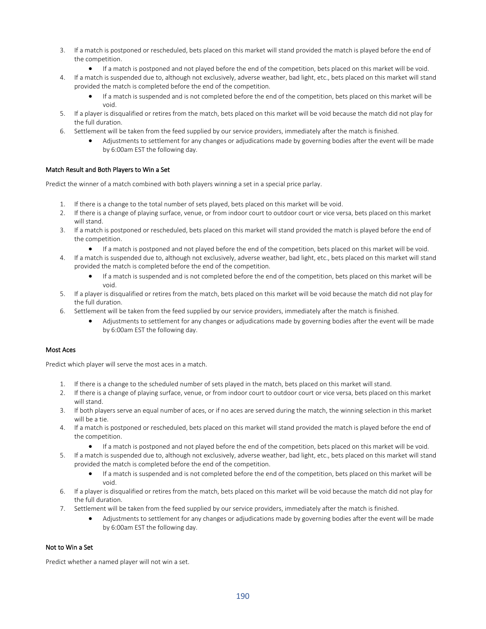- 3. If a match is postponed or rescheduled, bets placed on this market will stand provided the match is played before the end of the competition.
	- If a match is postponed and not played before the end of the competition, bets placed on this market will be void.
- 4. If a match is suspended due to, although not exclusively, adverse weather, bad light, etc., bets placed on this market will stand provided the match is completed before the end of the competition.
	- If a match is suspended and is not completed before the end of the competition, bets placed on this market will be void.
- 5. If a player is disqualified or retires from the match, bets placed on this market will be void because the match did not play for the full duration.
- 6. Settlement will be taken from the feed supplied by our service providers, immediately after the match is finished.
	- Adjustments to settlement for any changes or adjudications made by governing bodies after the event will be made by 6:00am EST the following day.

#### Match Result and Both Players to Win a Set

Predict the winner of a match combined with both players winning a set in a special price parlay.

- 1. If there is a change to the total number of sets played, bets placed on this market will be void.
- 2. If there is a change of playing surface, venue, or from indoor court to outdoor court or vice versa, bets placed on this market will stand.
- 3. If a match is postponed or rescheduled, bets placed on this market will stand provided the match is played before the end of the competition.
	- If a match is postponed and not played before the end of the competition, bets placed on this market will be void.
- 4. If a match is suspended due to, although not exclusively, adverse weather, bad light, etc., bets placed on this market will stand provided the match is completed before the end of the competition.
	- If a match is suspended and is not completed before the end of the competition, bets placed on this market will be void.
- 5. If a player is disqualified or retires from the match, bets placed on this market will be void because the match did not play for the full duration.
- 6. Settlement will be taken from the feed supplied by our service providers, immediately after the match is finished.
	- Adjustments to settlement for any changes or adjudications made by governing bodies after the event will be made by 6:00am EST the following day.

#### Most Aces

Predict which player will serve the most aces in a match.

- 1. If there is a change to the scheduled number of sets played in the match, bets placed on this market will stand.
- 2. If there is a change of playing surface, venue, or from indoor court to outdoor court or vice versa, bets placed on this market will stand.
- 3. If both players serve an equal number of aces, or if no aces are served during the match, the winning selection in this market will be a tie.
- 4. If a match is postponed or rescheduled, bets placed on this market will stand provided the match is played before the end of the competition.
	- If a match is postponed and not played before the end of the competition, bets placed on this market will be void.
- 5. If a match is suspended due to, although not exclusively, adverse weather, bad light, etc., bets placed on this market will stand provided the match is completed before the end of the competition.
	- If a match is suspended and is not completed before the end of the competition, bets placed on this market will be void.
- 6. If a player is disqualified or retires from the match, bets placed on this market will be void because the match did not play for the full duration.
- 7. Settlement will be taken from the feed supplied by our service providers, immediately after the match is finished.
	- Adjustments to settlement for any changes or adjudications made by governing bodies after the event will be made by 6:00am EST the following day.

#### Not to Win a Set

Predict whether a named player will not win a set.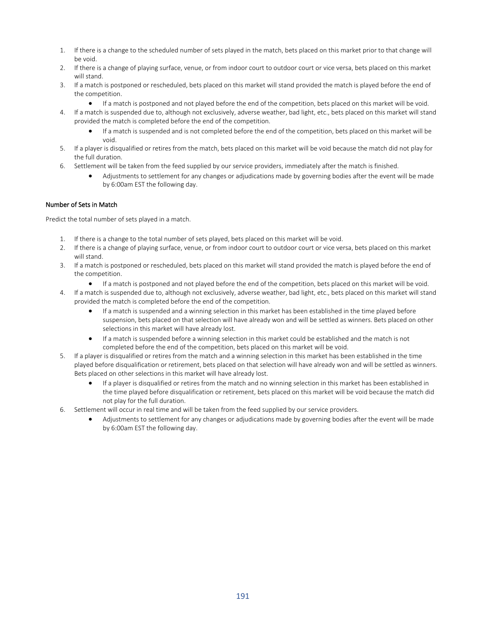- 1. If there is a change to the scheduled number of sets played in the match, bets placed on this market prior to that change will be void.
- 2. If there is a change of playing surface, venue, or from indoor court to outdoor court or vice versa, bets placed on this market will stand.
- 3. If a match is postponed or rescheduled, bets placed on this market will stand provided the match is played before the end of the competition.
	- If a match is postponed and not played before the end of the competition, bets placed on this market will be void.
- 4. If a match is suspended due to, although not exclusively, adverse weather, bad light, etc., bets placed on this market will stand provided the match is completed before the end of the competition.
	- If a match is suspended and is not completed before the end of the competition, bets placed on this market will be void.
- 5. If a player is disqualified or retires from the match, bets placed on this market will be void because the match did not play for the full duration.
- 6. Settlement will be taken from the feed supplied by our service providers, immediately after the match is finished.
	- Adjustments to settlement for any changes or adjudications made by governing bodies after the event will be made by 6:00am EST the following day.

## Number of Sets in Match

Predict the total number of sets played in a match.

- 1. If there is a change to the total number of sets played, bets placed on this market will be void.
- 2. If there is a change of playing surface, venue, or from indoor court to outdoor court or vice versa, bets placed on this market will stand.
- 3. If a match is postponed or rescheduled, bets placed on this market will stand provided the match is played before the end of the competition.
	- If a match is postponed and not played before the end of the competition, bets placed on this market will be void.
- 4. If a match is suspended due to, although not exclusively, adverse weather, bad light, etc., bets placed on this market will stand provided the match is completed before the end of the competition.
	- If a match is suspended and a winning selection in this market has been established in the time played before suspension, bets placed on that selection will have already won and will be settled as winners. Bets placed on other selections in this market will have already lost.
	- If a match is suspended before a winning selection in this market could be established and the match is not completed before the end of the competition, bets placed on this market will be void.
- 5. If a player is disqualified or retires from the match and a winning selection in this market has been established in the time played before disqualification or retirement, bets placed on that selection will have already won and will be settled as winners. Bets placed on other selections in this market will have already lost.
	- If a player is disqualified or retires from the match and no winning selection in this market has been established in the time played before disqualification or retirement, bets placed on this market will be void because the match did not play for the full duration.
- 6. Settlement will occur in real time and will be taken from the feed supplied by our service providers.
	- Adjustments to settlement for any changes or adjudications made by governing bodies after the event will be made by 6:00am EST the following day.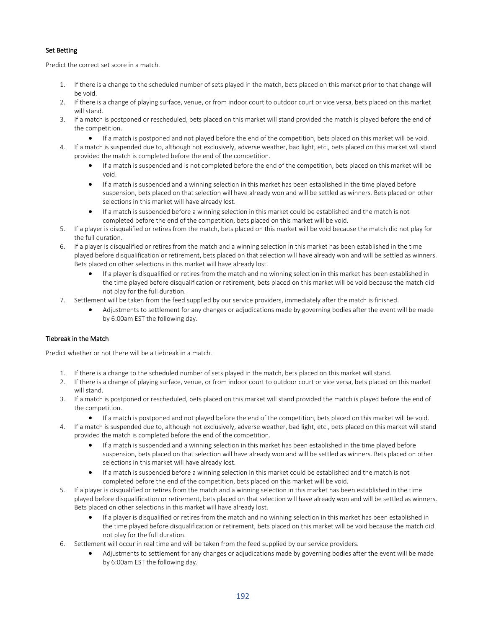# Set Betting

Predict the correct set score in a match.

- 1. If there is a change to the scheduled number of sets played in the match, bets placed on this market prior to that change will be void.
- 2. If there is a change of playing surface, venue, or from indoor court to outdoor court or vice versa, bets placed on this market will stand.
- 3. If a match is postponed or rescheduled, bets placed on this market will stand provided the match is played before the end of the competition.
	- If a match is postponed and not played before the end of the competition, bets placed on this market will be void.
- 4. If a match is suspended due to, although not exclusively, adverse weather, bad light, etc., bets placed on this market will stand provided the match is completed before the end of the competition.
	- If a match is suspended and is not completed before the end of the competition, bets placed on this market will be void.
	- If a match is suspended and a winning selection in this market has been established in the time played before suspension, bets placed on that selection will have already won and will be settled as winners. Bets placed on other selections in this market will have already lost.
	- If a match is suspended before a winning selection in this market could be established and the match is not completed before the end of the competition, bets placed on this market will be void.
- 5. If a player is disqualified or retires from the match, bets placed on this market will be void because the match did not play for the full duration.
- 6. If a player is disqualified or retires from the match and a winning selection in this market has been established in the time played before disqualification or retirement, bets placed on that selection will have already won and will be settled as winners. Bets placed on other selections in this market will have already lost.
	- If a player is disqualified or retires from the match and no winning selection in this market has been established in the time played before disqualification or retirement, bets placed on this market will be void because the match did not play for the full duration.
- 7. Settlement will be taken from the feed supplied by our service providers, immediately after the match is finished.
	- Adjustments to settlement for any changes or adjudications made by governing bodies after the event will be made by 6:00am EST the following day.

# Tiebreak in the Match

Predict whether or not there will be a tiebreak in a match.

- 1. If there is a change to the scheduled number of sets played in the match, bets placed on this market will stand.
- 2. If there is a change of playing surface, venue, or from indoor court to outdoor court or vice versa, bets placed on this market will stand.
- 3. If a match is postponed or rescheduled, bets placed on this market will stand provided the match is played before the end of the competition.
	- If a match is postponed and not played before the end of the competition, bets placed on this market will be void.
- 4. If a match is suspended due to, although not exclusively, adverse weather, bad light, etc., bets placed on this market will stand provided the match is completed before the end of the competition.
	- If a match is suspended and a winning selection in this market has been established in the time played before suspension, bets placed on that selection will have already won and will be settled as winners. Bets placed on other selections in this market will have already lost.
	- If a match is suspended before a winning selection in this market could be established and the match is not completed before the end of the competition, bets placed on this market will be void.
- 5. If a player is disqualified or retires from the match and a winning selection in this market has been established in the time played before disqualification or retirement, bets placed on that selection will have already won and will be settled as winners. Bets placed on other selections in this market will have already lost.
	- If a player is disqualified or retires from the match and no winning selection in this market has been established in the time played before disqualification or retirement, bets placed on this market will be void because the match did not play for the full duration.
- 6. Settlement will occur in real time and will be taken from the feed supplied by our service providers.
	- Adjustments to settlement for any changes or adjudications made by governing bodies after the event will be made by 6:00am EST the following day.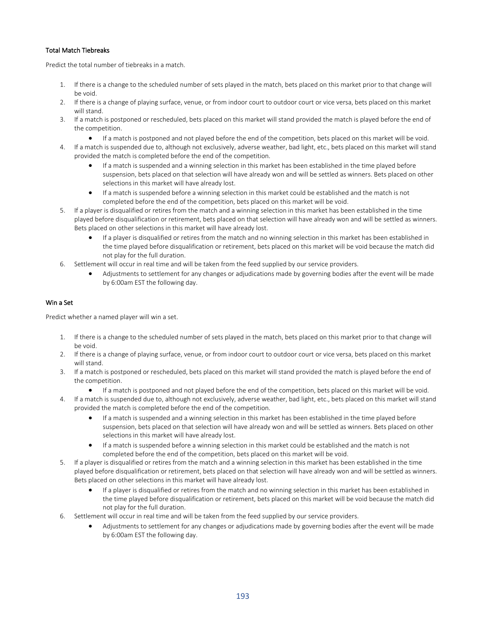## Total Match Tiebreaks

Predict the total number of tiebreaks in a match.

- 1. If there is a change to the scheduled number of sets played in the match, bets placed on this market prior to that change will be void.
- 2. If there is a change of playing surface, venue, or from indoor court to outdoor court or vice versa, bets placed on this market will stand.
- 3. If a match is postponed or rescheduled, bets placed on this market will stand provided the match is played before the end of the competition.
	- If a match is postponed and not played before the end of the competition, bets placed on this market will be void.
- 4. If a match is suspended due to, although not exclusively, adverse weather, bad light, etc., bets placed on this market will stand provided the match is completed before the end of the competition.
	- If a match is suspended and a winning selection in this market has been established in the time played before suspension, bets placed on that selection will have already won and will be settled as winners. Bets placed on other selections in this market will have already lost.
	- If a match is suspended before a winning selection in this market could be established and the match is not completed before the end of the competition, bets placed on this market will be void.
- 5. If a player is disqualified or retires from the match and a winning selection in this market has been established in the time played before disqualification or retirement, bets placed on that selection will have already won and will be settled as winners. Bets placed on other selections in this market will have already lost.
	- If a player is disqualified or retires from the match and no winning selection in this market has been established in the time played before disqualification or retirement, bets placed on this market will be void because the match did not play for the full duration.
- 6. Settlement will occur in real time and will be taken from the feed supplied by our service providers.
	- Adjustments to settlement for any changes or adjudications made by governing bodies after the event will be made by 6:00am EST the following day.

## Win a Set

Predict whether a named player will win a set.

- 1. If there is a change to the scheduled number of sets played in the match, bets placed on this market prior to that change will be void.
- 2. If there is a change of playing surface, venue, or from indoor court to outdoor court or vice versa, bets placed on this market will stand.
- 3. If a match is postponed or rescheduled, bets placed on this market will stand provided the match is played before the end of the competition.
	- If a match is postponed and not played before the end of the competition, bets placed on this market will be void.
- 4. If a match is suspended due to, although not exclusively, adverse weather, bad light, etc., bets placed on this market will stand provided the match is completed before the end of the competition.
	- If a match is suspended and a winning selection in this market has been established in the time played before suspension, bets placed on that selection will have already won and will be settled as winners. Bets placed on other selections in this market will have already lost.
	- If a match is suspended before a winning selection in this market could be established and the match is not completed before the end of the competition, bets placed on this market will be void.
- 5. If a player is disqualified or retires from the match and a winning selection in this market has been established in the time played before disqualification or retirement, bets placed on that selection will have already won and will be settled as winners. Bets placed on other selections in this market will have already lost.
	- If a player is disqualified or retires from the match and no winning selection in this market has been established in the time played before disqualification or retirement, bets placed on this market will be void because the match did not play for the full duration.
- 6. Settlement will occur in real time and will be taken from the feed supplied by our service providers.
	- Adjustments to settlement for any changes or adjudications made by governing bodies after the event will be made by 6:00am EST the following day.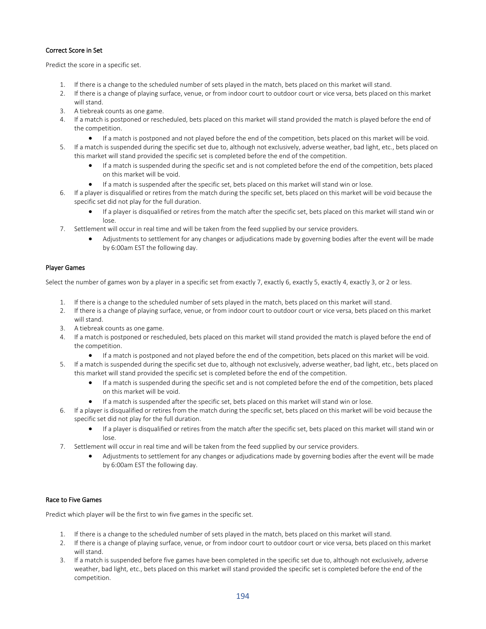## Correct Score in Set

Predict the score in a specific set.

- 1. If there is a change to the scheduled number of sets played in the match, bets placed on this market will stand.
- 2. If there is a change of playing surface, venue, or from indoor court to outdoor court or vice versa, bets placed on this market will stand.
- 3. A tiebreak counts as one game.
- 4. If a match is postponed or rescheduled, bets placed on this market will stand provided the match is played before the end of the competition.
	- If a match is postponed and not played before the end of the competition, bets placed on this market will be void.
- 5. If a match is suspended during the specific set due to, although not exclusively, adverse weather, bad light, etc., bets placed on this market will stand provided the specific set is completed before the end of the competition.
	- If a match is suspended during the specific set and is not completed before the end of the competition, bets placed on this market will be void.
	- If a match is suspended after the specific set, bets placed on this market will stand win or lose.
- 6. If a player is disqualified or retires from the match during the specific set, bets placed on this market will be void because the specific set did not play for the full duration.
	- If a player is disqualified or retires from the match after the specific set, bets placed on this market will stand win or lose.
- 7. Settlement will occur in real time and will be taken from the feed supplied by our service providers.
	- Adjustments to settlement for any changes or adjudications made by governing bodies after the event will be made by 6:00am EST the following day.

## Player Games

Select the number of games won by a player in a specific set from exactly 7, exactly 6, exactly 5, exactly 4, exactly 3, or 2 or less.

- 1. If there is a change to the scheduled number of sets played in the match, bets placed on this market will stand.
- 2. If there is a change of playing surface, venue, or from indoor court to outdoor court or vice versa, bets placed on this market will stand.
- 3. A tiebreak counts as one game.
- 4. If a match is postponed or rescheduled, bets placed on this market will stand provided the match is played before the end of the competition.
	- If a match is postponed and not played before the end of the competition, bets placed on this market will be void.
- 5. If a match is suspended during the specific set due to, although not exclusively, adverse weather, bad light, etc., bets placed on this market will stand provided the specific set is completed before the end of the competition.
	- If a match is suspended during the specific set and is not completed before the end of the competition, bets placed on this market will be void.
	- If a match is suspended after the specific set, bets placed on this market will stand win or lose.
- 6. If a player is disqualified or retires from the match during the specific set, bets placed on this market will be void because the specific set did not play for the full duration.
	- If a player is disqualified or retires from the match after the specific set, bets placed on this market will stand win or lose.
- 7. Settlement will occur in real time and will be taken from the feed supplied by our service providers.
	- Adjustments to settlement for any changes or adjudications made by governing bodies after the event will be made by 6:00am EST the following day.

#### Race to Five Games

Predict which player will be the first to win five games in the specific set.

- 1. If there is a change to the scheduled number of sets played in the match, bets placed on this market will stand.
- 2. If there is a change of playing surface, venue, or from indoor court to outdoor court or vice versa, bets placed on this market will stand.
- 3. If a match is suspended before five games have been completed in the specific set due to, although not exclusively, adverse weather, bad light, etc., bets placed on this market will stand provided the specific set is completed before the end of the competition.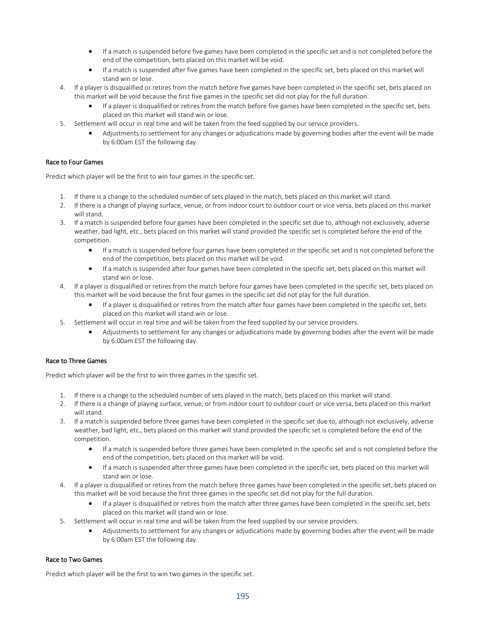- If a match is suspended before five games have been completed in the specific set and is not completed before the end of the competition, bets placed on this market will be void.
- If a match is suspended after five games have been completed in the specific set, bets placed on this market will stand win or lose.
- 4. If a player is disqualified or retires from the match before five games have been completed in the specific set, bets placed on this market will be void because the first five games in the specific set did not play for the full duration.
	- If a player is disqualified or retires from the match before five games have been completed in the specific set, bets placed on this market will stand win or lose.
- 5. Settlement will occur in real time and will be taken from the feed supplied by our service providers.
	- Adjustments to settlement for any changes or adjudications made by governing bodies after the event will be made by 6:00am EST the following day.

#### Race to Four Games

Predict which player will be the first to win four games in the specific set.

- 1. If there is a change to the scheduled number of sets played in the match, bets placed on this market will stand.
- 2. If there is a change of playing surface, venue, or from indoor court to outdoor court or vice versa, bets placed on this market will stand.
- 3. If a match is suspended before four games have been completed in the specific set due to, although not exclusively, adverse weather, bad light, etc., bets placed on this market will stand provided the specific set is completed before the end of the competition.
	- If a match is suspended before four games have been completed in the specific set and is not completed before the end of the competition, bets placed on this market will be void.
	- If a match is suspended after four games have been completed in the specific set, bets placed on this market will stand win or lose.
- 4. If a player is disqualified or retires from the match before four games have been completed in the specific set, bets placed on this market will be void because the first four games in the specific set did not play for the full duration.
	- If a player is disqualified or retires from the match after four games have been completed in the specific set, bets placed on this market will stand win or lose.
- 5. Settlement will occur in real time and will be taken from the feed supplied by our service providers.
	- Adjustments to settlement for any changes or adjudications made by governing bodies after the event will be made by 6:00am EST the following day.

#### Race to Three Games

Predict which player will be the first to win three games in the specific set.

- 1. If there is a change to the scheduled number of sets played in the match, bets placed on this market will stand.
- 2. If there is a change of playing surface, venue, or from indoor court to outdoor court or vice versa, bets placed on this market will stand.
- 3. If a match is suspended before three games have been completed in the specific set due to, although not exclusively, adverse weather, bad light, etc., bets placed on this market will stand provided the specific set is completed before the end of the competition.
	- If a match is suspended before three games have been completed in the specific set and is not completed before the end of the competition, bets placed on this market will be void.
	- If a match is suspended after three games have been completed in the specific set, bets placed on this market will stand win or lose.
- 4. If a player is disqualified or retires from the match before three games have been completed in the specific set, bets placed on this market will be void because the first three games in the specific set did not play for the full duration.
	- If a player is disqualified or retires from the match after three games have been completed in the specific set, bets placed on this market will stand win or lose.
- 5. Settlement will occur in real time and will be taken from the feed supplied by our service providers.
	- Adjustments to settlement for any changes or adjudications made by governing bodies after the event will be made by 6:00am EST the following day.

#### Race to Two Games

Predict which player will be the first to win two games in the specific set.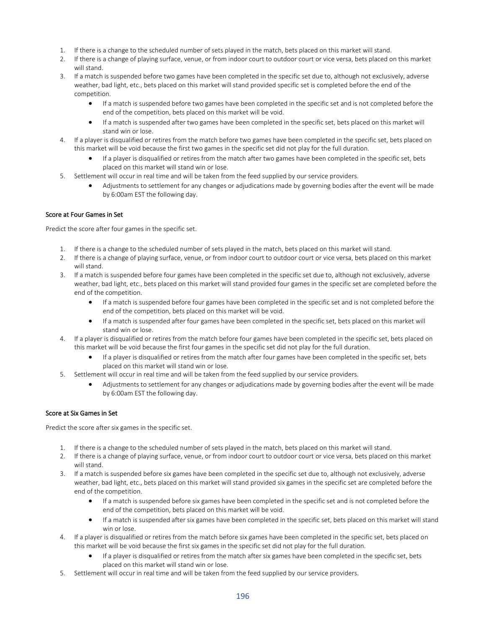- 1. If there is a change to the scheduled number of sets played in the match, bets placed on this market will stand.
- 2. If there is a change of playing surface, venue, or from indoor court to outdoor court or vice versa, bets placed on this market will stand.
- 3. If a match is suspended before two games have been completed in the specific set due to, although not exclusively, adverse weather, bad light, etc., bets placed on this market will stand provided specific set is completed before the end of the competition.
	- If a match is suspended before two games have been completed in the specific set and is not completed before the end of the competition, bets placed on this market will be void.
	- If a match is suspended after two games have been completed in the specific set, bets placed on this market will stand win or lose.
- 4. If a player is disqualified or retires from the match before two games have been completed in the specific set, bets placed on this market will be void because the first two games in the specific set did not play for the full duration.
	- If a player is disqualified or retires from the match after two games have been completed in the specific set, bets placed on this market will stand win or lose.
- 5. Settlement will occur in real time and will be taken from the feed supplied by our service providers.
	- Adjustments to settlement for any changes or adjudications made by governing bodies after the event will be made by 6:00am EST the following day.

# Score at Four Games in Set

Predict the score after four games in the specific set.

- 1. If there is a change to the scheduled number of sets played in the match, bets placed on this market will stand.
- 2. If there is a change of playing surface, venue, or from indoor court to outdoor court or vice versa, bets placed on this market will stand.
- 3. If a match is suspended before four games have been completed in the specific set due to, although not exclusively, adverse weather, bad light, etc., bets placed on this market will stand provided four games in the specific set are completed before the end of the competition.
	- If a match is suspended before four games have been completed in the specific set and is not completed before the end of the competition, bets placed on this market will be void.
	- If a match is suspended after four games have been completed in the specific set, bets placed on this market will stand win or lose.
- 4. If a player is disqualified or retires from the match before four games have been completed in the specific set, bets placed on this market will be void because the first four games in the specific set did not play for the full duration.
	- If a player is disqualified or retires from the match after four games have been completed in the specific set, bets placed on this market will stand win or lose.
- 5. Settlement will occur in real time and will be taken from the feed supplied by our service providers.
	- Adjustments to settlement for any changes or adjudications made by governing bodies after the event will be made by 6:00am EST the following day.

# Score at Six Games in Set

Predict the score after six games in the specific set.

- 1. If there is a change to the scheduled number of sets played in the match, bets placed on this market will stand.
- 2. If there is a change of playing surface, venue, or from indoor court to outdoor court or vice versa, bets placed on this market will stand.
- 3. If a match is suspended before six games have been completed in the specific set due to, although not exclusively, adverse weather, bad light, etc., bets placed on this market will stand provided six games in the specific set are completed before the end of the competition.
	- If a match is suspended before six games have been completed in the specific set and is not completed before the end of the competition, bets placed on this market will be void.
	- If a match is suspended after six games have been completed in the specific set, bets placed on this market will stand win or lose.
- 4. If a player is disqualified or retires from the match before six games have been completed in the specific set, bets placed on this market will be void because the first six games in the specific set did not play for the full duration.
	- If a player is disqualified or retires from the match after six games have been completed in the specific set, bets placed on this market will stand win or lose.
- 5. Settlement will occur in real time and will be taken from the feed supplied by our service providers.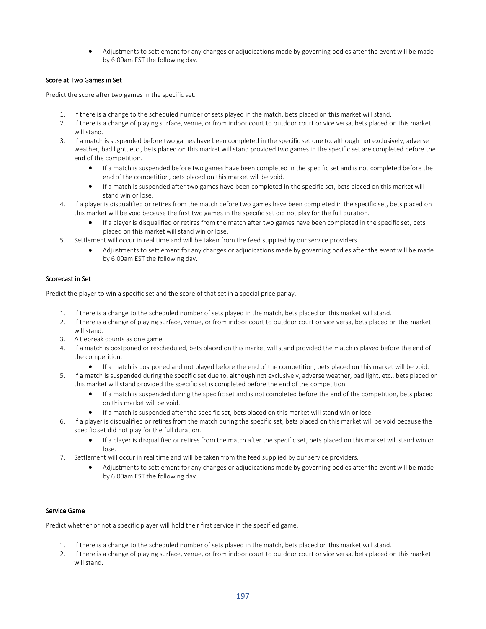• Adjustments to settlement for any changes or adjudications made by governing bodies after the event will be made by 6:00am EST the following day.

## Score at Two Games in Set

Predict the score after two games in the specific set.

- 1. If there is a change to the scheduled number of sets played in the match, bets placed on this market will stand.
- 2. If there is a change of playing surface, venue, or from indoor court to outdoor court or vice versa, bets placed on this market will stand.
- 3. If a match is suspended before two games have been completed in the specific set due to, although not exclusively, adverse weather, bad light, etc., bets placed on this market will stand provided two games in the specific set are completed before the end of the competition.
	- If a match is suspended before two games have been completed in the specific set and is not completed before the end of the competition, bets placed on this market will be void.
	- If a match is suspended after two games have been completed in the specific set, bets placed on this market will stand win or lose.
- 4. If a player is disqualified or retires from the match before two games have been completed in the specific set, bets placed on this market will be void because the first two games in the specific set did not play for the full duration.
	- If a player is disqualified or retires from the match after two games have been completed in the specific set, bets placed on this market will stand win or lose.
- 5. Settlement will occur in real time and will be taken from the feed supplied by our service providers.
	- Adjustments to settlement for any changes or adjudications made by governing bodies after the event will be made by 6:00am EST the following day.

## Scorecast in Set

Predict the player to win a specific set and the score of that set in a special price parlay.

- 1. If there is a change to the scheduled number of sets played in the match, bets placed on this market will stand.
- 2. If there is a change of playing surface, venue, or from indoor court to outdoor court or vice versa, bets placed on this market will stand.
- 3. A tiebreak counts as one game.
- 4. If a match is postponed or rescheduled, bets placed on this market will stand provided the match is played before the end of the competition.
	- If a match is postponed and not played before the end of the competition, bets placed on this market will be void.
- 5. If a match is suspended during the specific set due to, although not exclusively, adverse weather, bad light, etc., bets placed on this market will stand provided the specific set is completed before the end of the competition.
	- If a match is suspended during the specific set and is not completed before the end of the competition, bets placed on this market will be void.
	- If a match is suspended after the specific set, bets placed on this market will stand win or lose.
- 6. If a player is disqualified or retires from the match during the specific set, bets placed on this market will be void because the specific set did not play for the full duration.
	- If a player is disqualified or retires from the match after the specific set, bets placed on this market will stand win or lose.
- 7. Settlement will occur in real time and will be taken from the feed supplied by our service providers.
	- Adjustments to settlement for any changes or adjudications made by governing bodies after the event will be made by 6:00am EST the following day.

# Service Game

Predict whether or not a specific player will hold their first service in the specified game.

- 1. If there is a change to the scheduled number of sets played in the match, bets placed on this market will stand.
- 2. If there is a change of playing surface, venue, or from indoor court to outdoor court or vice versa, bets placed on this market will stand.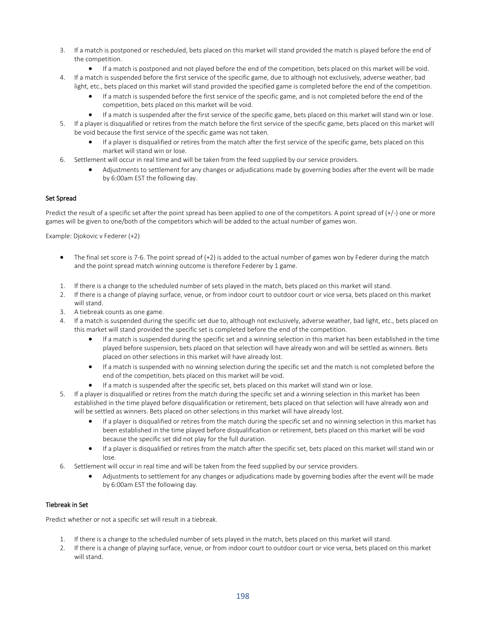- 3. If a match is postponed or rescheduled, bets placed on this market will stand provided the match is played before the end of the competition.
	- If a match is postponed and not played before the end of the competition, bets placed on this market will be void.
- 4. If a match is suspended before the first service of the specific game, due to although not exclusively, adverse weather, bad light, etc., bets placed on this market will stand provided the specified game is completed before the end of the competition.
	- If a match is suspended before the first service of the specific game, and is not completed before the end of the competition, bets placed on this market will be void.
	- If a match is suspended after the first service of the specific game, bets placed on this market will stand win or lose.
- 5. If a player is disqualified or retires from the match before the first service of the specific game, bets placed on this market will be void because the first service of the specific game was not taken.
	- If a player is disqualified or retires from the match after the first service of the specific game, bets placed on this market will stand win or lose.
- 6. Settlement will occur in real time and will be taken from the feed supplied by our service providers.
	- Adjustments to settlement for any changes or adjudications made by governing bodies after the event will be made by 6:00am EST the following day.

## Set Spread

Predict the result of a specific set after the point spread has been applied to one of the competitors. A point spread of (+/-) one or more games will be given to one/both of the competitors which will be added to the actual number of games won.

Example: Djokovic v Federer (+2)

- The final set score is 7-6. The point spread of (+2) is added to the actual number of games won by Federer during the match and the point spread match winning outcome is therefore Federer by 1 game.
- 1. If there is a change to the scheduled number of sets played in the match, bets placed on this market will stand.
- 2. If there is a change of playing surface, venue, or from indoor court to outdoor court or vice versa, bets placed on this market will stand.
- 3. A tiebreak counts as one game.
- 4. If a match is suspended during the specific set due to, although not exclusively, adverse weather, bad light, etc., bets placed on this market will stand provided the specific set is completed before the end of the competition.
	- If a match is suspended during the specific set and a winning selection in this market has been established in the time played before suspension, bets placed on that selection will have already won and will be settled as winners. Bets placed on other selections in this market will have already lost.
	- If a match is suspended with no winning selection during the specific set and the match is not completed before the end of the competition, bets placed on this market will be void.
	- If a match is suspended after the specific set, bets placed on this market will stand win or lose.
- 5. If a player is disqualified or retires from the match during the specific set and a winning selection in this market has been established in the time played before disqualification or retirement, bets placed on that selection will have already won and will be settled as winners. Bets placed on other selections in this market will have already lost.
	- If a player is disqualified or retires from the match during the specific set and no winning selection in this market has been established in the time played before disqualification or retirement, bets placed on this market will be void because the specific set did not play for the full duration.
	- If a player is disqualified or retires from the match after the specific set, bets placed on this market will stand win or lose.
- 6. Settlement will occur in real time and will be taken from the feed supplied by our service providers.
	- Adjustments to settlement for any changes or adjudications made by governing bodies after the event will be made by 6:00am EST the following day.

#### Tiebreak in Set

Predict whether or not a specific set will result in a tiebreak.

- 1. If there is a change to the scheduled number of sets played in the match, bets placed on this market will stand.
- 2. If there is a change of playing surface, venue, or from indoor court to outdoor court or vice versa, bets placed on this market will stand.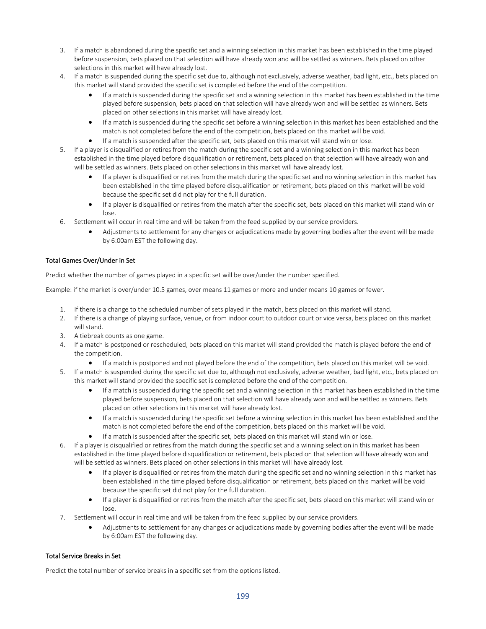- 3. If a match is abandoned during the specific set and a winning selection in this market has been established in the time played before suspension, bets placed on that selection will have already won and will be settled as winners. Bets placed on other selections in this market will have already lost.
- 4. If a match is suspended during the specific set due to, although not exclusively, adverse weather, bad light, etc., bets placed on this market will stand provided the specific set is completed before the end of the competition.
	- If a match is suspended during the specific set and a winning selection in this market has been established in the time played before suspension, bets placed on that selection will have already won and will be settled as winners. Bets placed on other selections in this market will have already lost.
	- If a match is suspended during the specific set before a winning selection in this market has been established and the match is not completed before the end of the competition, bets placed on this market will be void.
	- If a match is suspended after the specific set, bets placed on this market will stand win or lose.
- 5. If a player is disqualified or retires from the match during the specific set and a winning selection in this market has been established in the time played before disqualification or retirement, bets placed on that selection will have already won and will be settled as winners. Bets placed on other selections in this market will have already lost.
	- If a player is disqualified or retires from the match during the specific set and no winning selection in this market has been established in the time played before disqualification or retirement, bets placed on this market will be void because the specific set did not play for the full duration.
	- If a player is disqualified or retires from the match after the specific set, bets placed on this market will stand win or lose.
- 6. Settlement will occur in real time and will be taken from the feed supplied by our service providers.
	- Adjustments to settlement for any changes or adjudications made by governing bodies after the event will be made by 6:00am EST the following day.

## Total Games Over/Under in Set

Predict whether the number of games played in a specific set will be over/under the number specified.

Example: if the market is over/under 10.5 games, over means 11 games or more and under means 10 games or fewer.

- 1. If there is a change to the scheduled number of sets played in the match, bets placed on this market will stand.
- 2. If there is a change of playing surface, venue, or from indoor court to outdoor court or vice versa, bets placed on this market will stand.
- 3. A tiebreak counts as one game.
- 4. If a match is postponed or rescheduled, bets placed on this market will stand provided the match is played before the end of the competition.
	- If a match is postponed and not played before the end of the competition, bets placed on this market will be void.
- 5. If a match is suspended during the specific set due to, although not exclusively, adverse weather, bad light, etc., bets placed on this market will stand provided the specific set is completed before the end of the competition.
	- If a match is suspended during the specific set and a winning selection in this market has been established in the time played before suspension, bets placed on that selection will have already won and will be settled as winners. Bets placed on other selections in this market will have already lost.
	- If a match is suspended during the specific set before a winning selection in this market has been established and the match is not completed before the end of the competition, bets placed on this market will be void.
	- If a match is suspended after the specific set, bets placed on this market will stand win or lose.
- 6. If a player is disqualified or retires from the match during the specific set and a winning selection in this market has been established in the time played before disqualification or retirement, bets placed on that selection will have already won and will be settled as winners. Bets placed on other selections in this market will have already lost.
	- If a player is disqualified or retires from the match during the specific set and no winning selection in this market has been established in the time played before disqualification or retirement, bets placed on this market will be void because the specific set did not play for the full duration.
	- If a player is disqualified or retires from the match after the specific set, bets placed on this market will stand win or lose.
- 7. Settlement will occur in real time and will be taken from the feed supplied by our service providers.
	- Adjustments to settlement for any changes or adjudications made by governing bodies after the event will be made by 6:00am EST the following day.

# Total Service Breaks in Set

Predict the total number of service breaks in a specific set from the options listed.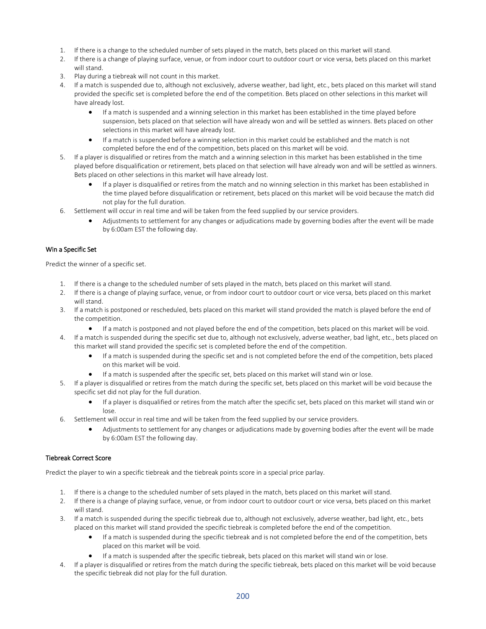- 1. If there is a change to the scheduled number of sets played in the match, bets placed on this market will stand.
- 2. If there is a change of playing surface, venue, or from indoor court to outdoor court or vice versa, bets placed on this market will stand.
- 3. Play during a tiebreak will not count in this market.
- 4. If a match is suspended due to, although not exclusively, adverse weather, bad light, etc., bets placed on this market will stand provided the specific set is completed before the end of the competition. Bets placed on other selections in this market will have already lost.
	- If a match is suspended and a winning selection in this market has been established in the time played before suspension, bets placed on that selection will have already won and will be settled as winners. Bets placed on other selections in this market will have already lost.
	- If a match is suspended before a winning selection in this market could be established and the match is not completed before the end of the competition, bets placed on this market will be void.
- 5. If a player is disqualified or retires from the match and a winning selection in this market has been established in the time played before disqualification or retirement, bets placed on that selection will have already won and will be settled as winners. Bets placed on other selections in this market will have already lost.
	- If a player is disqualified or retires from the match and no winning selection in this market has been established in the time played before disqualification or retirement, bets placed on this market will be void because the match did not play for the full duration.
- 6. Settlement will occur in real time and will be taken from the feed supplied by our service providers.
	- Adjustments to settlement for any changes or adjudications made by governing bodies after the event will be made by 6:00am EST the following day.

## Win a Specific Set

Predict the winner of a specific set.

- 1. If there is a change to the scheduled number of sets played in the match, bets placed on this market will stand.
- 2. If there is a change of playing surface, venue, or from indoor court to outdoor court or vice versa, bets placed on this market will stand.
- 3. If a match is postponed or rescheduled, bets placed on this market will stand provided the match is played before the end of the competition.
	- If a match is postponed and not played before the end of the competition, bets placed on this market will be void.
- 4. If a match is suspended during the specific set due to, although not exclusively, adverse weather, bad light, etc., bets placed on this market will stand provided the specific set is completed before the end of the competition.
	- If a match is suspended during the specific set and is not completed before the end of the competition, bets placed on this market will be void.
	- If a match is suspended after the specific set, bets placed on this market will stand win or lose.
- 5. If a player is disqualified or retires from the match during the specific set, bets placed on this market will be void because the specific set did not play for the full duration.
	- If a player is disqualified or retires from the match after the specific set, bets placed on this market will stand win or lose.
- 6. Settlement will occur in real time and will be taken from the feed supplied by our service providers.
	- Adjustments to settlement for any changes or adjudications made by governing bodies after the event will be made by 6:00am EST the following day.

#### Tiebreak Correct Score

Predict the player to win a specific tiebreak and the tiebreak points score in a special price parlay.

- 1. If there is a change to the scheduled number of sets played in the match, bets placed on this market will stand.
- 2. If there is a change of playing surface, venue, or from indoor court to outdoor court or vice versa, bets placed on this market will stand.
- 3. If a match is suspended during the specific tiebreak due to, although not exclusively, adverse weather, bad light, etc., bets placed on this market will stand provided the specific tiebreak is completed before the end of the competition.
	- If a match is suspended during the specific tiebreak and is not completed before the end of the competition, bets placed on this market will be void.
	- If a match is suspended after the specific tiebreak, bets placed on this market will stand win or lose.
- 4. If a player is disqualified or retires from the match during the specific tiebreak, bets placed on this market will be void because the specific tiebreak did not play for the full duration.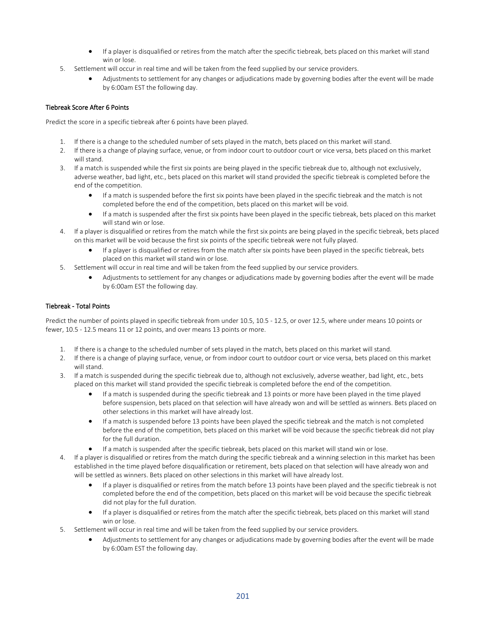- If a player is disqualified or retires from the match after the specific tiebreak, bets placed on this market will stand win or lose.
- 5. Settlement will occur in real time and will be taken from the feed supplied by our service providers.
	- Adjustments to settlement for any changes or adjudications made by governing bodies after the event will be made by 6:00am EST the following day.

# Tiebreak Score After 6 Points

Predict the score in a specific tiebreak after 6 points have been played.

- 1. If there is a change to the scheduled number of sets played in the match, bets placed on this market will stand.
- 2. If there is a change of playing surface, venue, or from indoor court to outdoor court or vice versa, bets placed on this market will stand.
- 3. If a match is suspended while the first six points are being played in the specific tiebreak due to, although not exclusively, adverse weather, bad light, etc., bets placed on this market will stand provided the specific tiebreak is completed before the end of the competition.
	- If a match is suspended before the first six points have been played in the specific tiebreak and the match is not completed before the end of the competition, bets placed on this market will be void.
	- If a match is suspended after the first six points have been played in the specific tiebreak, bets placed on this market will stand win or lose.
- 4. If a player is disqualified or retires from the match while the first six points are being played in the specific tiebreak, bets placed on this market will be void because the first six points of the specific tiebreak were not fully played.
	- If a player is disqualified or retires from the match after six points have been played in the specific tiebreak, bets placed on this market will stand win or lose.
- 5. Settlement will occur in real time and will be taken from the feed supplied by our service providers.
	- Adjustments to settlement for any changes or adjudications made by governing bodies after the event will be made by 6:00am EST the following day.

#### Tiebreak - Total Points

Predict the number of points played in specific tiebreak from under 10.5, 10.5 - 12.5, or over 12.5, where under means 10 points or fewer, 10.5 - 12.5 means 11 or 12 points, and over means 13 points or more.

- 1. If there is a change to the scheduled number of sets played in the match, bets placed on this market will stand.
- 2. If there is a change of playing surface, venue, or from indoor court to outdoor court or vice versa, bets placed on this market will stand.
- 3. If a match is suspended during the specific tiebreak due to, although not exclusively, adverse weather, bad light, etc., bets placed on this market will stand provided the specific tiebreak is completed before the end of the competition.
	- If a match is suspended during the specific tiebreak and 13 points or more have been played in the time played before suspension, bets placed on that selection will have already won and will be settled as winners. Bets placed on other selections in this market will have already lost.
	- If a match is suspended before 13 points have been played the specific tiebreak and the match is not completed before the end of the competition, bets placed on this market will be void because the specific tiebreak did not play for the full duration.
	- If a match is suspended after the specific tiebreak, bets placed on this market will stand win or lose.
- 4. If a player is disqualified or retires from the match during the specific tiebreak and a winning selection in this market has been established in the time played before disqualification or retirement, bets placed on that selection will have already won and will be settled as winners. Bets placed on other selections in this market will have already lost.
	- If a player is disqualified or retires from the match before 13 points have been played and the specific tiebreak is not completed before the end of the competition, bets placed on this market will be void because the specific tiebreak did not play for the full duration.
	- If a player is disqualified or retires from the match after the specific tiebreak, bets placed on this market will stand win or lose.
- 5. Settlement will occur in real time and will be taken from the feed supplied by our service providers.
	- Adjustments to settlement for any changes or adjudications made by governing bodies after the event will be made by 6:00am EST the following day.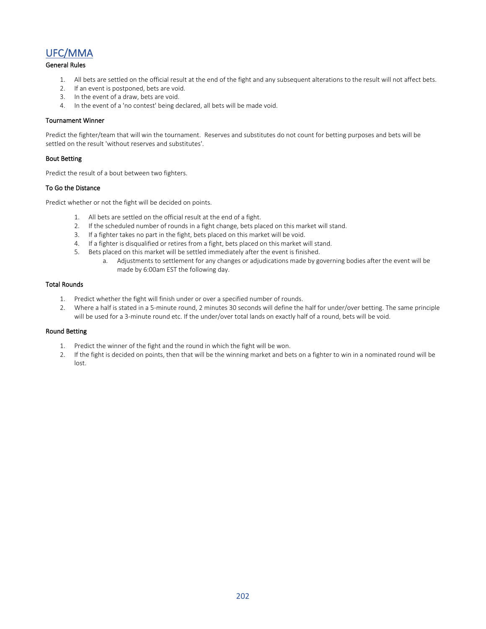# UFC/MMA

## General Rules

- 1. All bets are settled on the official result at the end of the fight and any subsequent alterations to the result will not affect bets.
- 2. If an event is postponed, bets are void.
- 3. In the event of a draw, bets are void.
- 4. In the event of a 'no contest' being declared, all bets will be made void.

#### Tournament Winner

Predict the fighter/team that will win the tournament. Reserves and substitutes do not count for betting purposes and bets will be settled on the result 'without reserves and substitutes'.

#### Bout Betting

Predict the result of a bout between two fighters.

#### To Go the Distance

Predict whether or not the fight will be decided on points.

- 1. All bets are settled on the official result at the end of a fight.
- 2. If the scheduled number of rounds in a fight change, bets placed on this market will stand.
- 3. If a fighter takes no part in the fight, bets placed on this market will be void.
- 4. If a fighter is disqualified or retires from a fight, bets placed on this market will stand.
- 5. Bets placed on this market will be settled immediately after the event is finished.
	- a. Adjustments to settlement for any changes or adjudications made by governing bodies after the event will be made by 6:00am EST the following day.

#### Total Rounds

- 1. Predict whether the fight will finish under or over a specified number of rounds.
- 2. Where a half is stated in a 5-minute round, 2 minutes 30 seconds will define the half for under/over betting. The same principle will be used for a 3-minute round etc. If the under/over total lands on exactly half of a round, bets will be void.

#### Round Betting

- 1. Predict the winner of the fight and the round in which the fight will be won.
- 2. If the fight is decided on points, then that will be the winning market and bets on a fighter to win in a nominated round will be lost.